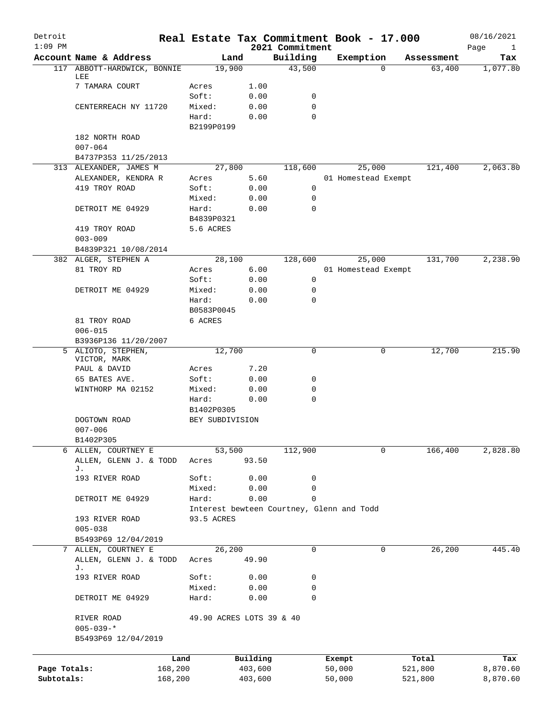| Detroit<br>$1:09$ PM |                              | Real Estate Tax Commitment Book - 17.000  |          | 2021 Commitment |        |                     |            | 08/16/2021<br>Page<br>$\mathbf{1}$ |
|----------------------|------------------------------|-------------------------------------------|----------|-----------------|--------|---------------------|------------|------------------------------------|
|                      | Account Name & Address       | Land                                      |          | Building        |        | Exemption           | Assessment | Tax                                |
| 117                  | ABBOTT-HARDWICK, BONNIE      | 19,900                                    |          | 43,500          |        | $\Omega$            | 63,400     | 1,077.80                           |
|                      | LEE                          |                                           |          |                 |        |                     |            |                                    |
|                      | 7 TAMARA COURT               | Acres                                     | 1.00     |                 |        |                     |            |                                    |
|                      |                              | Soft:                                     | 0.00     | 0               |        |                     |            |                                    |
|                      | CENTERREACH NY 11720         | Mixed:                                    | 0.00     | 0               |        |                     |            |                                    |
|                      |                              | Hard:                                     | 0.00     | $\Omega$        |        |                     |            |                                    |
|                      |                              | B2199P0199                                |          |                 |        |                     |            |                                    |
|                      | 182 NORTH ROAD               |                                           |          |                 |        |                     |            |                                    |
|                      | $007 - 064$                  |                                           |          |                 |        |                     |            |                                    |
|                      | B4737P353 11/25/2013         |                                           |          |                 |        |                     |            |                                    |
|                      | 313 ALEXANDER, JAMES M       | 27,800                                    |          | 118,600         |        | 25,000              | 121,400    | 2,063.80                           |
|                      | ALEXANDER, KENDRA R          | Acres                                     | 5.60     |                 |        | 01 Homestead Exempt |            |                                    |
|                      | 419 TROY ROAD                | Soft:                                     | 0.00     | 0               |        |                     |            |                                    |
|                      |                              | Mixed:                                    | 0.00     | 0               |        |                     |            |                                    |
|                      | DETROIT ME 04929             | Hard:                                     | 0.00     | 0               |        |                     |            |                                    |
|                      |                              | B4839P0321                                |          |                 |        |                     |            |                                    |
|                      | 419 TROY ROAD                | 5.6 ACRES                                 |          |                 |        |                     |            |                                    |
|                      | $003 - 009$                  |                                           |          |                 |        |                     |            |                                    |
|                      | B4839P321 10/08/2014         |                                           |          |                 |        |                     |            |                                    |
|                      | 382 ALGER, STEPHEN A         | 28,100                                    |          | 128,600         |        | 25,000              | 131,700    | 2,238.90                           |
|                      | 81 TROY RD                   | Acres                                     | 6.00     |                 |        | 01 Homestead Exempt |            |                                    |
|                      |                              | Soft:                                     | 0.00     | 0               |        |                     |            |                                    |
|                      | DETROIT ME 04929             | Mixed:                                    | 0.00     | 0               |        |                     |            |                                    |
|                      |                              | Hard:                                     | 0.00     | 0               |        |                     |            |                                    |
|                      |                              | B0583P0045                                |          |                 |        |                     |            |                                    |
|                      | 81 TROY ROAD                 | 6 ACRES                                   |          |                 |        |                     |            |                                    |
|                      | $006 - 015$                  |                                           |          |                 |        |                     |            |                                    |
|                      | B3936P136 11/20/2007         |                                           |          |                 |        |                     |            |                                    |
| 5                    | ALIOTO, STEPHEN,             | 12,700                                    |          | 0               |        | 0                   | 12,700     | 215.90                             |
|                      | VICTOR, MARK                 |                                           |          |                 |        |                     |            |                                    |
|                      | PAUL & DAVID                 | Acres                                     | 7.20     |                 |        |                     |            |                                    |
|                      | 65 BATES AVE.                | Soft:                                     | 0.00     | 0               |        |                     |            |                                    |
|                      | WINTHORP MA 02152            | Mixed:                                    | 0.00     | 0               |        |                     |            |                                    |
|                      |                              | Hard:                                     | 0.00     | 0               |        |                     |            |                                    |
|                      |                              | B1402P0305                                |          |                 |        |                     |            |                                    |
|                      | DOGTOWN ROAD                 | BEY SUBDIVISION                           |          |                 |        |                     |            |                                    |
|                      | $007 - 006$                  |                                           |          |                 |        |                     |            |                                    |
|                      | B1402P305                    |                                           |          |                 |        |                     |            |                                    |
|                      | 6 ALLEN, COURTNEY E          | 53,500                                    |          | 112,900         |        | 0                   | 166,400    | 2,828.80                           |
|                      | ALLEN, GLENN J. & TODD<br>J. | Acres                                     | 93.50    |                 |        |                     |            |                                    |
|                      | 193 RIVER ROAD               | Soft:                                     | 0.00     | 0               |        |                     |            |                                    |
|                      |                              | Mixed:                                    | 0.00     | 0               |        |                     |            |                                    |
|                      | DETROIT ME 04929             | Hard:                                     | 0.00     | $\mathbf 0$     |        |                     |            |                                    |
|                      |                              | Interest bewteen Courtney, Glenn and Todd |          |                 |        |                     |            |                                    |
|                      | 193 RIVER ROAD               | 93.5 ACRES                                |          |                 |        |                     |            |                                    |
|                      | $005 - 038$                  |                                           |          |                 |        |                     |            |                                    |
|                      | B5493P69 12/04/2019          |                                           |          |                 |        |                     |            |                                    |
|                      | 7 ALLEN, COURTNEY E          | 26,200                                    |          | 0               |        | 0                   | 26,200     | 445.40                             |
|                      |                              |                                           |          |                 |        |                     |            |                                    |
|                      | ALLEN, GLENN J. & TODD<br>J. | Acres                                     | 49.90    |                 |        |                     |            |                                    |
|                      | 193 RIVER ROAD               | Soft:                                     | 0.00     | 0               |        |                     |            |                                    |
|                      |                              | Mixed:                                    | 0.00     | 0               |        |                     |            |                                    |
|                      | DETROIT ME 04929             | Hard:                                     | 0.00     | 0               |        |                     |            |                                    |
|                      |                              |                                           |          |                 |        |                     |            |                                    |
|                      | RIVER ROAD                   | 49.90 ACRES LOTS 39 & 40                  |          |                 |        |                     |            |                                    |
|                      | $005 - 039 -$ *              |                                           |          |                 |        |                     |            |                                    |
|                      | B5493P69 12/04/2019          |                                           |          |                 |        |                     |            |                                    |
|                      |                              |                                           |          |                 |        |                     |            |                                    |
|                      |                              | Land                                      | Building |                 | Exempt |                     | Total      | Tax                                |
| Page Totals:         |                              | 168,200                                   | 403,600  |                 | 50,000 |                     | 521,800    | 8,870.60                           |
| Subtotals:           |                              | 168,200                                   | 403,600  |                 | 50,000 |                     | 521,800    | 8,870.60                           |
|                      |                              |                                           |          |                 |        |                     |            |                                    |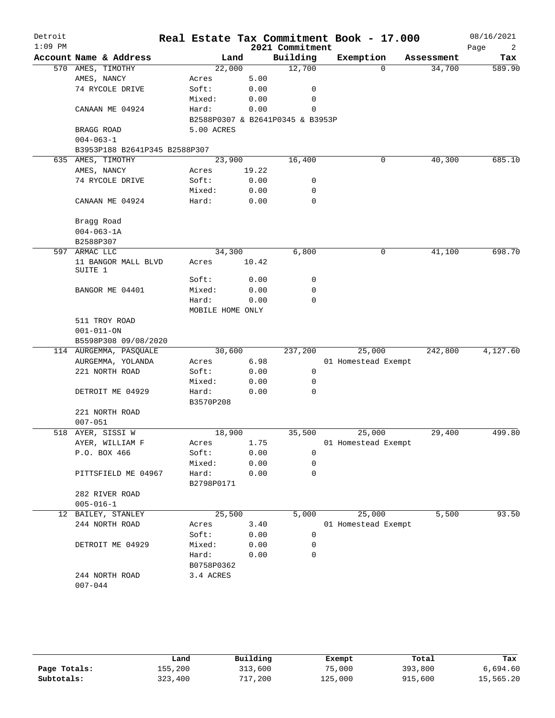| Page<br>2           |
|---------------------|
| Assessment<br>Tax   |
| 34,700<br>589.90    |
|                     |
|                     |
|                     |
|                     |
|                     |
|                     |
|                     |
|                     |
| 40,300<br>685.10    |
|                     |
|                     |
|                     |
|                     |
|                     |
|                     |
|                     |
|                     |
| 41,100              |
| 698.70              |
|                     |
|                     |
|                     |
|                     |
|                     |
|                     |
|                     |
|                     |
| 4,127.60<br>242,800 |
|                     |
|                     |
|                     |
|                     |
|                     |
|                     |
|                     |
| 29,400<br>499.80    |
|                     |
|                     |
|                     |
|                     |
|                     |
|                     |
|                     |
| 5,500<br>93.50      |
|                     |
|                     |
|                     |
|                     |
|                     |
|                     |
|                     |
|                     |
|                     |

|              | Land    | Building | Exempt  | Total   | Tax       |
|--------------|---------|----------|---------|---------|-----------|
| Page Totals: | 155,200 | 313,600  | 75,000  | 393,800 | 6,694.60  |
| Subtotals:   | 323,400 | 717,200  | 125,000 | 915,600 | 15,565.20 |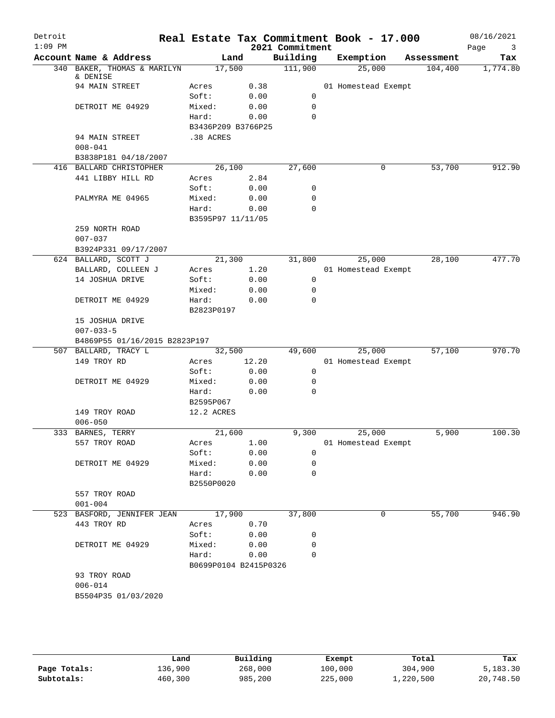| Detroit<br>$1:09$ PM |                                                       |                       |       | 2021 Commitment | Real Estate Tax Commitment Book - 17.000 |            | 08/16/2021<br>Page<br>$\overline{\mathbf{3}}$ |
|----------------------|-------------------------------------------------------|-----------------------|-------|-----------------|------------------------------------------|------------|-----------------------------------------------|
|                      | Account Name & Address                                | Land                  |       | Building        | Exemption                                | Assessment | Tax                                           |
|                      | 340 BAKER, THOMAS & MARILYN<br>& DENISE               | 17,500                |       | 111,900         | 25,000                                   | 104,400    | 1,774.80                                      |
|                      | 94 MAIN STREET                                        | Acres                 | 0.38  |                 | 01 Homestead Exempt                      |            |                                               |
|                      |                                                       | Soft:                 | 0.00  | 0               |                                          |            |                                               |
|                      | DETROIT ME 04929                                      | Mixed:                | 0.00  | 0               |                                          |            |                                               |
|                      |                                                       | Hard:                 | 0.00  | 0               |                                          |            |                                               |
|                      |                                                       | B3436P209 B3766P25    |       |                 |                                          |            |                                               |
|                      | 94 MAIN STREET                                        | .38 ACRES             |       |                 |                                          |            |                                               |
|                      | $008 - 041$                                           |                       |       |                 |                                          |            |                                               |
|                      | B3838P181 04/18/2007                                  |                       |       |                 |                                          |            |                                               |
|                      | 416 BALLARD CHRISTOPHER                               | 26,100                |       | 27,600          | 0                                        | 53,700     | 912.90                                        |
|                      | 441 LIBBY HILL RD                                     | Acres                 | 2.84  |                 |                                          |            |                                               |
|                      |                                                       | Soft:                 | 0.00  | 0               |                                          |            |                                               |
|                      | PALMYRA ME 04965                                      | Mixed:                | 0.00  | 0               |                                          |            |                                               |
|                      |                                                       | Hard:                 | 0.00  | $\mathbf 0$     |                                          |            |                                               |
|                      |                                                       | B3595P97 11/11/05     |       |                 |                                          |            |                                               |
|                      | 259 NORTH ROAD                                        |                       |       |                 |                                          |            |                                               |
|                      | $007 - 037$                                           |                       |       |                 |                                          |            |                                               |
|                      | B3924P331 09/17/2007                                  |                       |       |                 |                                          |            |                                               |
|                      | 624 BALLARD, SCOTT J                                  | 21,300                |       | 31,800          | 25,000                                   | 28,100     | 477.70                                        |
|                      | BALLARD, COLLEEN J                                    | Acres                 | 1.20  |                 | 01 Homestead Exempt                      |            |                                               |
|                      | 14 JOSHUA DRIVE                                       | Soft:                 | 0.00  | 0               |                                          |            |                                               |
|                      |                                                       |                       |       | 0               |                                          |            |                                               |
|                      |                                                       | Mixed:                | 0.00  | 0               |                                          |            |                                               |
|                      | DETROIT ME 04929                                      | Hard:                 | 0.00  |                 |                                          |            |                                               |
|                      | 15 JOSHUA DRIVE                                       | B2823P0197            |       |                 |                                          |            |                                               |
|                      |                                                       |                       |       |                 |                                          |            |                                               |
|                      | $007 - 033 - 5$                                       |                       |       |                 |                                          |            |                                               |
|                      | B4869P55 01/16/2015 B2823P197<br>507 BALLARD, TRACY L | 32,500                |       | 49,600          | 25,000                                   | 57,100     | 970.70                                        |
|                      | 149 TROY RD                                           |                       | 12.20 |                 | 01 Homestead Exempt                      |            |                                               |
|                      |                                                       | Acres<br>Soft:        | 0.00  | 0               |                                          |            |                                               |
|                      | DETROIT ME 04929                                      | Mixed:                | 0.00  | 0               |                                          |            |                                               |
|                      |                                                       | Hard:                 | 0.00  | 0               |                                          |            |                                               |
|                      |                                                       | B2595P067             |       |                 |                                          |            |                                               |
|                      | 149 TROY ROAD                                         | 12.2 ACRES            |       |                 |                                          |            |                                               |
|                      | $006 - 050$                                           |                       |       |                 |                                          |            |                                               |
|                      | 333 BARNES, TERRY                                     | 21,600                |       | 9,300           | 25,000                                   | 5,900      | 100.30                                        |
|                      |                                                       |                       | 1.00  |                 |                                          |            |                                               |
|                      | 557 TROY ROAD                                         | Acres<br>Soft:        | 0.00  | $\mathbf 0$     | 01 Homestead Exempt                      |            |                                               |
|                      | DETROIT ME 04929                                      | Mixed:                |       | 0               |                                          |            |                                               |
|                      |                                                       |                       | 0.00  | $\mathbf 0$     |                                          |            |                                               |
|                      |                                                       | Hard:                 | 0.00  |                 |                                          |            |                                               |
|                      |                                                       | B2550P0020            |       |                 |                                          |            |                                               |
|                      | 557 TROY ROAD                                         |                       |       |                 |                                          |            |                                               |
|                      | $001 - 004$                                           |                       |       |                 |                                          |            |                                               |
|                      | 523 BASFORD, JENNIFER JEAN                            | 17,900                |       | 37,800          | 0                                        | 55,700     | 946.90                                        |
|                      | 443 TROY RD                                           | Acres                 | 0.70  |                 |                                          |            |                                               |
|                      |                                                       | Soft:                 | 0.00  | 0               |                                          |            |                                               |
|                      | DETROIT ME 04929                                      | Mixed:                | 0.00  | 0               |                                          |            |                                               |
|                      |                                                       | Hard:                 | 0.00  | 0               |                                          |            |                                               |
|                      |                                                       | B0699P0104 B2415P0326 |       |                 |                                          |            |                                               |
|                      | 93 TROY ROAD                                          |                       |       |                 |                                          |            |                                               |
|                      | $006 - 014$                                           |                       |       |                 |                                          |            |                                               |
|                      | B5504P35 01/03/2020                                   |                       |       |                 |                                          |            |                                               |
|                      |                                                       |                       |       |                 |                                          |            |                                               |
|                      |                                                       |                       |       |                 |                                          |            |                                               |
|                      |                                                       |                       |       |                 |                                          |            |                                               |

|              | Land    | Building | Exempt  | Total     | Tax       |
|--------------|---------|----------|---------|-----------|-----------|
| Page Totals: | 136,900 | 268,000  | 100,000 | 304,900   | 5,183.30  |
| Subtotals:   | 460,300 | 985,200  | 225,000 | 1,220,500 | 20,748.50 |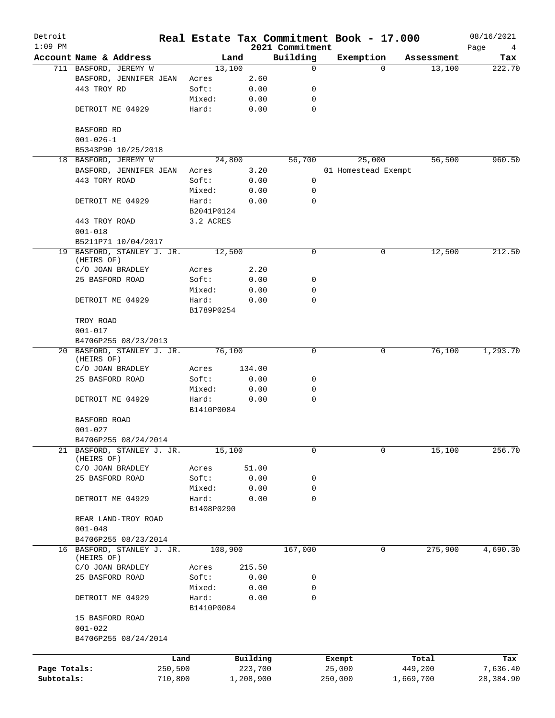| Detroit<br>$1:09$ PM |                                          | Real Estate Tax Commitment Book - 17.000 |           |                             |                     |          |            | 08/16/2021       |
|----------------------|------------------------------------------|------------------------------------------|-----------|-----------------------------|---------------------|----------|------------|------------------|
|                      | Account Name & Address                   | Land                                     |           | 2021 Commitment<br>Building | Exemption           |          | Assessment | Page<br>4<br>Tax |
|                      | 711 BASFORD, JEREMY W                    | 13,100                                   |           | 0                           |                     | $\Omega$ | 13,100     | 222.70           |
|                      | BASFORD, JENNIFER JEAN                   | Acres                                    | 2.60      |                             |                     |          |            |                  |
|                      | 443 TROY RD                              | Soft:                                    | 0.00      | 0                           |                     |          |            |                  |
|                      |                                          | Mixed:                                   | 0.00      | $\mathbf 0$                 |                     |          |            |                  |
|                      | DETROIT ME 04929                         | Hard:                                    | 0.00      | $\mathbf 0$                 |                     |          |            |                  |
|                      | BASFORD RD                               |                                          |           |                             |                     |          |            |                  |
|                      | $001 - 026 - 1$                          |                                          |           |                             |                     |          |            |                  |
|                      | B5343P90 10/25/2018                      |                                          |           |                             |                     |          |            |                  |
|                      | 18 BASFORD, JEREMY W                     | 24,800                                   |           | 56,700                      |                     | 25,000   | 56,500     | 960.50           |
|                      | BASFORD, JENNIFER JEAN                   | Acres                                    | 3.20      |                             | 01 Homestead Exempt |          |            |                  |
|                      | 443 TORY ROAD                            | Soft:                                    | 0.00      | 0                           |                     |          |            |                  |
|                      |                                          | Mixed:                                   | 0.00      | 0                           |                     |          |            |                  |
|                      | DETROIT ME 04929                         | Hard:                                    | 0.00      | $\Omega$                    |                     |          |            |                  |
|                      |                                          | B2041P0124                               |           |                             |                     |          |            |                  |
|                      | 443 TROY ROAD                            | 3.2 ACRES                                |           |                             |                     |          |            |                  |
|                      | $001 - 018$                              |                                          |           |                             |                     |          |            |                  |
|                      | B5211P71 10/04/2017                      |                                          |           |                             |                     |          |            |                  |
|                      | 19 BASFORD, STANLEY J. JR.               | 12,500                                   |           | 0                           |                     | 0        | 12,500     | 212.50           |
|                      | (HEIRS OF)                               |                                          |           |                             |                     |          |            |                  |
|                      | C/O JOAN BRADLEY<br>25 BASFORD ROAD      | Acres                                    | 2.20      |                             |                     |          |            |                  |
|                      |                                          | Soft:                                    | 0.00      | 0                           |                     |          |            |                  |
|                      |                                          | Mixed:                                   | 0.00      | 0<br>0                      |                     |          |            |                  |
|                      | DETROIT ME 04929                         | Hard:                                    | 0.00      |                             |                     |          |            |                  |
|                      | TROY ROAD                                | B1789P0254                               |           |                             |                     |          |            |                  |
|                      | $001 - 017$                              |                                          |           |                             |                     |          |            |                  |
|                      | B4706P255 08/23/2013                     |                                          |           |                             |                     |          |            |                  |
|                      | 20 BASFORD, STANLEY J. JR.               | 76,100                                   |           | 0                           |                     | 0        | 76,100     | 1,293.70         |
|                      | (HEIRS OF)                               |                                          |           |                             |                     |          |            |                  |
|                      | C/O JOAN BRADLEY                         | Acres                                    | 134.00    |                             |                     |          |            |                  |
|                      | 25 BASFORD ROAD                          | Soft:                                    | 0.00      | 0                           |                     |          |            |                  |
|                      |                                          | Mixed:                                   | 0.00      | 0                           |                     |          |            |                  |
|                      | DETROIT ME 04929                         | Hard:                                    | 0.00      | 0                           |                     |          |            |                  |
|                      |                                          | B1410P0084                               |           |                             |                     |          |            |                  |
|                      | BASFORD ROAD                             |                                          |           |                             |                     |          |            |                  |
|                      | $001 - 027$                              |                                          |           |                             |                     |          |            |                  |
|                      | B4706P255 08/24/2014                     |                                          |           |                             |                     |          |            |                  |
| 21                   | BASFORD, STANLEY J. JR.                  | 15,100                                   |           | 0                           |                     | 0        | 15,100     | 256.70           |
|                      | (HEIRS OF)                               |                                          |           |                             |                     |          |            |                  |
|                      | C/O JOAN BRADLEY                         | Acres                                    | 51.00     |                             |                     |          |            |                  |
|                      | 25 BASFORD ROAD                          | Soft:                                    | 0.00      | 0                           |                     |          |            |                  |
|                      |                                          | Mixed:                                   | 0.00      | 0                           |                     |          |            |                  |
|                      | DETROIT ME 04929                         | Hard:                                    | 0.00      | 0                           |                     |          |            |                  |
|                      |                                          | B1408P0290                               |           |                             |                     |          |            |                  |
|                      | REAR LAND-TROY ROAD                      |                                          |           |                             |                     |          |            |                  |
|                      | $001 - 048$                              |                                          |           |                             |                     |          |            |                  |
|                      | B4706P255 08/23/2014                     |                                          |           |                             |                     |          |            |                  |
|                      | 16 BASFORD, STANLEY J. JR.<br>(HEIRS OF) | 108,900                                  |           | 167,000                     |                     | 0        | 275,900    | 4,690.30         |
|                      | C/O JOAN BRADLEY                         | Acres                                    | 215.50    |                             |                     |          |            |                  |
|                      | 25 BASFORD ROAD                          | Soft:                                    | 0.00      | 0                           |                     |          |            |                  |
|                      |                                          | Mixed:                                   | 0.00      | 0                           |                     |          |            |                  |
|                      | DETROIT ME 04929                         | Hard:                                    | 0.00      | $\Omega$                    |                     |          |            |                  |
|                      |                                          | B1410P0084                               |           |                             |                     |          |            |                  |
|                      | 15 BASFORD ROAD                          |                                          |           |                             |                     |          |            |                  |
|                      | $001 - 022$                              |                                          |           |                             |                     |          |            |                  |
|                      | B4706P255 08/24/2014                     |                                          |           |                             |                     |          |            |                  |
|                      |                                          |                                          |           |                             |                     |          |            |                  |
|                      |                                          | Land                                     | Building  |                             | Exempt              |          | Total      | Tax              |
| Page Totals:         | 250,500                                  |                                          | 223,700   |                             | 25,000              |          | 449,200    | 7,636.40         |
| Subtotals:           | 710,800                                  |                                          | 1,208,900 |                             | 250,000             |          | 1,669,700  | 28,384.90        |
|                      |                                          |                                          |           |                             |                     |          |            |                  |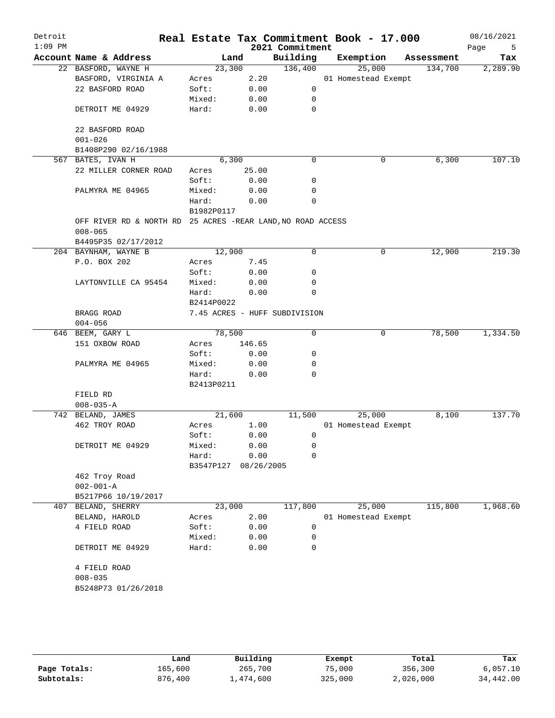| Detroit<br>$1:09$ PM |                                                             |                     |            | 2021 Commitment               | Real Estate Tax Commitment Book - 17.000 |            | 08/16/2021<br>Page<br>5 |
|----------------------|-------------------------------------------------------------|---------------------|------------|-------------------------------|------------------------------------------|------------|-------------------------|
|                      | Account Name & Address                                      | Land                |            | Building                      | Exemption                                | Assessment | Tax                     |
|                      | 22 BASFORD, WAYNE H                                         | 23,300              |            | 136,400                       | 25,000                                   | 134,700    | 2,289.90                |
|                      | BASFORD, VIRGINIA A                                         | Acres               | 2.20       |                               | 01 Homestead Exempt                      |            |                         |
|                      | 22 BASFORD ROAD                                             | Soft:               | 0.00       | 0                             |                                          |            |                         |
|                      |                                                             | Mixed:              | 0.00       | 0                             |                                          |            |                         |
|                      | DETROIT ME 04929                                            | Hard:               | 0.00       | $\mathbf 0$                   |                                          |            |                         |
|                      | 22 BASFORD ROAD                                             |                     |            |                               |                                          |            |                         |
|                      | $001 - 026$                                                 |                     |            |                               |                                          |            |                         |
|                      | B1408P290 02/16/1988                                        |                     |            |                               |                                          |            |                         |
|                      | 567 BATES, IVAN H                                           | 6,300               |            | 0                             | 0                                        | 6,300      | 107.10                  |
|                      | 22 MILLER CORNER ROAD                                       | Acres               | 25.00      |                               |                                          |            |                         |
|                      |                                                             | Soft:               | 0.00       | 0                             |                                          |            |                         |
|                      | PALMYRA ME 04965                                            | Mixed:              | 0.00       | 0                             |                                          |            |                         |
|                      |                                                             | Hard:               | 0.00       | $\mathbf 0$                   |                                          |            |                         |
|                      |                                                             | B1982P0117          |            |                               |                                          |            |                         |
|                      | OFF RIVER RD & NORTH RD 25 ACRES -REAR LAND, NO ROAD ACCESS |                     |            |                               |                                          |            |                         |
|                      | $008 - 065$                                                 |                     |            |                               |                                          |            |                         |
|                      | B4495P35 02/17/2012                                         |                     |            |                               |                                          |            |                         |
|                      | 204 BAYNHAM, WAYNE B                                        | 12,900              |            | 0                             | 0                                        | 12,900     | 219.30                  |
|                      | P.O. BOX 202                                                | Acres               | 7.45       |                               |                                          |            |                         |
|                      |                                                             | Soft:               | 0.00       | 0                             |                                          |            |                         |
|                      | LAYTONVILLE CA 95454                                        | Mixed:              | 0.00       | 0                             |                                          |            |                         |
|                      |                                                             | Hard:               | 0.00       | 0                             |                                          |            |                         |
|                      |                                                             | B2414P0022          |            |                               |                                          |            |                         |
|                      | BRAGG ROAD                                                  |                     |            | 7.45 ACRES - HUFF SUBDIVISION |                                          |            |                         |
|                      | $004 - 056$                                                 |                     |            |                               |                                          |            |                         |
|                      | 646 BEEM, GARY L                                            | 78,500              |            | 0                             | 0                                        | 78,500     | 1,334.50                |
|                      | 151 OXBOW ROAD                                              | Acres               | 146.65     |                               |                                          |            |                         |
|                      |                                                             | Soft:               | 0.00       | 0                             |                                          |            |                         |
|                      | PALMYRA ME 04965                                            | Mixed:              | 0.00       | 0                             |                                          |            |                         |
|                      |                                                             | Hard:<br>B2413P0211 | 0.00       | $\Omega$                      |                                          |            |                         |
|                      | FIELD RD                                                    |                     |            |                               |                                          |            |                         |
|                      | $008 - 035 - A$                                             |                     |            |                               |                                          |            |                         |
|                      | 742 BELAND, JAMES                                           | 21,600              |            | 11,500                        | 25,000                                   | 8,100      | 137.70                  |
|                      | 462 TROY ROAD                                               | Acres               | 1.00       |                               | 01 Homestead Exempt                      |            |                         |
|                      |                                                             | Soft:               | 0.00       | 0                             |                                          |            |                         |
|                      | DETROIT ME 04929                                            | Mixed:              | 0.00       | 0                             |                                          |            |                         |
|                      |                                                             | Hard:               | 0.00       | 0                             |                                          |            |                         |
|                      |                                                             | B3547P127           | 08/26/2005 |                               |                                          |            |                         |
|                      | 462 Troy Road                                               |                     |            |                               |                                          |            |                         |
|                      | $002 - 001 - A$                                             |                     |            |                               |                                          |            |                         |
|                      | B5217P66 10/19/2017                                         |                     |            |                               |                                          |            |                         |
|                      | 407 BELAND, SHERRY                                          | 23,000              |            | 117,800                       | 25,000                                   | 115,800    | 1,968.60                |
|                      | BELAND, HAROLD                                              | Acres               | 2.00       |                               | 01 Homestead Exempt                      |            |                         |
|                      | 4 FIELD ROAD                                                | Soft:               | 0.00       | 0                             |                                          |            |                         |
|                      |                                                             | Mixed:              | 0.00       | 0                             |                                          |            |                         |
|                      | DETROIT ME 04929                                            | Hard:               | 0.00       | $\mathbf 0$                   |                                          |            |                         |
|                      | 4 FIELD ROAD                                                |                     |            |                               |                                          |            |                         |
|                      | $008 - 035$                                                 |                     |            |                               |                                          |            |                         |
|                      | B5248P73 01/26/2018                                         |                     |            |                               |                                          |            |                         |
|                      |                                                             |                     |            |                               |                                          |            |                         |
|                      |                                                             |                     |            |                               |                                          |            |                         |
|                      |                                                             |                     |            |                               |                                          |            |                         |

|              | Land    | Building  | Exempt  | Total     | Tax       |
|--------------|---------|-----------|---------|-----------|-----------|
| Page Totals: | 165,600 | 265,700   | 75,000  | 356,300   | 6,057.10  |
| Subtotals:   | 876,400 | 1,474,600 | 325,000 | 2,026,000 | 34,442.00 |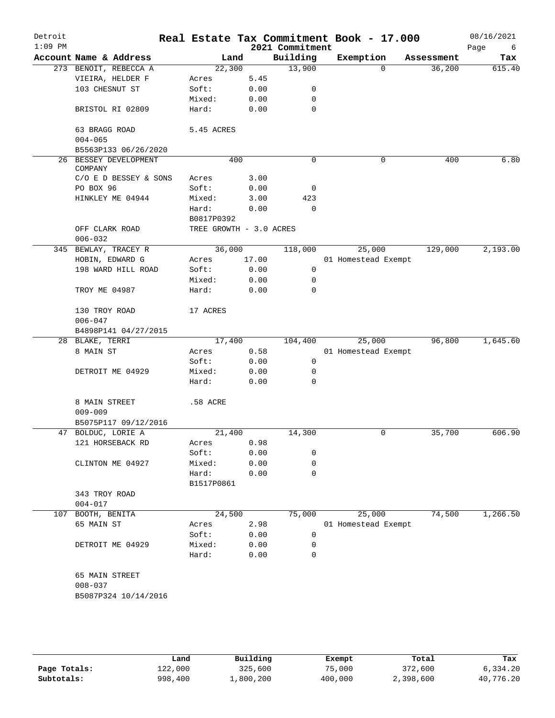| Detroit<br>$1:09$ PM |                               |                       |                         |       | 2021 Commitment | Real Estate Tax Commitment Book - 17.000 |            | 08/16/2021<br>Page<br>6 |
|----------------------|-------------------------------|-----------------------|-------------------------|-------|-----------------|------------------------------------------|------------|-------------------------|
|                      | Account Name & Address        |                       |                         | Land  | Building        | Exemption                                | Assessment | Tax                     |
|                      | 273 BENOIT, REBECCA A         |                       | 22,300                  |       | 13,900          | $\Omega$                                 | 36,200     | 615.40                  |
|                      | VIEIRA, HELDER F              |                       | Acres                   | 5.45  |                 |                                          |            |                         |
|                      | 103 CHESNUT ST                |                       | Soft:                   | 0.00  | 0               |                                          |            |                         |
|                      |                               |                       | Mixed:                  | 0.00  | 0               |                                          |            |                         |
|                      | BRISTOL RI 02809              |                       | Hard:                   | 0.00  | $\mathbf 0$     |                                          |            |                         |
|                      | 63 BRAGG ROAD<br>$004 - 065$  |                       | 5.45 ACRES              |       |                 |                                          |            |                         |
|                      |                               | B5563P133 06/26/2020  |                         |       |                 |                                          |            |                         |
|                      | COMPANY                       | 26 BESSEY DEVELOPMENT |                         | 400   | $\mathbf 0$     | 0                                        | 400        | 6.80                    |
|                      |                               | C/O E D BESSEY & SONS | Acres                   | 3.00  |                 |                                          |            |                         |
|                      | PO BOX 96                     |                       | Soft:                   | 0.00  | 0               |                                          |            |                         |
|                      | HINKLEY ME 04944              |                       | Mixed:                  | 3.00  | 423             |                                          |            |                         |
|                      |                               |                       | Hard:                   | 0.00  | 0               |                                          |            |                         |
|                      |                               |                       | B0817P0392              |       |                 |                                          |            |                         |
|                      | OFF CLARK ROAD                |                       | TREE GROWTH - 3.0 ACRES |       |                 |                                          |            |                         |
|                      | $006 - 032$                   |                       |                         |       |                 |                                          |            |                         |
|                      | 345 BEWLAY, TRACEY R          |                       | 36,000                  |       | 118,000         | 25,000                                   | 129,000    | 2,193.00                |
|                      | HOBIN, EDWARD G               |                       | Acres                   | 17.00 |                 | 01 Homestead Exempt                      |            |                         |
|                      |                               | 198 WARD HILL ROAD    | Soft:                   | 0.00  | 0               |                                          |            |                         |
|                      |                               |                       | Mixed:                  | 0.00  | 0               |                                          |            |                         |
|                      | TROY ME 04987                 |                       | Hard:                   | 0.00  | 0               |                                          |            |                         |
|                      | 130 TROY ROAD                 |                       | 17 ACRES                |       |                 |                                          |            |                         |
|                      | $006 - 047$                   |                       |                         |       |                 |                                          |            |                         |
|                      |                               | B4898P141 04/27/2015  |                         |       |                 |                                          |            |                         |
|                      | 28 BLAKE, TERRI               |                       | 17,400                  |       | 104,400         | 25,000                                   | 96,800     | 1,645.60                |
|                      | 8 MAIN ST                     |                       | Acres                   | 0.58  |                 | 01 Homestead Exempt                      |            |                         |
|                      |                               |                       | Soft:                   | 0.00  | $\mathsf{O}$    |                                          |            |                         |
|                      | DETROIT ME 04929              |                       | Mixed:                  | 0.00  | 0               |                                          |            |                         |
|                      |                               |                       | Hard:                   | 0.00  | 0               |                                          |            |                         |
|                      | 8 MAIN STREET<br>$009 - 009$  |                       | .58 ACRE                |       |                 |                                          |            |                         |
|                      |                               | B5075P117 09/12/2016  |                         |       |                 |                                          |            |                         |
|                      | 47 BOLDUC, LORIE A            |                       | 21,400                  |       | 14,300          | 0                                        | 35,700     | 606.90                  |
|                      | 121 HORSEBACK RD              |                       | Acres                   | 0.98  |                 |                                          |            |                         |
|                      |                               |                       | Soft:                   | 0.00  | 0               |                                          |            |                         |
|                      | CLINTON ME 04927              |                       | Mixed:                  | 0.00  | 0               |                                          |            |                         |
|                      |                               |                       | Hard:<br>B1517P0861     | 0.00  | $\mathbf 0$     |                                          |            |                         |
|                      | 343 TROY ROAD                 |                       |                         |       |                 |                                          |            |                         |
|                      | $004 - 017$                   |                       |                         |       |                 |                                          |            |                         |
| 107                  | BOOTH, BENITA                 |                       | 24,500                  |       | 75,000          | 25,000                                   | 74,500     | 1,266.50                |
|                      | 65 MAIN ST                    |                       | Acres                   | 2.98  |                 | 01 Homestead Exempt                      |            |                         |
|                      |                               |                       | Soft:                   | 0.00  | 0               |                                          |            |                         |
|                      | DETROIT ME 04929              |                       | Mixed:                  | 0.00  | 0               |                                          |            |                         |
|                      |                               |                       | Hard:                   | 0.00  | 0               |                                          |            |                         |
| B5087P324 10/14/2016 | 65 MAIN STREET<br>$008 - 037$ |                       |                         |       |                 |                                          |            |                         |

|              | Land    | Building  | Exempt  | Total     | Tax       |
|--------------|---------|-----------|---------|-----------|-----------|
| Page Totals: | 122,000 | 325,600   | 75,000  | 372,600   | 6.334.20  |
| Subtotals:   | 998,400 | 1,800,200 | 400,000 | 2,398,600 | 40,776.20 |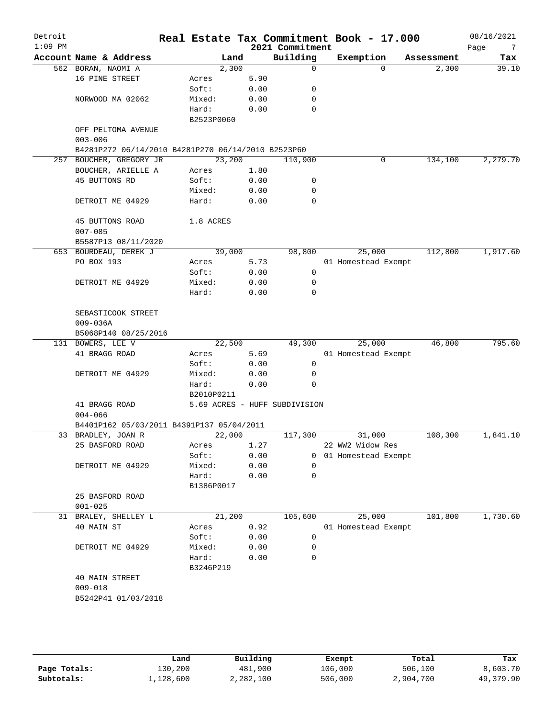| Detroit<br>$1:09$ PM |                                                                               |                 |        |              | 2021 Commitment               | Real Estate Tax Commitment Book - 17.000 |            | 08/16/2021<br>Page<br>$\overline{7}$ |
|----------------------|-------------------------------------------------------------------------------|-----------------|--------|--------------|-------------------------------|------------------------------------------|------------|--------------------------------------|
|                      | Account Name & Address                                                        |                 | Land   |              | Building                      | Exemption                                | Assessment | Tax                                  |
|                      | 562 BORAN, NAOMI A                                                            |                 | 2,300  |              | $\mathbf 0$                   | $\Omega$                                 | 2,300      | 39.10                                |
|                      | 16 PINE STREET                                                                | Acres           |        | 5.90         |                               |                                          |            |                                      |
|                      |                                                                               | Soft:           |        | 0.00         | 0                             |                                          |            |                                      |
|                      | NORWOOD MA 02062                                                              | Mixed:          |        | 0.00         | 0                             |                                          |            |                                      |
|                      |                                                                               | Hard:           |        | 0.00         | 0                             |                                          |            |                                      |
|                      |                                                                               | B2523P0060      |        |              |                               |                                          |            |                                      |
|                      | OFF PELTOMA AVENUE                                                            |                 |        |              |                               |                                          |            |                                      |
|                      | $003 - 006$                                                                   |                 |        |              |                               |                                          |            |                                      |
|                      | B4281P272 06/14/2010 B4281P270 06/14/2010 B2523P60<br>257 BOUCHER, GREGORY JR |                 | 23,200 |              | 110,900                       | 0                                        | 134,100    | 2,279.70                             |
|                      | BOUCHER, ARIELLE A                                                            | Acres           |        | 1.80         |                               |                                          |            |                                      |
|                      | 45 BUTTONS RD                                                                 | Soft:           |        | 0.00         | 0                             |                                          |            |                                      |
|                      |                                                                               | Mixed:          |        | 0.00         | 0                             |                                          |            |                                      |
|                      | DETROIT ME 04929                                                              | Hard:           |        | 0.00         | $\mathbf 0$                   |                                          |            |                                      |
|                      |                                                                               |                 |        |              |                               |                                          |            |                                      |
|                      | 45 BUTTONS ROAD                                                               | 1.8 ACRES       |        |              |                               |                                          |            |                                      |
|                      | $007 - 085$                                                                   |                 |        |              |                               |                                          |            |                                      |
|                      | B5587P13 08/11/2020                                                           |                 |        |              |                               |                                          |            |                                      |
|                      | 653 BOURDEAU, DEREK J                                                         |                 | 39,000 |              | 98,800                        | 25,000                                   | 112,800    | 1,917.60                             |
|                      | PO BOX 193                                                                    | Acres           |        | 5.73         |                               | 01 Homestead Exempt                      |            |                                      |
|                      |                                                                               | Soft:           |        | 0.00         | 0                             |                                          |            |                                      |
|                      | DETROIT ME 04929                                                              | Mixed:          |        | 0.00         | 0                             |                                          |            |                                      |
|                      |                                                                               | Hard:           |        | 0.00         | $\mathbf 0$                   |                                          |            |                                      |
|                      |                                                                               |                 |        |              |                               |                                          |            |                                      |
|                      | SEBASTICOOK STREET                                                            |                 |        |              |                               |                                          |            |                                      |
|                      | $009 - 036A$                                                                  |                 |        |              |                               |                                          |            |                                      |
|                      | B5068P140 08/25/2016<br>131 BOWERS, LEE V                                     |                 | 22,500 |              | 49,300                        | 25,000                                   | 46,800     | 795.60                               |
|                      | 41 BRAGG ROAD                                                                 | Acres           |        | 5.69         |                               | 01 Homestead Exempt                      |            |                                      |
|                      |                                                                               | Soft:           |        | 0.00         | 0                             |                                          |            |                                      |
|                      | DETROIT ME 04929                                                              | Mixed:          |        | 0.00         | 0                             |                                          |            |                                      |
|                      |                                                                               | Hard:           |        | 0.00         | $\Omega$                      |                                          |            |                                      |
|                      |                                                                               | B2010P0211      |        |              |                               |                                          |            |                                      |
|                      | 41 BRAGG ROAD                                                                 |                 |        |              | 5.69 ACRES - HUFF SUBDIVISION |                                          |            |                                      |
|                      | $004 - 066$                                                                   |                 |        |              |                               |                                          |            |                                      |
|                      | B4401P162 05/03/2011 B4391P137 05/04/2011                                     |                 |        |              |                               |                                          |            |                                      |
|                      | 33 BRADLEY, JOAN R                                                            |                 | 22,000 |              | 117,300                       | 31,000                                   | 108,300    | 1,841.10                             |
|                      | 25 BASFORD ROAD                                                               | Acres           |        | 1.27         |                               | 22 WW2 Widow Res                         |            |                                      |
|                      |                                                                               | Soft:           |        | 0.00         | 0                             | 01 Homestead Exempt                      |            |                                      |
|                      | DETROIT ME 04929                                                              | Mixed:          |        | 0.00         | 0                             |                                          |            |                                      |
|                      |                                                                               | Hard:           |        | 0.00         | 0                             |                                          |            |                                      |
|                      |                                                                               | B1386P0017      |        |              |                               |                                          |            |                                      |
|                      | 25 BASFORD ROAD                                                               |                 |        |              |                               |                                          |            |                                      |
|                      | $001 - 025$                                                                   |                 |        |              |                               |                                          |            |                                      |
|                      | 31 BRALEY, SHELLEY L                                                          |                 | 21,200 |              | 105,600                       | 25,000                                   | 101,800    | 1,730.60                             |
|                      | 40 MAIN ST                                                                    | Acres           |        | 0.92         |                               | 01 Homestead Exempt                      |            |                                      |
|                      |                                                                               | Soft:           |        | 0.00         | 0<br>0                        |                                          |            |                                      |
|                      | DETROIT ME 04929                                                              | Mixed:<br>Hard: |        | 0.00<br>0.00 | 0                             |                                          |            |                                      |
|                      |                                                                               | B3246P219       |        |              |                               |                                          |            |                                      |
|                      | 40 MAIN STREET                                                                |                 |        |              |                               |                                          |            |                                      |
|                      | $009 - 018$                                                                   |                 |        |              |                               |                                          |            |                                      |
|                      | B5242P41 01/03/2018                                                           |                 |        |              |                               |                                          |            |                                      |
|                      |                                                                               |                 |        |              |                               |                                          |            |                                      |
|                      |                                                                               |                 |        |              |                               |                                          |            |                                      |
|                      |                                                                               |                 |        |              |                               |                                          |            |                                      |
|                      |                                                                               |                 |        |              |                               |                                          |            |                                      |

|              | Land      | Building  | Exempt  | Total     | Tax       |
|--------------|-----------|-----------|---------|-----------|-----------|
| Page Totals: | 130,200   | 481,900   | 106,000 | 506,100   | 8,603.70  |
| Subtotals:   | 1,128,600 | 2,282,100 | 506,000 | 2,904,700 | 49,379.90 |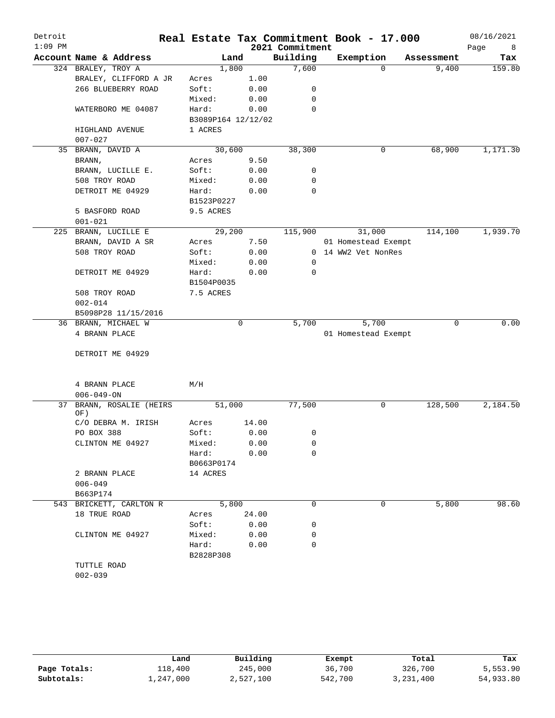| Detroit<br>$1:09$ PM |                         |                    |       | 2021 Commitment | Real Estate Tax Commitment Book - 17.000 |            | 08/16/2021<br>Page<br>8 |
|----------------------|-------------------------|--------------------|-------|-----------------|------------------------------------------|------------|-------------------------|
|                      | Account Name & Address  |                    | Land  | Building        | Exemption                                | Assessment | Tax                     |
|                      | 324 BRALEY, TROY A      | 1,800              |       | 7,600           | 0                                        | 9,400      | 159.80                  |
|                      | BRALEY, CLIFFORD A JR   | Acres              | 1.00  |                 |                                          |            |                         |
|                      | 266 BLUEBERRY ROAD      | Soft:              | 0.00  | 0               |                                          |            |                         |
|                      |                         | Mixed:             | 0.00  | 0               |                                          |            |                         |
|                      | WATERBORO ME 04087      | Hard:              | 0.00  | 0               |                                          |            |                         |
|                      |                         | B3089P164 12/12/02 |       |                 |                                          |            |                         |
|                      | HIGHLAND AVENUE         | 1 ACRES            |       |                 |                                          |            |                         |
|                      | $007 - 027$             |                    |       |                 |                                          |            |                         |
| 35                   | BRANN, DAVID A          | 30,600             |       | 38,300          | 0                                        | 68,900     | 1,171.30                |
|                      | BRANN,                  | Acres              | 9.50  |                 |                                          |            |                         |
|                      | BRANN, LUCILLE E.       | Soft:              | 0.00  | 0               |                                          |            |                         |
|                      | 508 TROY ROAD           | Mixed:             | 0.00  | 0               |                                          |            |                         |
|                      | DETROIT ME 04929        | Hard:              | 0.00  | 0               |                                          |            |                         |
|                      |                         | B1523P0227         |       |                 |                                          |            |                         |
|                      | 5 BASFORD ROAD          | 9.5 ACRES          |       |                 |                                          |            |                         |
|                      | $001 - 021$             |                    |       |                 |                                          |            |                         |
| 225                  | BRANN, LUCILLE E        | 29,200             |       | 115,900         | 31,000                                   | 114,100    | 1,939.70                |
|                      | BRANN, DAVID A SR       | Acres              | 7.50  |                 | 01 Homestead Exempt                      |            |                         |
|                      | 508 TROY ROAD           | Soft:              | 0.00  |                 | 0 14 WW2 Vet NonRes                      |            |                         |
|                      |                         | Mixed:             | 0.00  | 0               |                                          |            |                         |
|                      | DETROIT ME 04929        | Hard:              | 0.00  | $\mathbf 0$     |                                          |            |                         |
|                      |                         | B1504P0035         |       |                 |                                          |            |                         |
|                      | 508 TROY ROAD           | 7.5 ACRES          |       |                 |                                          |            |                         |
|                      | $002 - 014$             |                    |       |                 |                                          |            |                         |
|                      | B5098P28 11/15/2016     |                    |       |                 |                                          |            |                         |
|                      | 36 BRANN, MICHAEL W     |                    | 0     | 5,700           | 5,700                                    | 0          | 0.00                    |
|                      | 4 BRANN PLACE           |                    |       |                 | 01 Homestead Exempt                      |            |                         |
|                      |                         |                    |       |                 |                                          |            |                         |
|                      | DETROIT ME 04929        |                    |       |                 |                                          |            |                         |
|                      |                         |                    |       |                 |                                          |            |                         |
|                      | 4 BRANN PLACE           | M/H                |       |                 |                                          |            |                         |
|                      | $006 - 049 - ON$        |                    |       |                 |                                          |            |                         |
| 37                   | BRANN, ROSALIE (HEIRS   | 51,000             |       | 77,500          | 0                                        | 128,500    | 2,184.50                |
|                      | OF)                     |                    |       |                 |                                          |            |                         |
|                      | C/O DEBRA M. IRISH      | Acres              | 14.00 |                 |                                          |            |                         |
|                      | PO BOX 388              | Soft:              | 0.00  | 0               |                                          |            |                         |
|                      | CLINTON ME 04927        | Mixed:             | 0.00  | 0               |                                          |            |                         |
|                      |                         | Hard:              | 0.00  | $\Omega$        |                                          |            |                         |
|                      |                         | B0663P0174         |       |                 |                                          |            |                         |
|                      | 2 BRANN PLACE           | 14 ACRES           |       |                 |                                          |            |                         |
|                      | $006 - 049$             |                    |       |                 |                                          |            |                         |
|                      | B663P174                |                    |       |                 |                                          |            |                         |
|                      | 543 BRICKETT, CARLTON R | 5,800              |       | 0               | 0                                        | 5,800      | 98.60                   |
|                      | 18 TRUE ROAD            | Acres              | 24.00 |                 |                                          |            |                         |
|                      |                         | Soft:              | 0.00  | 0               |                                          |            |                         |
|                      | CLINTON ME 04927        | Mixed:             | 0.00  | 0               |                                          |            |                         |
|                      |                         | Hard:              | 0.00  | $\Omega$        |                                          |            |                         |
|                      |                         | B2828P308          |       |                 |                                          |            |                         |
|                      | TUTTLE ROAD             |                    |       |                 |                                          |            |                         |
|                      | $002 - 039$             |                    |       |                 |                                          |            |                         |

|              | Land      | Building  | Exempt  | Total     | Tax       |
|--------------|-----------|-----------|---------|-----------|-----------|
| Page Totals: | 118,400   | 245,000   | 36,700  | 326,700   | 5,553.90  |
| Subtotals:   | 1,247,000 | 2,527,100 | 542,700 | 3,231,400 | 54,933.80 |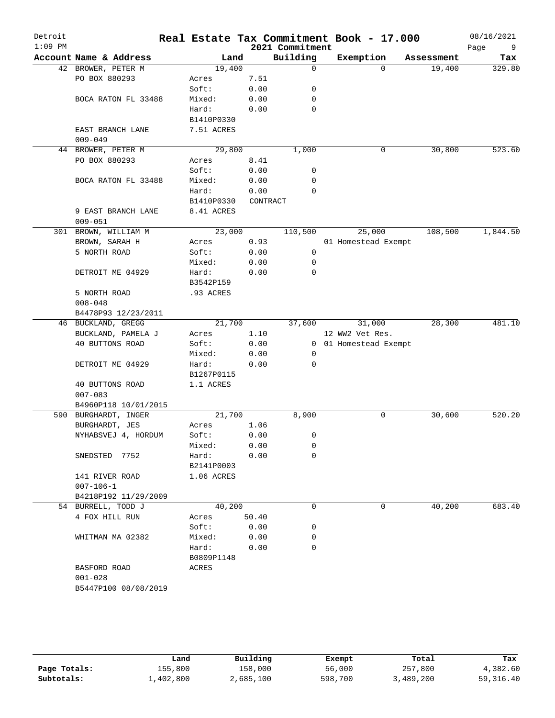|                        |                                                                                                                                                                                                                                                                                                                                                                                                                                                                   |                                                                                                                                                                                                                                             |                                                                                                                                                                                   |                                                                                                            |                                          | 08/16/2021<br>Page<br>9                                                                                                           |
|------------------------|-------------------------------------------------------------------------------------------------------------------------------------------------------------------------------------------------------------------------------------------------------------------------------------------------------------------------------------------------------------------------------------------------------------------------------------------------------------------|---------------------------------------------------------------------------------------------------------------------------------------------------------------------------------------------------------------------------------------------|-----------------------------------------------------------------------------------------------------------------------------------------------------------------------------------|------------------------------------------------------------------------------------------------------------|------------------------------------------|-----------------------------------------------------------------------------------------------------------------------------------|
| Account Name & Address |                                                                                                                                                                                                                                                                                                                                                                                                                                                                   |                                                                                                                                                                                                                                             |                                                                                                                                                                                   | Exemption                                                                                                  | Assessment                               | Tax                                                                                                                               |
| 42 BROWER, PETER M     |                                                                                                                                                                                                                                                                                                                                                                                                                                                                   |                                                                                                                                                                                                                                             | $\mathbf 0$                                                                                                                                                                       | 0                                                                                                          | 19,400                                   | 329.80                                                                                                                            |
| PO BOX 880293          | Acres                                                                                                                                                                                                                                                                                                                                                                                                                                                             | 7.51                                                                                                                                                                                                                                        |                                                                                                                                                                                   |                                                                                                            |                                          |                                                                                                                                   |
|                        | Soft:                                                                                                                                                                                                                                                                                                                                                                                                                                                             | 0.00                                                                                                                                                                                                                                        | 0                                                                                                                                                                                 |                                                                                                            |                                          |                                                                                                                                   |
| BOCA RATON FL 33488    | Mixed:                                                                                                                                                                                                                                                                                                                                                                                                                                                            | 0.00                                                                                                                                                                                                                                        | 0                                                                                                                                                                                 |                                                                                                            |                                          |                                                                                                                                   |
|                        |                                                                                                                                                                                                                                                                                                                                                                                                                                                                   |                                                                                                                                                                                                                                             | 0                                                                                                                                                                                 |                                                                                                            |                                          |                                                                                                                                   |
|                        |                                                                                                                                                                                                                                                                                                                                                                                                                                                                   |                                                                                                                                                                                                                                             |                                                                                                                                                                                   |                                                                                                            |                                          |                                                                                                                                   |
|                        |                                                                                                                                                                                                                                                                                                                                                                                                                                                                   |                                                                                                                                                                                                                                             |                                                                                                                                                                                   |                                                                                                            |                                          |                                                                                                                                   |
|                        |                                                                                                                                                                                                                                                                                                                                                                                                                                                                   |                                                                                                                                                                                                                                             |                                                                                                                                                                                   |                                                                                                            |                                          |                                                                                                                                   |
|                        |                                                                                                                                                                                                                                                                                                                                                                                                                                                                   |                                                                                                                                                                                                                                             |                                                                                                                                                                                   |                                                                                                            |                                          | 523.60                                                                                                                            |
|                        |                                                                                                                                                                                                                                                                                                                                                                                                                                                                   |                                                                                                                                                                                                                                             |                                                                                                                                                                                   |                                                                                                            |                                          |                                                                                                                                   |
|                        |                                                                                                                                                                                                                                                                                                                                                                                                                                                                   |                                                                                                                                                                                                                                             |                                                                                                                                                                                   |                                                                                                            |                                          |                                                                                                                                   |
|                        |                                                                                                                                                                                                                                                                                                                                                                                                                                                                   |                                                                                                                                                                                                                                             |                                                                                                                                                                                   |                                                                                                            |                                          |                                                                                                                                   |
|                        |                                                                                                                                                                                                                                                                                                                                                                                                                                                                   |                                                                                                                                                                                                                                             |                                                                                                                                                                                   |                                                                                                            |                                          |                                                                                                                                   |
|                        |                                                                                                                                                                                                                                                                                                                                                                                                                                                                   |                                                                                                                                                                                                                                             |                                                                                                                                                                                   |                                                                                                            |                                          |                                                                                                                                   |
|                        |                                                                                                                                                                                                                                                                                                                                                                                                                                                                   |                                                                                                                                                                                                                                             |                                                                                                                                                                                   |                                                                                                            |                                          |                                                                                                                                   |
|                        |                                                                                                                                                                                                                                                                                                                                                                                                                                                                   |                                                                                                                                                                                                                                             |                                                                                                                                                                                   |                                                                                                            |                                          |                                                                                                                                   |
|                        |                                                                                                                                                                                                                                                                                                                                                                                                                                                                   |                                                                                                                                                                                                                                             |                                                                                                                                                                                   |                                                                                                            |                                          |                                                                                                                                   |
|                        |                                                                                                                                                                                                                                                                                                                                                                                                                                                                   |                                                                                                                                                                                                                                             |                                                                                                                                                                                   |                                                                                                            |                                          | 1,844.50                                                                                                                          |
|                        |                                                                                                                                                                                                                                                                                                                                                                                                                                                                   |                                                                                                                                                                                                                                             |                                                                                                                                                                                   |                                                                                                            |                                          |                                                                                                                                   |
|                        |                                                                                                                                                                                                                                                                                                                                                                                                                                                                   |                                                                                                                                                                                                                                             |                                                                                                                                                                                   |                                                                                                            |                                          |                                                                                                                                   |
|                        | Mixed:                                                                                                                                                                                                                                                                                                                                                                                                                                                            |                                                                                                                                                                                                                                             | 0                                                                                                                                                                                 |                                                                                                            |                                          |                                                                                                                                   |
| DETROIT ME 04929       | Hard:                                                                                                                                                                                                                                                                                                                                                                                                                                                             | 0.00                                                                                                                                                                                                                                        | 0                                                                                                                                                                                 |                                                                                                            |                                          |                                                                                                                                   |
|                        | B3542P159                                                                                                                                                                                                                                                                                                                                                                                                                                                         |                                                                                                                                                                                                                                             |                                                                                                                                                                                   |                                                                                                            |                                          |                                                                                                                                   |
| 5 NORTH ROAD           | .93 ACRES                                                                                                                                                                                                                                                                                                                                                                                                                                                         |                                                                                                                                                                                                                                             |                                                                                                                                                                                   |                                                                                                            |                                          |                                                                                                                                   |
| $008 - 048$            |                                                                                                                                                                                                                                                                                                                                                                                                                                                                   |                                                                                                                                                                                                                                             |                                                                                                                                                                                   |                                                                                                            |                                          |                                                                                                                                   |
| B4478P93 12/23/2011    |                                                                                                                                                                                                                                                                                                                                                                                                                                                                   |                                                                                                                                                                                                                                             |                                                                                                                                                                                   |                                                                                                            |                                          |                                                                                                                                   |
| 46 BUCKLAND, GREGG     |                                                                                                                                                                                                                                                                                                                                                                                                                                                                   |                                                                                                                                                                                                                                             | 37,600                                                                                                                                                                            | 31,000                                                                                                     | 28,300                                   | 481.10                                                                                                                            |
| BUCKLAND, PAMELA J     | Acres                                                                                                                                                                                                                                                                                                                                                                                                                                                             | 1.10                                                                                                                                                                                                                                        |                                                                                                                                                                                   | 12 WW2 Vet Res.                                                                                            |                                          |                                                                                                                                   |
| 40 BUTTONS ROAD        | Soft:                                                                                                                                                                                                                                                                                                                                                                                                                                                             | 0.00                                                                                                                                                                                                                                        |                                                                                                                                                                                   |                                                                                                            |                                          |                                                                                                                                   |
|                        | Mixed:                                                                                                                                                                                                                                                                                                                                                                                                                                                            | 0.00                                                                                                                                                                                                                                        | 0                                                                                                                                                                                 |                                                                                                            |                                          |                                                                                                                                   |
|                        |                                                                                                                                                                                                                                                                                                                                                                                                                                                                   |                                                                                                                                                                                                                                             | 0                                                                                                                                                                                 |                                                                                                            |                                          |                                                                                                                                   |
|                        |                                                                                                                                                                                                                                                                                                                                                                                                                                                                   |                                                                                                                                                                                                                                             |                                                                                                                                                                                   |                                                                                                            |                                          |                                                                                                                                   |
|                        |                                                                                                                                                                                                                                                                                                                                                                                                                                                                   |                                                                                                                                                                                                                                             |                                                                                                                                                                                   |                                                                                                            |                                          |                                                                                                                                   |
|                        |                                                                                                                                                                                                                                                                                                                                                                                                                                                                   |                                                                                                                                                                                                                                             |                                                                                                                                                                                   |                                                                                                            |                                          |                                                                                                                                   |
|                        |                                                                                                                                                                                                                                                                                                                                                                                                                                                                   |                                                                                                                                                                                                                                             |                                                                                                                                                                                   |                                                                                                            |                                          |                                                                                                                                   |
|                        |                                                                                                                                                                                                                                                                                                                                                                                                                                                                   |                                                                                                                                                                                                                                             |                                                                                                                                                                                   |                                                                                                            |                                          | 520.20                                                                                                                            |
|                        |                                                                                                                                                                                                                                                                                                                                                                                                                                                                   |                                                                                                                                                                                                                                             |                                                                                                                                                                                   |                                                                                                            |                                          |                                                                                                                                   |
|                        |                                                                                                                                                                                                                                                                                                                                                                                                                                                                   |                                                                                                                                                                                                                                             |                                                                                                                                                                                   |                                                                                                            |                                          |                                                                                                                                   |
|                        |                                                                                                                                                                                                                                                                                                                                                                                                                                                                   |                                                                                                                                                                                                                                             |                                                                                                                                                                                   |                                                                                                            |                                          |                                                                                                                                   |
|                        |                                                                                                                                                                                                                                                                                                                                                                                                                                                                   |                                                                                                                                                                                                                                             |                                                                                                                                                                                   |                                                                                                            |                                          |                                                                                                                                   |
|                        |                                                                                                                                                                                                                                                                                                                                                                                                                                                                   |                                                                                                                                                                                                                                             |                                                                                                                                                                                   |                                                                                                            |                                          |                                                                                                                                   |
|                        |                                                                                                                                                                                                                                                                                                                                                                                                                                                                   |                                                                                                                                                                                                                                             |                                                                                                                                                                                   |                                                                                                            |                                          |                                                                                                                                   |
|                        |                                                                                                                                                                                                                                                                                                                                                                                                                                                                   |                                                                                                                                                                                                                                             |                                                                                                                                                                                   |                                                                                                            |                                          |                                                                                                                                   |
|                        |                                                                                                                                                                                                                                                                                                                                                                                                                                                                   |                                                                                                                                                                                                                                             |                                                                                                                                                                                   |                                                                                                            |                                          |                                                                                                                                   |
|                        |                                                                                                                                                                                                                                                                                                                                                                                                                                                                   |                                                                                                                                                                                                                                             |                                                                                                                                                                                   |                                                                                                            |                                          |                                                                                                                                   |
|                        |                                                                                                                                                                                                                                                                                                                                                                                                                                                                   |                                                                                                                                                                                                                                             |                                                                                                                                                                                   |                                                                                                            |                                          | 683.40                                                                                                                            |
|                        |                                                                                                                                                                                                                                                                                                                                                                                                                                                                   |                                                                                                                                                                                                                                             |                                                                                                                                                                                   |                                                                                                            |                                          |                                                                                                                                   |
|                        |                                                                                                                                                                                                                                                                                                                                                                                                                                                                   | 0.00                                                                                                                                                                                                                                        |                                                                                                                                                                                   |                                                                                                            |                                          |                                                                                                                                   |
| WHITMAN MA 02382       | Mixed:                                                                                                                                                                                                                                                                                                                                                                                                                                                            | 0.00                                                                                                                                                                                                                                        |                                                                                                                                                                                   |                                                                                                            |                                          |                                                                                                                                   |
|                        | Hard:                                                                                                                                                                                                                                                                                                                                                                                                                                                             | 0.00                                                                                                                                                                                                                                        | 0                                                                                                                                                                                 |                                                                                                            |                                          |                                                                                                                                   |
|                        | B0809P1148                                                                                                                                                                                                                                                                                                                                                                                                                                                        |                                                                                                                                                                                                                                             |                                                                                                                                                                                   |                                                                                                            |                                          |                                                                                                                                   |
| BASFORD ROAD           | ACRES                                                                                                                                                                                                                                                                                                                                                                                                                                                             |                                                                                                                                                                                                                                             |                                                                                                                                                                                   |                                                                                                            |                                          |                                                                                                                                   |
|                        |                                                                                                                                                                                                                                                                                                                                                                                                                                                                   |                                                                                                                                                                                                                                             |                                                                                                                                                                                   |                                                                                                            |                                          |                                                                                                                                   |
| $001 - 028$            |                                                                                                                                                                                                                                                                                                                                                                                                                                                                   |                                                                                                                                                                                                                                             |                                                                                                                                                                                   |                                                                                                            |                                          |                                                                                                                                   |
|                        | EAST BRANCH LANE<br>$009 - 049$<br>44 BROWER, PETER M<br>PO BOX 880293<br>BOCA RATON FL 33488<br>9 EAST BRANCH LANE<br>$009 - 051$<br>301 BROWN, WILLIAM M<br>BROWN, SARAH H<br>5 NORTH ROAD<br>DETROIT ME 04929<br>40 BUTTONS ROAD<br>$007 - 083$<br>B4960P118 10/01/2015<br>590 BURGHARDT, INGER<br>BURGHARDT, JES<br>NYHABSVEJ 4, HORDUM<br>SNEDSTED 7752<br>141 RIVER ROAD<br>$007 - 106 - 1$<br>B4218P192 11/29/2009<br>54 BURRELL, TODD J<br>4 FOX HILL RUN | Hard:<br>B1410P0330<br>7.51 ACRES<br>Acres<br>Soft:<br>Mixed:<br>Hard:<br>B1410P0330<br>8.41 ACRES<br>Acres<br>Soft:<br>Hard:<br>B1267P0115<br>1.1 ACRES<br>Acres<br>Soft:<br>Mixed:<br>Hard:<br>B2141P0003<br>1.06 ACRES<br>Acres<br>Soft: | Land<br>19,400<br>0.00<br>29,800<br>8.41<br>0.00<br>0.00<br>0.00<br>23,000<br>0.93<br>0.00<br>0.00<br>21,700<br>0.00<br>21,700<br>1.06<br>0.00<br>0.00<br>0.00<br>40,200<br>50.40 | Building<br>1,000<br>0<br>0<br>$\Omega$<br>CONTRACT<br>110,500<br>0<br>8,900<br>0<br>0<br>0<br>0<br>0<br>0 | 2021 Commitment<br>0<br>25,000<br>0<br>0 | Real Estate Tax Commitment Book - 17.000<br>30,800<br>108,500<br>01 Homestead Exempt<br>0 01 Homestead Exempt<br>30,600<br>40,200 |

|              | Land      | Building  | Exempt  | Total     | Tax       |
|--------------|-----------|-----------|---------|-----------|-----------|
| Page Totals: | 155,800   | 158,000   | 56,000  | 257,800   | 4,382.60  |
| Subtotals:   | ⊥,402,800 | 2,685,100 | 598,700 | 3,489,200 | 59,316.40 |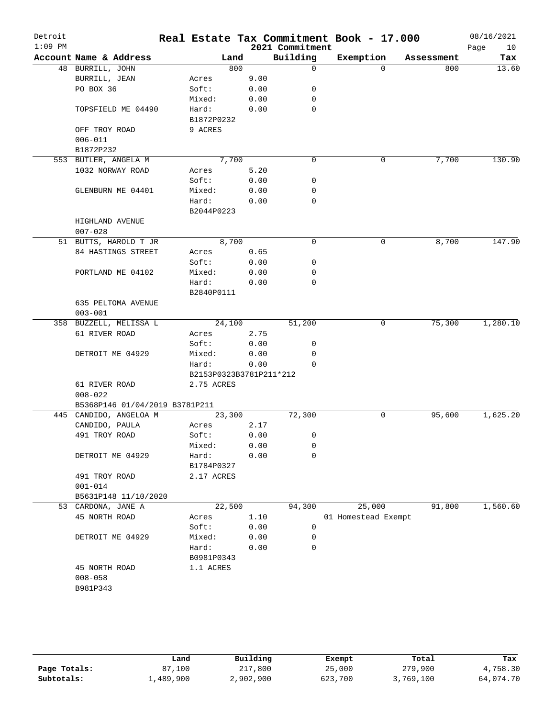| Detroit<br>$1:09$ PM |                                |                                       |       |      | Real Estate Tax Commitment Book - 17.000<br>2021 Commitment |                     |              |            | 08/16/2021<br>10<br>Page |
|----------------------|--------------------------------|---------------------------------------|-------|------|-------------------------------------------------------------|---------------------|--------------|------------|--------------------------|
|                      | Account Name & Address         |                                       | Land  |      | Building                                                    | Exemption           |              | Assessment | Tax                      |
|                      | 48 BURRILL, JOHN               |                                       | 800   |      | $\Omega$                                                    |                     | $\Omega$     | 800        | 13.60                    |
|                      | BURRILL, JEAN                  | Acres                                 |       | 9.00 |                                                             |                     |              |            |                          |
|                      | PO BOX 36                      | Soft:                                 |       | 0.00 | 0                                                           |                     |              |            |                          |
|                      |                                | Mixed:                                |       | 0.00 | 0                                                           |                     |              |            |                          |
|                      | TOPSFIELD ME 04490             | Hard:                                 |       | 0.00 | $\mathbf 0$                                                 |                     |              |            |                          |
|                      |                                | B1872P0232                            |       |      |                                                             |                     |              |            |                          |
|                      | OFF TROY ROAD                  | 9 ACRES                               |       |      |                                                             |                     |              |            |                          |
|                      | $006 - 011$                    |                                       |       |      |                                                             |                     |              |            |                          |
|                      | B1872P232                      |                                       |       |      |                                                             |                     |              |            |                          |
|                      | 553 BUTLER, ANGELA M           |                                       | 7,700 |      | $\mathbf 0$                                                 |                     | 0            | 7,700      | 130.90                   |
|                      | 1032 NORWAY ROAD               | Acres                                 |       | 5.20 |                                                             |                     |              |            |                          |
|                      |                                | Soft:                                 |       | 0.00 | 0                                                           |                     |              |            |                          |
|                      | GLENBURN ME 04401              | Mixed:                                |       | 0.00 | 0                                                           |                     |              |            |                          |
|                      |                                | Hard:                                 |       | 0.00 | 0                                                           |                     |              |            |                          |
|                      |                                | B2044P0223                            |       |      |                                                             |                     |              |            |                          |
|                      | HIGHLAND AVENUE                |                                       |       |      |                                                             |                     |              |            |                          |
|                      | $007 - 028$                    |                                       |       |      |                                                             |                     |              |            |                          |
|                      | 51 BUTTS, HAROLD T JR          |                                       | 8,700 |      | $\mathbf 0$                                                 |                     | $\mathsf{O}$ | 8,700      | 147.90                   |
|                      | 84 HASTINGS STREET             | Acres                                 |       | 0.65 |                                                             |                     |              |            |                          |
|                      |                                | Soft:                                 |       | 0.00 | 0                                                           |                     |              |            |                          |
|                      | PORTLAND ME 04102              | Mixed:                                |       | 0.00 | 0                                                           |                     |              |            |                          |
|                      |                                | Hard:                                 |       | 0.00 | 0                                                           |                     |              |            |                          |
|                      |                                | B2840P0111                            |       |      |                                                             |                     |              |            |                          |
|                      | 635 PELTOMA AVENUE             |                                       |       |      |                                                             |                     |              |            |                          |
|                      | $003 - 001$                    |                                       |       |      |                                                             |                     |              |            |                          |
|                      | 358 BUZZELL, MELISSA L         | 24,100                                |       |      | 51,200                                                      |                     | 0            | 75,300     | 1,280.10                 |
|                      | 61 RIVER ROAD                  | Acres                                 |       | 2.75 |                                                             |                     |              |            |                          |
|                      |                                | Soft:                                 |       | 0.00 | 0                                                           |                     |              |            |                          |
|                      | DETROIT ME 04929               | Mixed:                                |       | 0.00 | 0<br>$\Omega$                                               |                     |              |            |                          |
|                      |                                | Hard:                                 |       | 0.00 |                                                             |                     |              |            |                          |
|                      | 61 RIVER ROAD                  | B2153P0323B3781P211*212<br>2.75 ACRES |       |      |                                                             |                     |              |            |                          |
|                      | $008 - 022$                    |                                       |       |      |                                                             |                     |              |            |                          |
|                      | B5368P146 01/04/2019 B3781P211 |                                       |       |      |                                                             |                     |              |            |                          |
|                      | 445 CANDIDO, ANGELOA M         | 23,300                                |       |      | 72,300                                                      |                     | 0            | 95,600     | 1,625.20                 |
|                      | CANDIDO, PAULA                 | Acres                                 |       | 2.17 |                                                             |                     |              |            |                          |
|                      | 491 TROY ROAD                  | Soft:                                 |       | 0.00 | 0                                                           |                     |              |            |                          |
|                      |                                | Mixed:                                |       | 0.00 | 0                                                           |                     |              |            |                          |
|                      | DETROIT ME 04929               | Hard:                                 |       | 0.00 | 0                                                           |                     |              |            |                          |
|                      |                                | B1784P0327                            |       |      |                                                             |                     |              |            |                          |
|                      | 491 TROY ROAD                  | 2.17 ACRES                            |       |      |                                                             |                     |              |            |                          |
|                      | $001 - 014$                    |                                       |       |      |                                                             |                     |              |            |                          |
|                      | B5631P148 11/10/2020           |                                       |       |      |                                                             |                     |              |            |                          |
|                      | 53 CARDONA, JANE A             | 22,500                                |       |      | 94,300                                                      |                     | 25,000       | 91,800     | 1,560.60                 |
|                      | 45 NORTH ROAD                  | Acres                                 |       | 1.10 |                                                             | 01 Homestead Exempt |              |            |                          |
|                      |                                | Soft:                                 |       | 0.00 | 0                                                           |                     |              |            |                          |
|                      | DETROIT ME 04929               | Mixed:                                |       | 0.00 | 0                                                           |                     |              |            |                          |
|                      |                                | Hard:                                 |       | 0.00 | $\mathbf 0$                                                 |                     |              |            |                          |
|                      |                                | B0981P0343                            |       |      |                                                             |                     |              |            |                          |
|                      | 45 NORTH ROAD                  | 1.1 ACRES                             |       |      |                                                             |                     |              |            |                          |
|                      | $008 - 058$                    |                                       |       |      |                                                             |                     |              |            |                          |
|                      | B981P343                       |                                       |       |      |                                                             |                     |              |            |                          |
|                      |                                |                                       |       |      |                                                             |                     |              |            |                          |
|                      |                                |                                       |       |      |                                                             |                     |              |            |                          |

|              | Land      | Building  | Exempt  | Total     | Tax       |
|--------------|-----------|-----------|---------|-----------|-----------|
| Page Totals: | 87,100    | 217,800   | 25,000  | 279,900   | 4,758.30  |
| Subtotals:   | ⊥,489,900 | 2,902,900 | 623,700 | 3,769,100 | 64,074.70 |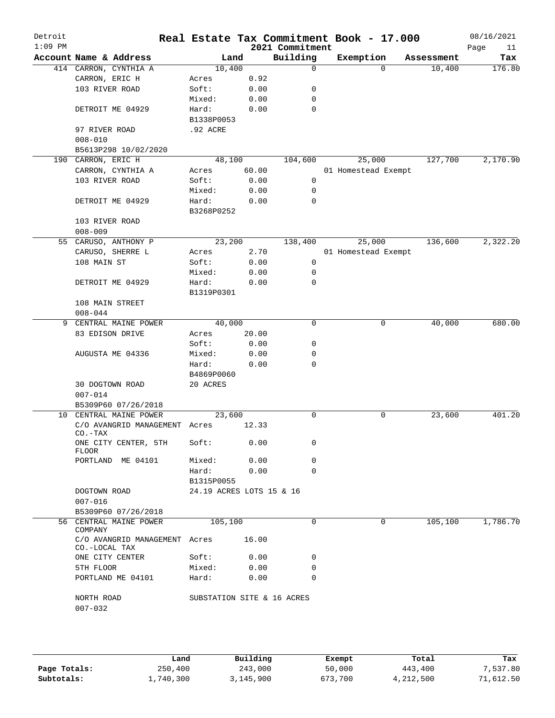| Detroit<br>$1:09$ PM |                                                |                            |       | Real Estate Tax Commitment Book - 17.000<br>2021 Commitment |           |                     |            | 08/16/2021<br>Page<br>11 |
|----------------------|------------------------------------------------|----------------------------|-------|-------------------------------------------------------------|-----------|---------------------|------------|--------------------------|
|                      | Account Name & Address                         | Land                       |       | Building                                                    | Exemption |                     | Assessment | Tax                      |
|                      | 414 CARRON, CYNTHIA A                          | 10,400                     |       | $\mathbf 0$                                                 |           | $\Omega$            | 10,400     | 176.80                   |
|                      | CARRON, ERIC H                                 | Acres                      | 0.92  |                                                             |           |                     |            |                          |
|                      | 103 RIVER ROAD                                 | Soft:                      | 0.00  | 0                                                           |           |                     |            |                          |
|                      |                                                | Mixed:                     | 0.00  | 0                                                           |           |                     |            |                          |
|                      | DETROIT ME 04929                               | Hard:                      | 0.00  | 0                                                           |           |                     |            |                          |
|                      |                                                | B1338P0053                 |       |                                                             |           |                     |            |                          |
|                      | 97 RIVER ROAD                                  | .92 ACRE                   |       |                                                             |           |                     |            |                          |
|                      | $008 - 010$                                    |                            |       |                                                             |           |                     |            |                          |
|                      | B5613P298 10/02/2020                           |                            |       |                                                             |           |                     |            |                          |
|                      | 190 CARRON, ERIC H                             | 48,100                     |       | 104,600                                                     | 25,000    |                     | 127,700    | 2,170.90                 |
|                      | CARRON, CYNTHIA A                              | Acres                      | 60.00 |                                                             |           | 01 Homestead Exempt |            |                          |
|                      | 103 RIVER ROAD                                 | Soft:                      | 0.00  | 0                                                           |           |                     |            |                          |
|                      |                                                | Mixed:                     | 0.00  | 0                                                           |           |                     |            |                          |
|                      | DETROIT ME 04929                               | Hard:<br>B3268P0252        | 0.00  | 0                                                           |           |                     |            |                          |
|                      | 103 RIVER ROAD                                 |                            |       |                                                             |           |                     |            |                          |
|                      | $008 - 009$                                    |                            |       |                                                             |           |                     |            |                          |
|                      | 55 CARUSO, ANTHONY P                           | 23,200                     |       | 138,400                                                     | 25,000    |                     | 136,600    | 2,322.20                 |
|                      | CARUSO, SHERRE L                               | Acres                      | 2.70  |                                                             |           | 01 Homestead Exempt |            |                          |
|                      | 108 MAIN ST                                    | Soft:                      | 0.00  | $\mathbf 0$                                                 |           |                     |            |                          |
|                      |                                                | Mixed:                     | 0.00  | 0                                                           |           |                     |            |                          |
|                      | DETROIT ME 04929                               | Hard:                      | 0.00  | $\mathbf 0$                                                 |           |                     |            |                          |
|                      |                                                | B1319P0301                 |       |                                                             |           |                     |            |                          |
|                      | 108 MAIN STREET                                |                            |       |                                                             |           |                     |            |                          |
|                      | $008 - 044$                                    |                            |       |                                                             |           |                     |            |                          |
| 9                    | CENTRAL MAINE POWER                            | 40,000                     |       | $\mathbf 0$                                                 |           | 0                   | 40,000     | 680.00                   |
|                      | 83 EDISON DRIVE                                | Acres                      | 20.00 |                                                             |           |                     |            |                          |
|                      |                                                | Soft:                      | 0.00  | 0                                                           |           |                     |            |                          |
|                      | AUGUSTA ME 04336                               | Mixed:                     | 0.00  | 0                                                           |           |                     |            |                          |
|                      |                                                | Hard:                      | 0.00  | 0                                                           |           |                     |            |                          |
|                      |                                                | B4869P0060                 |       |                                                             |           |                     |            |                          |
|                      | 30 DOGTOWN ROAD<br>$007 - 014$                 | 20 ACRES                   |       |                                                             |           |                     |            |                          |
|                      | B5309P60 07/26/2018                            |                            |       |                                                             |           |                     |            |                          |
| 10                   | CENTRAL MAINE POWER                            | 23,600                     |       | 0                                                           |           | 0                   | 23,600     | 401.20                   |
|                      | C/O AVANGRID MANAGEMENT Acres<br>$CO - TAX$    |                            | 12.33 |                                                             |           |                     |            |                          |
|                      | ONE CITY CENTER, 5TH<br>FLOOR                  | Soft:                      | 0.00  | 0                                                           |           |                     |            |                          |
|                      | PORTLAND ME 04101                              | Mixed:                     | 0.00  | 0                                                           |           |                     |            |                          |
|                      |                                                | Hard:<br>B1315P0055        | 0.00  | $\Omega$                                                    |           |                     |            |                          |
|                      | DOGTOWN ROAD                                   | 24.19 ACRES LOTS 15 & 16   |       |                                                             |           |                     |            |                          |
|                      | $007 - 016$                                    |                            |       |                                                             |           |                     |            |                          |
|                      | B5309P60 07/26/2018                            |                            |       |                                                             |           |                     |            |                          |
|                      | 56 CENTRAL MAINE POWER<br>COMPANY              | 105,100                    |       | 0                                                           |           | 0                   | 105,100    | 1,786.70                 |
|                      | C/O AVANGRID MANAGEMENT Acres<br>CO.-LOCAL TAX |                            | 16.00 |                                                             |           |                     |            |                          |
|                      | ONE CITY CENTER                                | Soft:                      | 0.00  | 0                                                           |           |                     |            |                          |
|                      | 5TH FLOOR                                      | Mixed:                     | 0.00  | 0                                                           |           |                     |            |                          |
|                      | PORTLAND ME 04101                              | Hard:                      | 0.00  | $\Omega$                                                    |           |                     |            |                          |
|                      | NORTH ROAD<br>$007 - 032$                      | SUBSTATION SITE & 16 ACRES |       |                                                             |           |                     |            |                          |
|                      |                                                |                            |       |                                                             |           |                     |            |                          |

|              | Land      | Building  | Exempt  | Total     | Tax       |
|--------------|-----------|-----------|---------|-----------|-----------|
| Page Totals: | 250,400   | 243,000   | 50,000  | 443,400   | 7,537.80  |
| Subtotals:   | 1,740,300 | 3,145,900 | 673,700 | 4,212,500 | 71,612.50 |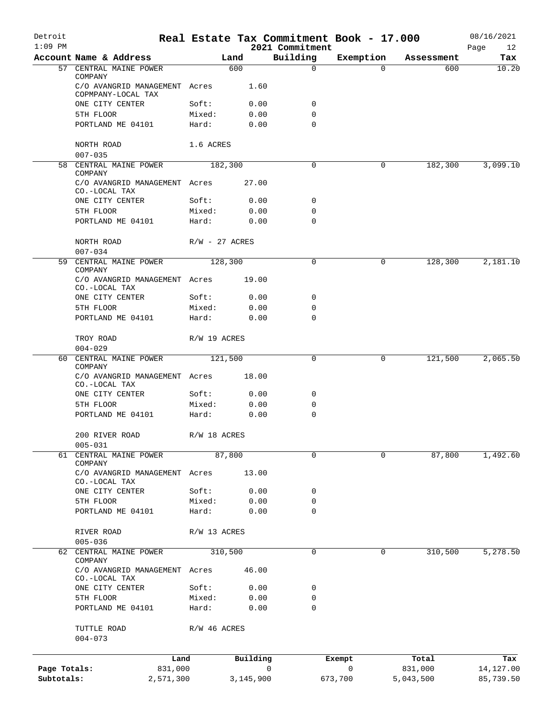| Detroit      |                                                                |                  |              |                             | Real Estate Tax Commitment Book - 17.000 |            | 08/16/2021        |
|--------------|----------------------------------------------------------------|------------------|--------------|-----------------------------|------------------------------------------|------------|-------------------|
| $1:09$ PM    | Account Name & Address                                         |                  | Land         | 2021 Commitment<br>Building | Exemption                                | Assessment | Page<br>12<br>Tax |
|              | 57 CENTRAL MAINE POWER                                         |                  | 600          | $\mathbf 0$                 | $\Omega$                                 | 600        | 10.20             |
|              | COMPANY<br>C/O AVANGRID MANAGEMENT Acres<br>COPMPANY-LOCAL TAX |                  | 1.60         |                             |                                          |            |                   |
|              | ONE CITY CENTER                                                | Soft:            | 0.00         | 0                           |                                          |            |                   |
|              | 5TH FLOOR                                                      | Mixed:           | 0.00         | 0                           |                                          |            |                   |
|              | PORTLAND ME 04101                                              | Hard:            | 0.00         | $\mathbf 0$                 |                                          |            |                   |
|              | NORTH ROAD<br>$007 - 035$                                      | 1.6 ACRES        |              |                             |                                          |            |                   |
| 58           | CENTRAL MAINE POWER<br>COMPANY                                 |                  | 182,300      | 0                           | 0                                        | 182,300    | 3,099.10          |
|              | C/O AVANGRID MANAGEMENT Acres<br>CO.-LOCAL TAX                 |                  | 27.00        |                             |                                          |            |                   |
|              | ONE CITY CENTER                                                | Soft:            | 0.00         | 0                           |                                          |            |                   |
|              | 5TH FLOOR                                                      | Mixed:           | 0.00         | 0                           |                                          |            |                   |
|              | PORTLAND ME 04101                                              | Hard:            | 0.00         | $\Omega$                    |                                          |            |                   |
|              | NORTH ROAD<br>$007 - 034$                                      | $R/W - 27$ ACRES |              |                             |                                          |            |                   |
|              | 59 CENTRAL MAINE POWER                                         |                  | 128,300      | 0                           | 0                                        | 128,300    | 2,181.10          |
|              | COMPANY<br>C/O AVANGRID MANAGEMENT Acres<br>CO.-LOCAL TAX      |                  | 19.00        |                             |                                          |            |                   |
|              | ONE CITY CENTER                                                | Soft:            | 0.00         | 0                           |                                          |            |                   |
|              | 5TH FLOOR                                                      | Mixed:           | 0.00         | 0                           |                                          |            |                   |
|              | PORTLAND ME 04101                                              | Hard:            | 0.00         | 0                           |                                          |            |                   |
|              | TROY ROAD<br>$004 - 029$                                       | R/W 19 ACRES     |              |                             |                                          |            |                   |
| 60           | CENTRAL MAINE POWER                                            | 121,500          |              | 0                           | 0                                        | 121,500    | 2,065.50          |
|              | COMPANY<br>C/O AVANGRID MANAGEMENT Acres                       |                  | 18.00        |                             |                                          |            |                   |
|              | CO.-LOCAL TAX                                                  |                  |              |                             |                                          |            |                   |
|              | ONE CITY CENTER                                                | Soft:            | 0.00         | 0                           |                                          |            |                   |
|              | 5TH FLOOR                                                      | Mixed:           | 0.00         | 0                           |                                          |            |                   |
|              | PORTLAND ME 04101                                              | Hard:            | 0.00         | 0                           |                                          |            |                   |
|              | 200 RIVER ROAD<br>$005 - 031$                                  | R/W 18 ACRES     |              |                             |                                          |            |                   |
| 61           | CENTRAL MAINE POWER                                            |                  | 87,800       | 0                           | 0                                        | 87,800     | 1,492.60          |
|              | COMPANY<br>C/O AVANGRID MANAGEMENT                             | Acres            | 13.00        |                             |                                          |            |                   |
|              | CO.-LOCAL TAX<br>ONE CITY CENTER                               | Soft:            | 0.00         | 0                           |                                          |            |                   |
|              | 5TH FLOOR                                                      | Mixed:           | 0.00         | 0                           |                                          |            |                   |
|              | PORTLAND ME 04101                                              | Hard:            | 0.00         | 0                           |                                          |            |                   |
|              | RIVER ROAD<br>$005 - 036$                                      | R/W 13 ACRES     |              |                             |                                          |            |                   |
| 62           | CENTRAL MAINE POWER                                            |                  | 310,500      | $\mathbf 0$                 | 0                                        | 310,500    | 5,278.50          |
|              | COMPANY<br>C/O AVANGRID MANAGEMENT                             | Acres            | 46.00        |                             |                                          |            |                   |
|              | CO.-LOCAL TAX                                                  | Soft:            |              | 0                           |                                          |            |                   |
|              | ONE CITY CENTER<br>5TH FLOOR                                   | Mixed:           | 0.00<br>0.00 | 0                           |                                          |            |                   |
|              | PORTLAND ME 04101                                              | Hard:            | 0.00         | $\mathbf 0$                 |                                          |            |                   |
|              | TUTTLE ROAD<br>$004 - 073$                                     | R/W 46 ACRES     |              |                             |                                          |            |                   |
|              | Land                                                           |                  | Building     |                             | Exempt                                   | Total      | Tax               |
| Page Totals: | 831,000                                                        |                  | 0            |                             | 0                                        | 831,000    | 14,127.00         |
| Subtotals:   | 2,571,300                                                      |                  | 3,145,900    |                             | 673,700                                  | 5,043,500  | 85,739.50         |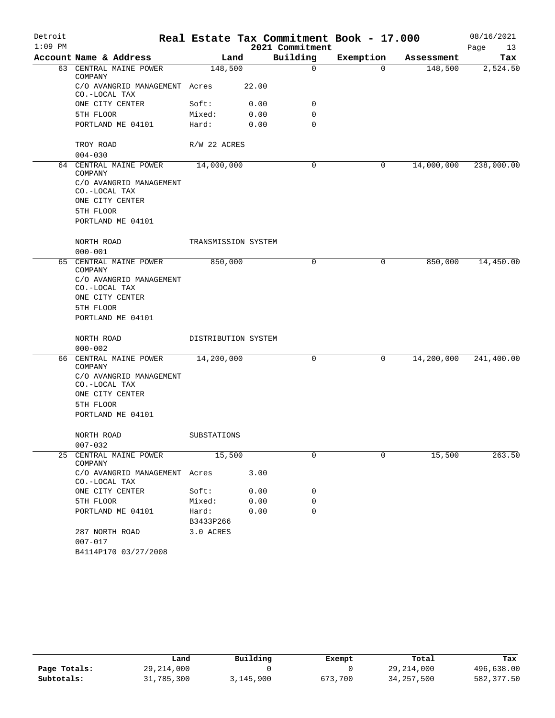| Detroit<br>$1:09$ PM |                                                                                                  |                     |       |                             | Real Estate Tax Commitment Book - 17.000 |            | 08/16/2021        |
|----------------------|--------------------------------------------------------------------------------------------------|---------------------|-------|-----------------------------|------------------------------------------|------------|-------------------|
|                      | Account Name & Address                                                                           | Land                |       | 2021 Commitment<br>Building | Exemption                                | Assessment | Page<br>13<br>Tax |
|                      | 63 CENTRAL MAINE POWER                                                                           | 148,500             |       | $\mathbf 0$                 | $\Omega$                                 | 148,500    | 2,524.50          |
|                      | COMPANY                                                                                          |                     |       |                             |                                          |            |                   |
|                      | C/O AVANGRID MANAGEMENT Acres<br>CO.-LOCAL TAX                                                   |                     | 22.00 |                             |                                          |            |                   |
|                      | ONE CITY CENTER                                                                                  | Soft:               | 0.00  | 0                           |                                          |            |                   |
|                      | 5TH FLOOR                                                                                        | Mixed:              | 0.00  | 0                           |                                          |            |                   |
|                      | PORTLAND ME 04101                                                                                | Hard:               | 0.00  | 0                           |                                          |            |                   |
|                      | TROY ROAD                                                                                        | R/W 22 ACRES        |       |                             |                                          |            |                   |
|                      | $004 - 030$                                                                                      |                     |       | 0                           |                                          |            |                   |
|                      | 64 CENTRAL MAINE POWER<br>COMPANY<br>C/O AVANGRID MANAGEMENT<br>CO.-LOCAL TAX<br>ONE CITY CENTER | 14,000,000          |       |                             | 0                                        | 14,000,000 | 238,000.00        |
|                      | 5TH FLOOR                                                                                        |                     |       |                             |                                          |            |                   |
|                      | PORTLAND ME 04101                                                                                |                     |       |                             |                                          |            |                   |
|                      | NORTH ROAD                                                                                       | TRANSMISSION SYSTEM |       |                             |                                          |            |                   |
|                      | $000 - 001$                                                                                      |                     |       |                             |                                          |            |                   |
|                      | 65 CENTRAL MAINE POWER<br>COMPANY                                                                | 850,000             |       | 0                           | $\mathbf 0$                              | 850,000    | 14,450.00         |
|                      | C/O AVANGRID MANAGEMENT<br>CO.-LOCAL TAX<br>ONE CITY CENTER                                      |                     |       |                             |                                          |            |                   |
|                      | 5TH FLOOR                                                                                        |                     |       |                             |                                          |            |                   |
|                      | PORTLAND ME 04101                                                                                |                     |       |                             |                                          |            |                   |
|                      | NORTH ROAD                                                                                       | DISTRIBUTION SYSTEM |       |                             |                                          |            |                   |
|                      | $000 - 002$                                                                                      |                     |       |                             |                                          |            |                   |
|                      | 66 CENTRAL MAINE POWER<br>COMPANY                                                                | 14,200,000          |       | 0                           | 0                                        | 14,200,000 | 241,400.00        |
|                      | C/O AVANGRID MANAGEMENT<br>CO.-LOCAL TAX                                                         |                     |       |                             |                                          |            |                   |
|                      | ONE CITY CENTER                                                                                  |                     |       |                             |                                          |            |                   |
|                      | 5TH FLOOR                                                                                        |                     |       |                             |                                          |            |                   |
|                      | PORTLAND ME 04101                                                                                |                     |       |                             |                                          |            |                   |
|                      | NORTH ROAD                                                                                       | SUBSTATIONS         |       |                             |                                          |            |                   |
|                      | $007 - 032$                                                                                      |                     |       |                             |                                          |            |                   |
| 25                   | CENTRAL MAINE POWER<br>COMPANY                                                                   | 15,500              |       | $\Omega$                    | $\Omega$                                 | 15,500     | 263.50            |
|                      | C/O AVANGRID MANAGEMENT Acres<br>CO.-LOCAL TAX                                                   |                     | 3.00  |                             |                                          |            |                   |
|                      | ONE CITY CENTER                                                                                  | Soft:               | 0.00  | 0                           |                                          |            |                   |
|                      | 5TH FLOOR                                                                                        | Mixed:              | 0.00  | 0                           |                                          |            |                   |
|                      | PORTLAND ME 04101                                                                                | Hard:<br>B3433P266  | 0.00  | $\Omega$                    |                                          |            |                   |
|                      | 287 NORTH ROAD                                                                                   | 3.0 ACRES           |       |                             |                                          |            |                   |
|                      | $007 - 017$<br>B4114P170 03/27/2008                                                              |                     |       |                             |                                          |            |                   |

|              | Land         | Building  | Exempt  | Total        | Tax        |
|--------------|--------------|-----------|---------|--------------|------------|
| Page Totals: | 29, 214, 000 |           |         | 29,214,000   | 496,638.00 |
| Subtotals:   | 31,785,300   | 3,145,900 | 673,700 | 34, 257, 500 | 582,377.50 |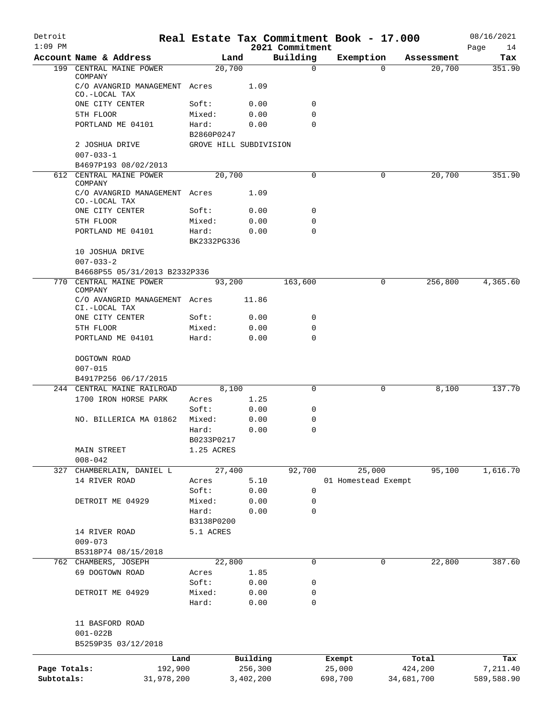| Detroit<br>$1:09$ PM            |                                                           | Real Estate Tax Commitment Book - 17.000 |              |                             |                               |            |            | 08/16/2021        |
|---------------------------------|-----------------------------------------------------------|------------------------------------------|--------------|-----------------------------|-------------------------------|------------|------------|-------------------|
|                                 | Account Name & Address                                    | Land                                     |              | 2021 Commitment<br>Building | Exemption                     |            | Assessment | Page<br>14<br>Tax |
| $199$ <sup><math>-</math></sup> | CENTRAL MAINE POWER                                       | 20,700                                   |              | $\mathbf 0$                 |                               | $\Omega$   | 20,700     | 351.90            |
|                                 | COMPANY<br>C/O AVANGRID MANAGEMENT Acres<br>CO.-LOCAL TAX |                                          | 1.09         |                             |                               |            |            |                   |
|                                 | ONE CITY CENTER                                           | Soft:                                    | 0.00         | 0                           |                               |            |            |                   |
|                                 | 5TH FLOOR                                                 | Mixed:                                   | 0.00         | 0                           |                               |            |            |                   |
|                                 | PORTLAND ME 04101                                         | Hard:                                    | 0.00         | $\mathbf 0$                 |                               |            |            |                   |
|                                 | 2 JOSHUA DRIVE                                            | B2860P0247<br>GROVE HILL SUBDIVISION     |              |                             |                               |            |            |                   |
|                                 | $007 - 033 - 1$<br>B4697P193 08/02/2013                   |                                          |              |                             |                               |            |            |                   |
|                                 | 612 CENTRAL MAINE POWER                                   | 20,700                                   |              | 0                           |                               | 0          | 20,700     | 351.90            |
|                                 | COMPANY                                                   |                                          |              |                             |                               |            |            |                   |
|                                 | C/O AVANGRID MANAGEMENT Acres<br>CO.-LOCAL TAX            |                                          | 1.09         |                             |                               |            |            |                   |
|                                 | ONE CITY CENTER                                           | Soft:                                    | 0.00         | $\mathbf 0$                 |                               |            |            |                   |
|                                 | 5TH FLOOR                                                 | Mixed:                                   | 0.00         | 0                           |                               |            |            |                   |
|                                 | PORTLAND ME 04101                                         | Hard:<br>BK2332PG336                     | 0.00         | 0                           |                               |            |            |                   |
|                                 | 10 JOSHUA DRIVE<br>$007 - 033 - 2$                        |                                          |              |                             |                               |            |            |                   |
|                                 | B4668P55 05/31/2013 B2332P336                             |                                          |              |                             |                               |            |            |                   |
| 770                             | CENTRAL MAINE POWER<br>COMPANY                            | 93,200                                   |              | 163,600                     |                               | 0          | 256,800    | 4,365.60          |
|                                 | C/O AVANGRID MANAGEMENT Acres<br>CI.-LOCAL TAX            |                                          | 11.86        |                             |                               |            |            |                   |
|                                 | ONE CITY CENTER                                           | Soft:                                    | 0.00         | 0                           |                               |            |            |                   |
|                                 | 5TH FLOOR                                                 | Mixed:                                   | 0.00         | 0                           |                               |            |            |                   |
|                                 | PORTLAND ME 04101                                         | Hard:                                    | 0.00         | $\mathbf 0$                 |                               |            |            |                   |
|                                 | DOGTOWN ROAD                                              |                                          |              |                             |                               |            |            |                   |
|                                 | $007 - 015$                                               |                                          |              |                             |                               |            |            |                   |
|                                 | B4917P256 06/17/2015                                      |                                          |              |                             |                               |            |            |                   |
| 244                             | CENTRAL MAINE RAILROAD<br>1700 IRON HORSE PARK            | 8,100<br>Acres                           | 1.25         | 0                           |                               | 0          | 8,100      | 137.70            |
|                                 |                                                           | Soft:                                    | 0.00         | 0                           |                               |            |            |                   |
|                                 | NO. BILLERICA MA 01862                                    | Mixed:                                   | 0.00         | 0                           |                               |            |            |                   |
|                                 |                                                           | Hard:                                    | 0.00         | 0                           |                               |            |            |                   |
|                                 |                                                           | B0233P0217                               |              |                             |                               |            |            |                   |
|                                 | MAIN STREET                                               | 1.25 ACRES                               |              |                             |                               |            |            |                   |
|                                 | $008 - 042$                                               |                                          |              |                             |                               |            |            |                   |
| 327                             | CHAMBERLAIN, DANIEL L<br>14 RIVER ROAD                    | 27,400                                   |              | 92,700                      | 25,000<br>01 Homestead Exempt |            | 95,100     | 1,616.70          |
|                                 |                                                           | Acres<br>Soft:                           | 5.10<br>0.00 | 0                           |                               |            |            |                   |
|                                 | DETROIT ME 04929                                          | Mixed:                                   | 0.00         | 0                           |                               |            |            |                   |
|                                 |                                                           | Hard:                                    | 0.00         | 0                           |                               |            |            |                   |
|                                 |                                                           | B3138P0200                               |              |                             |                               |            |            |                   |
|                                 | 14 RIVER ROAD                                             | 5.1 ACRES                                |              |                             |                               |            |            |                   |
|                                 | $009 - 073$                                               |                                          |              |                             |                               |            |            |                   |
|                                 | B5318P74 08/15/2018                                       |                                          |              |                             |                               |            |            |                   |
|                                 | 762 CHAMBERS, JOSEPH                                      | 22,800                                   |              | 0                           |                               | 0          | 22,800     | 387.60            |
|                                 | 69 DOGTOWN ROAD                                           | Acres                                    | 1.85         |                             |                               |            |            |                   |
|                                 | DETROIT ME 04929                                          | Soft:<br>Mixed:                          | 0.00<br>0.00 | 0<br>0                      |                               |            |            |                   |
|                                 |                                                           | Hard:                                    | 0.00         | 0                           |                               |            |            |                   |
|                                 | 11 BASFORD ROAD                                           |                                          |              |                             |                               |            |            |                   |
|                                 | $001 - 022B$<br>B5259P35 03/12/2018                       |                                          |              |                             |                               |            |            |                   |
|                                 | Land                                                      |                                          | Building     |                             | Exempt                        |            | Total      | Tax               |
| Page Totals:                    | 192,900                                                   |                                          | 256,300      |                             | 25,000                        |            | 424,200    | 7,211.40          |
| Subtotals:                      | 31,978,200                                                |                                          | 3,402,200    |                             | 698,700                       | 34,681,700 |            | 589,588.90        |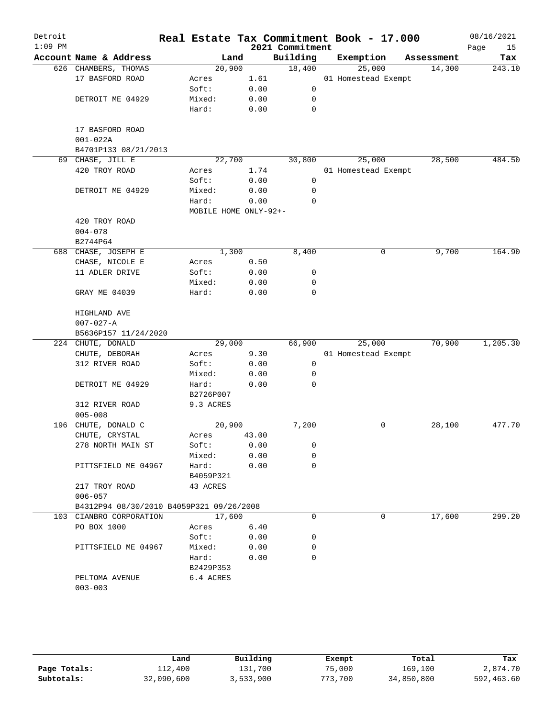| Detroit<br>$1:09$ PM |                                                         |                       |       | 2021 Commitment | Real Estate Tax Commitment Book - 17.000 |            | 08/16/2021<br>Page<br>15 |
|----------------------|---------------------------------------------------------|-----------------------|-------|-----------------|------------------------------------------|------------|--------------------------|
|                      | Account Name & Address                                  | Land                  |       | Building        | Exemption                                | Assessment | Tax                      |
|                      | 626 CHAMBERS, THOMAS                                    | 20,900                |       | 18,400          | 25,000                                   | 14,300     | 243.10                   |
|                      | 17 BASFORD ROAD                                         | Acres                 | 1.61  |                 | 01 Homestead Exempt                      |            |                          |
|                      |                                                         | Soft:                 | 0.00  | 0               |                                          |            |                          |
|                      | DETROIT ME 04929                                        | Mixed:                | 0.00  | 0               |                                          |            |                          |
|                      |                                                         | Hard:                 | 0.00  | 0               |                                          |            |                          |
|                      | 17 BASFORD ROAD<br>$001 - 022A$<br>B4701P133 08/21/2013 |                       |       |                 |                                          |            |                          |
| 69                   | CHASE, JILL E                                           | 22,700                |       | 30,800          | 25,000                                   | 28,500     | 484.50                   |
|                      | 420 TROY ROAD                                           | Acres                 | 1.74  |                 | 01 Homestead Exempt                      |            |                          |
|                      |                                                         | Soft:                 | 0.00  | 0               |                                          |            |                          |
|                      | DETROIT ME 04929                                        | Mixed:                | 0.00  | 0               |                                          |            |                          |
|                      |                                                         | Hard:                 | 0.00  | 0               |                                          |            |                          |
|                      |                                                         | MOBILE HOME ONLY-92+- |       |                 |                                          |            |                          |
|                      | 420 TROY ROAD                                           |                       |       |                 |                                          |            |                          |
|                      | $004 - 078$                                             |                       |       |                 |                                          |            |                          |
|                      | B2744P64                                                |                       |       |                 |                                          |            |                          |
|                      | 688 CHASE, JOSEPH E                                     | 1,300                 |       | 8,400           | 0                                        | 9,700      | 164.90                   |
|                      | CHASE, NICOLE E                                         | Acres                 | 0.50  |                 |                                          |            |                          |
|                      | 11 ADLER DRIVE                                          | Soft:                 | 0.00  | 0               |                                          |            |                          |
|                      |                                                         | Mixed:                | 0.00  | 0               |                                          |            |                          |
|                      | GRAY ME 04039                                           | Hard:                 | 0.00  | 0               |                                          |            |                          |
|                      | HIGHLAND AVE                                            |                       |       |                 |                                          |            |                          |
|                      | $007 - 027 - A$                                         |                       |       |                 |                                          |            |                          |
|                      | B5636P157 11/24/2020                                    |                       |       |                 |                                          |            |                          |
|                      | 224 CHUTE, DONALD                                       | 29,000                |       | 66,900          | 25,000                                   | 70,900     | 1,205.30                 |
|                      | $\texttt{CHUTE}$ , $\texttt{DEBORAH}$                   | Acres                 | 9.30  |                 | 01 Homestead Exempt                      |            |                          |
|                      | 312 RIVER ROAD                                          | Soft:                 | 0.00  | $\mathsf{O}$    |                                          |            |                          |
|                      |                                                         | Mixed:                | 0.00  | 0               |                                          |            |                          |
|                      | DETROIT ME 04929                                        | Hard:                 | 0.00  | 0               |                                          |            |                          |
|                      |                                                         | B2726P007             |       |                 |                                          |            |                          |
|                      | 312 RIVER ROAD                                          | 9.3 ACRES             |       |                 |                                          |            |                          |
|                      | $005 - 008$                                             |                       |       |                 |                                          |            |                          |
| 196                  | CHUTE, DONALD C                                         | 20,900                |       | 7,200           | 0                                        | 28,100     | 477.70                   |
|                      | CHUTE, CRYSTAL                                          | Acres                 | 43.00 |                 |                                          |            |                          |
|                      | 278 NORTH MAIN ST                                       | Soft:                 | 0.00  | 0               |                                          |            |                          |
|                      |                                                         | Mixed:                | 0.00  | 0               |                                          |            |                          |
|                      | PITTSFIELD ME 04967                                     | Hard:                 | 0.00  | 0               |                                          |            |                          |
|                      |                                                         | B4059P321             |       |                 |                                          |            |                          |
|                      | 217 TROY ROAD                                           | 43 ACRES              |       |                 |                                          |            |                          |
|                      | $006 - 057$                                             |                       |       |                 |                                          |            |                          |
|                      | B4312P94 08/30/2010 B4059P321 09/26/2008                |                       |       |                 |                                          |            |                          |
|                      | 103 CIANBRO CORPORATION                                 | 17,600                |       | 0               | 0                                        | 17,600     | 299.20                   |
|                      | PO BOX 1000                                             | Acres                 | 6.40  |                 |                                          |            |                          |
|                      |                                                         | Soft:                 | 0.00  | 0               |                                          |            |                          |
|                      | PITTSFIELD ME 04967                                     | Mixed:                | 0.00  | 0               |                                          |            |                          |
|                      |                                                         | Hard:                 | 0.00  | $\Omega$        |                                          |            |                          |
|                      |                                                         | B2429P353             |       |                 |                                          |            |                          |
|                      | PELTOMA AVENUE                                          | 6.4 ACRES             |       |                 |                                          |            |                          |
|                      |                                                         |                       |       |                 |                                          |            |                          |

|              | Land       | Building  | Exempt  | Total      | Tax        |
|--------------|------------|-----------|---------|------------|------------|
| Page Totals: | 112,400    | 131,700   | 75,000  | 169,100    | 2,874.70   |
| Subtotals:   | 32,090,600 | 3,533,900 | 773,700 | 34,850,800 | 592,463.60 |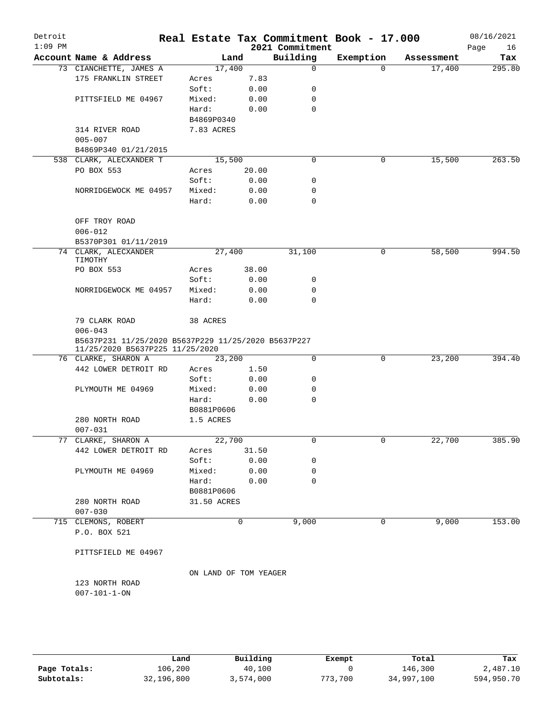| Detroit<br>$1:09$ PM |                                                     |                       |               | 2021 Commitment | Real Estate Tax Commitment Book - 17.000 |            | 08/16/2021<br>Page<br>16 |
|----------------------|-----------------------------------------------------|-----------------------|---------------|-----------------|------------------------------------------|------------|--------------------------|
|                      | Account Name & Address                              |                       | Land          | Building        | Exemption                                | Assessment | Tax                      |
|                      | 73 CIANCHETTE, JAMES A                              | 17,400                |               | 0               | $\Omega$                                 | 17,400     | 295.80                   |
|                      | 175 FRANKLIN STREET                                 | Acres                 | 7.83          |                 |                                          |            |                          |
|                      |                                                     | Soft:                 | 0.00          | 0               |                                          |            |                          |
|                      | PITTSFIELD ME 04967                                 | Mixed:                | 0.00          | 0               |                                          |            |                          |
|                      |                                                     | Hard:                 | 0.00          | $\mathbf 0$     |                                          |            |                          |
|                      |                                                     | B4869P0340            |               |                 |                                          |            |                          |
|                      | 314 RIVER ROAD                                      | 7.83 ACRES            |               |                 |                                          |            |                          |
|                      | $005 - 007$                                         |                       |               |                 |                                          |            |                          |
|                      | B4869P340 01/21/2015                                |                       |               |                 |                                          |            |                          |
|                      | 538 CLARK, ALECXANDER T                             | 15,500                |               | 0               | 0                                        | 15,500     | 263.50                   |
|                      | PO BOX 553                                          | Acres                 | 20.00         |                 |                                          |            |                          |
|                      |                                                     | Soft:                 | 0.00          | 0               |                                          |            |                          |
|                      | NORRIDGEWOCK ME 04957                               | Mixed:                | 0.00          | 0               |                                          |            |                          |
|                      |                                                     | Hard:                 | 0.00          | $\Omega$        |                                          |            |                          |
|                      | OFF TROY ROAD                                       |                       |               |                 |                                          |            |                          |
|                      | $006 - 012$                                         |                       |               |                 |                                          |            |                          |
|                      | B5370P301 01/11/2019                                |                       |               |                 |                                          |            |                          |
|                      | 74 CLARK, ALECXANDER                                | 27,400                |               | 31,100          | 0                                        | 58,500     | 994.50                   |
|                      | TIMOTHY                                             |                       |               |                 |                                          |            |                          |
|                      | PO BOX 553                                          | Acres                 | 38.00         |                 |                                          |            |                          |
|                      |                                                     | Soft:                 | 0.00          | 0               |                                          |            |                          |
|                      | NORRIDGEWOCK ME 04957                               | Mixed:                | 0.00          | 0               |                                          |            |                          |
|                      |                                                     | Hard:                 | 0.00          | 0               |                                          |            |                          |
|                      | 79 CLARK ROAD                                       | 38 ACRES              |               |                 |                                          |            |                          |
|                      | $006 - 043$                                         |                       |               |                 |                                          |            |                          |
|                      | B5637P231 11/25/2020 B5637P229 11/25/2020 B5637P227 |                       |               |                 |                                          |            |                          |
|                      | 11/25/2020 B5637P225 11/25/2020                     |                       |               |                 |                                          |            |                          |
|                      | 76 CLARKE, SHARON A                                 | 23,200                |               | $\mathbf 0$     | 0                                        | 23, 200    | 394.40                   |
|                      | 442 LOWER DETROIT RD                                | Acres                 | 1.50          |                 |                                          |            |                          |
|                      |                                                     | Soft:                 | 0.00          | 0               |                                          |            |                          |
|                      | PLYMOUTH ME 04969                                   | Mixed:                | 0.00          | 0               |                                          |            |                          |
|                      |                                                     | Hard:                 | 0.00          | $\Omega$        |                                          |            |                          |
|                      |                                                     | B0881P0606            |               |                 |                                          |            |                          |
|                      | 280 NORTH ROAD                                      | 1.5 ACRES             |               |                 |                                          |            |                          |
|                      | $007 - 031$<br>77 CLARKE, SHARON A                  | 22,700                |               | 0               | 0                                        | 22,700     | 385.90                   |
|                      | 442 LOWER DETROIT RD                                |                       |               |                 |                                          |            |                          |
|                      |                                                     | Acres<br>Soft:        | 31.50<br>0.00 | 0               |                                          |            |                          |
|                      |                                                     | Mixed:                | 0.00          | 0               |                                          |            |                          |
|                      | PLYMOUTH ME 04969                                   | Hard:                 | 0.00          | 0               |                                          |            |                          |
|                      |                                                     |                       |               |                 |                                          |            |                          |
|                      |                                                     | B0881P0606            |               |                 |                                          |            |                          |
|                      | 280 NORTH ROAD<br>$007 - 030$                       | 31.50 ACRES           |               |                 |                                          |            |                          |
|                      | 715 CLEMONS, ROBERT                                 |                       | 0             | 9,000           | 0                                        | 9,000      | 153.00                   |
|                      | P.O. BOX 521                                        |                       |               |                 |                                          |            |                          |
|                      |                                                     |                       |               |                 |                                          |            |                          |
|                      | PITTSFIELD ME 04967                                 |                       |               |                 |                                          |            |                          |
|                      |                                                     | ON LAND OF TOM YEAGER |               |                 |                                          |            |                          |
|                      | 123 NORTH ROAD                                      |                       |               |                 |                                          |            |                          |
|                      | $007 - 101 - 1 - ON$                                |                       |               |                 |                                          |            |                          |
|                      |                                                     |                       |               |                 |                                          |            |                          |
|                      |                                                     |                       |               |                 |                                          |            |                          |
|                      |                                                     |                       |               |                 |                                          |            |                          |
|                      |                                                     |                       |               |                 |                                          |            |                          |

|              | Land       | Building  | Exempt  | Total      | Tax        |
|--------------|------------|-----------|---------|------------|------------|
| Page Totals: | 106,200    | 40,100    |         | 146,300    | 2,487.10   |
| Subtotals:   | 32,196,800 | 3,574,000 | 773,700 | 34,997,100 | 594,950.70 |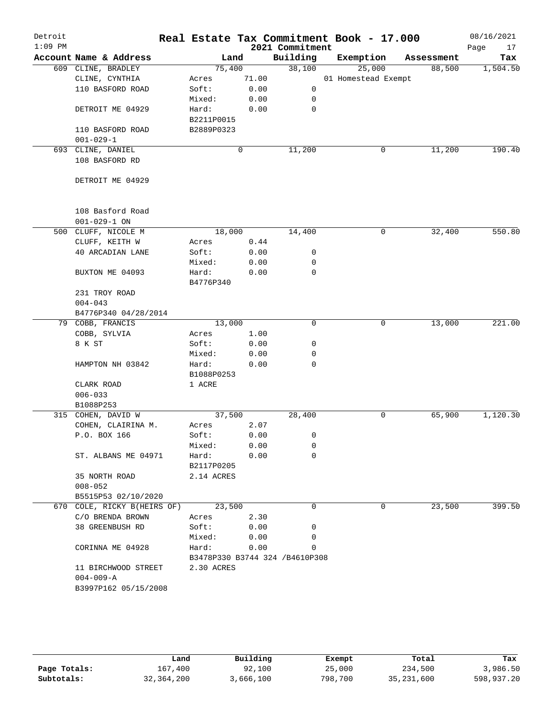| Detroit   |                             |            |        |                                | Real Estate Tax Commitment Book - 17.000 |            | 08/16/2021 |
|-----------|-----------------------------|------------|--------|--------------------------------|------------------------------------------|------------|------------|
| $1:09$ PM |                             |            |        | 2021 Commitment                |                                          |            | Page<br>17 |
|           | Account Name & Address      |            | Land   | Building                       | Exemption                                | Assessment | Tax        |
|           | 609 CLINE, BRADLEY          |            | 75,400 | 38,100                         | 25,000                                   | 88,500     | 1,504.50   |
|           | CLINE, CYNTHIA              | Acres      | 71.00  |                                | 01 Homestead Exempt                      |            |            |
|           | 110 BASFORD ROAD            | Soft:      | 0.00   | 0                              |                                          |            |            |
|           |                             | Mixed:     | 0.00   | 0                              |                                          |            |            |
|           | DETROIT ME 04929            | Hard:      | 0.00   | 0                              |                                          |            |            |
|           |                             | B2211P0015 |        |                                |                                          |            |            |
|           | 110 BASFORD ROAD            | B2889P0323 |        |                                |                                          |            |            |
|           | $001 - 029 - 1$             |            |        |                                |                                          |            |            |
|           | 693 CLINE, DANIEL           |            | 0      | 11,200                         | 0                                        | 11,200     | 190.40     |
|           | 108 BASFORD RD              |            |        |                                |                                          |            |            |
|           |                             |            |        |                                |                                          |            |            |
|           | DETROIT ME 04929            |            |        |                                |                                          |            |            |
|           |                             |            |        |                                |                                          |            |            |
|           |                             |            |        |                                |                                          |            |            |
|           | 108 Basford Road            |            |        |                                |                                          |            |            |
|           | $001 - 029 - 1$ ON          |            |        |                                |                                          |            |            |
|           | 500 CLUFF, NICOLE M         |            | 18,000 | 14,400                         | 0                                        | 32,400     | 550.80     |
|           | CLUFF, KEITH W              | Acres      | 0.44   |                                |                                          |            |            |
|           | <b>40 ARCADIAN LANE</b>     | Soft:      | 0.00   | 0                              |                                          |            |            |
|           |                             | Mixed:     | 0.00   | 0                              |                                          |            |            |
|           | BUXTON ME 04093             | Hard:      | 0.00   | 0                              |                                          |            |            |
|           |                             | B4776P340  |        |                                |                                          |            |            |
|           | 231 TROY ROAD               |            |        |                                |                                          |            |            |
|           | $004 - 043$                 |            |        |                                |                                          |            |            |
|           | B4776P340 04/28/2014        |            |        |                                |                                          |            |            |
|           | 79 COBB, FRANCIS            |            | 13,000 | $\mathbf 0$                    | 0                                        | 13,000     | 221.00     |
|           | COBB, SYLVIA                | Acres      | 1.00   |                                |                                          |            |            |
|           | 8 K ST                      | Soft:      | 0.00   | 0                              |                                          |            |            |
|           |                             | Mixed:     | 0.00   | 0                              |                                          |            |            |
|           | HAMPTON NH 03842            | Hard:      | 0.00   | $\mathbf 0$                    |                                          |            |            |
|           |                             | B1088P0253 |        |                                |                                          |            |            |
|           |                             |            |        |                                |                                          |            |            |
|           | CLARK ROAD                  | 1 ACRE     |        |                                |                                          |            |            |
|           | $006 - 033$                 |            |        |                                |                                          |            |            |
|           | B1088P253                   |            |        |                                |                                          |            |            |
|           | 315 COHEN, DAVID W          |            | 37,500 | 28,400                         | 0                                        | 65,900     | 1,120.30   |
|           | COHEN, CLAIRINA M.          | Acres      | 2.07   |                                |                                          |            |            |
|           | P.O. BOX 166                | Soft:      | 0.00   | 0                              |                                          |            |            |
|           |                             | Mixed:     | 0.00   | 0                              |                                          |            |            |
|           | ST. ALBANS ME 04971         | Hard:      | 0.00   | 0                              |                                          |            |            |
|           |                             | B2117P0205 |        |                                |                                          |            |            |
|           | 35 NORTH ROAD               | 2.14 ACRES |        |                                |                                          |            |            |
|           | $008 - 052$                 |            |        |                                |                                          |            |            |
|           | B5515P53 02/10/2020         |            |        |                                |                                          |            |            |
|           | 670 COLE, RICKY B(HEIRS OF) |            | 23,500 | 0                              | 0                                        | 23,500     | 399.50     |
|           | C/O BRENDA BROWN            | Acres      | 2.30   |                                |                                          |            |            |
|           | 38 GREENBUSH RD             | Soft:      | 0.00   | 0                              |                                          |            |            |
|           |                             | Mixed:     | 0.00   | 0                              |                                          |            |            |
|           | CORINNA ME 04928            | Hard:      | 0.00   | 0                              |                                          |            |            |
|           |                             |            |        | B3478P330 B3744 324 /B4610P308 |                                          |            |            |
|           | 11 BIRCHWOOD STREET         | 2.30 ACRES |        |                                |                                          |            |            |
|           | $004 - 009 - A$             |            |        |                                |                                          |            |            |
|           | B3997P162 05/15/2008        |            |        |                                |                                          |            |            |
|           |                             |            |        |                                |                                          |            |            |

|              | Land         | Building  | Exempt  | Total        | Tax        |
|--------------|--------------|-----------|---------|--------------|------------|
| Page Totals: | 167,400      | 92,100    | 25,000  | 234,500      | 3,986.50   |
| Subtotals:   | 32, 364, 200 | 3,666,100 | 798,700 | 35, 231, 600 | 598,937.20 |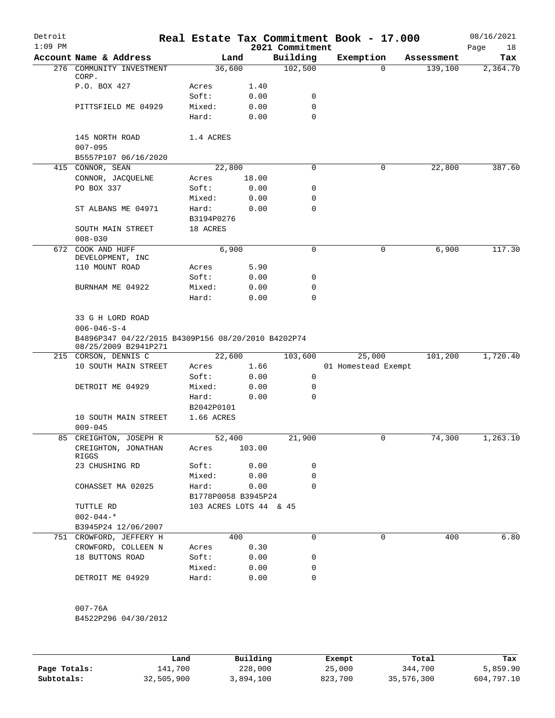| Detroit<br>$1:09$ PM |                                                                                                                       |                        |        | 2021 Commitment | Real Estate Tax Commitment Book - 17.000 |            | 08/16/2021<br>Page<br>18 |
|----------------------|-----------------------------------------------------------------------------------------------------------------------|------------------------|--------|-----------------|------------------------------------------|------------|--------------------------|
|                      | Account Name & Address                                                                                                |                        | Land   | Building        | Exemption                                | Assessment | Tax                      |
| 276                  | COMMUNITY INVESTMENT<br>CORP.                                                                                         | 36,600                 |        | 102,500         | $\mathbf 0$                              | 139,100    | 2,364.70                 |
|                      | P.O. BOX 427                                                                                                          | Acres                  | 1.40   |                 |                                          |            |                          |
|                      |                                                                                                                       | Soft:                  | 0.00   | 0               |                                          |            |                          |
|                      | PITTSFIELD ME 04929                                                                                                   | Mixed:                 | 0.00   | 0               |                                          |            |                          |
|                      |                                                                                                                       | Hard:                  | 0.00   | $\Omega$        |                                          |            |                          |
|                      | 145 NORTH ROAD<br>$007 - 095$                                                                                         | 1.4 ACRES              |        |                 |                                          |            |                          |
|                      | B5557P107 06/16/2020                                                                                                  |                        |        |                 |                                          |            |                          |
|                      | 415 CONNOR, SEAN                                                                                                      | 22,800                 |        | 0               | 0                                        | 22,800     | 387.60                   |
|                      | CONNOR, JACQUELNE                                                                                                     | Acres                  | 18.00  |                 |                                          |            |                          |
|                      | PO BOX 337                                                                                                            | Soft:                  | 0.00   | 0               |                                          |            |                          |
|                      |                                                                                                                       | Mixed:                 | 0.00   | 0               |                                          |            |                          |
|                      | ST ALBANS ME 04971                                                                                                    | Hard:                  | 0.00   | 0               |                                          |            |                          |
|                      |                                                                                                                       | B3194P0276             |        |                 |                                          |            |                          |
|                      | SOUTH MAIN STREET                                                                                                     | 18 ACRES               |        |                 |                                          |            |                          |
|                      | $008 - 030$                                                                                                           |                        |        |                 |                                          |            |                          |
|                      | 672 COOK AND HUFF<br>DEVELOPMENT, INC                                                                                 | 6,900                  |        | 0               | 0                                        | 6,900      | 117.30                   |
|                      | 110 MOUNT ROAD                                                                                                        | Acres                  | 5.90   |                 |                                          |            |                          |
|                      |                                                                                                                       | Soft:                  | 0.00   | 0               |                                          |            |                          |
|                      | BURNHAM ME 04922                                                                                                      | Mixed:                 | 0.00   | 0               |                                          |            |                          |
|                      |                                                                                                                       | Hard:                  | 0.00   | $\Omega$        |                                          |            |                          |
|                      | 33 G H LORD ROAD<br>$006 - 046 - S - 4$<br>B4896P347 04/22/2015 B4309P156 08/20/2010 B4202P74<br>08/25/2009 B2941P271 |                        |        |                 |                                          |            |                          |
|                      | 215 CORSON, DENNIS C                                                                                                  | 22,600                 |        | 103,600         | 25,000                                   | 101,200    | 1,720.40                 |
|                      | 10 SOUTH MAIN STREET                                                                                                  | Acres                  | 1.66   |                 | 01 Homestead Exempt                      |            |                          |
|                      |                                                                                                                       | Soft:                  | 0.00   | 0               |                                          |            |                          |
|                      | DETROIT ME 04929                                                                                                      | Mixed:                 | 0.00   | 0               |                                          |            |                          |
|                      |                                                                                                                       | Hard:                  | 0.00   | 0               |                                          |            |                          |
|                      |                                                                                                                       | B2042P0101             |        |                 |                                          |            |                          |
|                      | 10 SOUTH MAIN STREET                                                                                                  | 1.66 ACRES             |        |                 |                                          |            |                          |
|                      | $009 - 045$                                                                                                           |                        |        |                 |                                          |            |                          |
| 85                   | CREIGHTON, JOSEPH R                                                                                                   | 52,400                 |        | 21,900          | 0                                        | 74,300     | 1,263.10                 |
|                      | CREIGHTON, JONATHAN<br>RIGGS                                                                                          | Acres                  | 103.00 |                 |                                          |            |                          |
|                      | 23 CHUSHING RD                                                                                                        | Soft:                  | 0.00   | 0               |                                          |            |                          |
|                      |                                                                                                                       | Mixed: 0.00            |        | 0               |                                          |            |                          |
|                      | COHASSET MA 02025                                                                                                     | Hard:                  | 0.00   | 0               |                                          |            |                          |
|                      |                                                                                                                       | B1778P0058 B3945P24    |        |                 |                                          |            |                          |
|                      | TUTTLE RD                                                                                                             | 103 ACRES LOTS 44 & 45 |        |                 |                                          |            |                          |
|                      | $002 - 044 -$ *                                                                                                       |                        |        |                 |                                          |            |                          |
|                      | B3945P24 12/06/2007                                                                                                   |                        |        |                 |                                          |            |                          |
|                      | 751 CROWFORD, JEFFERY H                                                                                               |                        | 400    | $\Omega$        | 0                                        | 400        | 6.80                     |
|                      | CROWFORD, COLLEEN N                                                                                                   | Acres                  | 0.30   |                 |                                          |            |                          |
|                      | 18 BUTTONS ROAD                                                                                                       | Soft:                  | 0.00   | 0               |                                          |            |                          |
|                      |                                                                                                                       | Mixed:                 | 0.00   | 0               |                                          |            |                          |
|                      | DETROIT ME 04929                                                                                                      | Hard:                  | 0.00   | $\Omega$        |                                          |            |                          |
|                      |                                                                                                                       |                        |        |                 |                                          |            |                          |
|                      | $007 - 76A$                                                                                                           |                        |        |                 |                                          |            |                          |
|                      | B4522P296 04/30/2012                                                                                                  |                        |        |                 |                                          |            |                          |

|              | Land       | Building  | Exempt  | Total      | Tax        |
|--------------|------------|-----------|---------|------------|------------|
| Page Totals: | 141,700    | 228,000   | 25,000  | 344,700    | 5,859.90   |
| Subtotals:   | 32,505,900 | 3,894,100 | 823,700 | 35,576,300 | 604,797.10 |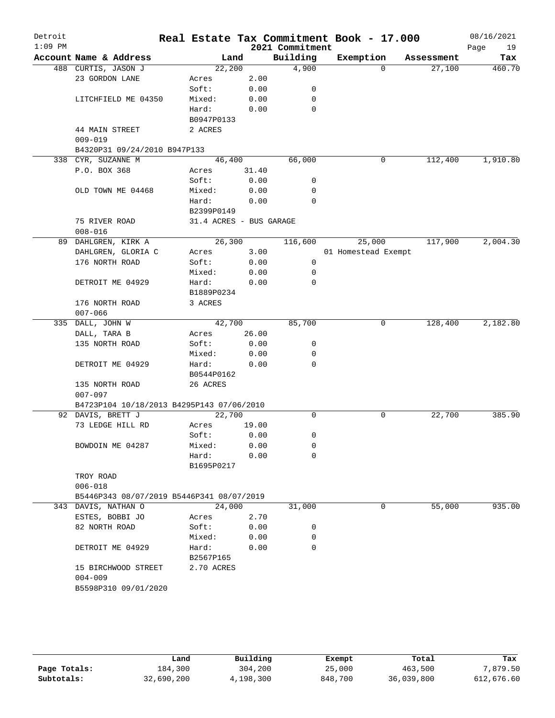| Detroit   |                                           |                         |       |                 | Real Estate Tax Commitment Book - 17.000 |            | 08/16/2021 |
|-----------|-------------------------------------------|-------------------------|-------|-----------------|------------------------------------------|------------|------------|
| $1:09$ PM |                                           |                         |       | 2021 Commitment |                                          |            | Page<br>19 |
|           | Account Name & Address                    | Land                    |       | Building        | Exemption                                | Assessment | Tax        |
|           | 488 CURTIS, JASON J                       | 22,200                  | 2.00  | 4,900           | $\Omega$                                 | 27,100     | 460.70     |
|           | 23 GORDON LANE                            | Acres<br>Soft:          | 0.00  | 0               |                                          |            |            |
|           | LITCHFIELD ME 04350                       | Mixed:                  | 0.00  | 0               |                                          |            |            |
|           |                                           | Hard:                   | 0.00  | 0               |                                          |            |            |
|           |                                           | B0947P0133              |       |                 |                                          |            |            |
|           | 44 MAIN STREET                            | 2 ACRES                 |       |                 |                                          |            |            |
|           | $009 - 019$                               |                         |       |                 |                                          |            |            |
|           | B4320P31 09/24/2010 B947P133              |                         |       |                 |                                          |            |            |
|           | 338 CYR, SUZANNE M                        | 46,400                  |       | 66,000          | 0                                        | 112,400    | 1,910.80   |
|           | P.O. BOX 368                              | Acres                   | 31.40 |                 |                                          |            |            |
|           |                                           | Soft:                   | 0.00  | 0               |                                          |            |            |
|           | OLD TOWN ME 04468                         | Mixed:                  | 0.00  | 0               |                                          |            |            |
|           |                                           | Hard:                   | 0.00  | 0               |                                          |            |            |
|           |                                           | B2399P0149              |       |                 |                                          |            |            |
|           | 75 RIVER ROAD                             | 31.4 ACRES - BUS GARAGE |       |                 |                                          |            |            |
|           | $008 - 016$                               |                         |       |                 |                                          |            |            |
|           | 89 DAHLGREN, KIRK A                       | 26,300                  |       | 116,600         | 25,000                                   | 117,900    | 2,004.30   |
|           | DAHLGREN, GLORIA C                        | Acres                   | 3.00  |                 | 01 Homestead Exempt                      |            |            |
|           | 176 NORTH ROAD                            | Soft:                   | 0.00  | 0               |                                          |            |            |
|           |                                           | Mixed:                  | 0.00  | 0               |                                          |            |            |
|           | DETROIT ME 04929                          | Hard:                   | 0.00  | 0               |                                          |            |            |
|           |                                           | B1889P0234              |       |                 |                                          |            |            |
|           | 176 NORTH ROAD                            | 3 ACRES                 |       |                 |                                          |            |            |
|           | $007 - 066$                               |                         |       |                 |                                          |            |            |
|           | 335 DALL, JOHN W                          | 42,700                  |       | 85,700          | 0                                        | 128,400    | 2,182.80   |
|           | DALL, TARA B                              | Acres                   | 26.00 |                 |                                          |            |            |
|           | 135 NORTH ROAD                            | Soft:                   | 0.00  | 0               |                                          |            |            |
|           |                                           | Mixed:                  | 0.00  | 0               |                                          |            |            |
|           | DETROIT ME 04929                          | Hard:                   | 0.00  | 0               |                                          |            |            |
|           |                                           | B0544P0162              |       |                 |                                          |            |            |
|           | 135 NORTH ROAD                            | 26 ACRES                |       |                 |                                          |            |            |
|           | $007 - 097$                               |                         |       |                 |                                          |            |            |
|           | B4723P104 10/18/2013 B4295P143 07/06/2010 |                         |       |                 |                                          |            |            |
|           | 92 DAVIS, BRETT J                         | 22,700                  |       | 0               | 0                                        | 22,700     | 385.90     |
|           | 73 LEDGE HILL RD                          | Acres                   | 19.00 |                 |                                          |            |            |
|           |                                           | Soft:                   | 0.00  | 0               |                                          |            |            |
|           | BOWDOIN ME 04287                          | Mixed:                  | 0.00  | 0               |                                          |            |            |
|           |                                           | Hard:                   | 0.00  | 0               |                                          |            |            |
|           |                                           | B1695P0217              |       |                 |                                          |            |            |
|           | TROY ROAD                                 |                         |       |                 |                                          |            |            |
|           | $006 - 018$                               |                         |       |                 |                                          |            |            |
|           | B5446P343 08/07/2019 B5446P341 08/07/2019 |                         |       |                 |                                          |            |            |
|           | 343 DAVIS, NATHAN O                       | 24,000                  |       | 31,000          | 0                                        | 55,000     | 935.00     |
|           | ESTES, BOBBI JO                           | Acres                   | 2.70  |                 |                                          |            |            |
|           | 82 NORTH ROAD                             | Soft:                   | 0.00  | 0               |                                          |            |            |
|           |                                           | Mixed:                  | 0.00  | 0               |                                          |            |            |
|           | DETROIT ME 04929                          | Hard:                   | 0.00  | 0               |                                          |            |            |
|           |                                           | B2567P165               |       |                 |                                          |            |            |
|           | 15 BIRCHWOOD STREET                       | 2.70 ACRES              |       |                 |                                          |            |            |
|           | $004 - 009$                               |                         |       |                 |                                          |            |            |
|           | B5598P310 09/01/2020                      |                         |       |                 |                                          |            |            |
|           |                                           |                         |       |                 |                                          |            |            |

|              | Land       | Building  | Exempt  | Total      | Tax        |
|--------------|------------|-----------|---------|------------|------------|
| Page Totals: | 184,300    | 304,200   | 25,000  | 463,500    | 7,879.50   |
| Subtotals:   | 32,690,200 | 4,198,300 | 848,700 | 36,039,800 | 612,676.60 |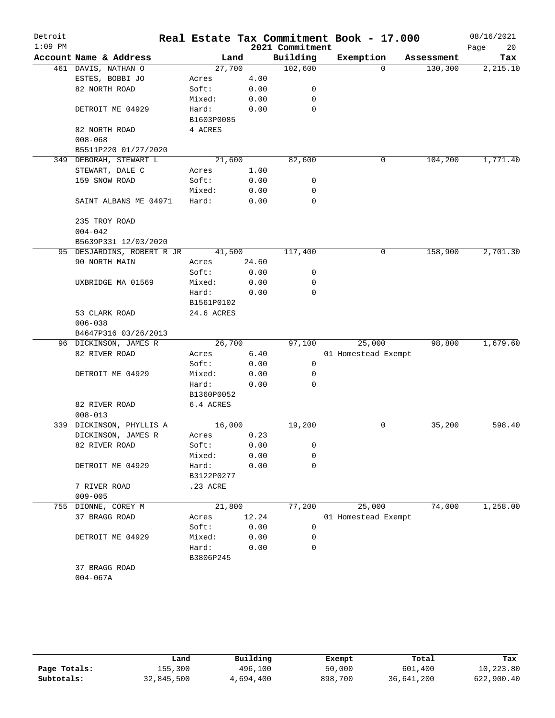| Detroit<br>$1:09$ PM |                            |            |       | 2021 Commitment | Real Estate Tax Commitment Book - 17.000 |            | 08/16/2021<br>20<br>Page |
|----------------------|----------------------------|------------|-------|-----------------|------------------------------------------|------------|--------------------------|
|                      | Account Name & Address     | Land       |       | Building        | Exemption                                | Assessment | Tax                      |
|                      | 461 DAVIS, NATHAN O        | 27,700     |       | 102,600         | $\Omega$                                 | 130,300    | 2,215.10                 |
|                      | ESTES, BOBBI JO            | Acres      | 4.00  |                 |                                          |            |                          |
|                      | 82 NORTH ROAD              | Soft:      | 0.00  | 0               |                                          |            |                          |
|                      |                            | Mixed:     | 0.00  | 0               |                                          |            |                          |
|                      |                            |            |       | 0               |                                          |            |                          |
|                      | DETROIT ME 04929           | Hard:      | 0.00  |                 |                                          |            |                          |
|                      |                            | B1603P0085 |       |                 |                                          |            |                          |
|                      | 82 NORTH ROAD              | 4 ACRES    |       |                 |                                          |            |                          |
|                      | $008 - 068$                |            |       |                 |                                          |            |                          |
|                      | B5511P220 01/27/2020       |            |       |                 |                                          |            |                          |
|                      | 349 DEBORAH, STEWART L     | 21,600     |       | 82,600          | 0                                        | 104,200    | 1,771.40                 |
|                      | STEWART, DALE C            | Acres      | 1.00  |                 |                                          |            |                          |
|                      | 159 SNOW ROAD              | Soft:      | 0.00  | 0               |                                          |            |                          |
|                      |                            | Mixed:     | 0.00  | 0               |                                          |            |                          |
|                      | SAINT ALBANS ME 04971      | Hard:      | 0.00  | $\mathbf 0$     |                                          |            |                          |
|                      | 235 TROY ROAD              |            |       |                 |                                          |            |                          |
|                      | $004 - 042$                |            |       |                 |                                          |            |                          |
|                      | B5639P331 12/03/2020       |            |       |                 |                                          |            |                          |
|                      | 95 DESJARDINS, ROBERT R JR | 41,500     |       | 117,400         | 0                                        | 158,900    | 2,701.30                 |
|                      | 90 NORTH MAIN              | Acres      | 24.60 |                 |                                          |            |                          |
|                      |                            | Soft:      | 0.00  | 0               |                                          |            |                          |
|                      | UXBRIDGE MA 01569          | Mixed:     | 0.00  | 0               |                                          |            |                          |
|                      |                            | Hard:      | 0.00  | $\Omega$        |                                          |            |                          |
|                      |                            | B1561P0102 |       |                 |                                          |            |                          |
|                      | 53 CLARK ROAD              | 24.6 ACRES |       |                 |                                          |            |                          |
|                      | $006 - 038$                |            |       |                 |                                          |            |                          |
|                      | B4647P316 03/26/2013       |            |       |                 |                                          |            |                          |
|                      | 96 DICKINSON, JAMES R      | 26,700     |       | 97,100          | 25,000                                   | 98,800     | 1,679.60                 |
|                      | 82 RIVER ROAD              | Acres      | 6.40  |                 | 01 Homestead Exempt                      |            |                          |
|                      |                            | Soft:      | 0.00  | 0               |                                          |            |                          |
|                      | DETROIT ME 04929           | Mixed:     | 0.00  | $\mathbf 0$     |                                          |            |                          |
|                      |                            | Hard:      | 0.00  | $\Omega$        |                                          |            |                          |
|                      |                            | B1360P0052 |       |                 |                                          |            |                          |
|                      | 82 RIVER ROAD              | 6.4 ACRES  |       |                 |                                          |            |                          |
|                      | $008 - 013$                |            |       |                 |                                          |            |                          |
| 339                  | DICKINSON, PHYLLIS A       | 16,000     |       | 19,200          | 0                                        | 35,200     | 598.40                   |
|                      | DICKINSON, JAMES R         | Acres      | 0.23  |                 |                                          |            |                          |
|                      | 82 RIVER ROAD              | Soft:      | 0.00  | 0               |                                          |            |                          |
|                      |                            | Mixed:     | 0.00  | 0               |                                          |            |                          |
|                      | DETROIT ME 04929           | Hard:      | 0.00  | 0               |                                          |            |                          |
|                      |                            | B3122P0277 |       |                 |                                          |            |                          |
|                      | 7 RIVER ROAD               | .23 ACRE   |       |                 |                                          |            |                          |
|                      | $009 - 005$                |            |       |                 |                                          |            |                          |
|                      | 755 DIONNE, COREY M        | 21,800     |       | 77,200          | 25,000                                   | 74,000     | 1,258.00                 |
|                      | 37 BRAGG ROAD              |            |       |                 |                                          |            |                          |
|                      |                            | Acres      | 12.24 |                 | 01 Homestead Exempt                      |            |                          |
|                      |                            | Soft:      | 0.00  | 0               |                                          |            |                          |
|                      | DETROIT ME 04929           | Mixed:     | 0.00  | 0               |                                          |            |                          |
|                      |                            | Hard:      | 0.00  | 0               |                                          |            |                          |
|                      |                            | B3806P245  |       |                 |                                          |            |                          |
|                      | 37 BRAGG ROAD              |            |       |                 |                                          |            |                          |
|                      | $004 - 067A$               |            |       |                 |                                          |            |                          |
|                      |                            |            |       |                 |                                          |            |                          |

|              | Land       | Building  | Exempt  | Total      | Tax        |
|--------------|------------|-----------|---------|------------|------------|
| Page Totals: | 155,300    | 496,100   | 50,000  | 601,400    | 10,223.80  |
| Subtotals:   | 32,845,500 | 4,694,400 | 898,700 | 36,641,200 | 622,900.40 |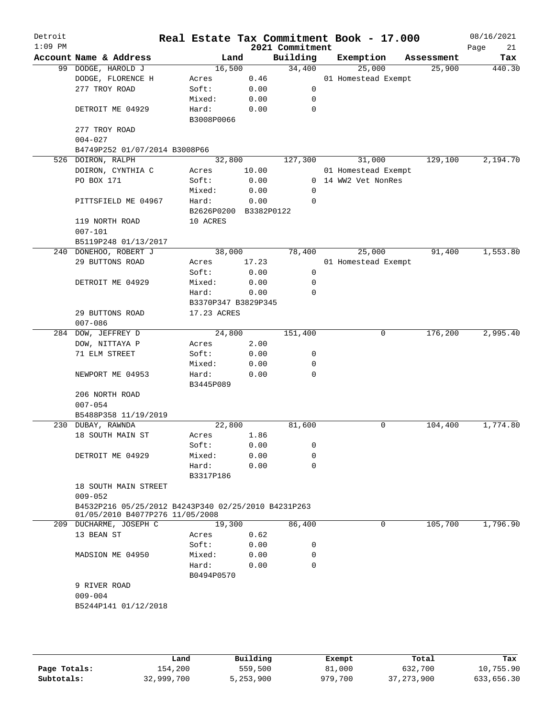| Detroit<br>$1:09$ PM |                                                     |             |                       | 2021 Commitment | Real Estate Tax Commitment Book - 17.000 |            | 08/16/2021<br>21<br>Page |
|----------------------|-----------------------------------------------------|-------------|-----------------------|-----------------|------------------------------------------|------------|--------------------------|
|                      | Account Name & Address                              |             | Land                  | Building        | Exemption                                | Assessment | Tax                      |
|                      | 99 DODGE, HAROLD J                                  |             | 16,500                | 34,400          | 25,000                                   | 25,900     | 440.30                   |
|                      | DODGE, FLORENCE H                                   | Acres       | 0.46                  |                 | 01 Homestead Exempt                      |            |                          |
|                      | 277 TROY ROAD                                       | Soft:       | 0.00                  | $\mathbf 0$     |                                          |            |                          |
|                      |                                                     | Mixed:      | 0.00                  | 0               |                                          |            |                          |
|                      | DETROIT ME 04929                                    | Hard:       | 0.00                  | 0               |                                          |            |                          |
|                      |                                                     | B3008P0066  |                       |                 |                                          |            |                          |
|                      | 277 TROY ROAD                                       |             |                       |                 |                                          |            |                          |
|                      | $004 - 027$                                         |             |                       |                 |                                          |            |                          |
|                      | B4749P252 01/07/2014 B3008P66                       |             |                       |                 |                                          |            |                          |
|                      | 526 DOIRON, RALPH                                   |             | 32,800                | 127,300         | 31,000                                   | 129,100    | 2,194.70                 |
|                      | DOIRON, CYNTHIA C                                   | Acres       | 10.00                 |                 | 01 Homestead Exempt                      |            |                          |
|                      | PO BOX 171                                          | Soft:       | 0.00                  |                 | 0 14 WW2 Vet NonRes                      |            |                          |
|                      |                                                     | Mixed:      | 0.00                  | 0               |                                          |            |                          |
|                      | PITTSFIELD ME 04967                                 | Hard:       | 0.00                  | 0               |                                          |            |                          |
|                      |                                                     |             | B2626P0200 B3382P0122 |                 |                                          |            |                          |
|                      | 119 NORTH ROAD                                      | 10 ACRES    |                       |                 |                                          |            |                          |
|                      | $007 - 101$                                         |             |                       |                 |                                          |            |                          |
|                      | B5119P248 01/13/2017                                |             |                       |                 |                                          |            |                          |
|                      | 240 DONEHOO, ROBERT J                               |             | 38,000                | 78,400          | 25,000                                   | 91,400     | 1,553.80                 |
|                      | 29 BUTTONS ROAD                                     | Acres       |                       |                 |                                          |            |                          |
|                      |                                                     |             | 17.23                 |                 | 01 Homestead Exempt                      |            |                          |
|                      |                                                     | Soft:       | 0.00                  | 0               |                                          |            |                          |
|                      | DETROIT ME 04929                                    | Mixed:      | 0.00                  | 0               |                                          |            |                          |
|                      |                                                     | Hard:       | 0.00                  | $\mathbf 0$     |                                          |            |                          |
|                      |                                                     |             | B3370P347 B3829P345   |                 |                                          |            |                          |
|                      | 29 BUTTONS ROAD                                     | 17.23 ACRES |                       |                 |                                          |            |                          |
|                      | $007 - 086$                                         |             |                       |                 |                                          |            |                          |
|                      | 284 DOW, JEFFREY D                                  |             | 24,800                | 151,400         | 0                                        | 176,200    | 2,995.40                 |
|                      | DOW, NITTAYA P                                      | Acres       | 2.00                  |                 |                                          |            |                          |
|                      | 71 ELM STREET                                       | Soft:       | 0.00                  | 0               |                                          |            |                          |
|                      |                                                     | Mixed:      | 0.00                  | 0               |                                          |            |                          |
|                      | NEWPORT ME 04953                                    | Hard:       | 0.00                  | $\mathbf 0$     |                                          |            |                          |
|                      |                                                     | B3445P089   |                       |                 |                                          |            |                          |
|                      | 206 NORTH ROAD                                      |             |                       |                 |                                          |            |                          |
|                      | $007 - 054$                                         |             |                       |                 |                                          |            |                          |
|                      | B5488P358 11/19/2019                                |             |                       |                 |                                          |            |                          |
|                      | 230 DUBAY, RAWNDA                                   |             | 22,800                | 81,600          | 0                                        | 104,400    | 1,774.80                 |
|                      | 18 SOUTH MAIN ST                                    | Acres       | 1.86                  |                 |                                          |            |                          |
|                      |                                                     | Soft:       | 0.00                  | 0               |                                          |            |                          |
|                      | DETROIT ME 04929                                    | Mixed:      | 0.00                  | 0               |                                          |            |                          |
|                      |                                                     | Hard:       | 0.00                  | $\Omega$        |                                          |            |                          |
|                      |                                                     | B3317P186   |                       |                 |                                          |            |                          |
|                      | 18 SOUTH MAIN STREET                                |             |                       |                 |                                          |            |                          |
|                      | $009 - 052$                                         |             |                       |                 |                                          |            |                          |
|                      | B4532P216 05/25/2012 B4243P340 02/25/2010 B4231P263 |             |                       |                 |                                          |            |                          |
|                      | 01/05/2010 B4077P276 11/05/2008                     |             |                       |                 |                                          |            |                          |
|                      | 209 DUCHARME, JOSEPH C                              |             | 19,300                | 86,400          | 0                                        | 105,700    | 1,796.90                 |
|                      | 13 BEAN ST                                          | Acres       | 0.62                  |                 |                                          |            |                          |
|                      |                                                     | Soft:       | 0.00                  | 0               |                                          |            |                          |
|                      | MADSION ME 04950                                    | Mixed:      | 0.00                  | 0               |                                          |            |                          |
|                      |                                                     | Hard:       | 0.00                  | 0               |                                          |            |                          |
|                      |                                                     | B0494P0570  |                       |                 |                                          |            |                          |
|                      | 9 RIVER ROAD                                        |             |                       |                 |                                          |            |                          |
|                      | $009 - 004$                                         |             |                       |                 |                                          |            |                          |
|                      | B5244P141 01/12/2018                                |             |                       |                 |                                          |            |                          |
|                      |                                                     |             |                       |                 |                                          |            |                          |
|                      |                                                     |             |                       |                 |                                          |            |                          |
|                      |                                                     |             |                       |                 |                                          |            |                          |
|                      |                                                     |             |                       |                 |                                          |            |                          |

|              | Land       | Building  | Exempt  | Total        | Tax        |
|--------------|------------|-----------|---------|--------------|------------|
| Page Totals: | 154,200    | 559,500   | 81,000  | 632,700      | 10,755.90  |
| Subtotals:   | 32,999,700 | 5,253,900 | 979,700 | 37, 273, 900 | 633,656.30 |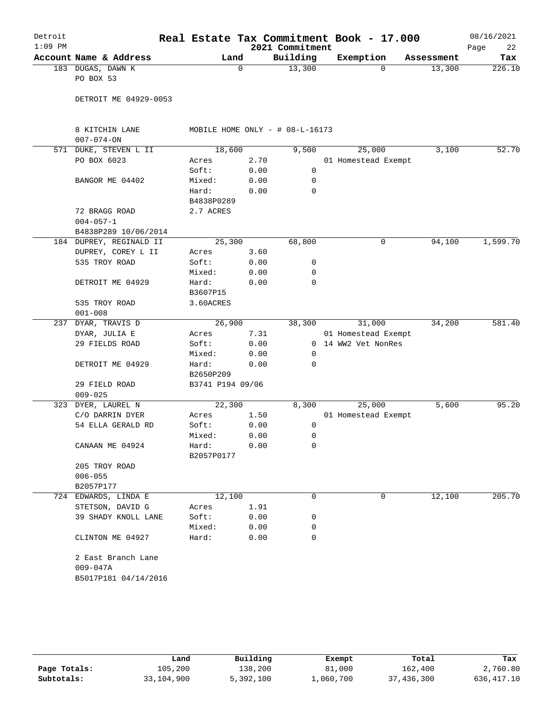| Detroit<br>$1:09$ PM |                                    |                               |             | 2021 Commitment                 | Real Estate Tax Commitment Book - 17.000 |            | 08/16/2021<br>22<br>Page |
|----------------------|------------------------------------|-------------------------------|-------------|---------------------------------|------------------------------------------|------------|--------------------------|
|                      | Account Name & Address             | Land                          |             | Building                        | Exemption                                | Assessment | Tax                      |
|                      | 183 DUGAS, DAWN K<br>PO BOX 53     |                               | $\mathbf 0$ | 13,300                          | 0                                        | 13,300     | 226.10                   |
|                      | DETROIT ME 04929-0053              |                               |             |                                 |                                          |            |                          |
|                      | 8 KITCHIN LANE<br>$007 - 074 - ON$ |                               |             | MOBILE HOME ONLY - # 08-L-16173 |                                          |            |                          |
|                      | 571 DUKE, STEVEN L II              | 18,600                        |             | 9,500                           | 25,000                                   | 3,100      | 52.70                    |
|                      | PO BOX 6023                        | Acres                         | 2.70        |                                 | 01 Homestead Exempt                      |            |                          |
|                      |                                    | Soft:                         | 0.00        | 0                               |                                          |            |                          |
|                      | BANGOR ME 04402                    | Mixed:                        | 0.00        | 0                               |                                          |            |                          |
|                      |                                    | Hard:<br>B4838P0289           | 0.00        | $\mathbf 0$                     |                                          |            |                          |
|                      | 72 BRAGG ROAD                      | 2.7 ACRES                     |             |                                 |                                          |            |                          |
|                      | $004 - 057 - 1$                    |                               |             |                                 |                                          |            |                          |
|                      | B4838P289 10/06/2014               |                               |             |                                 |                                          |            |                          |
|                      | 184 DUPREY, REGINALD II            | 25,300                        |             | 68,800                          | 0                                        | 94,100     | 1,599.70                 |
|                      | DUPREY, COREY L II                 | Acres                         | 3.60        |                                 |                                          |            |                          |
|                      | 535 TROY ROAD                      | Soft:                         | 0.00        | 0                               |                                          |            |                          |
|                      |                                    | Mixed:                        | 0.00        | 0                               |                                          |            |                          |
|                      | DETROIT ME 04929                   | Hard:                         | 0.00        | $\mathbf 0$                     |                                          |            |                          |
|                      |                                    | B3607P15                      |             |                                 |                                          |            |                          |
|                      | 535 TROY ROAD                      | 3.60ACRES                     |             |                                 |                                          |            |                          |
|                      | $001 - 008$                        |                               |             |                                 |                                          |            |                          |
|                      | 237 DYAR, TRAVIS D                 | 26,900                        |             | 38,300                          | 31,000                                   | 34,200     | 581.40                   |
|                      | DYAR, JULIA E                      | Acres                         | 7.31        |                                 | 01 Homestead Exempt                      |            |                          |
|                      | 29 FIELDS ROAD                     | Soft:                         | 0.00        |                                 | 0 14 WW2 Vet NonRes                      |            |                          |
|                      |                                    | Mixed:                        | 0.00        | 0                               |                                          |            |                          |
|                      | DETROIT ME 04929                   | Hard:                         | 0.00        | $\Omega$                        |                                          |            |                          |
|                      |                                    | B2650P209<br>B3741 P194 09/06 |             |                                 |                                          |            |                          |
|                      | 29 FIELD ROAD<br>$009 - 025$       |                               |             |                                 |                                          |            |                          |
|                      | 323 DYER, LAUREL N                 | 22,300                        |             | 8,300                           | 25,000                                   | 5,600      | 95.20                    |
|                      | C/O DARRIN DYER                    | Acres                         | 1.50        |                                 | 01 Homestead Exempt                      |            |                          |
|                      | 54 ELLA GERALD RD                  | Soft:                         | 0.00        | 0                               |                                          |            |                          |
|                      |                                    | Mixed:                        | 0.00        | 0                               |                                          |            |                          |
|                      | CANAAN ME 04924                    | Hard:                         | 0.00        | 0                               |                                          |            |                          |
|                      |                                    | B2057P0177                    |             |                                 |                                          |            |                          |
|                      | 205 TROY ROAD                      |                               |             |                                 |                                          |            |                          |
|                      | $006 - 055$                        |                               |             |                                 |                                          |            |                          |
|                      | B2057P177                          |                               |             |                                 |                                          |            |                          |
|                      | 724 EDWARDS, LINDA E               | 12,100                        |             | 0                               | 0                                        | 12,100     | 205.70                   |
|                      | STETSON, DAVID G                   | Acres                         | 1.91        |                                 |                                          |            |                          |
|                      | 39 SHADY KNOLL LANE                | Soft:                         | 0.00        | 0                               |                                          |            |                          |
|                      |                                    | Mixed:                        | 0.00        | 0                               |                                          |            |                          |
|                      | CLINTON ME 04927                   | Hard:                         | 0.00        | 0                               |                                          |            |                          |
|                      | 2 East Branch Lane                 |                               |             |                                 |                                          |            |                          |
|                      | $009 - 047A$                       |                               |             |                                 |                                          |            |                          |
|                      | B5017P181 04/14/2016               |                               |             |                                 |                                          |            |                          |
|                      |                                    |                               |             |                                 |                                          |            |                          |
|                      |                                    |                               |             |                                 |                                          |            |                          |
|                      |                                    |                               |             |                                 |                                          |            |                          |

|              | Land       | Building  | Exempt    | Total      | Tax         |
|--------------|------------|-----------|-----------|------------|-------------|
| Page Totals: | 105,200    | 138,200   | 81,000    | 162,400    | 2,760.80    |
| Subtotals:   | 33,104,900 | 5,392,100 | 1,060,700 | 37,436,300 | 636, 417.10 |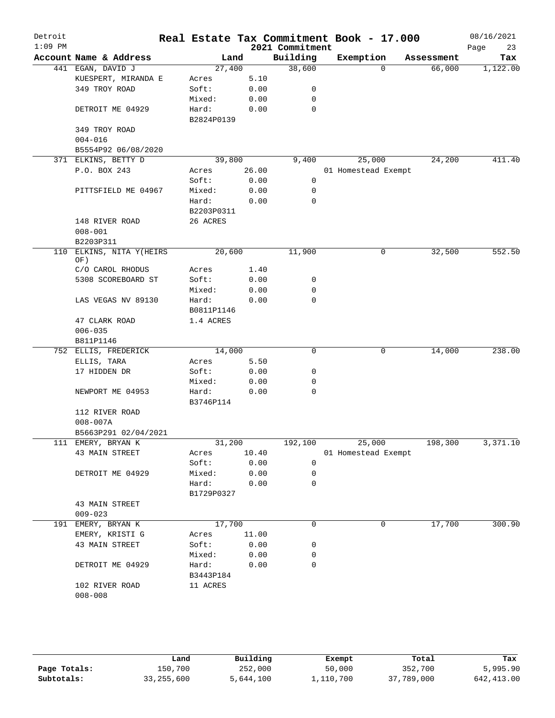| Detroit<br>$1:09$ PM |                         |            |       | 2021 Commitment | Real Estate Tax Commitment Book - 17.000 |          |            | 08/16/2021<br>23<br>Page |
|----------------------|-------------------------|------------|-------|-----------------|------------------------------------------|----------|------------|--------------------------|
|                      | Account Name & Address  |            | Land  | Building        | Exemption                                |          | Assessment | Tax                      |
|                      | 441 EGAN, DAVID J       | 27,400     |       | 38,600          |                                          | $\Omega$ | 66,000     | 1,122.00                 |
|                      | KUESPERT, MIRANDA E     | Acres      | 5.10  |                 |                                          |          |            |                          |
|                      | 349 TROY ROAD           | Soft:      | 0.00  | 0               |                                          |          |            |                          |
|                      |                         | Mixed:     | 0.00  | 0               |                                          |          |            |                          |
|                      | DETROIT ME 04929        | Hard:      | 0.00  | 0               |                                          |          |            |                          |
|                      |                         | B2824P0139 |       |                 |                                          |          |            |                          |
|                      | 349 TROY ROAD           |            |       |                 |                                          |          |            |                          |
|                      | $004 - 016$             |            |       |                 |                                          |          |            |                          |
|                      | B5554P92 06/08/2020     |            |       |                 |                                          |          |            |                          |
|                      | 371 ELKINS, BETTY D     | 39,800     |       | 9,400           | 25,000                                   |          | 24,200     | 411.40                   |
|                      | P.O. BOX 243            | Acres      | 26.00 |                 | 01 Homestead Exempt                      |          |            |                          |
|                      |                         | Soft:      | 0.00  | 0               |                                          |          |            |                          |
|                      | PITTSFIELD ME 04967     | Mixed:     | 0.00  | 0               |                                          |          |            |                          |
|                      |                         | Hard:      | 0.00  | 0               |                                          |          |            |                          |
|                      |                         | B2203P0311 |       |                 |                                          |          |            |                          |
|                      | 148 RIVER ROAD          | 26 ACRES   |       |                 |                                          |          |            |                          |
|                      | $008 - 001$             |            |       |                 |                                          |          |            |                          |
|                      | B2203P311               |            |       |                 |                                          |          |            |                          |
| 110                  | ELKINS, NITA Y(HEIRS    | 20,600     |       | 11,900          |                                          | 0        | 32,500     | 552.50                   |
|                      | OF)<br>C/O CAROL RHODUS | Acres      | 1.40  |                 |                                          |          |            |                          |
|                      | 5308 SCOREBOARD ST      | Soft:      | 0.00  | 0               |                                          |          |            |                          |
|                      |                         | Mixed:     | 0.00  | 0               |                                          |          |            |                          |
|                      | LAS VEGAS NV 89130      | Hard:      | 0.00  | 0               |                                          |          |            |                          |
|                      |                         | B0811P1146 |       |                 |                                          |          |            |                          |
|                      | 47 CLARK ROAD           | 1.4 ACRES  |       |                 |                                          |          |            |                          |
|                      | $006 - 035$             |            |       |                 |                                          |          |            |                          |
|                      | B811P1146               |            |       |                 |                                          |          |            |                          |
|                      | 752 ELLIS, FREDERICK    | 14,000     |       | 0               |                                          | 0        | 14,000     | 238.00                   |
|                      | ELLIS, TARA             | Acres      | 5.50  |                 |                                          |          |            |                          |
|                      | 17 HIDDEN DR            | Soft:      | 0.00  | 0               |                                          |          |            |                          |
|                      |                         | Mixed:     | 0.00  | 0               |                                          |          |            |                          |
|                      | NEWPORT ME 04953        | Hard:      | 0.00  | 0               |                                          |          |            |                          |
|                      |                         | B3746P114  |       |                 |                                          |          |            |                          |
|                      | 112 RIVER ROAD          |            |       |                 |                                          |          |            |                          |
|                      | $008 - 007A$            |            |       |                 |                                          |          |            |                          |
|                      | B5663P291 02/04/2021    |            |       |                 |                                          |          |            |                          |
|                      | 111 EMERY, BRYAN K      | 31,200     |       | 192,100         | 25,000                                   |          | 198,300    | 3,371.10                 |
|                      | 43 MAIN STREET          | Acres      | 10.40 |                 | 01 Homestead Exempt                      |          |            |                          |
|                      |                         | Soft:      | 0.00  | 0               |                                          |          |            |                          |
|                      | DETROIT ME 04929        | Mixed:     | 0.00  | 0               |                                          |          |            |                          |
|                      |                         | Hard:      | 0.00  | $\mathbf 0$     |                                          |          |            |                          |
|                      |                         | B1729P0327 |       |                 |                                          |          |            |                          |
|                      | 43 MAIN STREET          |            |       |                 |                                          |          |            |                          |
|                      | $009 - 023$             |            |       |                 |                                          |          |            |                          |
|                      | 191 EMERY, BRYAN K      | 17,700     |       | 0               |                                          | 0        | 17,700     | 300.90                   |
|                      | EMERY, KRISTI G         | Acres      | 11.00 |                 |                                          |          |            |                          |
|                      | 43 MAIN STREET          | Soft:      | 0.00  | 0               |                                          |          |            |                          |
|                      |                         | Mixed:     | 0.00  | 0               |                                          |          |            |                          |
|                      | DETROIT ME 04929        | Hard:      | 0.00  | 0               |                                          |          |            |                          |
|                      |                         | B3443P184  |       |                 |                                          |          |            |                          |
|                      | 102 RIVER ROAD          | 11 ACRES   |       |                 |                                          |          |            |                          |
|                      | $008 - 008$             |            |       |                 |                                          |          |            |                          |
|                      |                         |            |       |                 |                                          |          |            |                          |

|              | Land       | Building  | Exempt    | Total      | Tax          |
|--------------|------------|-----------|-----------|------------|--------------|
| Page Totals: | 150,700    | 252,000   | 50,000    | 352,700    | 5,995.90     |
| Subtotals:   | 33,255,600 | 5,644,100 | 1,110,700 | 37,789,000 | 642, 413, 00 |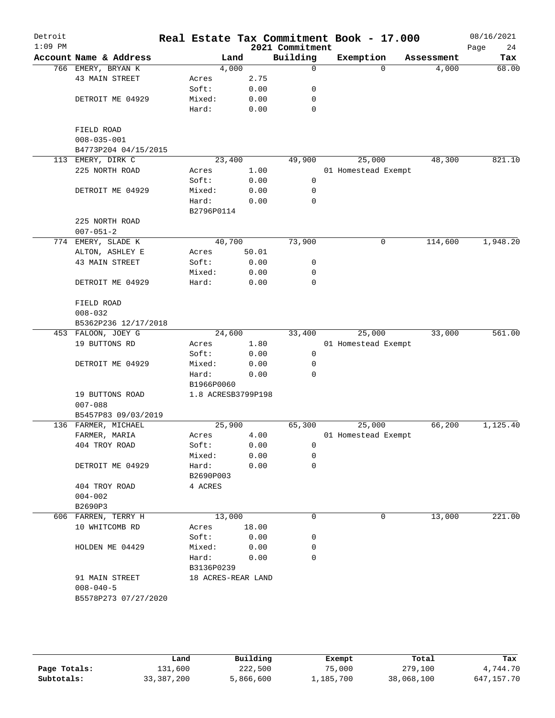| Detroit<br>$1:09$ PM   |        |            |                    | 2021 Commitment            | Real Estate Tax Commitment Book - 17.000 |          |            | 08/16/2021<br>24<br>Page |
|------------------------|--------|------------|--------------------|----------------------------|------------------------------------------|----------|------------|--------------------------|
| Account Name & Address |        | Land       |                    | Building                   | Exemption                                |          | Assessment | Tax                      |
| 766 EMERY, BRYAN K     |        | 4,000      |                    | 0                          |                                          | $\Omega$ | 4,000      | 68.00                    |
| 43 MAIN STREET         | Acres  |            | 2.75               |                            |                                          |          |            |                          |
|                        | Soft:  |            | 0.00               | 0                          |                                          |          |            |                          |
| DETROIT ME 04929       | Mixed: |            | 0.00               | 0                          |                                          |          |            |                          |
|                        | Hard:  |            | 0.00               | 0                          |                                          |          |            |                          |
| FIELD ROAD             |        |            |                    |                            |                                          |          |            |                          |
| $008 - 035 - 001$      |        |            |                    |                            |                                          |          |            |                          |
| B4773P204 04/15/2015   |        |            |                    |                            |                                          |          |            |                          |
| 113 EMERY, DIRK C      |        | 23,400     |                    | 49,900                     | 25,000                                   |          | 48,300     | 821.10                   |
| 225 NORTH ROAD         | Acres  |            | 1.00               |                            | 01 Homestead Exempt                      |          |            |                          |
|                        | Soft:  |            | 0.00               | 0                          |                                          |          |            |                          |
| DETROIT ME 04929       | Mixed: |            | 0.00               | $\mathbf 0$                |                                          |          |            |                          |
|                        | Hard:  |            | 0.00               | 0                          |                                          |          |            |                          |
|                        |        | B2796P0114 |                    |                            |                                          |          |            |                          |
| 225 NORTH ROAD         |        |            |                    |                            |                                          |          |            |                          |
| $007 - 051 - 2$        |        |            |                    |                            |                                          |          |            |                          |
| 774 EMERY, SLADE K     |        | 40,700     |                    | 73,900                     |                                          | 0        | 114,600    | 1,948.20                 |
| ALTON, ASHLEY E        | Acres  |            | 50.01              |                            |                                          |          |            |                          |
| 43 MAIN STREET         | Soft:  |            | 0.00               | 0                          |                                          |          |            |                          |
|                        |        |            | 0.00               | 0                          |                                          |          |            |                          |
|                        | Mixed: |            |                    | $\mathbf 0$                |                                          |          |            |                          |
| DETROIT ME 04929       | Hard:  |            | 0.00               |                            |                                          |          |            |                          |
| FIELD ROAD             |        |            |                    |                            |                                          |          |            |                          |
| $008 - 032$            |        |            |                    |                            |                                          |          |            |                          |
| B5362P236 12/17/2018   |        |            |                    |                            |                                          |          |            |                          |
| 453 FALOON, JOEY G     |        | 24,600     |                    | 33,400                     | 25,000                                   |          | 33,000     | 561.00                   |
| 19 BUTTONS RD          | Acres  |            | 1.80               |                            | 01 Homestead Exempt                      |          |            |                          |
|                        | Soft:  |            | 0.00               | 0                          |                                          |          |            |                          |
| DETROIT ME 04929       | Mixed: |            | 0.00               | 0                          |                                          |          |            |                          |
|                        | Hard:  |            | 0.00               | $\Omega$                   |                                          |          |            |                          |
|                        |        | B1966P0060 |                    |                            |                                          |          |            |                          |
| 19 BUTTONS ROAD        |        |            | 1.8 ACRESB3799P198 |                            |                                          |          |            |                          |
| $007 - 088$            |        |            |                    |                            |                                          |          |            |                          |
| B5457P83 09/03/2019    |        |            |                    |                            |                                          |          |            |                          |
| 136 FARMER, MICHAEL    |        | 25,900     |                    | 65,300                     | 25,000                                   |          | 66,200     | 1,125.40                 |
| FARMER, MARIA          | Acres  |            | 4.00               |                            | 01 Homestead Exempt                      |          |            |                          |
| 404 TROY ROAD          | Soft:  |            | 0.00               | 0                          |                                          |          |            |                          |
|                        | Mixed: |            | 0.00               | 0                          |                                          |          |            |                          |
| DETROIT ME 04929       | Hard:  |            | 0.00               | 0                          |                                          |          |            |                          |
|                        |        | B2690P003  |                    |                            |                                          |          |            |                          |
| 404 TROY ROAD          |        | 4 ACRES    |                    |                            |                                          |          |            |                          |
| $004 - 002$            |        |            |                    |                            |                                          |          |            |                          |
| B2690P3                |        |            |                    |                            |                                          |          |            |                          |
| 606 FARREN, TERRY H    |        | 13,000     |                    | 0                          |                                          | 0        | 13,000     | 221.00                   |
| 10 WHITCOMB RD         | Acres  |            | 18.00              |                            |                                          |          |            |                          |
|                        | Soft:  |            | 0.00               | 0                          |                                          |          |            |                          |
| HOLDEN ME 04429        |        |            |                    |                            |                                          |          |            |                          |
|                        |        |            |                    | 0                          |                                          |          |            |                          |
|                        |        |            |                    |                            |                                          |          |            |                          |
| 91 MAIN STREET         |        |            |                    |                            |                                          |          |            |                          |
|                        |        |            |                    |                            |                                          |          |            |                          |
| B5578P273 07/27/2020   |        |            |                    |                            |                                          |          |            |                          |
|                        |        |            |                    |                            |                                          |          |            |                          |
| $008 - 040 - 5$        |        |            | Mixed:<br>Hard:    | 0.00<br>0.00<br>B3136P0239 | 0<br>18 ACRES-REAR LAND                  |          |            |                          |

|              | Land         | Building  | Exempt    | Total      | Tax        |
|--------------|--------------|-----------|-----------|------------|------------|
| Page Totals: | 131,600      | 222,500   | 75,000    | 279,100    | 4,744.70   |
| Subtotals:   | 33, 387, 200 | 5,866,600 | 1,185,700 | 38,068,100 | 647,157.70 |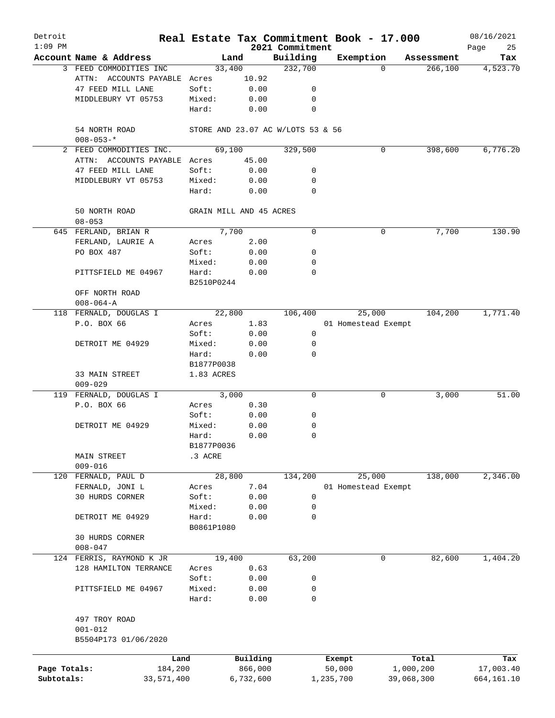| Detroit<br>$1:09$ PM |                               |                 |                                   | 2021 Commitment | Real Estate Tax Commitment Book - 17.000 |            |            | 08/16/2021<br>Page<br>25 |
|----------------------|-------------------------------|-----------------|-----------------------------------|-----------------|------------------------------------------|------------|------------|--------------------------|
|                      | Account Name & Address        |                 | Land                              | Building        | Exemption                                |            | Assessment | Tax                      |
|                      | 3 FEED COMMODITIES INC        | 33,400          |                                   | 232,700         |                                          | $\Omega$   | 266,100    | 4,523.70                 |
|                      | ATTN: ACCOUNTS PAYABLE Acres  |                 | 10.92                             |                 |                                          |            |            |                          |
|                      | 47 FEED MILL LANE             | Soft:           | 0.00                              | 0               |                                          |            |            |                          |
|                      | MIDDLEBURY VT 05753           | Mixed:          | 0.00                              | 0               |                                          |            |            |                          |
|                      |                               | Hard:           | 0.00                              | 0               |                                          |            |            |                          |
|                      | 54 NORTH ROAD                 |                 | STORE AND 23.07 AC W/LOTS 53 & 56 |                 |                                          |            |            |                          |
|                      | $008 - 053 -$ *               |                 |                                   |                 |                                          |            |            |                          |
|                      | 2 FEED COMMODITIES INC.       | 69,100          |                                   | 329,500         |                                          | 0          | 398,600    | 6,776.20                 |
|                      | ATTN: ACCOUNTS PAYABLE Acres  |                 | 45.00                             |                 |                                          |            |            |                          |
|                      | 47 FEED MILL LANE             | Soft:           | 0.00                              | 0               |                                          |            |            |                          |
|                      | MIDDLEBURY VT 05753           | Mixed:<br>Hard: | 0.00<br>0.00                      | 0<br>0          |                                          |            |            |                          |
|                      |                               |                 |                                   |                 |                                          |            |            |                          |
|                      | 50 NORTH ROAD<br>$08 - 053$   |                 | GRAIN MILL AND 45 ACRES           |                 |                                          |            |            |                          |
|                      | 645 FERLAND, BRIAN R          |                 | 7,700                             | 0               |                                          | 0          | 7,700      | 130.90                   |
|                      | FERLAND, LAURIE A             | Acres           | 2.00                              |                 |                                          |            |            |                          |
|                      | PO BOX 487                    | Soft:           | 0.00                              | 0               |                                          |            |            |                          |
|                      |                               | Mixed:          | 0.00                              | 0               |                                          |            |            |                          |
|                      | PITTSFIELD ME 04967           | Hard:           | 0.00                              | 0               |                                          |            |            |                          |
|                      | OFF NORTH ROAD                | B2510P0244      |                                   |                 |                                          |            |            |                          |
|                      | $008 - 064 - A$               |                 |                                   |                 |                                          |            |            |                          |
|                      | 118 FERNALD, DOUGLAS I        | 22,800          |                                   | 106,400         | 25,000                                   |            | 104,200    | 1,771.40                 |
|                      | P.O. BOX 66                   | Acres           | 1.83                              |                 | 01 Homestead Exempt                      |            |            |                          |
|                      |                               | Soft:           | 0.00                              | 0               |                                          |            |            |                          |
|                      | DETROIT ME 04929              | Mixed:          | 0.00                              | 0               |                                          |            |            |                          |
|                      |                               | Hard:           | 0.00                              | 0               |                                          |            |            |                          |
|                      |                               | B1877P0038      |                                   |                 |                                          |            |            |                          |
|                      | 33 MAIN STREET<br>$009 - 029$ | 1.83 ACRES      |                                   |                 |                                          |            |            |                          |
|                      | 119 FERNALD, DOUGLAS I        |                 | 3,000                             | 0               |                                          | 0          | 3,000      | 51.00                    |
|                      | P.O. BOX 66                   | Acres           | 0.30                              |                 |                                          |            |            |                          |
|                      |                               | Soft:           | 0.00                              | 0               |                                          |            |            |                          |
|                      | DETROIT ME 04929              | Mixed:          | 0.00                              | 0               |                                          |            |            |                          |
|                      |                               | Hard:           | 0.00                              | 0               |                                          |            |            |                          |
|                      |                               | B1877P0036      |                                   |                 |                                          |            |            |                          |
|                      | MAIN STREET                   | .3 ACRE         |                                   |                 |                                          |            |            |                          |
|                      | $009 - 016$                   |                 |                                   |                 |                                          |            |            |                          |
| 120                  | FERNALD, PAUL D               | 28,800          |                                   | 134,200         | 25,000                                   |            | 138,000    | 2,346.00                 |
|                      | FERNALD, JONI L               | Acres           | 7.04                              |                 | 01 Homestead Exempt                      |            |            |                          |
|                      | 30 HURDS CORNER               | Soft:           | 0.00                              | 0               |                                          |            |            |                          |
|                      |                               | Mixed:          | 0.00                              | 0               |                                          |            |            |                          |
|                      | DETROIT ME 04929              | Hard:           | 0.00                              | 0               |                                          |            |            |                          |
|                      |                               | B0861P1080      |                                   |                 |                                          |            |            |                          |
|                      | 30 HURDS CORNER               |                 |                                   |                 |                                          |            |            |                          |
|                      | $008 - 047$                   |                 |                                   |                 |                                          |            |            |                          |
|                      | 124 FERRIS, RAYMOND K JR      | 19,400          |                                   | 63,200          |                                          | 0          | 82,600     | 1,404.20                 |
|                      | 128 HAMILTON TERRANCE         | Acres           | 0.63                              |                 |                                          |            |            |                          |
|                      |                               | Soft:           | 0.00                              | 0               |                                          |            |            |                          |
|                      | PITTSFIELD ME 04967           | Mixed:          | 0.00                              | 0               |                                          |            |            |                          |
|                      |                               | Hard:           | 0.00                              | 0               |                                          |            |            |                          |
|                      | 497 TROY ROAD                 |                 |                                   |                 |                                          |            |            |                          |
|                      | $001 - 012$                   |                 |                                   |                 |                                          |            |            |                          |
|                      | B5504P173 01/06/2020          |                 |                                   |                 |                                          |            |            |                          |
|                      | Land                          |                 | Building                          |                 | Exempt                                   |            | Total      | Tax                      |
| Page Totals:         | 184,200                       |                 | 866,000                           |                 | 50,000                                   | 1,000,200  |            | 17,003.40                |
| Subtotals:           | 33,571,400                    |                 | 6,732,600                         |                 | 1,235,700                                | 39,068,300 |            | 664, 161. 10             |
|                      |                               |                 |                                   |                 |                                          |            |            |                          |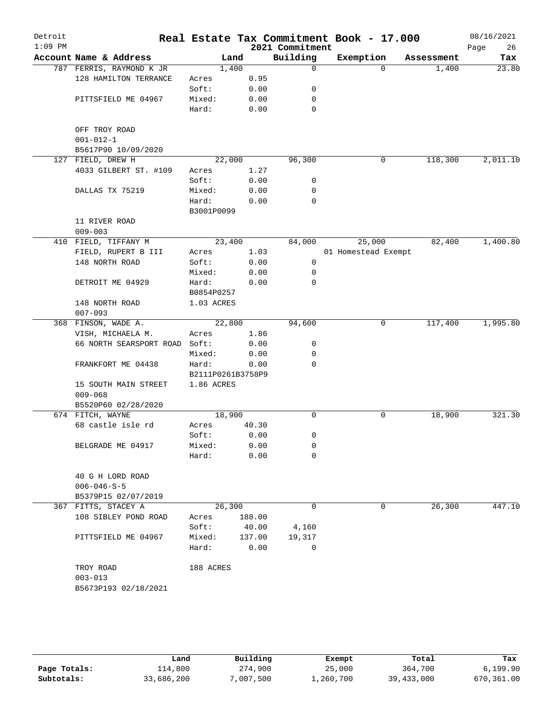| Detroit<br>$1:09$ PM |                                                         |                   |        | 2021 Commitment | Real Estate Tax Commitment Book - 17.000 |            | 08/16/2021<br>26<br>Page |
|----------------------|---------------------------------------------------------|-------------------|--------|-----------------|------------------------------------------|------------|--------------------------|
|                      | Account Name & Address                                  |                   | Land   | Building        | Exemption                                | Assessment | Tax                      |
|                      | 787 FERRIS, RAYMOND K JR                                |                   | 1,400  | 0               | $\Omega$                                 | 1,400      | 23.80                    |
|                      | 128 HAMILTON TERRANCE                                   | Acres             | 0.95   |                 |                                          |            |                          |
|                      |                                                         | Soft:             | 0.00   | 0               |                                          |            |                          |
|                      | PITTSFIELD ME 04967                                     | Mixed:            | 0.00   | 0               |                                          |            |                          |
|                      |                                                         | Hard:             | 0.00   | 0               |                                          |            |                          |
|                      | OFF TROY ROAD<br>$001 - 012 - 1$<br>B5617P90 10/09/2020 |                   |        |                 |                                          |            |                          |
|                      | 127 FIELD, DREW H                                       |                   | 22,000 | 96,300          | 0                                        | 118,300    | 2,011.10                 |
|                      | 4033 GILBERT ST. #109                                   | Acres             | 1.27   |                 |                                          |            |                          |
|                      |                                                         | Soft:             | 0.00   | 0               |                                          |            |                          |
|                      | DALLAS TX 75219                                         | Mixed:            | 0.00   | 0               |                                          |            |                          |
|                      |                                                         | Hard:             | 0.00   | 0               |                                          |            |                          |
|                      |                                                         | B3001P0099        |        |                 |                                          |            |                          |
|                      | 11 RIVER ROAD                                           |                   |        |                 |                                          |            |                          |
|                      | $009 - 003$                                             |                   |        |                 |                                          |            |                          |
|                      | 410 FIELD, TIFFANY M                                    |                   | 23,400 | 84,000          | 25,000                                   | 82,400     | 1,400.80                 |
|                      | FIELD, RUPERT B III                                     | Acres             | 1.03   |                 | 01 Homestead Exempt                      |            |                          |
|                      | 148 NORTH ROAD                                          | Soft:             | 0.00   | 0               |                                          |            |                          |
|                      |                                                         | Mixed:            | 0.00   | 0               |                                          |            |                          |
|                      | DETROIT ME 04929                                        | Hard:             | 0.00   | 0               |                                          |            |                          |
|                      |                                                         | B0854P0257        |        |                 |                                          |            |                          |
|                      | 148 NORTH ROAD<br>$007 - 093$                           | 1.03 ACRES        |        |                 |                                          |            |                          |
|                      | 368 FINSON, WADE A.                                     |                   | 22,800 | 94,600          | 0                                        | 117,400    | 1,995.80                 |
|                      | VISH, MICHAELA M.                                       | Acres             | 1.86   |                 |                                          |            |                          |
|                      | 66 NORTH SEARSPORT ROAD                                 | Soft:             | 0.00   | 0               |                                          |            |                          |
|                      |                                                         | Mixed:            | 0.00   | 0               |                                          |            |                          |
|                      | FRANKFORT ME 04438                                      | Hard:             | 0.00   | 0               |                                          |            |                          |
|                      |                                                         | B2111P0261B3758P9 |        |                 |                                          |            |                          |
|                      | 15 SOUTH MAIN STREET<br>$009 - 068$                     | 1.86 ACRES        |        |                 |                                          |            |                          |
|                      | B5520P60 02/28/2020                                     |                   |        |                 |                                          |            |                          |
|                      | 674 FITCH, WAYNE                                        |                   | 18,900 | 0               | 0                                        | 18,900     | 321.30                   |
|                      | 68 castle isle rd                                       | Acres             | 40.30  |                 |                                          |            |                          |
|                      |                                                         | Soft:             | 0.00   | 0               |                                          |            |                          |
|                      | BELGRADE ME 04917                                       | Mixed:            | 0.00   | 0               |                                          |            |                          |
|                      |                                                         | Hard:             | 0.00   | 0               |                                          |            |                          |
|                      | 40 G H LORD ROAD                                        |                   |        |                 |                                          |            |                          |
|                      | $006 - 046 - S - 5$                                     |                   |        |                 |                                          |            |                          |
|                      | B5379P15 02/07/2019                                     |                   |        |                 |                                          |            |                          |
|                      | 367 FITTS, STACEY A                                     |                   | 26,300 | 0               | 0                                        | 26,300     | 447.10                   |
|                      | 108 SIBLEY POND ROAD                                    | Acres             | 188.00 |                 |                                          |            |                          |
|                      |                                                         | Soft:             | 40.00  | 4,160           |                                          |            |                          |
|                      | PITTSFIELD ME 04967                                     | Mixed:            | 137.00 | 19,317          |                                          |            |                          |
|                      |                                                         | Hard:             | 0.00   | 0               |                                          |            |                          |
|                      | TROY ROAD                                               | 188 ACRES         |        |                 |                                          |            |                          |
|                      | $003 - 013$                                             |                   |        |                 |                                          |            |                          |
|                      | B5673P193 02/18/2021                                    |                   |        |                 |                                          |            |                          |
|                      |                                                         |                   |        |                 |                                          |            |                          |

|              | Land       | Building | Exempt    | Total      | Tax        |
|--------------|------------|----------|-----------|------------|------------|
| Page Totals: | 114,800    | 274,900  | 25,000    | 364,700    | 6,199.90   |
| Subtotals:   | 33,686,200 | ,007,500 | 1,260,700 | 39,433,000 | 670,361.00 |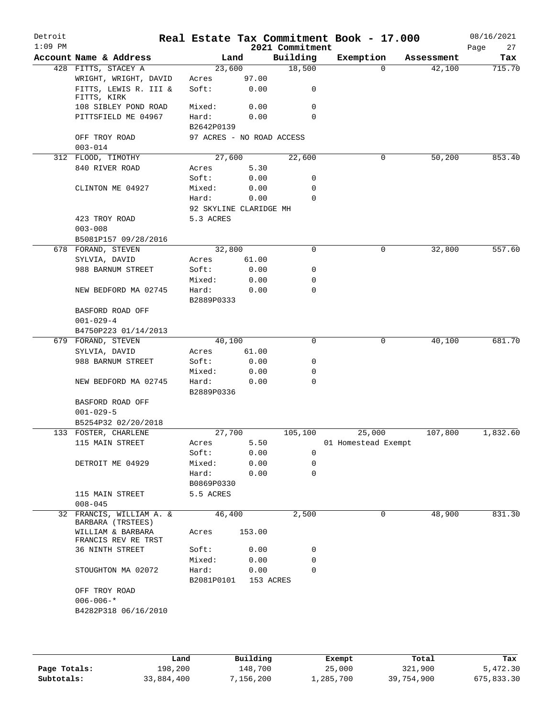| Detroit<br>$1:09$ PM |                                               |                                         |        | 2021 Commitment | Real Estate Tax Commitment Book - 17.000 |            | 08/16/2021<br>27<br>Page |
|----------------------|-----------------------------------------------|-----------------------------------------|--------|-----------------|------------------------------------------|------------|--------------------------|
|                      | Account Name & Address                        | Land                                    |        | Building        | Exemption                                | Assessment | Tax                      |
|                      | 428 FITTS, STACEY A                           | 23,600                                  |        | 18,500          | $\Omega$                                 | 42,100     | 715.70                   |
|                      | WRIGHT, WRIGHT, DAVID                         | Acres                                   | 97.00  |                 |                                          |            |                          |
|                      | FITTS, LEWIS R. III &<br>FITTS, KIRK          | Soft:                                   | 0.00   | 0               |                                          |            |                          |
|                      | 108 SIBLEY POND ROAD                          | Mixed:                                  | 0.00   | 0               |                                          |            |                          |
|                      | PITTSFIELD ME 04967                           | Hard:                                   | 0.00   | $\Omega$        |                                          |            |                          |
|                      | OFF TROY ROAD                                 | B2642P0139<br>97 ACRES - NO ROAD ACCESS |        |                 |                                          |            |                          |
|                      | $003 - 014$                                   |                                         |        |                 |                                          |            |                          |
|                      | 312 FLOOD, TIMOTHY                            | 27,600                                  |        | 22,600          | 0                                        | 50,200     | 853.40                   |
|                      | 840 RIVER ROAD                                | Acres                                   | 5.30   |                 |                                          |            |                          |
|                      |                                               | Soft:                                   | 0.00   | 0               |                                          |            |                          |
|                      | CLINTON ME 04927                              | Mixed:                                  | 0.00   | 0               |                                          |            |                          |
|                      |                                               | Hard:                                   | 0.00   | 0               |                                          |            |                          |
|                      |                                               | 92 SKYLINE CLARIDGE MH                  |        |                 |                                          |            |                          |
|                      | 423 TROY ROAD                                 | 5.3 ACRES                               |        |                 |                                          |            |                          |
|                      | $003 - 008$                                   |                                         |        |                 |                                          |            |                          |
|                      | B5081P157 09/28/2016                          |                                         |        |                 |                                          |            |                          |
|                      | 678 FORAND, STEVEN                            | 32,800                                  |        | $\mathbf 0$     | 0                                        | 32,800     | 557.60                   |
|                      | SYLVIA, DAVID                                 | Acres                                   | 61.00  |                 |                                          |            |                          |
|                      | 988 BARNUM STREET                             | Soft:                                   | 0.00   | 0               |                                          |            |                          |
|                      |                                               | Mixed:                                  | 0.00   | 0               |                                          |            |                          |
|                      | NEW BEDFORD MA 02745                          | Hard:<br>B2889P0333                     | 0.00   | $\mathbf 0$     |                                          |            |                          |
|                      | BASFORD ROAD OFF                              |                                         |        |                 |                                          |            |                          |
|                      | $001 - 029 - 4$                               |                                         |        |                 |                                          |            |                          |
|                      | B4750P223 01/14/2013                          |                                         |        |                 |                                          |            |                          |
|                      | 679 FORAND, STEVEN                            | 40,100                                  |        | 0               | 0                                        | 40,100     | 681.70                   |
|                      | SYLVIA, DAVID                                 | Acres                                   | 61.00  |                 |                                          |            |                          |
|                      | 988 BARNUM STREET                             | Soft:                                   | 0.00   | 0               |                                          |            |                          |
|                      |                                               | Mixed:                                  | 0.00   | 0               |                                          |            |                          |
|                      | NEW BEDFORD MA 02745                          | Hard:                                   | 0.00   | 0               |                                          |            |                          |
|                      |                                               | B2889P0336                              |        |                 |                                          |            |                          |
|                      | BASFORD ROAD OFF                              |                                         |        |                 |                                          |            |                          |
|                      | $001 - 029 - 5$                               |                                         |        |                 |                                          |            |                          |
|                      | B5254P32 02/20/2018                           |                                         |        |                 |                                          |            |                          |
|                      | 133 FOSTER, CHARLENE                          | 27,700                                  |        | 105,100         | 25,000                                   | 107,800    | 1,832.60                 |
|                      | 115 MAIN STREET                               | Acres                                   | 5.50   |                 | 01 Homestead Exempt                      |            |                          |
|                      |                                               | Soft:                                   | 0.00   | $\mathbf 0$     |                                          |            |                          |
|                      | DETROIT ME 04929                              | Mixed:                                  | 0.00   | 0               |                                          |            |                          |
|                      |                                               | Hard:                                   | 0.00   | $\mathbf 0$     |                                          |            |                          |
|                      |                                               | B0869P0330                              |        |                 |                                          |            |                          |
|                      | 115 MAIN STREET<br>$008 - 045$                | 5.5 ACRES                               |        |                 |                                          |            |                          |
|                      | 32 FRANCIS, WILLIAM A. &<br>BARBARA (TRSTEES) | 46,400                                  |        | 2,500           | 0                                        | 48,900     | 831.30                   |
|                      | WILLIAM & BARBARA<br>FRANCIS REV RE TRST      | Acres                                   | 153.00 |                 |                                          |            |                          |
|                      | 36 NINTH STREET                               | Soft:                                   | 0.00   | 0               |                                          |            |                          |
|                      |                                               | Mixed:                                  | 0.00   | 0               |                                          |            |                          |
|                      | STOUGHTON MA 02072                            | Hard:                                   | 0.00   | $\Omega$        |                                          |            |                          |
|                      |                                               | B2081P0101                              |        | 153 ACRES       |                                          |            |                          |
|                      | OFF TROY ROAD                                 |                                         |        |                 |                                          |            |                          |
|                      | $006 - 006 -$ *                               |                                         |        |                 |                                          |            |                          |
|                      | B4282P318 06/16/2010                          |                                         |        |                 |                                          |            |                          |
|                      |                                               |                                         |        |                 |                                          |            |                          |
|                      |                                               |                                         |        |                 |                                          |            |                          |

|              | Land       | Building | Exempt    | Total      | Tax        |
|--------------|------------|----------|-----------|------------|------------|
| Page Totals: | 198,200    | 148,700  | 25,000    | 321,900    | 5,472.30   |
| Subtotals:   | 33,884,400 | .156.200 | 1,285,700 | 39,754,900 | 675,833.30 |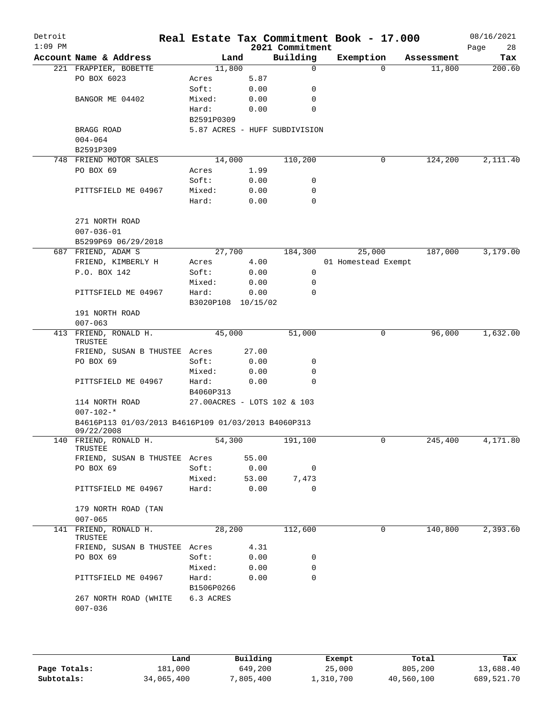| Detroit<br>$1:09$ PM |                                                                        |                    |       | 2021 Commitment               | Real Estate Tax Commitment Book - 17.000 |            | 08/16/2021<br>28<br>Page |
|----------------------|------------------------------------------------------------------------|--------------------|-------|-------------------------------|------------------------------------------|------------|--------------------------|
|                      | Account Name & Address                                                 | Land               |       | Building                      | Exemption                                | Assessment | Tax                      |
|                      | 221 FRAPPIER, BOBETTE                                                  | 11,800             |       | $\mathbf 0$                   | $\Omega$                                 | 11,800     | 200.60                   |
|                      | PO BOX 6023                                                            | Acres              | 5.87  |                               |                                          |            |                          |
|                      |                                                                        | Soft:              | 0.00  | 0                             |                                          |            |                          |
|                      | BANGOR ME 04402                                                        | Mixed:             | 0.00  | 0                             |                                          |            |                          |
|                      |                                                                        |                    |       | 0                             |                                          |            |                          |
|                      |                                                                        | Hard:              | 0.00  |                               |                                          |            |                          |
|                      |                                                                        | B2591P0309         |       |                               |                                          |            |                          |
|                      | BRAGG ROAD                                                             |                    |       | 5.87 ACRES - HUFF SUBDIVISION |                                          |            |                          |
|                      | $004 - 064$                                                            |                    |       |                               |                                          |            |                          |
|                      | B2591P309                                                              |                    |       |                               |                                          |            |                          |
|                      | 748 FRIEND MOTOR SALES                                                 | 14,000             |       | 110,200                       | 0                                        | 124,200    | 2,111.40                 |
|                      | PO BOX 69                                                              | Acres              | 1.99  |                               |                                          |            |                          |
|                      |                                                                        | Soft:              | 0.00  | 0                             |                                          |            |                          |
|                      | PITTSFIELD ME 04967                                                    | Mixed:             | 0.00  | 0                             |                                          |            |                          |
|                      |                                                                        | Hard:              | 0.00  | 0                             |                                          |            |                          |
|                      | 271 NORTH ROAD                                                         |                    |       |                               |                                          |            |                          |
|                      | $007 - 036 - 01$                                                       |                    |       |                               |                                          |            |                          |
|                      | B5299P69 06/29/2018                                                    |                    |       |                               |                                          |            |                          |
|                      | 687 FRIEND, ADAM S                                                     | 27,700             |       | 184,300                       | 25,000                                   | 187,000    | 3,179.00                 |
|                      | FRIEND, KIMBERLY H                                                     | Acres              | 4.00  |                               | 01 Homestead Exempt                      |            |                          |
|                      | P.O. BOX 142                                                           | Soft:              | 0.00  | 0                             |                                          |            |                          |
|                      |                                                                        |                    |       |                               |                                          |            |                          |
|                      |                                                                        | Mixed:             | 0.00  | 0                             |                                          |            |                          |
|                      | PITTSFIELD ME 04967                                                    | Hard:              | 0.00  | 0                             |                                          |            |                          |
|                      |                                                                        | B3020P108 10/15/02 |       |                               |                                          |            |                          |
|                      | 191 NORTH ROAD                                                         |                    |       |                               |                                          |            |                          |
|                      | $007 - 063$                                                            |                    |       |                               |                                          |            |                          |
|                      | 413 FRIEND, RONALD H.                                                  | 45,000             |       | 51,000                        | 0                                        | 96,000     | 1,632.00                 |
|                      | TRUSTEE                                                                |                    |       |                               |                                          |            |                          |
|                      | FRIEND, SUSAN B THUSTEE Acres                                          |                    | 27.00 |                               |                                          |            |                          |
|                      | PO BOX 69                                                              | Soft:              | 0.00  | 0                             |                                          |            |                          |
|                      |                                                                        | Mixed:             | 0.00  | 0                             |                                          |            |                          |
|                      | PITTSFIELD ME 04967                                                    | Hard:              | 0.00  | 0                             |                                          |            |                          |
|                      |                                                                        | B4060P313          |       |                               |                                          |            |                          |
|                      | 114 NORTH ROAD                                                         |                    |       | 27.00ACRES - LOTS 102 & 103   |                                          |            |                          |
|                      | $007 - 102 -$ *<br>B4616P113 01/03/2013 B4616P109 01/03/2013 B4060P313 |                    |       |                               |                                          |            |                          |
|                      | 09/22/2008                                                             |                    |       |                               |                                          |            |                          |
|                      | 140 FRIEND, RONALD H.                                                  | 54,300             |       | 191,100                       | U                                        | 245,400    | 4,171.80                 |
|                      | TRUSTEE                                                                |                    |       |                               |                                          |            |                          |
|                      | FRIEND, SUSAN B THUSTEE Acres                                          |                    | 55.00 |                               |                                          |            |                          |
|                      | PO BOX 69                                                              | Soft:              | 0.00  | $\overline{\phantom{0}}$      |                                          |            |                          |
|                      |                                                                        | Mixed:             | 53.00 | 7,473                         |                                          |            |                          |
|                      | PITTSFIELD ME 04967                                                    | Hard:              | 0.00  | $\mathbf 0$                   |                                          |            |                          |
|                      | 179 NORTH ROAD (TAN                                                    |                    |       |                               |                                          |            |                          |
|                      | $007 - 065$                                                            |                    |       |                               |                                          |            |                          |
| 141                  | FRIEND, RONALD H.                                                      | 28,200             |       | 112,600                       | 0                                        | 140,800    | 2,393.60                 |
|                      | TRUSTEE                                                                |                    |       |                               |                                          |            |                          |
|                      | FRIEND, SUSAN B THUSTEE Acres                                          |                    | 4.31  |                               |                                          |            |                          |
|                      | PO BOX 69                                                              | Soft:              | 0.00  | 0                             |                                          |            |                          |
|                      |                                                                        | Mixed:             | 0.00  | 0                             |                                          |            |                          |
|                      | PITTSFIELD ME 04967                                                    | Hard:              | 0.00  | $\Omega$                      |                                          |            |                          |
|                      |                                                                        | B1506P0266         |       |                               |                                          |            |                          |
|                      | 267 NORTH ROAD (WHITE                                                  | 6.3 ACRES          |       |                               |                                          |            |                          |
|                      | $007 - 036$                                                            |                    |       |                               |                                          |            |                          |
|                      |                                                                        |                    |       |                               |                                          |            |                          |
|                      |                                                                        |                    |       |                               |                                          |            |                          |
|                      |                                                                        |                    |       |                               |                                          |            |                          |
|                      |                                                                        |                    |       |                               |                                          |            |                          |

|              | Land       | Building  | Exempt    | Total      | Tax        |
|--------------|------------|-----------|-----------|------------|------------|
| Page Totals: | 181,000    | 649,200   | 25,000    | 805,200    | 13,688.40  |
| Subtotals:   | 34,065,400 | 7,805,400 | 1,310,700 | 40,560,100 | 689,521.70 |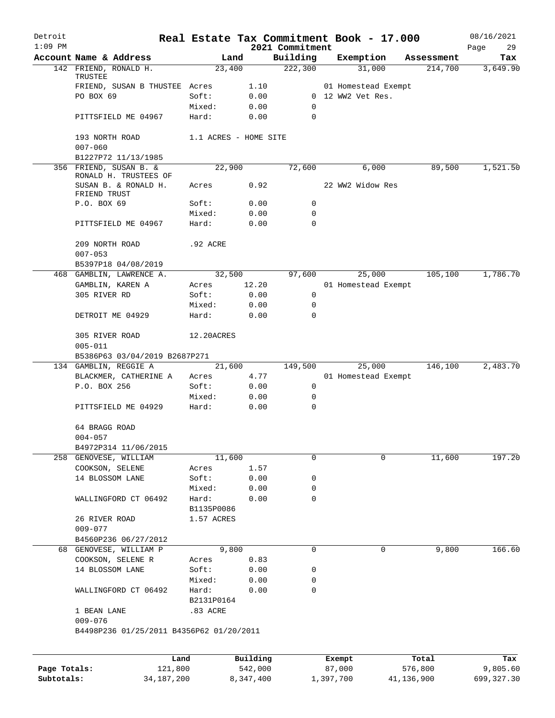| Detroit      |                                                         |                       |              |                     | Real Estate Tax Commitment Book - 17.000 |                       | 08/16/2021      |
|--------------|---------------------------------------------------------|-----------------------|--------------|---------------------|------------------------------------------|-----------------------|-----------------|
| $1:09$ PM    |                                                         |                       |              | 2021 Commitment     |                                          |                       | Page<br>29      |
|              | Account Name & Address<br>142 FRIEND, RONALD H.         | Land<br>23,400        |              | Building<br>222,300 | Exemption<br>31,000                      | Assessment<br>214,700 | Tax<br>3,649.90 |
|              | TRUSTEE<br>FRIEND, SUSAN B THUSTEE Acres                |                       |              |                     |                                          |                       |                 |
|              | PO BOX 69                                               | Soft:                 | 1.10<br>0.00 |                     | 01 Homestead Exempt<br>0 12 WW2 Vet Res. |                       |                 |
|              |                                                         | Mixed:                |              | $\Omega$            |                                          |                       |                 |
|              | PITTSFIELD ME 04967                                     | Hard:                 | 0.00<br>0.00 | $\Omega$            |                                          |                       |                 |
|              |                                                         |                       |              |                     |                                          |                       |                 |
|              | 193 NORTH ROAD<br>$007 - 060$                           | 1.1 ACRES - HOME SITE |              |                     |                                          |                       |                 |
|              | B1227P72 11/13/1985                                     |                       |              |                     |                                          |                       |                 |
|              | 356 FRIEND, SUSAN B. &<br>RONALD H. TRUSTEES OF         | 22,900                |              | 72,600              | 6,000                                    | 89,500                | 1,521.50        |
|              | SUSAN B. & RONALD H.<br>FRIEND TRUST                    | Acres                 | 0.92         |                     | 22 WW2 Widow Res                         |                       |                 |
|              | P.O. BOX 69                                             | Soft:                 | 0.00         | 0                   |                                          |                       |                 |
|              |                                                         | Mixed:                | 0.00         | 0                   |                                          |                       |                 |
|              | PITTSFIELD ME 04967                                     | Hard:                 | 0.00         | $\Omega$            |                                          |                       |                 |
|              | 209 NORTH ROAD<br>$007 - 053$                           | .92 ACRE              |              |                     |                                          |                       |                 |
|              | B5397P18 04/08/2019                                     |                       |              |                     |                                          |                       |                 |
|              | 468 GAMBLIN, LAWRENCE A.                                | 32,500                |              | 97,600              | 25,000                                   | 105,100               | 1,786.70        |
|              |                                                         | Acres                 | 12.20        |                     | 01 Homestead Exempt                      |                       |                 |
|              | GAMBLIN, KAREN A                                        |                       |              |                     |                                          |                       |                 |
|              | 305 RIVER RD                                            | Soft:                 | 0.00         | 0                   |                                          |                       |                 |
|              |                                                         | Mixed:                | 0.00         | 0                   |                                          |                       |                 |
|              | DETROIT ME 04929                                        | Hard:                 | 0.00         | $\mathbf 0$         |                                          |                       |                 |
|              | 305 RIVER ROAD<br>$005 - 011$                           | 12.20ACRES            |              |                     |                                          |                       |                 |
|              | B5386P63 03/04/2019 B2687P271                           |                       |              |                     |                                          |                       |                 |
|              | 134 GAMBLIN, REGGIE A                                   | 21,600                |              | 149,500             | 25,000                                   | 146,100               | 2,483.70        |
|              | BLACKMER, CATHERINE A                                   | Acres                 | 4.77         |                     | 01 Homestead Exempt                      |                       |                 |
|              | P.O. BOX 256                                            | Soft:                 | 0.00         | 0                   |                                          |                       |                 |
|              |                                                         | Mixed:                | 0.00         | 0                   |                                          |                       |                 |
|              | PITTSFIELD ME 04929                                     | Hard:                 | 0.00         | 0                   |                                          |                       |                 |
|              | 64 BRAGG ROAD                                           |                       |              |                     |                                          |                       |                 |
|              | $004 - 057$                                             |                       |              |                     |                                          |                       |                 |
|              | B4972P314 11/06/2015                                    | 11,600                |              | 0                   | 0                                        | 11,600                | 197.20          |
|              | 258 GENOVESE, WILLIAM                                   | Acres                 |              |                     |                                          |                       |                 |
|              | COOKSON, SELENE                                         | Soft:                 | 1.57         |                     |                                          |                       |                 |
|              | 14 BLOSSOM LANE                                         |                       | 0.00         | 0<br>0              |                                          |                       |                 |
|              |                                                         | Mixed:                | 0.00         | $\mathbf 0$         |                                          |                       |                 |
|              | WALLINGFORD CT 06492                                    | Hard:<br>B1135P0086   | 0.00         |                     |                                          |                       |                 |
|              |                                                         |                       |              |                     |                                          |                       |                 |
|              | 26 RIVER ROAD                                           | 1.57 ACRES            |              |                     |                                          |                       |                 |
|              | $009 - 077$                                             |                       |              |                     |                                          |                       |                 |
|              | B4560P236 06/27/2012                                    |                       |              |                     |                                          |                       |                 |
|              | 68 GENOVESE, WILLIAM P                                  | 9,800                 |              | 0                   | 0                                        | 9,800                 | 166.60          |
|              | COOKSON, SELENE R                                       | Acres                 | 0.83         |                     |                                          |                       |                 |
|              | 14 BLOSSOM LANE                                         | Soft:                 | 0.00         | 0                   |                                          |                       |                 |
|              |                                                         | Mixed:                | 0.00         | 0                   |                                          |                       |                 |
|              | WALLINGFORD CT 06492                                    | Hard:                 | 0.00         | 0                   |                                          |                       |                 |
|              |                                                         | B2131P0164            |              |                     |                                          |                       |                 |
|              | 1 BEAN LANE                                             | .83 ACRE              |              |                     |                                          |                       |                 |
|              | $009 - 076$<br>B4498P236 01/25/2011 B4356P62 01/20/2011 |                       |              |                     |                                          |                       |                 |
|              |                                                         |                       |              |                     |                                          |                       |                 |
|              | Land                                                    |                       | Building     |                     | Exempt                                   | Total                 | Tax             |
| Page Totals: | 121,800                                                 |                       | 542,000      |                     | 87,000                                   | 576,800               | 9,805.60        |
| Subtotals:   | 34, 187, 200                                            |                       | 8,347,400    |                     | 1,397,700                                | 41,136,900            | 699, 327.30     |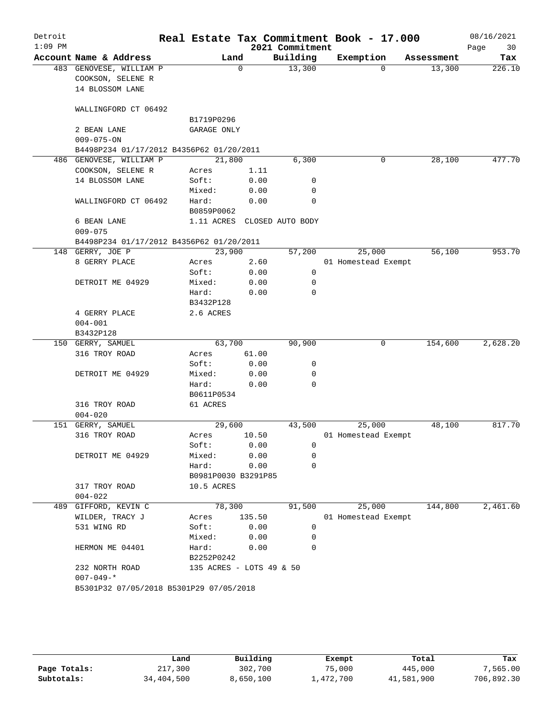| Detroit   |                                          |                          |          |                             | Real Estate Tax Commitment Book - 17.000 |            | 08/16/2021 |
|-----------|------------------------------------------|--------------------------|----------|-----------------------------|------------------------------------------|------------|------------|
| $1:09$ PM |                                          |                          |          | 2021 Commitment             |                                          |            | Page<br>30 |
|           | Account Name & Address                   | Land                     |          | Building                    | Exemption                                | Assessment | Tax        |
|           | 483 GENOVESE, WILLIAM P                  |                          | $\Omega$ | 13,300                      | 0                                        | 13,300     | 226.10     |
|           | COOKSON, SELENE R                        |                          |          |                             |                                          |            |            |
|           | 14 BLOSSOM LANE                          |                          |          |                             |                                          |            |            |
|           | WALLINGFORD CT 06492                     |                          |          |                             |                                          |            |            |
|           |                                          | B1719P0296               |          |                             |                                          |            |            |
|           | 2 BEAN LANE                              | GARAGE ONLY              |          |                             |                                          |            |            |
|           | $009 - 075 - ON$                         |                          |          |                             |                                          |            |            |
|           | B4498P234 01/17/2012 B4356P62 01/20/2011 |                          |          |                             |                                          |            |            |
|           | 486 GENOVESE, WILLIAM P                  | 21,800                   |          | 6,300                       | 0                                        | 28,100     | 477.70     |
|           | COOKSON, SELENE R                        | Acres                    | 1.11     |                             |                                          |            |            |
|           | 14 BLOSSOM LANE                          | Soft:                    | 0.00     | 0                           |                                          |            |            |
|           |                                          | Mixed:                   | 0.00     | 0                           |                                          |            |            |
|           | WALLINGFORD CT 06492                     | Hard:                    | 0.00     | $\Omega$                    |                                          |            |            |
|           |                                          | B0859P0062               |          |                             |                                          |            |            |
|           | 6 BEAN LANE                              |                          |          | 1.11 ACRES CLOSED AUTO BODY |                                          |            |            |
|           | $009 - 075$                              |                          |          |                             |                                          |            |            |
|           | B4498P234 01/17/2012 B4356P62 01/20/2011 |                          |          |                             |                                          |            |            |
|           | 148 GERRY, JOE P                         | 23,900                   |          | 57,200                      | 25,000                                   | 56,100     | 953.70     |
|           | 8 GERRY PLACE                            | Acres                    | 2.60     |                             | 01 Homestead Exempt                      |            |            |
|           |                                          | Soft:                    | 0.00     | 0                           |                                          |            |            |
|           | DETROIT ME 04929                         | Mixed:                   | 0.00     | 0                           |                                          |            |            |
|           |                                          | Hard:                    | 0.00     | 0                           |                                          |            |            |
|           |                                          | B3432P128                |          |                             |                                          |            |            |
|           | 4 GERRY PLACE                            | 2.6 ACRES                |          |                             |                                          |            |            |
|           | $004 - 001$                              |                          |          |                             |                                          |            |            |
|           | B3432P128                                |                          |          |                             |                                          |            |            |
|           | 150 GERRY, SAMUEL                        | 63,700                   |          | 90,900                      | 0                                        | 154,600    | 2,628.20   |
|           | 316 TROY ROAD                            | Acres                    | 61.00    |                             |                                          |            |            |
|           |                                          | Soft:                    | 0.00     | 0                           |                                          |            |            |
|           | DETROIT ME 04929                         | Mixed:                   | 0.00     | 0                           |                                          |            |            |
|           |                                          | Hard:                    | 0.00     | $\Omega$                    |                                          |            |            |
|           |                                          | B0611P0534               |          |                             |                                          |            |            |
|           | 316 TROY ROAD                            | 61 ACRES                 |          |                             |                                          |            |            |
|           | $004 - 020$                              |                          |          |                             |                                          |            |            |
| 151       | GERRY, SAMUEL                            | 29,600                   |          | 43,500                      | 25,000                                   | 48,100     | 817.70     |
|           | 316 TROY ROAD                            | Acres                    | 10.50    |                             | 01 Homestead Exempt                      |            |            |
|           |                                          | Soft:                    | 0.00     | 0                           |                                          |            |            |
|           | DETROIT ME 04929                         | Mixed:                   | 0.00     | 0                           |                                          |            |            |
|           |                                          | Hard:                    | 0.00     | 0                           |                                          |            |            |
|           |                                          | B0981P0030 B3291P85      |          |                             |                                          |            |            |
|           | 317 TROY ROAD                            | 10.5 ACRES               |          |                             |                                          |            |            |
|           | $004 - 022$                              |                          |          |                             |                                          |            |            |
| 489       | GIFFORD, KEVIN C                         | 78,300                   |          | 91,500                      | 25,000                                   | 144,800    | 2,461.60   |
|           | WILDER, TRACY J                          | Acres                    | 135.50   |                             | 01 Homestead Exempt                      |            |            |
|           | 531 WING RD                              | Soft:                    | 0.00     | 0                           |                                          |            |            |
|           |                                          | Mixed:                   | 0.00     | 0                           |                                          |            |            |
|           | HERMON ME 04401                          | Hard:                    | 0.00     | 0                           |                                          |            |            |
|           |                                          | B2252P0242               |          |                             |                                          |            |            |
|           | 232 NORTH ROAD                           | 135 ACRES - LOTS 49 & 50 |          |                             |                                          |            |            |
|           | $007 - 049 -$ *                          |                          |          |                             |                                          |            |            |
|           | B5301P32 07/05/2018 B5301P29 07/05/2018  |                          |          |                             |                                          |            |            |
|           |                                          |                          |          |                             |                                          |            |            |

|              | Land       | Building  | Exempt    | Total      | Tax        |
|--------------|------------|-----------|-----------|------------|------------|
| Page Totals: | 217,300    | 302,700   | 75,000    | 445,000    | 7,565.00   |
| Subtotals:   | 34,404,500 | 8,650,100 | 1,472,700 | 41,581,900 | 706,892.30 |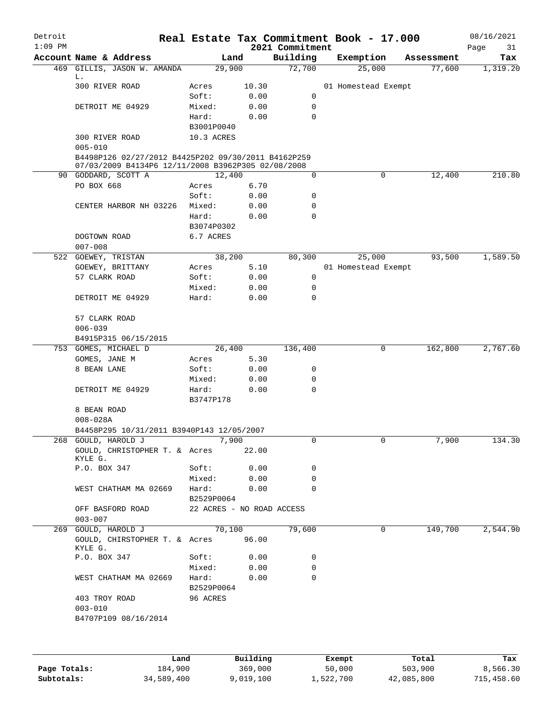| Detroit<br>$1:09$ PM |                                                     |            | Real Estate Tax Commitment Book - 17.000 |           | 2021 Commitment |           |                     |            |            | 08/16/2021<br>Page<br>31 |
|----------------------|-----------------------------------------------------|------------|------------------------------------------|-----------|-----------------|-----------|---------------------|------------|------------|--------------------------|
|                      | Account Name & Address                              |            | Land                                     |           | Building        |           | Exemption           |            | Assessment | Tax                      |
|                      | 469 GILLIS, JASON W. AMANDA                         |            | 29,900                                   |           | 72,700          |           | 25,000              |            | 77,600     | 1,319.20                 |
|                      | L.                                                  |            |                                          |           |                 |           |                     |            |            |                          |
|                      | 300 RIVER ROAD                                      |            | Acres                                    | 10.30     |                 |           | 01 Homestead Exempt |            |            |                          |
|                      |                                                     |            | Soft:                                    | 0.00      | 0               |           |                     |            |            |                          |
|                      | DETROIT ME 04929                                    |            | Mixed:                                   | 0.00      | 0               |           |                     |            |            |                          |
|                      |                                                     |            | Hard:                                    | 0.00      | $\Omega$        |           |                     |            |            |                          |
|                      |                                                     |            | B3001P0040                               |           |                 |           |                     |            |            |                          |
|                      | 300 RIVER ROAD<br>$005 - 010$                       |            | 10.3 ACRES                               |           |                 |           |                     |            |            |                          |
|                      | B4498P126 02/27/2012 B4425P202 09/30/2011 B4162P259 |            |                                          |           |                 |           |                     |            |            |                          |
|                      | 07/03/2009 B4134P6 12/11/2008 B3962P305 02/08/2008  |            |                                          |           |                 |           |                     |            |            |                          |
|                      | 90 GODDARD, SCOTT A                                 |            | 12,400                                   |           | 0               |           | 0                   |            | 12,400     | 210.80                   |
|                      | PO BOX 668                                          |            | Acres                                    | 6.70      |                 |           |                     |            |            |                          |
|                      |                                                     |            | Soft:                                    | 0.00      | 0               |           |                     |            |            |                          |
|                      | CENTER HARBOR NH 03226                              |            | Mixed:                                   | 0.00      | 0               |           |                     |            |            |                          |
|                      |                                                     |            | Hard:                                    | 0.00      | $\Omega$        |           |                     |            |            |                          |
|                      |                                                     |            | B3074P0302                               |           |                 |           |                     |            |            |                          |
|                      | DOGTOWN ROAD                                        |            | 6.7 ACRES                                |           |                 |           |                     |            |            |                          |
|                      | $007 - 008$                                         |            |                                          |           |                 |           |                     |            |            |                          |
|                      | 522 GOEWEY, TRISTAN                                 |            | 38,200                                   |           | 80,300          |           | 25,000              |            | 93,500     | 1,589.50                 |
|                      | GOEWEY, BRITTANY                                    |            | Acres                                    | 5.10      |                 |           | 01 Homestead Exempt |            |            |                          |
|                      | 57 CLARK ROAD                                       |            | Soft:                                    | 0.00      | 0               |           |                     |            |            |                          |
|                      |                                                     |            | Mixed:                                   | 0.00      | 0               |           |                     |            |            |                          |
|                      | DETROIT ME 04929                                    |            | Hard:                                    | 0.00      | $\Omega$        |           |                     |            |            |                          |
|                      |                                                     |            |                                          |           |                 |           |                     |            |            |                          |
|                      | 57 CLARK ROAD                                       |            |                                          |           |                 |           |                     |            |            |                          |
|                      | $006 - 039$                                         |            |                                          |           |                 |           |                     |            |            |                          |
|                      | B4915P315 06/15/2015                                |            |                                          |           |                 |           |                     |            |            |                          |
|                      | 753 GOMES, MICHAEL D                                |            |                                          | 26,400    | 136,400         |           | 0                   |            | 162,800    | 2,767.60                 |
|                      | GOMES, JANE M                                       |            | Acres                                    | 5.30      |                 |           |                     |            |            |                          |
|                      | 8 BEAN LANE                                         |            | Soft:                                    | 0.00      | 0               |           |                     |            |            |                          |
|                      |                                                     |            | Mixed:                                   | 0.00      | 0               |           |                     |            |            |                          |
|                      | DETROIT ME 04929                                    |            | Hard:                                    | 0.00      | 0               |           |                     |            |            |                          |
|                      |                                                     |            | B3747P178                                |           |                 |           |                     |            |            |                          |
|                      | 8 BEAN ROAD                                         |            |                                          |           |                 |           |                     |            |            |                          |
|                      | $008 - 028A$                                        |            |                                          |           |                 |           |                     |            |            |                          |
|                      | B4458P295 10/31/2011 B3940P143 12/05/2007           |            |                                          |           |                 |           |                     |            |            |                          |
|                      | 268 GOULD, HAROLD J                                 |            | 7,900                                    |           |                 |           |                     |            | 7,900      | 134.30                   |
|                      | GOULD, CHRISTOPHER T. & Acres                       |            |                                          | 22.00     |                 |           |                     |            |            |                          |
|                      | KYLE G.                                             |            |                                          |           |                 |           |                     |            |            |                          |
|                      | P.O. BOX 347                                        |            | Soft:                                    | 0.00      | 0               |           |                     |            |            |                          |
|                      |                                                     |            | Mixed:                                   | 0.00      | 0               |           |                     |            |            |                          |
|                      | WEST CHATHAM MA 02669                               |            | Hard:                                    | 0.00      | 0               |           |                     |            |            |                          |
|                      |                                                     |            | B2529P0064                               |           |                 |           |                     |            |            |                          |
|                      | OFF BASFORD ROAD                                    |            | 22 ACRES - NO ROAD ACCESS                |           |                 |           |                     |            |            |                          |
|                      | $003 - 007$                                         |            |                                          |           |                 |           |                     |            |            |                          |
| 269                  | GOULD, HAROLD J                                     |            | 70,100                                   |           | 79,600          |           | 0                   |            | 149,700    | 2,544.90                 |
|                      | GOULD, CHIRSTOPHER T. & Acres<br>KYLE G.            |            |                                          | 96.00     |                 |           |                     |            |            |                          |
|                      | P.O. BOX 347                                        |            | Soft:                                    | 0.00      | 0               |           |                     |            |            |                          |
|                      |                                                     |            | Mixed:                                   | 0.00      | 0               |           |                     |            |            |                          |
|                      | WEST CHATHAM MA 02669                               |            | Hard:                                    | 0.00      | 0               |           |                     |            |            |                          |
|                      |                                                     |            | B2529P0064                               |           |                 |           |                     |            |            |                          |
|                      | 403 TROY ROAD                                       |            | 96 ACRES                                 |           |                 |           |                     |            |            |                          |
|                      | $003 - 010$                                         |            |                                          |           |                 |           |                     |            |            |                          |
|                      | B4707P109 08/16/2014                                |            |                                          |           |                 |           |                     |            |            |                          |
|                      |                                                     |            |                                          |           |                 |           |                     |            |            |                          |
|                      |                                                     |            |                                          |           |                 |           |                     |            |            |                          |
|                      |                                                     | Land       |                                          | Building  |                 | Exempt    |                     |            | Total      | Tax                      |
| Page Totals:         |                                                     | 184,900    |                                          | 369,000   |                 | 50,000    |                     |            | 503,900    | 8,566.30                 |
| Subtotals:           |                                                     | 34,589,400 |                                          | 9,019,100 |                 | 1,522,700 |                     | 42,085,800 |            | 715,458.60               |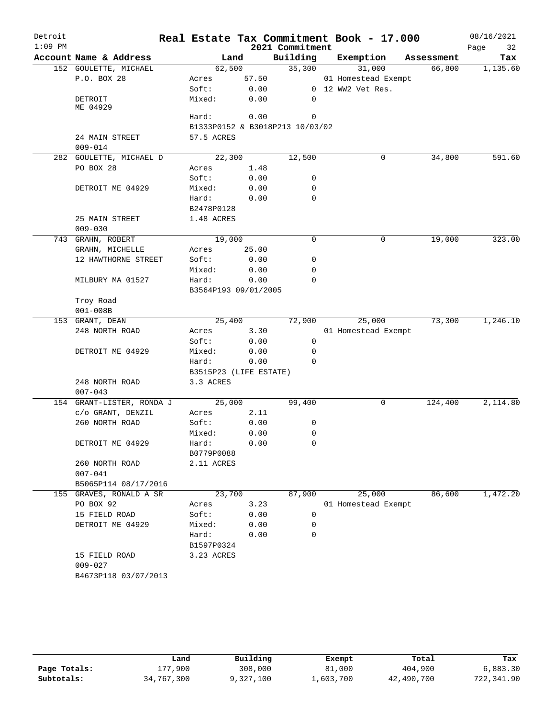| Detroit   |                                   |                        |              |                                 | Real Estate Tax Commitment Book - 17.000 |            | 08/16/2021 |
|-----------|-----------------------------------|------------------------|--------------|---------------------------------|------------------------------------------|------------|------------|
| $1:09$ PM |                                   |                        |              | 2021 Commitment                 |                                          |            | Page<br>32 |
|           | Account Name & Address            |                        | Land         | Building                        | Exemption                                | Assessment | Tax        |
|           | 152 GOULETTE, MICHAEL             | 62,500                 |              | 35,300                          | 31,000                                   | 66,800     | 1,135.60   |
|           | P.O. BOX 28                       | Acres                  | 57.50        |                                 | 01 Homestead Exempt                      |            |            |
|           |                                   | Soft:                  | 0.00         |                                 | 0 12 WW2 Vet Res.                        |            |            |
|           | DETROIT<br>ME 04929               | Mixed:                 | 0.00         | $\Omega$                        |                                          |            |            |
|           |                                   | Hard:                  | 0.00         | 0                               |                                          |            |            |
|           |                                   |                        |              | B1333P0152 & B3018P213 10/03/02 |                                          |            |            |
|           | 24 MAIN STREET<br>$009 - 014$     | 57.5 ACRES             |              |                                 |                                          |            |            |
|           | 282 GOULETTE, MICHAEL D           | 22,300                 |              | 12,500                          | 0                                        | 34,800     | 591.60     |
|           | PO BOX 28                         | Acres                  | 1.48         |                                 |                                          |            |            |
|           |                                   | Soft:                  | 0.00         | 0                               |                                          |            |            |
|           | DETROIT ME 04929                  | Mixed:                 | 0.00         | $\mathbf 0$                     |                                          |            |            |
|           |                                   | Hard:                  | 0.00         | $\Omega$                        |                                          |            |            |
|           |                                   | B2478P0128             |              |                                 |                                          |            |            |
|           | 25 MAIN STREET                    | 1.48 ACRES             |              |                                 |                                          |            |            |
|           | $009 - 030$                       |                        |              |                                 |                                          |            |            |
|           | 743 GRAHN, ROBERT                 | 19,000                 |              | 0                               | 0                                        | 19,000     | 323.00     |
|           | GRAHN, MICHELLE                   | Acres                  | 25.00        |                                 |                                          |            |            |
|           | 12 HAWTHORNE STREET               | Soft:                  | 0.00         | 0                               |                                          |            |            |
|           |                                   | Mixed:                 | 0.00         | 0                               |                                          |            |            |
|           | MILBURY MA 01527                  | Hard:                  | 0.00         | 0                               |                                          |            |            |
|           |                                   | B3564P193 09/01/2005   |              |                                 |                                          |            |            |
|           | Troy Road                         |                        |              |                                 |                                          |            |            |
|           | $001 - 008B$                      |                        |              |                                 |                                          |            |            |
|           | 153 GRANT, DEAN                   | 25,400                 |              | 72,900                          | 25,000                                   | 73,300     | 1,246.10   |
|           | 248 NORTH ROAD                    | Acres                  | 3.30         |                                 | 01 Homestead Exempt                      |            |            |
|           |                                   | Soft:                  | 0.00         | 0                               |                                          |            |            |
|           | DETROIT ME 04929                  | Mixed:                 | 0.00         | $\mathbf 0$                     |                                          |            |            |
|           |                                   | Hard:                  | 0.00         | $\Omega$                        |                                          |            |            |
|           |                                   | B3515P23 (LIFE ESTATE) |              |                                 |                                          |            |            |
|           | 248 NORTH ROAD                    | 3.3 ACRES              |              |                                 |                                          |            |            |
|           | $007 - 043$                       |                        |              |                                 |                                          |            |            |
|           | 154 GRANT-LISTER, RONDA J         | 25,000                 |              | 99,400                          | 0                                        | 124,400    | 2,114.80   |
|           | c/o GRANT, DENZIL                 | Acres                  | 2.11         |                                 |                                          |            |            |
|           | 260 NORTH ROAD                    | Soft:                  | 0.00         | 0                               |                                          |            |            |
|           |                                   | Mixed:                 | 0.00         | $\mathbf 0$                     |                                          |            |            |
|           | DETROIT ME 04929                  | Hard:                  | 0.00         | 0                               |                                          |            |            |
|           |                                   | B0779P0088             |              |                                 |                                          |            |            |
|           | 260 NORTH ROAD                    | 2.11 ACRES             |              |                                 |                                          |            |            |
|           | $007 - 041$                       |                        |              |                                 |                                          |            |            |
|           | B5065P114 08/17/2016              |                        |              |                                 |                                          |            |            |
|           | 155 GRAVES, RONALD A SR           | 23,700                 |              | 87,900                          | 25,000                                   | 86,600     | 1,472.20   |
|           | PO BOX 92                         | Acres                  | 3.23         |                                 | 01 Homestead Exempt                      |            |            |
|           |                                   |                        |              | 0                               |                                          |            |            |
|           | 15 FIELD ROAD<br>DETROIT ME 04929 | Soft:<br>Mixed:        | 0.00<br>0.00 | 0                               |                                          |            |            |
|           |                                   |                        |              |                                 |                                          |            |            |
|           |                                   | Hard:                  | 0.00         | 0                               |                                          |            |            |
|           |                                   | B1597P0324             |              |                                 |                                          |            |            |
|           | 15 FIELD ROAD                     | 3.23 ACRES             |              |                                 |                                          |            |            |
|           | $009 - 027$                       |                        |              |                                 |                                          |            |            |
|           | B4673P118 03/07/2013              |                        |              |                                 |                                          |            |            |
|           |                                   |                        |              |                                 |                                          |            |            |

|              | Land       | Building  | Exempt    | Total      | Tax        |
|--------------|------------|-----------|-----------|------------|------------|
| Page Totals: | 177.900    | 308,000   | 81,000    | 404,900    | 6,883.30   |
| Subtotals:   | 34,767,300 | 9,327,100 | 1,603,700 | 42,490,700 | 722,341.90 |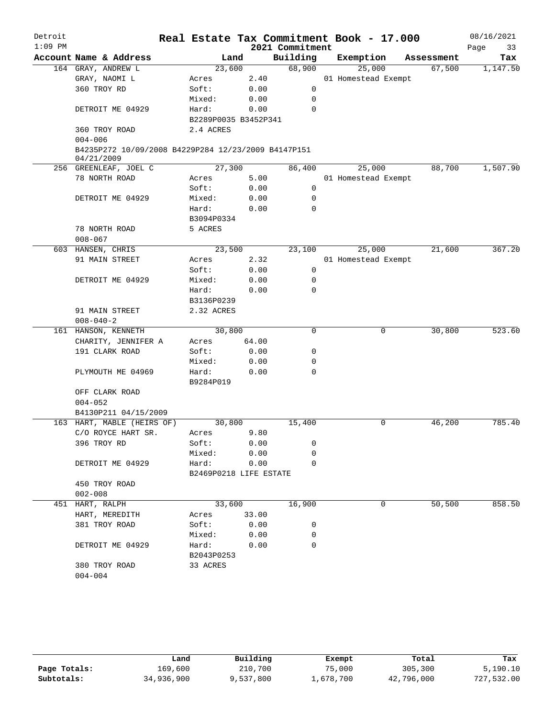| Detroit<br>$1:09$ PM |                                                                   |                        |       | 2021 Commitment | Real Estate Tax Commitment Book - 17.000 |            | 08/16/2021<br>Page<br>33 |
|----------------------|-------------------------------------------------------------------|------------------------|-------|-----------------|------------------------------------------|------------|--------------------------|
|                      | Account Name & Address                                            |                        | Land  | Building        | Exemption                                | Assessment | Tax                      |
|                      | 164 GRAY, ANDREW L                                                | 23,600                 |       | 68,900          | 25,000                                   | 67,500     | 1,147.50                 |
|                      | GRAY, NAOMI L                                                     | Acres                  | 2.40  |                 | 01 Homestead Exempt                      |            |                          |
|                      | 360 TROY RD                                                       | Soft:                  | 0.00  | 0               |                                          |            |                          |
|                      |                                                                   | Mixed:                 | 0.00  | $\mathbf 0$     |                                          |            |                          |
|                      | DETROIT ME 04929                                                  | Hard:                  | 0.00  | $\Omega$        |                                          |            |                          |
|                      |                                                                   | B2289P0035 B3452P341   |       |                 |                                          |            |                          |
|                      | 360 TROY ROAD<br>$004 - 006$                                      | 2.4 ACRES              |       |                 |                                          |            |                          |
|                      | B4235P272 10/09/2008 B4229P284 12/23/2009 B4147P151<br>04/21/2009 |                        |       |                 |                                          |            |                          |
|                      | 256 GREENLEAF, JOEL C                                             | 27,300                 |       | 86,400          | 25,000                                   | 88,700     | 1,507.90                 |
|                      | 78 NORTH ROAD                                                     | Acres                  | 5.00  |                 | 01 Homestead Exempt                      |            |                          |
|                      |                                                                   | Soft:                  | 0.00  | $\mathbf 0$     |                                          |            |                          |
|                      | DETROIT ME 04929                                                  | Mixed:                 | 0.00  | 0               |                                          |            |                          |
|                      |                                                                   | Hard:                  | 0.00  | $\Omega$        |                                          |            |                          |
|                      |                                                                   | B3094P0334             |       |                 |                                          |            |                          |
|                      | 78 NORTH ROAD                                                     | 5 ACRES                |       |                 |                                          |            |                          |
|                      | $008 - 067$                                                       |                        |       |                 |                                          |            |                          |
|                      | 603 HANSEN, CHRIS                                                 | 23,500                 |       | 23,100          | 25,000                                   | 21,600     | 367.20                   |
|                      | 91 MAIN STREET                                                    | Acres                  | 2.32  |                 | 01 Homestead Exempt                      |            |                          |
|                      |                                                                   | Soft:                  | 0.00  | $\mathbf 0$     |                                          |            |                          |
|                      | DETROIT ME 04929                                                  | Mixed:                 | 0.00  | 0               |                                          |            |                          |
|                      |                                                                   | Hard:                  | 0.00  | $\Omega$        |                                          |            |                          |
|                      |                                                                   | B3136P0239             |       |                 |                                          |            |                          |
|                      | 91 MAIN STREET                                                    | 2.32 ACRES             |       |                 |                                          |            |                          |
|                      | $008 - 040 - 2$                                                   |                        |       |                 |                                          |            |                          |
|                      | 161 HANSON, KENNETH                                               | 30,800                 |       | $\Omega$        | 0                                        | 30,800     | 523.60                   |
|                      | CHARITY, JENNIFER A                                               | Acres                  | 64.00 |                 |                                          |            |                          |
|                      | 191 CLARK ROAD                                                    | Soft:                  | 0.00  | 0               |                                          |            |                          |
|                      |                                                                   | Mixed:                 | 0.00  | 0               |                                          |            |                          |
|                      | PLYMOUTH ME 04969                                                 | Hard:                  | 0.00  | $\Omega$        |                                          |            |                          |
|                      |                                                                   | B9284P019              |       |                 |                                          |            |                          |
|                      | OFF CLARK ROAD                                                    |                        |       |                 |                                          |            |                          |
|                      | $004 - 052$                                                       |                        |       |                 |                                          |            |                          |
|                      | B4130P211 04/15/2009                                              |                        |       |                 |                                          |            |                          |
|                      | 163 HART, MABLE (HEIRS OF)                                        | 30,800                 |       | 15,400          | 0                                        | 46,200     | 785.40                   |
|                      | C/O ROYCE HART SR.                                                | Acres                  | 9.80  |                 |                                          |            |                          |
|                      | 396 TROY RD                                                       | Soft:                  | 0.00  | 0               |                                          |            |                          |
|                      |                                                                   | Mixed:                 | 0.00  | 0               |                                          |            |                          |
|                      | DETROIT ME 04929                                                  | Hard:                  | 0.00  | $\Omega$        |                                          |            |                          |
|                      |                                                                   | B2469P0218 LIFE ESTATE |       |                 |                                          |            |                          |
|                      | 450 TROY ROAD                                                     |                        |       |                 |                                          |            |                          |
|                      | $002 - 008$                                                       |                        |       |                 |                                          |            |                          |
|                      | 451 HART, RALPH                                                   | 33,600                 |       | 16,900          | 0                                        | 50,500     | 858.50                   |
|                      | HART, MEREDITH                                                    | Acres                  | 33.00 |                 |                                          |            |                          |
|                      | 381 TROY ROAD                                                     | Soft:                  | 0.00  | 0               |                                          |            |                          |
|                      |                                                                   | Mixed:                 | 0.00  | 0               |                                          |            |                          |
|                      | DETROIT ME 04929                                                  | Hard:                  | 0.00  | $\Omega$        |                                          |            |                          |
|                      |                                                                   | B2043P0253             |       |                 |                                          |            |                          |
|                      | 380 TROY ROAD                                                     | 33 ACRES               |       |                 |                                          |            |                          |
|                      | $004 - 004$                                                       |                        |       |                 |                                          |            |                          |

|              | Land       | Building  | Exempt    | Total      | Tax        |
|--------------|------------|-----------|-----------|------------|------------|
| Page Totals: | 169,600    | 210,700   | 75,000    | 305,300    | 5.190.10   |
| Subtotals:   | 34,936,900 | 9,537,800 | 1,678,700 | 42,796,000 | 727,532.00 |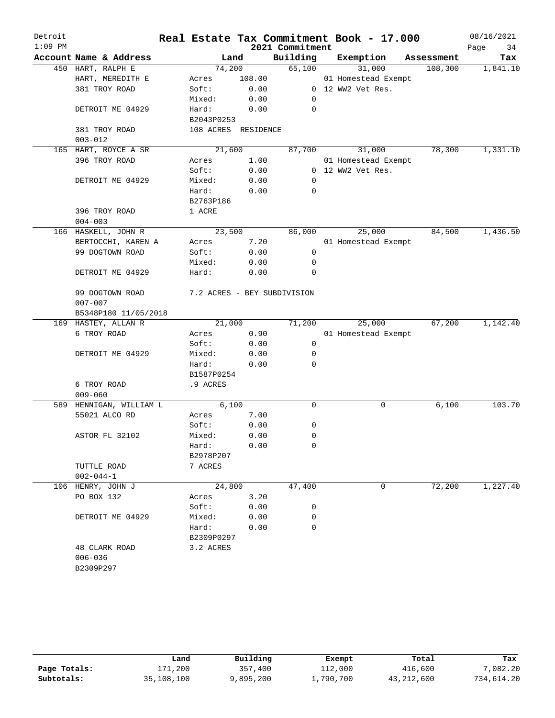| Detroit   |                         |                     |        |                             | Real Estate Tax Commitment Book - 17.000 |            | 08/16/2021 |
|-----------|-------------------------|---------------------|--------|-----------------------------|------------------------------------------|------------|------------|
| $1:09$ PM |                         |                     |        | 2021 Commitment             |                                          |            | Page<br>34 |
|           | Account Name & Address  | Land                |        | Building                    | Exemption                                | Assessment | Tax        |
|           | 450 HART, RALPH E       | 74,200              |        | 65,100                      | 31,000                                   | 108,300    | 1,841.10   |
|           | HART, MEREDITH E        | Acres               | 108.00 |                             | 01 Homestead Exempt                      |            |            |
|           | 381 TROY ROAD           | Soft:               | 0.00   |                             | 0 12 WW2 Vet Res.                        |            |            |
|           |                         | Mixed:              | 0.00   | $\mathbf 0$                 |                                          |            |            |
|           | DETROIT ME 04929        | Hard:               | 0.00   | $\mathbf 0$                 |                                          |            |            |
|           |                         | B2043P0253          |        |                             |                                          |            |            |
|           | 381 TROY ROAD           | 108 ACRES RESIDENCE |        |                             |                                          |            |            |
|           | $003 - 012$             |                     |        |                             |                                          |            |            |
|           | 165 HART, ROYCE A SR    | 21,600              |        | 87,700                      | 31,000                                   | 78,300     | 1,331.10   |
|           | 396 TROY ROAD           | Acres               | 1.00   |                             | 01 Homestead Exempt                      |            |            |
|           |                         | Soft:               | 0.00   |                             | 0 12 WW2 Vet Res.                        |            |            |
|           | DETROIT ME 04929        | Mixed:              | 0.00   | $\mathbf 0$                 |                                          |            |            |
|           |                         | Hard:               | 0.00   | 0                           |                                          |            |            |
|           |                         | B2763P186           |        |                             |                                          |            |            |
|           | 396 TROY ROAD           | 1 ACRE              |        |                             |                                          |            |            |
|           | $004 - 003$             |                     |        |                             |                                          |            |            |
|           | 166 HASKELL, JOHN R     | 23,500              |        | 86,000                      | 25,000                                   | 84,500     | 1,436.50   |
|           | BERTOCCHI, KAREN A      | Acres               | 7.20   |                             | 01 Homestead Exempt                      |            |            |
|           | 99 DOGTOWN ROAD         | Soft:               | 0.00   | $\mathbf 0$                 |                                          |            |            |
|           |                         | Mixed:              | 0.00   | $\mathbf 0$                 |                                          |            |            |
|           | DETROIT ME 04929        | Hard:               | 0.00   | 0                           |                                          |            |            |
|           | 99 DOGTOWN ROAD         |                     |        | 7.2 ACRES - BEY SUBDIVISION |                                          |            |            |
|           | $007 - 007$             |                     |        |                             |                                          |            |            |
|           | B5348P180 11/05/2018    |                     |        |                             |                                          |            |            |
|           | 169 HASTEY, ALLAN R     | 21,000              |        | 71,200                      | 25,000                                   | 67,200     | 1,142.40   |
|           | 6 TROY ROAD             | Acres               | 0.90   |                             | 01 Homestead Exempt                      |            |            |
|           |                         | Soft:               | 0.00   | 0                           |                                          |            |            |
|           | DETROIT ME 04929        | Mixed:              | 0.00   | 0                           |                                          |            |            |
|           |                         | Hard:               | 0.00   | $\mathbf 0$                 |                                          |            |            |
|           |                         | B1587P0254          |        |                             |                                          |            |            |
|           | 6 TROY ROAD             | .9 ACRES            |        |                             |                                          |            |            |
|           | $009 - 060$             |                     |        |                             |                                          |            |            |
|           | 589 HENNIGAN, WILLIAM L | 6,100               |        | $\mathbf 0$                 | 0                                        | 6,100      | 103.70     |
|           | 55021 ALCO RD           | Acres               | 7.00   |                             |                                          |            |            |
|           |                         | Soft:               | 0.00   | 0                           |                                          |            |            |
|           | ASTOR FL 32102          | Mixed:              | 0.00   | $\mathbf 0$                 |                                          |            |            |
|           |                         | Hard:               | 0.00   | 0                           |                                          |            |            |
|           |                         | B2978P207           |        |                             |                                          |            |            |
|           | TUTTLE ROAD             | 7 ACRES             |        |                             |                                          |            |            |
|           | $002 - 044 - 1$         |                     |        |                             |                                          |            |            |
|           | 106 HENRY, JOHN J       | 24,800              |        | 47,400                      | 0                                        | 72,200     | 1,227.40   |
|           | PO BOX 132              | Acres               | 3.20   |                             |                                          |            |            |
|           |                         | Soft:               | 0.00   | 0                           |                                          |            |            |
|           | DETROIT ME 04929        | Mixed:              | 0.00   | 0                           |                                          |            |            |
|           |                         | Hard:               | 0.00   | 0                           |                                          |            |            |
|           |                         | B2309P0297          |        |                             |                                          |            |            |
|           | 48 CLARK ROAD           | 3.2 ACRES           |        |                             |                                          |            |            |
|           | $006 - 036$             |                     |        |                             |                                          |            |            |
|           | B2309P297               |                     |        |                             |                                          |            |            |

|              | Land       | Building  | Exempt    | Total      | Tax        |
|--------------|------------|-----------|-----------|------------|------------|
| Page Totals: | 171,200    | 357,400   | 112,000   | 416,600    | 7,082.20   |
| Subtotals:   | 35,108,100 | 9,895,200 | 1,790,700 | 43,212,600 | 734,614.20 |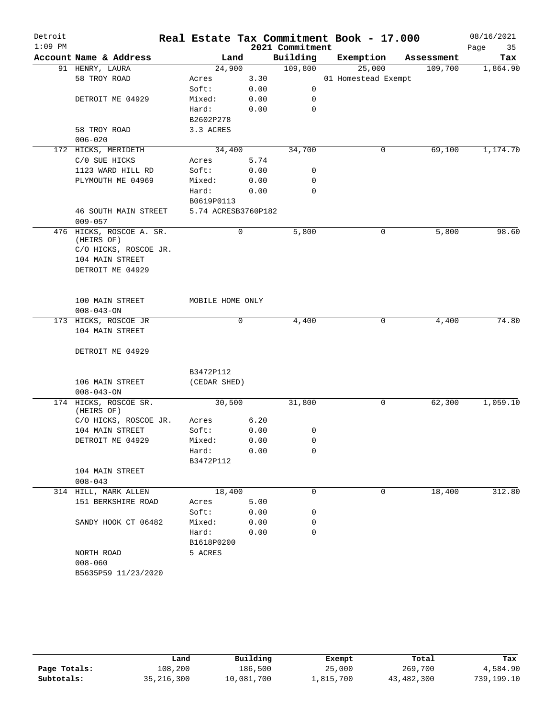| Detroit   |                                     |                        |      |                 | Real Estate Tax Commitment Book - 17.000 |            | 08/16/2021 |
|-----------|-------------------------------------|------------------------|------|-----------------|------------------------------------------|------------|------------|
| $1:09$ PM |                                     |                        |      | 2021 Commitment |                                          |            | Page<br>35 |
|           | Account Name & Address              |                        | Land | Building        | Exemption                                | Assessment | Tax        |
|           | 91 HENRY, LAURA                     | 24,900                 |      | 109,800         | 25,000                                   | 109,700    | 1,864.90   |
|           | 58 TROY ROAD                        | Acres                  | 3.30 |                 | 01 Homestead Exempt                      |            |            |
|           |                                     | Soft:                  | 0.00 | 0               |                                          |            |            |
|           | DETROIT ME 04929                    | Mixed:                 | 0.00 | 0               |                                          |            |            |
|           |                                     | Hard:                  | 0.00 | $\mathbf 0$     |                                          |            |            |
|           | 58 TROY ROAD                        | B2602P278<br>3.3 ACRES |      |                 |                                          |            |            |
|           | $006 - 020$                         |                        |      |                 |                                          |            |            |
|           | 172 HICKS, MERIDETH                 | 34,400                 |      | 34,700          | 0                                        | 69,100     | 1,174.70   |
|           | C/0 SUE HICKS                       | Acres                  | 5.74 |                 |                                          |            |            |
|           | 1123 WARD HILL RD                   | Soft:                  | 0.00 | 0               |                                          |            |            |
|           | PLYMOUTH ME 04969                   | Mixed:                 | 0.00 | 0               |                                          |            |            |
|           |                                     | Hard:                  | 0.00 | $\mathbf 0$     |                                          |            |            |
|           |                                     | B0619P0113             |      |                 |                                          |            |            |
|           | <b>46 SOUTH MAIN STREET</b>         | 5.74 ACRESB3760P182    |      |                 |                                          |            |            |
|           | $009 - 057$                         |                        |      |                 |                                          |            |            |
| 476       | HICKS, ROSCOE A. SR.                |                        | 0    | 5,800           | 0                                        | 5,800      | 98.60      |
|           | (HEIRS OF)                          |                        |      |                 |                                          |            |            |
|           | C/O HICKS, ROSCOE JR.               |                        |      |                 |                                          |            |            |
|           | 104 MAIN STREET                     |                        |      |                 |                                          |            |            |
|           | DETROIT ME 04929                    |                        |      |                 |                                          |            |            |
|           |                                     |                        |      |                 |                                          |            |            |
|           |                                     |                        |      |                 |                                          |            |            |
|           | 100 MAIN STREET<br>$008 - 043 - ON$ | MOBILE HOME ONLY       |      |                 |                                          |            |            |
|           | 173 HICKS, ROSCOE JR                |                        | 0    | 4,400           | 0                                        | 4,400      | 74.80      |
|           | 104 MAIN STREET                     |                        |      |                 |                                          |            |            |
|           |                                     |                        |      |                 |                                          |            |            |
|           | DETROIT ME 04929                    |                        |      |                 |                                          |            |            |
|           |                                     |                        |      |                 |                                          |            |            |
|           |                                     | B3472P112              |      |                 |                                          |            |            |
|           | 106 MAIN STREET                     | (CEDAR SHED)           |      |                 |                                          |            |            |
|           | $008 - 043 - ON$                    |                        |      |                 |                                          |            |            |
|           | 174 HICKS, ROSCOE SR.               | 30,500                 |      | 31,800          | 0                                        | 62,300     | 1,059.10   |
|           | (HEIRS OF)                          |                        |      |                 |                                          |            |            |
|           | C/O HICKS, ROSCOE JR.               | Acres                  | 6.20 |                 |                                          |            |            |
|           | 104 MAIN STREET                     | Soft:                  | 0.00 | 0               |                                          |            |            |
|           | DETROIT ME 04929                    | Mixed:                 | 0.00 | 0               |                                          |            |            |
|           |                                     | Hard:                  | 0.00 | 0               |                                          |            |            |
|           |                                     | B3472P112              |      |                 |                                          |            |            |
|           | 104 MAIN STREET                     |                        |      |                 |                                          |            |            |
|           | $008 - 043$                         |                        |      |                 |                                          |            |            |
|           | 314 HILL, MARK ALLEN                | 18,400                 |      | 0               | 0                                        | 18,400     | 312.80     |
|           | 151 BERKSHIRE ROAD                  | Acres                  | 5.00 |                 |                                          |            |            |
|           |                                     | Soft:                  | 0.00 | 0               |                                          |            |            |
|           | SANDY HOOK CT 06482                 | Mixed:                 | 0.00 | 0               |                                          |            |            |
|           |                                     | Hard:                  | 0.00 | $\mathbf 0$     |                                          |            |            |
|           |                                     | B1618P0200             |      |                 |                                          |            |            |
|           | NORTH ROAD<br>$008 - 060$           | 5 ACRES                |      |                 |                                          |            |            |
|           | B5635P59 11/23/2020                 |                        |      |                 |                                          |            |            |
|           |                                     |                        |      |                 |                                          |            |            |

|              | Land         | Building   | Exempt    | Total      | Tax        |
|--------------|--------------|------------|-----------|------------|------------|
| Page Totals: | 108,200      | 186,500    | 25,000    | 269,700    | 4,584.90   |
| Subtotals:   | 35, 216, 300 | 10,081,700 | 1,815,700 | 43,482,300 | 739,199.10 |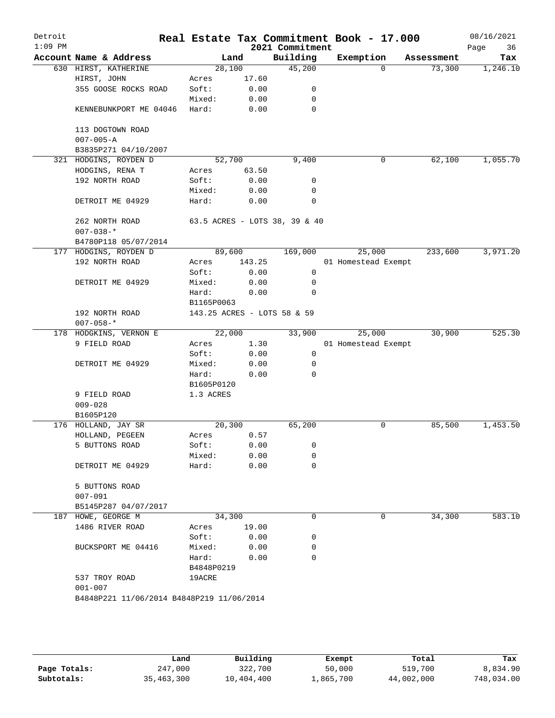| Detroit<br>$1:09$ PM |                                           |            |        | 2021 Commitment               | Real Estate Tax Commitment Book - 17.000 |            | 08/16/2021<br>36<br>Page |
|----------------------|-------------------------------------------|------------|--------|-------------------------------|------------------------------------------|------------|--------------------------|
|                      | Account Name & Address                    |            | Land   | Building                      | Exemption                                | Assessment | Tax                      |
|                      | 630 HIRST, KATHERINE                      | 28,100     |        | 45,200                        | $\Omega$                                 | 73,300     | 1,246.10                 |
|                      | HIRST, JOHN                               | Acres      | 17.60  |                               |                                          |            |                          |
|                      | 355 GOOSE ROCKS ROAD                      | Soft:      | 0.00   | 0                             |                                          |            |                          |
|                      |                                           | Mixed:     | 0.00   | 0                             |                                          |            |                          |
|                      | KENNEBUNKPORT ME 04046                    | Hard:      | 0.00   | 0                             |                                          |            |                          |
|                      | 113 DOGTOWN ROAD                          |            |        |                               |                                          |            |                          |
|                      | $007 - 005 - A$                           |            |        |                               |                                          |            |                          |
|                      | B3835P271 04/10/2007                      |            |        |                               |                                          |            |                          |
|                      | 321 HODGINS, ROYDEN D                     | 52,700     |        | 9,400                         | 0                                        | 62,100     | 1,055.70                 |
|                      | HODGINS, RENA T                           | Acres      | 63.50  |                               |                                          |            |                          |
|                      | 192 NORTH ROAD                            | Soft:      | 0.00   | 0                             |                                          |            |                          |
|                      |                                           | Mixed:     | 0.00   | 0                             |                                          |            |                          |
|                      | DETROIT ME 04929                          | Hard:      | 0.00   | $\mathbf 0$                   |                                          |            |                          |
|                      | 262 NORTH ROAD                            |            |        | 63.5 ACRES - LOTS 38, 39 & 40 |                                          |            |                          |
|                      | $007 - 038 -$ *<br>B4780P118 05/07/2014   |            |        |                               |                                          |            |                          |
|                      | 177 HODGINS, ROYDEN D                     | 89,600     |        | 169,000                       | 25,000                                   | 233,600    | 3,971.20                 |
|                      | 192 NORTH ROAD                            | Acres      | 143.25 |                               | 01 Homestead Exempt                      |            |                          |
|                      |                                           | Soft:      | 0.00   | 0                             |                                          |            |                          |
|                      | DETROIT ME 04929                          | Mixed:     | 0.00   | 0                             |                                          |            |                          |
|                      |                                           | Hard:      | 0.00   | 0                             |                                          |            |                          |
|                      |                                           | B1165P0063 |        |                               |                                          |            |                          |
|                      | 192 NORTH ROAD<br>$007 - 058 -$ *         |            |        | 143.25 ACRES - LOTS 58 & 59   |                                          |            |                          |
|                      | 178 HODGKINS, VERNON E                    | 22,000     |        | 33,900                        | 25,000                                   | 30,900     | 525.30                   |
|                      | 9 FIELD ROAD                              | Acres      | 1.30   |                               | 01 Homestead Exempt                      |            |                          |
|                      |                                           | Soft:      | 0.00   | 0                             |                                          |            |                          |
|                      | DETROIT ME 04929                          | Mixed:     | 0.00   | 0                             |                                          |            |                          |
|                      |                                           | Hard:      | 0.00   | $\Omega$                      |                                          |            |                          |
|                      |                                           | B1605P0120 |        |                               |                                          |            |                          |
|                      | 9 FIELD ROAD                              | 1.3 ACRES  |        |                               |                                          |            |                          |
|                      | $009 - 028$                               |            |        |                               |                                          |            |                          |
|                      | B1605P120                                 |            |        |                               |                                          |            |                          |
|                      | 176 HOLLAND, JAY SR                       | 20,300     |        | 65,200                        | 0                                        | 85,500     | 1,453.50                 |
|                      | HOLLAND, PEGEEN                           | Acres      | 0.57   |                               |                                          |            |                          |
|                      | 5 BUTTONS ROAD                            | Soft:      | 0.00   | 0                             |                                          |            |                          |
|                      |                                           | Mixed:     | 0.00   | 0                             |                                          |            |                          |
|                      | DETROIT ME 04929                          | Hard:      | 0.00   | $\mathbf 0$                   |                                          |            |                          |
|                      | 5 BUTTONS ROAD                            |            |        |                               |                                          |            |                          |
|                      | $007 - 091$                               |            |        |                               |                                          |            |                          |
|                      | B5145P287 04/07/2017                      |            |        |                               |                                          |            |                          |
|                      | 187 HOWE, GEORGE M                        | 34,300     |        | 0                             | 0                                        | 34,300     | 583.10                   |
|                      | 1486 RIVER ROAD                           | Acres      | 19.00  |                               |                                          |            |                          |
|                      |                                           | Soft:      | 0.00   | 0                             |                                          |            |                          |
|                      | BUCKSPORT ME 04416                        | Mixed:     | 0.00   | 0                             |                                          |            |                          |
|                      |                                           | Hard:      | 0.00   | 0                             |                                          |            |                          |
|                      |                                           | B4848P0219 |        |                               |                                          |            |                          |
|                      | 537 TROY ROAD                             | 19ACRE     |        |                               |                                          |            |                          |
|                      | $001 - 007$                               |            |        |                               |                                          |            |                          |
|                      | B4848P221 11/06/2014 B4848P219 11/06/2014 |            |        |                               |                                          |            |                          |
|                      |                                           |            |        |                               |                                          |            |                          |
|                      |                                           |            |        |                               |                                          |            |                          |

|              | Land       | Building   | Exempt    | Total      | Tax        |
|--------------|------------|------------|-----------|------------|------------|
| Page Totals: | 247,000    | 322,700    | 50,000    | 519,700    | 8,834.90   |
| Subtotals:   | 35,463,300 | 10,404,400 | 1,865,700 | 44,002,000 | 748,034.00 |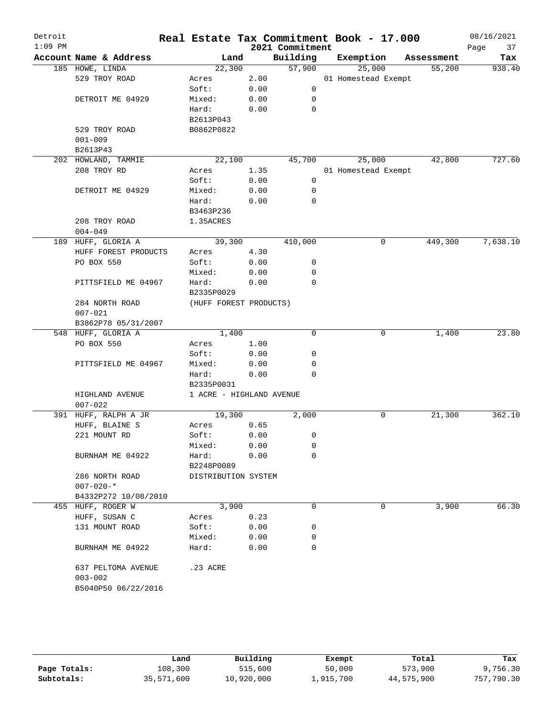|                    |                                                                           |                                                                                                                                                                                                                                                                                                                                                                                                                                                                                                                            |                                                                                                                                                                                   |                                                                |                                                                                                                                                                                                                                                                                                                                                  |                 |        |                                                         | 08/16/2021<br>Page<br>37                                                           |
|--------------------|---------------------------------------------------------------------------|----------------------------------------------------------------------------------------------------------------------------------------------------------------------------------------------------------------------------------------------------------------------------------------------------------------------------------------------------------------------------------------------------------------------------------------------------------------------------------------------------------------------------|-----------------------------------------------------------------------------------------------------------------------------------------------------------------------------------|----------------------------------------------------------------|--------------------------------------------------------------------------------------------------------------------------------------------------------------------------------------------------------------------------------------------------------------------------------------------------------------------------------------------------|-----------------|--------|---------------------------------------------------------|------------------------------------------------------------------------------------|
|                    |                                                                           |                                                                                                                                                                                                                                                                                                                                                                                                                                                                                                                            |                                                                                                                                                                                   | Building                                                       |                                                                                                                                                                                                                                                                                                                                                  |                 |        |                                                         | Tax                                                                                |
| 185 HOWE, LINDA    |                                                                           |                                                                                                                                                                                                                                                                                                                                                                                                                                                                                                                            |                                                                                                                                                                                   | 57,900                                                         |                                                                                                                                                                                                                                                                                                                                                  | 25,000          |        | 55,200                                                  | 938.40                                                                             |
|                    |                                                                           | Acres                                                                                                                                                                                                                                                                                                                                                                                                                                                                                                                      |                                                                                                                                                                                   |                                                                |                                                                                                                                                                                                                                                                                                                                                  |                 |        |                                                         |                                                                                    |
|                    |                                                                           | Soft:                                                                                                                                                                                                                                                                                                                                                                                                                                                                                                                      |                                                                                                                                                                                   | 0                                                              |                                                                                                                                                                                                                                                                                                                                                  |                 |        |                                                         |                                                                                    |
|                    |                                                                           | Mixed:                                                                                                                                                                                                                                                                                                                                                                                                                                                                                                                     |                                                                                                                                                                                   | 0                                                              |                                                                                                                                                                                                                                                                                                                                                  |                 |        |                                                         |                                                                                    |
|                    |                                                                           | Hard:                                                                                                                                                                                                                                                                                                                                                                                                                                                                                                                      |                                                                                                                                                                                   | 0                                                              |                                                                                                                                                                                                                                                                                                                                                  |                 |        |                                                         |                                                                                    |
|                    |                                                                           | B2613P043                                                                                                                                                                                                                                                                                                                                                                                                                                                                                                                  |                                                                                                                                                                                   |                                                                |                                                                                                                                                                                                                                                                                                                                                  |                 |        |                                                         |                                                                                    |
|                    |                                                                           | B0862P0822                                                                                                                                                                                                                                                                                                                                                                                                                                                                                                                 |                                                                                                                                                                                   |                                                                |                                                                                                                                                                                                                                                                                                                                                  |                 |        |                                                         |                                                                                    |
| $001 - 009$        |                                                                           |                                                                                                                                                                                                                                                                                                                                                                                                                                                                                                                            |                                                                                                                                                                                   |                                                                |                                                                                                                                                                                                                                                                                                                                                  |                 |        |                                                         |                                                                                    |
| B2613P43           |                                                                           |                                                                                                                                                                                                                                                                                                                                                                                                                                                                                                                            |                                                                                                                                                                                   |                                                                |                                                                                                                                                                                                                                                                                                                                                  |                 |        |                                                         |                                                                                    |
|                    |                                                                           |                                                                                                                                                                                                                                                                                                                                                                                                                                                                                                                            |                                                                                                                                                                                   | 45,700                                                         |                                                                                                                                                                                                                                                                                                                                                  | 25,000          |        | 42,800                                                  | 727.60                                                                             |
| 208 TROY RD        |                                                                           | Acres                                                                                                                                                                                                                                                                                                                                                                                                                                                                                                                      |                                                                                                                                                                                   |                                                                |                                                                                                                                                                                                                                                                                                                                                  |                 |        |                                                         |                                                                                    |
|                    |                                                                           | Soft:                                                                                                                                                                                                                                                                                                                                                                                                                                                                                                                      |                                                                                                                                                                                   | 0                                                              |                                                                                                                                                                                                                                                                                                                                                  |                 |        |                                                         |                                                                                    |
|                    |                                                                           | Mixed:                                                                                                                                                                                                                                                                                                                                                                                                                                                                                                                     |                                                                                                                                                                                   | 0                                                              |                                                                                                                                                                                                                                                                                                                                                  |                 |        |                                                         |                                                                                    |
|                    |                                                                           | Hard:                                                                                                                                                                                                                                                                                                                                                                                                                                                                                                                      |                                                                                                                                                                                   | 0                                                              |                                                                                                                                                                                                                                                                                                                                                  |                 |        |                                                         |                                                                                    |
|                    |                                                                           | B3463P236                                                                                                                                                                                                                                                                                                                                                                                                                                                                                                                  |                                                                                                                                                                                   |                                                                |                                                                                                                                                                                                                                                                                                                                                  |                 |        |                                                         |                                                                                    |
|                    |                                                                           | 1.35ACRES                                                                                                                                                                                                                                                                                                                                                                                                                                                                                                                  |                                                                                                                                                                                   |                                                                |                                                                                                                                                                                                                                                                                                                                                  |                 |        |                                                         |                                                                                    |
| $004 - 049$        |                                                                           |                                                                                                                                                                                                                                                                                                                                                                                                                                                                                                                            |                                                                                                                                                                                   |                                                                |                                                                                                                                                                                                                                                                                                                                                  |                 |        |                                                         |                                                                                    |
|                    |                                                                           |                                                                                                                                                                                                                                                                                                                                                                                                                                                                                                                            |                                                                                                                                                                                   | 410,000                                                        |                                                                                                                                                                                                                                                                                                                                                  | 0               |        | 449,300                                                 | 7,638.10                                                                           |
|                    |                                                                           | Acres                                                                                                                                                                                                                                                                                                                                                                                                                                                                                                                      |                                                                                                                                                                                   |                                                                |                                                                                                                                                                                                                                                                                                                                                  |                 |        |                                                         |                                                                                    |
|                    |                                                                           |                                                                                                                                                                                                                                                                                                                                                                                                                                                                                                                            |                                                                                                                                                                                   | 0                                                              |                                                                                                                                                                                                                                                                                                                                                  |                 |        |                                                         |                                                                                    |
|                    |                                                                           |                                                                                                                                                                                                                                                                                                                                                                                                                                                                                                                            |                                                                                                                                                                                   | 0                                                              |                                                                                                                                                                                                                                                                                                                                                  |                 |        |                                                         |                                                                                    |
|                    |                                                                           |                                                                                                                                                                                                                                                                                                                                                                                                                                                                                                                            |                                                                                                                                                                                   |                                                                |                                                                                                                                                                                                                                                                                                                                                  |                 |        |                                                         |                                                                                    |
|                    |                                                                           |                                                                                                                                                                                                                                                                                                                                                                                                                                                                                                                            |                                                                                                                                                                                   |                                                                |                                                                                                                                                                                                                                                                                                                                                  |                 |        |                                                         |                                                                                    |
|                    |                                                                           |                                                                                                                                                                                                                                                                                                                                                                                                                                                                                                                            |                                                                                                                                                                                   |                                                                |                                                                                                                                                                                                                                                                                                                                                  |                 |        |                                                         |                                                                                    |
|                    |                                                                           |                                                                                                                                                                                                                                                                                                                                                                                                                                                                                                                            |                                                                                                                                                                                   |                                                                |                                                                                                                                                                                                                                                                                                                                                  |                 |        |                                                         |                                                                                    |
|                    |                                                                           |                                                                                                                                                                                                                                                                                                                                                                                                                                                                                                                            |                                                                                                                                                                                   |                                                                |                                                                                                                                                                                                                                                                                                                                                  |                 |        |                                                         |                                                                                    |
|                    |                                                                           |                                                                                                                                                                                                                                                                                                                                                                                                                                                                                                                            |                                                                                                                                                                                   | $\Omega$                                                       |                                                                                                                                                                                                                                                                                                                                                  | 0               |        |                                                         | 23.80                                                                              |
|                    |                                                                           |                                                                                                                                                                                                                                                                                                                                                                                                                                                                                                                            |                                                                                                                                                                                   |                                                                |                                                                                                                                                                                                                                                                                                                                                  |                 |        |                                                         |                                                                                    |
|                    |                                                                           |                                                                                                                                                                                                                                                                                                                                                                                                                                                                                                                            |                                                                                                                                                                                   |                                                                |                                                                                                                                                                                                                                                                                                                                                  |                 |        |                                                         |                                                                                    |
|                    |                                                                           |                                                                                                                                                                                                                                                                                                                                                                                                                                                                                                                            |                                                                                                                                                                                   |                                                                |                                                                                                                                                                                                                                                                                                                                                  |                 |        |                                                         |                                                                                    |
|                    |                                                                           |                                                                                                                                                                                                                                                                                                                                                                                                                                                                                                                            |                                                                                                                                                                                   |                                                                |                                                                                                                                                                                                                                                                                                                                                  |                 |        |                                                         |                                                                                    |
|                    |                                                                           |                                                                                                                                                                                                                                                                                                                                                                                                                                                                                                                            |                                                                                                                                                                                   |                                                                |                                                                                                                                                                                                                                                                                                                                                  |                 |        |                                                         |                                                                                    |
|                    |                                                                           |                                                                                                                                                                                                                                                                                                                                                                                                                                                                                                                            |                                                                                                                                                                                   |                                                                |                                                                                                                                                                                                                                                                                                                                                  |                 |        |                                                         |                                                                                    |
|                    |                                                                           |                                                                                                                                                                                                                                                                                                                                                                                                                                                                                                                            |                                                                                                                                                                                   |                                                                |                                                                                                                                                                                                                                                                                                                                                  |                 |        |                                                         |                                                                                    |
|                    |                                                                           |                                                                                                                                                                                                                                                                                                                                                                                                                                                                                                                            |                                                                                                                                                                                   |                                                                |                                                                                                                                                                                                                                                                                                                                                  |                 |        |                                                         | 362.10                                                                             |
|                    |                                                                           |                                                                                                                                                                                                                                                                                                                                                                                                                                                                                                                            |                                                                                                                                                                                   |                                                                |                                                                                                                                                                                                                                                                                                                                                  |                 |        |                                                         |                                                                                    |
|                    |                                                                           |                                                                                                                                                                                                                                                                                                                                                                                                                                                                                                                            |                                                                                                                                                                                   |                                                                |                                                                                                                                                                                                                                                                                                                                                  |                 |        |                                                         |                                                                                    |
|                    |                                                                           |                                                                                                                                                                                                                                                                                                                                                                                                                                                                                                                            |                                                                                                                                                                                   |                                                                |                                                                                                                                                                                                                                                                                                                                                  |                 |        |                                                         |                                                                                    |
|                    |                                                                           |                                                                                                                                                                                                                                                                                                                                                                                                                                                                                                                            |                                                                                                                                                                                   |                                                                |                                                                                                                                                                                                                                                                                                                                                  |                 |        |                                                         |                                                                                    |
|                    |                                                                           |                                                                                                                                                                                                                                                                                                                                                                                                                                                                                                                            |                                                                                                                                                                                   |                                                                |                                                                                                                                                                                                                                                                                                                                                  |                 |        |                                                         |                                                                                    |
|                    |                                                                           |                                                                                                                                                                                                                                                                                                                                                                                                                                                                                                                            |                                                                                                                                                                                   |                                                                |                                                                                                                                                                                                                                                                                                                                                  |                 |        |                                                         |                                                                                    |
|                    |                                                                           |                                                                                                                                                                                                                                                                                                                                                                                                                                                                                                                            |                                                                                                                                                                                   |                                                                |                                                                                                                                                                                                                                                                                                                                                  |                 |        |                                                         |                                                                                    |
|                    |                                                                           |                                                                                                                                                                                                                                                                                                                                                                                                                                                                                                                            |                                                                                                                                                                                   |                                                                |                                                                                                                                                                                                                                                                                                                                                  |                 |        |                                                         |                                                                                    |
|                    |                                                                           |                                                                                                                                                                                                                                                                                                                                                                                                                                                                                                                            |                                                                                                                                                                                   |                                                                |                                                                                                                                                                                                                                                                                                                                                  |                 |        |                                                         | 66.30                                                                              |
|                    |                                                                           |                                                                                                                                                                                                                                                                                                                                                                                                                                                                                                                            |                                                                                                                                                                                   |                                                                |                                                                                                                                                                                                                                                                                                                                                  |                 |        |                                                         |                                                                                    |
|                    |                                                                           |                                                                                                                                                                                                                                                                                                                                                                                                                                                                                                                            |                                                                                                                                                                                   |                                                                |                                                                                                                                                                                                                                                                                                                                                  |                 |        |                                                         |                                                                                    |
|                    |                                                                           |                                                                                                                                                                                                                                                                                                                                                                                                                                                                                                                            |                                                                                                                                                                                   |                                                                |                                                                                                                                                                                                                                                                                                                                                  |                 |        |                                                         |                                                                                    |
|                    |                                                                           |                                                                                                                                                                                                                                                                                                                                                                                                                                                                                                                            |                                                                                                                                                                                   |                                                                |                                                                                                                                                                                                                                                                                                                                                  |                 |        |                                                         |                                                                                    |
|                    |                                                                           |                                                                                                                                                                                                                                                                                                                                                                                                                                                                                                                            |                                                                                                                                                                                   |                                                                |                                                                                                                                                                                                                                                                                                                                                  |                 |        |                                                         |                                                                                    |
| 637 PELTOMA AVENUE |                                                                           | .23 ACRE                                                                                                                                                                                                                                                                                                                                                                                                                                                                                                                   |                                                                                                                                                                                   |                                                                |                                                                                                                                                                                                                                                                                                                                                  |                 |        |                                                         |                                                                                    |
|                    |                                                                           |                                                                                                                                                                                                                                                                                                                                                                                                                                                                                                                            |                                                                                                                                                                                   |                                                                |                                                                                                                                                                                                                                                                                                                                                  |                 |        |                                                         |                                                                                    |
| $003 - 002$        |                                                                           |                                                                                                                                                                                                                                                                                                                                                                                                                                                                                                                            |                                                                                                                                                                                   |                                                                |                                                                                                                                                                                                                                                                                                                                                  |                 |        |                                                         |                                                                                    |
|                    | PO BOX 550<br>$007 - 021$<br>PO BOX 550<br>$007 - 022$<br>$007 - 020 -$ * | Account Name & Address<br>529 TROY ROAD<br>DETROIT ME 04929<br>529 TROY ROAD<br>202 HOWLAND, TAMMIE<br>DETROIT ME 04929<br>208 TROY ROAD<br>189 HUFF, GLORIA A<br>HUFF FOREST PRODUCTS<br>PITTSFIELD ME 04967<br>284 NORTH ROAD<br>B3862P78 05/31/2007<br>548 HUFF, GLORIA A<br>PITTSFIELD ME 04967<br>HIGHLAND AVENUE<br>391 HUFF, RALPH A JR<br>HUFF, BLAINE S<br>221 MOUNT RD<br>BURNHAM ME 04922<br>286 NORTH ROAD<br>B4332P272 10/08/2010<br>455 HUFF, ROGER W<br>HUFF, SUSAN C<br>131 MOUNT ROAD<br>BURNHAM ME 04922 | Soft:<br>Mixed:<br>Hard:<br>B2335P0029<br>Acres<br>Soft:<br>Mixed:<br>Hard:<br>B2335P0031<br>Acres<br>Soft:<br>Mixed:<br>Hard:<br>B2248P0089<br>Acres<br>Soft:<br>Mixed:<br>Hard: | Land<br>22,300<br>22,100<br>39,300<br>1,400<br>19,300<br>3,900 | 2.00<br>0.00<br>0.00<br>0.00<br>1.35<br>0.00<br>0.00<br>0.00<br>4.30<br>0.00<br>0.00<br>0.00<br>0<br>(HUFF FOREST PRODUCTS)<br>1.00<br>0.00<br>0<br>0.00<br>0<br>0.00<br>$\Omega$<br>1 ACRE - HIGHLAND AVENUE<br>2,000<br>0.65<br>0.00<br>0<br>0.00<br>0<br>0.00<br>0<br>DISTRIBUTION SYSTEM<br>0<br>0.23<br>0<br>0.00<br>0.00<br>0<br>0<br>0.00 | 2021 Commitment | 0<br>0 | Exemption<br>01 Homestead Exempt<br>01 Homestead Exempt | Real Estate Tax Commitment Book - 17.000<br>Assessment<br>1,400<br>21,300<br>3,900 |

|              | Land       | Building   | Exempt    | Total      | Tax        |
|--------------|------------|------------|-----------|------------|------------|
| Page Totals: | 108,300    | 515,600    | 50,000    | 573,900    | 9,756.30   |
| Subtotals:   | 35,571,600 | 10,920,000 | 1,915,700 | 44,575,900 | 757,790.30 |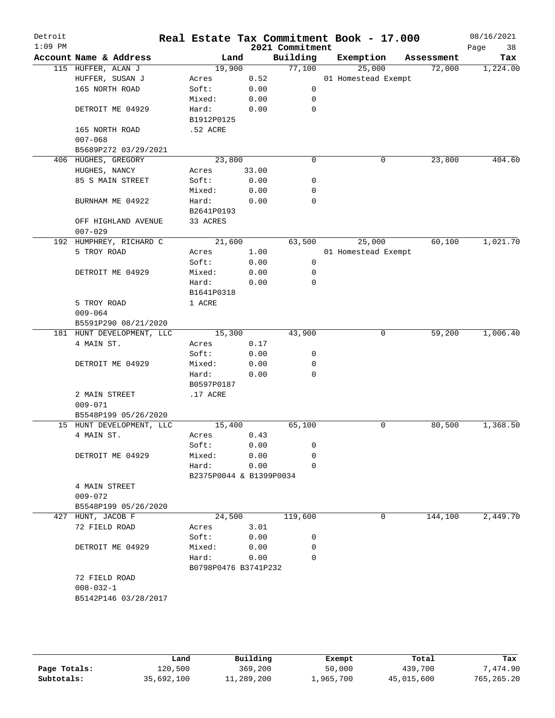| Detroit<br>$1:09$ PM |                           |                         |       | 2021 Commitment | Real Estate Tax Commitment Book - 17.000 |            | 08/16/2021<br>Page<br>38 |
|----------------------|---------------------------|-------------------------|-------|-----------------|------------------------------------------|------------|--------------------------|
|                      | Account Name & Address    | Land                    |       | Building        | Exemption                                | Assessment | Tax                      |
|                      | 115 HUFFER, ALAN J        | 19,900                  |       | 77,100          | 25,000                                   | 72,000     | 1,224.00                 |
|                      | HUFFER, SUSAN J           | Acres                   | 0.52  |                 | 01 Homestead Exempt                      |            |                          |
|                      | 165 NORTH ROAD            | Soft:                   | 0.00  | 0               |                                          |            |                          |
|                      |                           | Mixed:                  | 0.00  | 0               |                                          |            |                          |
|                      | DETROIT ME 04929          | Hard:                   | 0.00  | 0               |                                          |            |                          |
|                      |                           | B1912P0125              |       |                 |                                          |            |                          |
|                      | 165 NORTH ROAD            | .52 ACRE                |       |                 |                                          |            |                          |
|                      | $007 - 068$               |                         |       |                 |                                          |            |                          |
|                      | B5689P272 03/29/2021      |                         |       |                 |                                          |            |                          |
|                      | 406 HUGHES, GREGORY       | 23,800                  |       | 0               | 0                                        | 23,800     | 404.60                   |
|                      | HUGHES, NANCY             | Acres                   | 33.00 |                 |                                          |            |                          |
|                      | 85 S MAIN STREET          | Soft:                   | 0.00  | 0               |                                          |            |                          |
|                      |                           | Mixed:                  | 0.00  | 0               |                                          |            |                          |
|                      | BURNHAM ME 04922          | Hard:                   | 0.00  | 0               |                                          |            |                          |
|                      |                           | B2641P0193              |       |                 |                                          |            |                          |
|                      | OFF HIGHLAND AVENUE       | 33 ACRES                |       |                 |                                          |            |                          |
|                      | $007 - 029$               |                         |       |                 |                                          |            |                          |
|                      | 192 HUMPHREY, RICHARD C   | 21,600                  |       | 63,500          | 25,000                                   | 60,100     | 1,021.70                 |
|                      | 5 TROY ROAD               | Acres                   | 1.00  |                 | 01 Homestead Exempt                      |            |                          |
|                      |                           | Soft:                   | 0.00  | 0               |                                          |            |                          |
|                      | DETROIT ME 04929          | Mixed:                  | 0.00  | 0               |                                          |            |                          |
|                      |                           | Hard:                   | 0.00  | 0               |                                          |            |                          |
|                      |                           | B1641P0318              |       |                 |                                          |            |                          |
|                      | 5 TROY ROAD               | 1 ACRE                  |       |                 |                                          |            |                          |
|                      | $009 - 064$               |                         |       |                 |                                          |            |                          |
|                      | B5591P290 08/21/2020      |                         |       |                 |                                          |            |                          |
|                      | 181 HUNT DEVELOPMENT, LLC | 15,300                  |       | 43,900          | 0                                        | 59,200     | 1,006.40                 |
|                      | 4 MAIN ST.                | Acres                   | 0.17  |                 |                                          |            |                          |
|                      |                           | Soft:                   | 0.00  | 0               |                                          |            |                          |
|                      | DETROIT ME 04929          | Mixed:                  | 0.00  | 0<br>$\Omega$   |                                          |            |                          |
|                      |                           | Hard:                   | 0.00  |                 |                                          |            |                          |
|                      | 2 MAIN STREET             | B0597P0187              |       |                 |                                          |            |                          |
|                      | $009 - 071$               | $.17$ ACRE              |       |                 |                                          |            |                          |
|                      | B5548P199 05/26/2020      |                         |       |                 |                                          |            |                          |
|                      | 15 HUNT DEVELOPMENT, LLC  | 15,400                  |       | 65,100          | 0                                        | 80,500     | 1,368.50                 |
|                      | 4 MAIN ST.                | Acres                   | 0.43  |                 |                                          |            |                          |
|                      |                           | Soft:                   | 0.00  | 0               |                                          |            |                          |
|                      | DETROIT ME 04929          | Mixed:                  | 0.00  | $\Omega$        |                                          |            |                          |
|                      |                           | Hard:                   | 0.00  | $\Omega$        |                                          |            |                          |
|                      |                           | B2375P0044 & B1399P0034 |       |                 |                                          |            |                          |
|                      | 4 MAIN STREET             |                         |       |                 |                                          |            |                          |
|                      | $009 - 072$               |                         |       |                 |                                          |            |                          |
|                      | B5548P199 05/26/2020      |                         |       |                 |                                          |            |                          |
|                      | 427 HUNT, JACOB F         | 24,500                  |       | 119,600         | 0                                        | 144,100    | 2,449.70                 |
|                      | 72 FIELD ROAD             | Acres                   | 3.01  |                 |                                          |            |                          |
|                      |                           | Soft:                   | 0.00  | 0               |                                          |            |                          |
|                      | DETROIT ME 04929          | Mixed:                  | 0.00  | 0               |                                          |            |                          |
|                      |                           | Hard:                   | 0.00  | $\Omega$        |                                          |            |                          |
|                      |                           | B0798P0476 B3741P232    |       |                 |                                          |            |                          |
|                      | 72 FIELD ROAD             |                         |       |                 |                                          |            |                          |
|                      | $008 - 032 - 1$           |                         |       |                 |                                          |            |                          |
|                      | B5142P146 03/28/2017      |                         |       |                 |                                          |            |                          |
|                      |                           |                         |       |                 |                                          |            |                          |
|                      |                           |                         |       |                 |                                          |            |                          |
|                      |                           |                         |       |                 |                                          |            |                          |
|                      |                           |                         |       |                 |                                          |            |                          |

|              | Land       | Building   | Exempt    | Total      | Tax        |
|--------------|------------|------------|-----------|------------|------------|
| Page Totals: | 120,500    | 369,200    | 50,000    | 439,700    | .474.90    |
| Subtotals:   | 35,692,100 | 11,289,200 | 1,965,700 | 45,015,600 | 765,265.20 |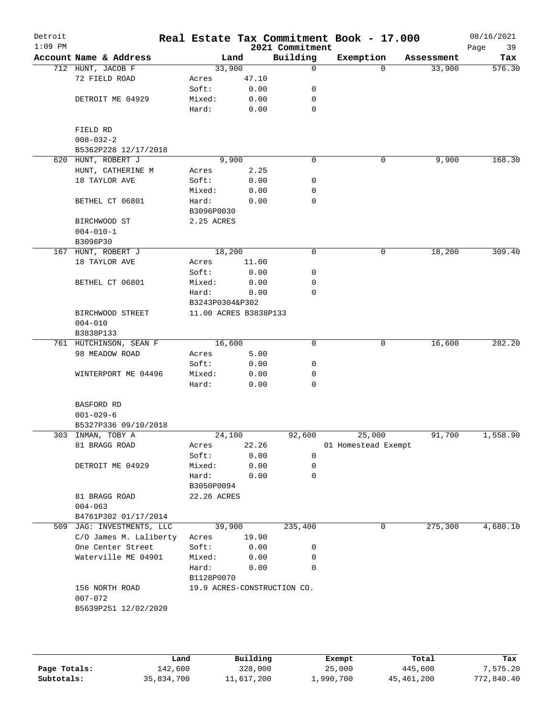| Detroit<br>$1:09$ PM |                           |                     |                       | 2021 Commitment             | Real Estate Tax Commitment Book - 17.000 |            | 08/16/2021<br>Page<br>39 |
|----------------------|---------------------------|---------------------|-----------------------|-----------------------------|------------------------------------------|------------|--------------------------|
|                      | Account Name & Address    |                     | Land                  | Building                    | Exemption                                | Assessment | Tax                      |
|                      | 712 HUNT, JACOB F         |                     | 33,900                | 0                           | $\Omega$                                 | 33,900     | 576.30                   |
|                      | 72 FIELD ROAD             | Acres               | 47.10                 |                             |                                          |            |                          |
|                      |                           | Soft:               | 0.00                  | 0                           |                                          |            |                          |
|                      | DETROIT ME 04929          | Mixed:              | 0.00                  | 0                           |                                          |            |                          |
|                      |                           | Hard:               | 0.00                  | 0                           |                                          |            |                          |
|                      | FIELD RD                  |                     |                       |                             |                                          |            |                          |
|                      | $008 - 032 - 2$           |                     |                       |                             |                                          |            |                          |
|                      | B5362P228 12/17/2018      |                     |                       |                             |                                          |            |                          |
|                      | 620 HUNT, ROBERT J        |                     | 9,900                 | 0                           | 0                                        | 9,900      | 168.30                   |
|                      | HUNT, CATHERINE M         | Acres               | 2.25                  |                             |                                          |            |                          |
|                      | 18 TAYLOR AVE             | Soft:               | 0.00                  | 0                           |                                          |            |                          |
|                      |                           | Mixed:              | 0.00                  | 0                           |                                          |            |                          |
|                      | BETHEL CT 06801           | Hard:               | 0.00                  | 0                           |                                          |            |                          |
|                      |                           | B3096P0030          |                       |                             |                                          |            |                          |
|                      |                           |                     |                       |                             |                                          |            |                          |
|                      | BIRCHWOOD ST              | 2.25 ACRES          |                       |                             |                                          |            |                          |
|                      | $004 - 010 - 1$           |                     |                       |                             |                                          |            |                          |
|                      | B3096P30                  |                     |                       |                             |                                          |            |                          |
|                      | 167 HUNT, ROBERT J        |                     | 18,200                | 0                           | 0                                        | 18,200     | 309.40                   |
|                      | 18 TAYLOR AVE             | Acres               | 11.00                 |                             |                                          |            |                          |
|                      |                           | Soft:               | 0.00                  | 0                           |                                          |            |                          |
|                      | BETHEL CT 06801           | Mixed:              | 0.00                  | 0                           |                                          |            |                          |
|                      |                           | Hard:               | 0.00                  | $\Omega$                    |                                          |            |                          |
|                      |                           | B3243P0304&P302     |                       |                             |                                          |            |                          |
|                      | BIRCHWOOD STREET          |                     | 11.00 ACRES B3838P133 |                             |                                          |            |                          |
|                      | $004 - 010$               |                     |                       |                             |                                          |            |                          |
|                      | B3838P133                 |                     |                       |                             |                                          |            |                          |
|                      | 761 HUTCHINSON, SEAN F    |                     | 16,600                | 0                           | 0                                        | 16,600     | 282.20                   |
|                      | 98 MEADOW ROAD            | Acres               | 5.00                  |                             |                                          |            |                          |
|                      |                           | Soft:               | 0.00                  | 0                           |                                          |            |                          |
|                      | WINTERPORT ME 04496       | Mixed:              | 0.00                  | 0                           |                                          |            |                          |
|                      |                           | Hard:               | 0.00                  | 0                           |                                          |            |                          |
|                      | BASFORD RD                |                     |                       |                             |                                          |            |                          |
|                      | $001 - 029 - 6$           |                     |                       |                             |                                          |            |                          |
|                      | B5327P336 09/10/2018      |                     |                       |                             |                                          |            |                          |
|                      | 303 INMAN, TOBY A         |                     | 24,100                | 92,600                      | 25,000                                   | 91,700     | 1,558.90                 |
|                      | 81 BRAGG ROAD             | Acres               | 22.26                 |                             | 01 Homestead Exempt                      |            |                          |
|                      |                           | Soft:               | 0.00                  | 0                           |                                          |            |                          |
|                      | DETROIT ME 04929          | Mixed:              | 0.00                  | 0                           |                                          |            |                          |
|                      |                           | Hard:               | 0.00                  | 0                           |                                          |            |                          |
|                      |                           | B3050P0094          |                       |                             |                                          |            |                          |
|                      | 81 BRAGG ROAD             | 22.26 ACRES         |                       |                             |                                          |            |                          |
|                      | $004 - 063$               |                     |                       |                             |                                          |            |                          |
|                      |                           |                     |                       |                             |                                          |            |                          |
|                      | B4761P302 01/17/2014      |                     |                       |                             |                                          |            |                          |
|                      | 509 JAG: INVESTMENTS, LLC |                     | 39,900                | 235,400                     | 0                                        | 275,300    | 4,680.10                 |
|                      | C/O James M. Laliberty    | Acres               | 19.90                 |                             |                                          |            |                          |
|                      | One Center Street         | Soft:               | 0.00                  | 0                           |                                          |            |                          |
|                      | Waterville ME 04901       | Mixed:              | 0.00                  | 0                           |                                          |            |                          |
|                      |                           | Hard:<br>B1128P0070 | 0.00                  | 0                           |                                          |            |                          |
|                      | 156 NORTH ROAD            |                     |                       | 19.9 ACRES-CONSTRUCTION CO. |                                          |            |                          |
|                      | $007 - 072$               |                     |                       |                             |                                          |            |                          |
|                      | B5639P251 12/02/2020      |                     |                       |                             |                                          |            |                          |
|                      |                           |                     |                       |                             |                                          |            |                          |

|              | Land       | Building   | Exempt    | Total      | Tax        |
|--------------|------------|------------|-----------|------------|------------|
| Page Totals: | 142,600    | 328,000    | 25,000    | 445,600    | 7,575.20   |
| Subtotals:   | 35,834,700 | 11,617,200 | 1,990,700 | 45,461,200 | 772,840.40 |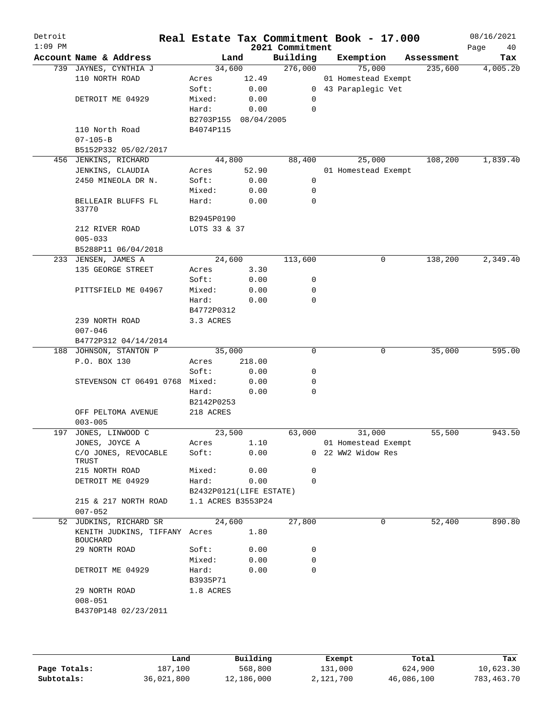| Detroit<br>$1:09$ PM |                                                  |                         |        | Real Estate Tax Commitment Book - 17.000<br>2021 Commitment |                     |   |            | 08/16/2021<br>Page<br>40 |
|----------------------|--------------------------------------------------|-------------------------|--------|-------------------------------------------------------------|---------------------|---|------------|--------------------------|
|                      | Account Name & Address                           |                         | Land   | Building                                                    | Exemption           |   | Assessment | Tax                      |
|                      | 739 JAYNES, CYNTHIA J                            | 34,600                  |        | 276,000                                                     | 75,000              |   | 235,600    | 4,005.20                 |
|                      | 110 NORTH ROAD                                   | Acres                   | 12.49  |                                                             | 01 Homestead Exempt |   |            |                          |
|                      |                                                  | Soft:                   | 0.00   |                                                             | 0 43 Paraplegic Vet |   |            |                          |
|                      | DETROIT ME 04929                                 | Mixed:                  | 0.00   | 0                                                           |                     |   |            |                          |
|                      |                                                  | Hard:                   | 0.00   | 0                                                           |                     |   |            |                          |
|                      |                                                  | B2703P155 08/04/2005    |        |                                                             |                     |   |            |                          |
|                      | 110 North Road                                   | B4074P115               |        |                                                             |                     |   |            |                          |
|                      | $07 - 105 - B$                                   |                         |        |                                                             |                     |   |            |                          |
|                      | B5152P332 05/02/2017                             |                         |        |                                                             |                     |   |            |                          |
|                      | 456 JENKINS, RICHARD                             | 44,800                  |        | 88,400                                                      | 25,000              |   | 108,200    | 1,839.40                 |
|                      | JENKINS, CLAUDIA                                 | Acres                   | 52.90  |                                                             | 01 Homestead Exempt |   |            |                          |
|                      | 2450 MINEOLA DR N.                               | Soft:                   | 0.00   | 0                                                           |                     |   |            |                          |
|                      |                                                  | Mixed:                  | 0.00   | 0                                                           |                     |   |            |                          |
|                      | BELLEAIR BLUFFS FL<br>33770                      | Hard:                   | 0.00   | $\mathbf 0$                                                 |                     |   |            |                          |
|                      |                                                  | B2945P0190              |        |                                                             |                     |   |            |                          |
|                      | 212 RIVER ROAD                                   | LOTS 33 & 37            |        |                                                             |                     |   |            |                          |
|                      | $005 - 033$                                      |                         |        |                                                             |                     |   |            |                          |
|                      | B5288P11 06/04/2018                              |                         |        |                                                             |                     |   |            |                          |
|                      | 233 JENSEN, JAMES A                              | 24,600                  |        | 113,600                                                     |                     | 0 | 138,200    | 2,349.40                 |
|                      | 135 GEORGE STREET                                | Acres                   | 3.30   |                                                             |                     |   |            |                          |
|                      |                                                  | Soft:                   | 0.00   | 0                                                           |                     |   |            |                          |
|                      | PITTSFIELD ME 04967                              | Mixed:                  | 0.00   | 0                                                           |                     |   |            |                          |
|                      |                                                  | Hard:                   | 0.00   | 0                                                           |                     |   |            |                          |
|                      |                                                  | B4772P0312              |        |                                                             |                     |   |            |                          |
|                      | 239 NORTH ROAD                                   | 3.3 ACRES               |        |                                                             |                     |   |            |                          |
|                      | $007 - 046$                                      |                         |        |                                                             |                     |   |            |                          |
|                      | B4772P312 04/14/2014                             |                         |        |                                                             |                     |   |            |                          |
| 188                  | JOHNSON, STANTON P                               | 35,000                  |        | 0                                                           |                     | 0 | 35,000     | 595.00                   |
|                      | P.O. BOX 130                                     | Acres                   | 218.00 |                                                             |                     |   |            |                          |
|                      |                                                  | Soft:                   | 0.00   | 0                                                           |                     |   |            |                          |
|                      | STEVENSON CT 06491 0768                          | Mixed:                  | 0.00   | 0                                                           |                     |   |            |                          |
|                      |                                                  | Hard:                   | 0.00   | 0                                                           |                     |   |            |                          |
|                      |                                                  | B2142P0253              |        |                                                             |                     |   |            |                          |
|                      | OFF PELTOMA AVENUE                               | 218 ACRES               |        |                                                             |                     |   |            |                          |
|                      | $003 - 005$                                      |                         |        |                                                             |                     |   |            |                          |
| 197                  | JONES, LINWOOD C                                 | 23,500                  |        | 63,000                                                      | 31,000              |   | 55,500     | 943.50                   |
|                      | JONES, JOYCE A                                   | Acres                   | 1.10   |                                                             | 01 Homestead Exempt |   |            |                          |
|                      | C/O JONES, REVOCABLE<br>TRUST                    | Soft:                   | 0.00   |                                                             | 0 22 WW2 Widow Res  |   |            |                          |
|                      | 215 NORTH ROAD                                   | Mixed:                  | 0.00   | 0                                                           |                     |   |            |                          |
|                      | DETROIT ME 04929                                 | Hard:                   | 0.00   | $\mathbf 0$                                                 |                     |   |            |                          |
|                      |                                                  | B2432P0121(LIFE ESTATE) |        |                                                             |                     |   |            |                          |
|                      | 215 & 217 NORTH ROAD<br>$007 - 052$              | 1.1 ACRES B3553P24      |        |                                                             |                     |   |            |                          |
|                      | 52 JUDKINS, RICHARD SR                           | 24,600                  |        | 27,800                                                      |                     | 0 | 52,400     | 890.80                   |
|                      | KENITH JUDKINS, TIFFANY Acres<br><b>BOUCHARD</b> |                         | 1.80   |                                                             |                     |   |            |                          |
|                      | 29 NORTH ROAD                                    | Soft:                   | 0.00   | 0                                                           |                     |   |            |                          |
|                      |                                                  | Mixed:                  | 0.00   | 0                                                           |                     |   |            |                          |
|                      | DETROIT ME 04929                                 | Hard:<br>B3935P71       | 0.00   | $\mathbf 0$                                                 |                     |   |            |                          |
|                      | 29 NORTH ROAD                                    | 1.8 ACRES               |        |                                                             |                     |   |            |                          |
|                      | $008 - 051$                                      |                         |        |                                                             |                     |   |            |                          |
|                      | B4370P148 02/23/2011                             |                         |        |                                                             |                     |   |            |                          |
|                      |                                                  |                         |        |                                                             |                     |   |            |                          |
|                      |                                                  |                         |        |                                                             |                     |   |            |                          |

|              | Land       | Building   | Exempt    | Total      | Tax        |
|--------------|------------|------------|-----------|------------|------------|
| Page Totals: | 187,100    | 568,800    | 131,000   | 624,900    | 10,623.30  |
| Subtotals:   | 36,021,800 | 12,186,000 | 2,121,700 | 46,086,100 | 783,463.70 |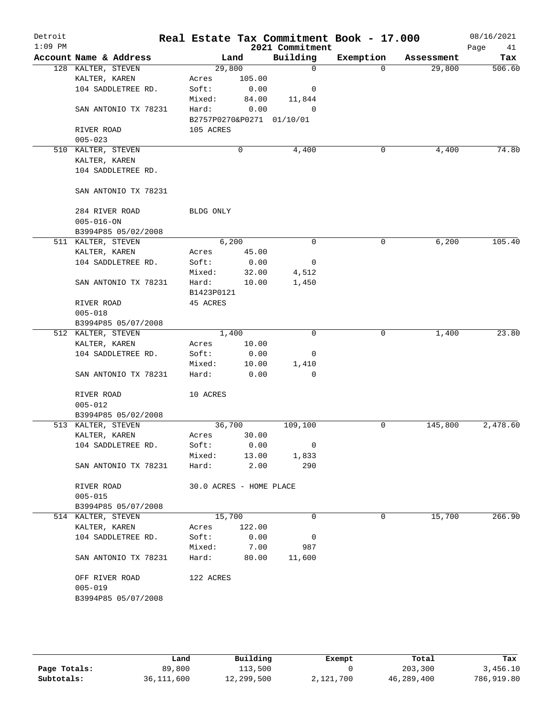| Detroit<br>$1:09$ PM |                        |                      |                           |        | 2021 Commitment          | Real Estate Tax Commitment Book - 17.000 |            | 08/16/2021<br>Page<br>41 |
|----------------------|------------------------|----------------------|---------------------------|--------|--------------------------|------------------------------------------|------------|--------------------------|
|                      | Account Name & Address |                      | Land                      |        | Building                 | Exemption                                | Assessment | Tax                      |
|                      | 128 KALTER, STEVEN     |                      | 29,800                    |        | $\mathbf 0$              | $\Omega$                                 | 29,800     | 506.60                   |
|                      | KALTER, KAREN          |                      | Acres                     | 105.00 |                          |                                          |            |                          |
|                      | 104 SADDLETREE RD.     |                      | Soft:                     | 0.00   | 0                        |                                          |            |                          |
|                      |                        |                      | Mixed:                    | 84.00  | 11,844                   |                                          |            |                          |
|                      | SAN ANTONIO TX 78231   |                      | Hard:                     | 0.00   | 0                        |                                          |            |                          |
|                      |                        |                      | B2757P0270&P0271 01/10/01 |        |                          |                                          |            |                          |
|                      | RIVER ROAD             |                      | 105 ACRES                 |        |                          |                                          |            |                          |
|                      | $005 - 023$            |                      |                           |        |                          |                                          |            |                          |
|                      | 510 KALTER, STEVEN     |                      |                           | 0      | 4,400                    | 0                                        | 4,400      | 74.80                    |
|                      | KALTER, KAREN          |                      |                           |        |                          |                                          |            |                          |
|                      | 104 SADDLETREE RD.     |                      |                           |        |                          |                                          |            |                          |
|                      | SAN ANTONIO TX 78231   |                      |                           |        |                          |                                          |            |                          |
|                      |                        |                      |                           |        |                          |                                          |            |                          |
|                      | 284 RIVER ROAD         |                      | BLDG ONLY                 |        |                          |                                          |            |                          |
|                      | $005 - 016 - ON$       |                      |                           |        |                          |                                          |            |                          |
|                      | B3994P85 05/02/2008    |                      |                           |        |                          |                                          |            |                          |
|                      | 511 KALTER, STEVEN     |                      | 6,200                     |        | 0                        | 0                                        | 6,200      | 105.40                   |
|                      | KALTER, KAREN          |                      | Acres                     | 45.00  |                          |                                          |            |                          |
|                      | 104 SADDLETREE RD.     |                      | Soft:                     | 0.00   | 0                        |                                          |            |                          |
|                      |                        |                      | Mixed:                    | 32.00  | 4,512                    |                                          |            |                          |
|                      | SAN ANTONIO TX 78231   |                      | Hard:                     | 10.00  | 1,450                    |                                          |            |                          |
|                      |                        |                      | B1423P0121                |        |                          |                                          |            |                          |
|                      | RIVER ROAD             |                      | 45 ACRES                  |        |                          |                                          |            |                          |
|                      | $005 - 018$            |                      |                           |        |                          |                                          |            |                          |
|                      | B3994P85 05/07/2008    |                      |                           |        |                          |                                          |            |                          |
|                      | 512 KALTER, STEVEN     |                      | 1,400                     |        | $\Omega$                 | 0                                        | 1,400      | 23.80                    |
|                      | KALTER, KAREN          |                      | Acres                     | 10.00  |                          |                                          |            |                          |
|                      | 104 SADDLETREE RD.     |                      | Soft:                     | 0.00   | 0                        |                                          |            |                          |
|                      |                        |                      | Mixed:                    | 10.00  | 1,410                    |                                          |            |                          |
|                      |                        | SAN ANTONIO TX 78231 | Hard:                     | 0.00   | 0                        |                                          |            |                          |
|                      |                        |                      |                           |        |                          |                                          |            |                          |
|                      | RIVER ROAD             |                      | 10 ACRES                  |        |                          |                                          |            |                          |
|                      | $005 - 012$            |                      |                           |        |                          |                                          |            |                          |
|                      | B3994P85 05/02/2008    |                      |                           |        |                          |                                          |            |                          |
|                      | 513 KALTER, STEVEN     |                      | 36,700                    |        | 109,100                  | 0                                        | 145,800    | 2,478.60                 |
|                      | KALTER, KAREN          |                      | Acres                     | 30.00  |                          |                                          |            |                          |
|                      | 104 SADDLETREE RD.     |                      | Soft:                     | 0.00   | $\overline{0}$           |                                          |            |                          |
|                      |                        |                      | Mixed:                    | 13.00  | 1,833                    |                                          |            |                          |
|                      |                        | SAN ANTONIO TX 78231 | Hard:                     | 2.00   | 290                      |                                          |            |                          |
|                      | RIVER ROAD             |                      | 30.0 ACRES - HOME PLACE   |        |                          |                                          |            |                          |
|                      | $005 - 015$            |                      |                           |        |                          |                                          |            |                          |
|                      | B3994P85 05/07/2008    |                      |                           |        |                          |                                          |            |                          |
|                      | 514 KALTER, STEVEN     |                      | 15,700                    |        | 0                        | 0                                        | 15,700     | 266.90                   |
|                      | KALTER, KAREN          |                      | Acres                     | 122.00 |                          |                                          |            |                          |
|                      | 104 SADDLETREE RD.     |                      | Soft:                     | 0.00   | $\overline{\phantom{0}}$ |                                          |            |                          |
|                      |                        |                      | Mixed:                    | 7.00   | 987                      |                                          |            |                          |
|                      | SAN ANTONIO TX 78231   |                      | Hard:                     | 80.00  | 11,600                   |                                          |            |                          |
|                      |                        |                      |                           |        |                          |                                          |            |                          |
|                      | OFF RIVER ROAD         |                      | 122 ACRES                 |        |                          |                                          |            |                          |
|                      | $005 - 019$            |                      |                           |        |                          |                                          |            |                          |
|                      | B3994P85 05/07/2008    |                      |                           |        |                          |                                          |            |                          |
|                      |                        |                      |                           |        |                          |                                          |            |                          |
|                      |                        |                      |                           |        |                          |                                          |            |                          |

|              | Land         | Building   | Exempt    | Total      | Tax        |
|--------------|--------------|------------|-----------|------------|------------|
| Page Totals: | 89,800       | 113,500    |           | 203,300    | 3,456.10   |
| Subtotals:   | 36, 111, 600 | 12,299,500 | 2,121,700 | 46,289,400 | 786,919.80 |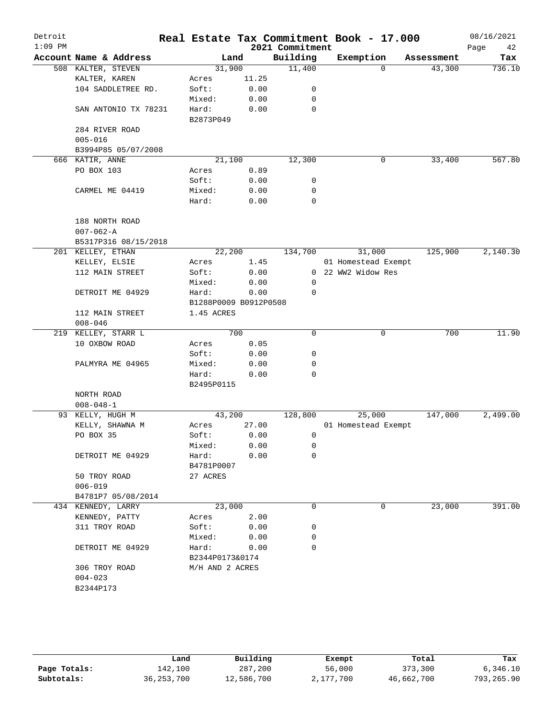| Detroit   |                        |                       |       |                 | Real Estate Tax Commitment Book - 17.000 |            | 08/16/2021 |
|-----------|------------------------|-----------------------|-------|-----------------|------------------------------------------|------------|------------|
| $1:09$ PM |                        |                       |       | 2021 Commitment |                                          |            | Page<br>42 |
|           | Account Name & Address |                       | Land  | Building        | Exemption                                | Assessment | Tax        |
|           | 508 KALTER, STEVEN     | 31,900                |       | 11,400          | $\Omega$                                 | 43,300     | 736.10     |
|           | KALTER, KAREN          | Acres                 | 11.25 |                 |                                          |            |            |
|           | 104 SADDLETREE RD.     | Soft:                 | 0.00  | 0               |                                          |            |            |
|           |                        | Mixed:                | 0.00  | 0<br>0          |                                          |            |            |
|           | SAN ANTONIO TX 78231   | Hard:<br>B2873P049    | 0.00  |                 |                                          |            |            |
|           | 284 RIVER ROAD         |                       |       |                 |                                          |            |            |
|           | $005 - 016$            |                       |       |                 |                                          |            |            |
|           | B3994P85 05/07/2008    |                       |       |                 |                                          |            |            |
|           | 666 KATIR, ANNE        | 21,100                |       | 12,300          | 0                                        | 33,400     | 567.80     |
|           | PO BOX 103             | Acres                 | 0.89  |                 |                                          |            |            |
|           |                        | Soft:                 | 0.00  | 0               |                                          |            |            |
|           | CARMEL ME 04419        | Mixed:                | 0.00  | 0               |                                          |            |            |
|           |                        | Hard:                 | 0.00  | 0               |                                          |            |            |
|           |                        |                       |       |                 |                                          |            |            |
|           | 188 NORTH ROAD         |                       |       |                 |                                          |            |            |
|           | $007 - 062 - A$        |                       |       |                 |                                          |            |            |
|           | B5317P316 08/15/2018   |                       |       |                 |                                          |            |            |
|           | 201 KELLEY, ETHAN      | 22,200                |       | 134,700         | 31,000                                   | 125,900    | 2,140.30   |
|           | KELLEY, ELSIE          | Acres                 | 1.45  |                 | 01 Homestead Exempt                      |            |            |
|           | 112 MAIN STREET        | Soft:                 | 0.00  |                 | 0 22 WW2 Widow Res                       |            |            |
|           |                        | Mixed:                | 0.00  | 0               |                                          |            |            |
|           | DETROIT ME 04929       | Hard:                 | 0.00  | 0               |                                          |            |            |
|           |                        | B1288P0009 B0912P0508 |       |                 |                                          |            |            |
|           | 112 MAIN STREET        | 1.45 ACRES            |       |                 |                                          |            |            |
|           | $008 - 046$            |                       |       |                 |                                          |            |            |
| 219       | KELLEY, STARR L        |                       | 700   | 0               | 0                                        | 700        | 11.90      |
|           | 10 OXBOW ROAD          | Acres                 | 0.05  |                 |                                          |            |            |
|           |                        | Soft:                 | 0.00  | 0               |                                          |            |            |
|           | PALMYRA ME 04965       | Mixed:                | 0.00  | 0               |                                          |            |            |
|           |                        | Hard:                 | 0.00  | 0               |                                          |            |            |
|           |                        | B2495P0115            |       |                 |                                          |            |            |
|           | NORTH ROAD             |                       |       |                 |                                          |            |            |
|           | $008 - 048 - 1$        |                       |       |                 |                                          |            |            |
|           | 93 KELLY, HUGH M       | 43,200                |       | 128,800         | 25,000                                   | 147,000    | 2,499.00   |
|           | KELLY, SHAWNA M        | Acres                 | 27.00 |                 | 01 Homestead Exempt                      |            |            |
|           | PO BOX 35              | Soft:                 | 0.00  | 0               |                                          |            |            |
|           |                        | Mixed:                | 0.00  | 0               |                                          |            |            |
|           | DETROIT ME 04929       | Hard:                 | 0.00  | 0               |                                          |            |            |
|           |                        | B4781P0007            |       |                 |                                          |            |            |
|           | 50 TROY ROAD           | 27 ACRES              |       |                 |                                          |            |            |
|           | $006 - 019$            |                       |       |                 |                                          |            |            |
|           | B4781P7 05/08/2014     |                       |       |                 |                                          |            |            |
|           | 434 KENNEDY, LARRY     | 23,000                |       | 0               | 0                                        | 23,000     | 391.00     |
|           | KENNEDY, PATTY         | Acres                 | 2.00  |                 |                                          |            |            |
|           | 311 TROY ROAD          | Soft:                 | 0.00  | 0               |                                          |            |            |
|           |                        | Mixed:                | 0.00  | 0               |                                          |            |            |
|           | DETROIT ME 04929       | Hard:                 | 0.00  | 0               |                                          |            |            |
|           |                        | B2344P0173&0174       |       |                 |                                          |            |            |
|           | 306 TROY ROAD          | M/H AND 2 ACRES       |       |                 |                                          |            |            |
|           | $004 - 023$            |                       |       |                 |                                          |            |            |
|           | B2344P173              |                       |       |                 |                                          |            |            |

|              | Land         | Building   | Exempt    | Total      | Tax        |
|--------------|--------------|------------|-----------|------------|------------|
| Page Totals: | 142,100      | 287,200    | 56,000    | 373,300    | 6,346.10   |
| Subtotals:   | 36, 253, 700 | 12,586,700 | 2,177,700 | 46,662,700 | 793,265.90 |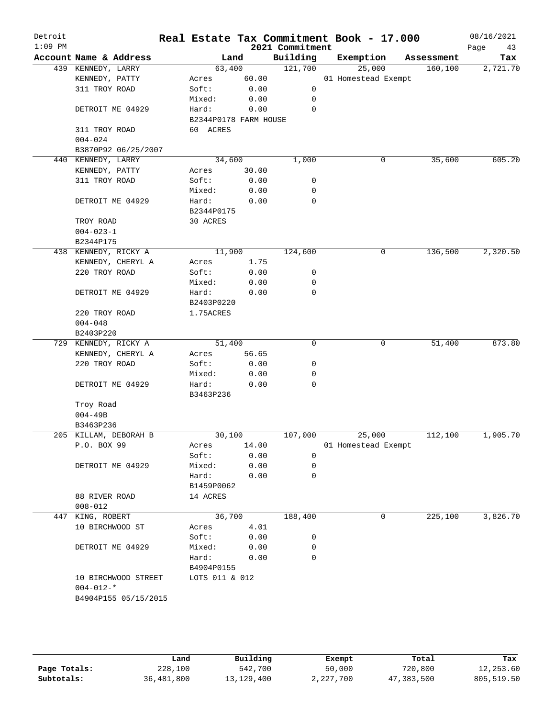|                       | 2021 Commitment | Real Estate Tax Commitment Book - 17.000 |            | 08/16/2021<br>Page<br>43 |
|-----------------------|-----------------|------------------------------------------|------------|--------------------------|
| Land                  | Building        | Exemption                                | Assessment | Tax                      |
| 63,400                | 121,700         | 25,000                                   | 160,100    | 2,721.70                 |
| 60.00                 |                 | 01 Homestead Exempt                      |            |                          |
| 0.00                  | 0               |                                          |            |                          |
| 0.00                  | 0               |                                          |            |                          |
| 0.00                  | 0               |                                          |            |                          |
| B2344P0178 FARM HOUSE |                 |                                          |            |                          |
| 60 ACRES              |                 |                                          |            |                          |
|                       |                 |                                          |            |                          |
|                       |                 |                                          |            |                          |
| 34,600                | 1,000           | 0                                        | 35,600     | 605.20                   |
| 30.00                 |                 |                                          |            |                          |
| 0.00                  | 0               |                                          |            |                          |
| 0.00                  | 0               |                                          |            |                          |
| 0.00                  | 0               |                                          |            |                          |
| B2344P0175            |                 |                                          |            |                          |
|                       |                 |                                          |            |                          |
|                       |                 |                                          |            |                          |
|                       |                 |                                          |            |                          |
| 11,900                | 124,600         | 0                                        | 136,500    | 2,320.50                 |
| 1.75                  |                 |                                          |            |                          |
| 0.00                  | 0               |                                          |            |                          |
| 0.00                  | 0               |                                          |            |                          |
| 0.00                  | $\mathbf 0$     |                                          |            |                          |
| B2403P0220            |                 |                                          |            |                          |
| 1.75ACRES             |                 |                                          |            |                          |
|                       |                 |                                          |            |                          |
|                       |                 |                                          |            |                          |
| 51,400                | 0               | 0                                        | 51,400     | 873.80                   |
| 56.65                 |                 |                                          |            |                          |
| 0.00                  | 0               |                                          |            |                          |
| 0.00                  | 0               |                                          |            |                          |
| 0.00                  | 0               |                                          |            |                          |
| B3463P236             |                 |                                          |            |                          |
|                       |                 |                                          |            |                          |
|                       |                 |                                          |            |                          |
|                       |                 |                                          |            |                          |
| 30,100                | 107,000         | 25,000                                   | 112,100    | 1,905.70                 |
| 14.00                 |                 | 01 Homestead Exempt                      |            |                          |
| 0.00                  | 0               |                                          |            |                          |
| 0.00                  | 0               |                                          |            |                          |
| 0.00                  | $\mathbf 0$     |                                          |            |                          |
| B1459P0062            |                 |                                          |            |                          |
|                       |                 |                                          |            |                          |
|                       |                 |                                          |            |                          |
| 36,700                | 188,400         | 0                                        | 225,100    | 3,826.70                 |
| 4.01                  |                 |                                          |            |                          |
| 0.00                  | 0               |                                          |            |                          |
| 0.00                  | 0               |                                          |            |                          |
| 0.00                  | 0               |                                          |            |                          |
| B4904P0155            |                 |                                          |            |                          |
| LOTS 011 & 012        |                 |                                          |            |                          |
|                       |                 |                                          |            |                          |
|                       |                 |                                          |            |                          |
|                       |                 |                                          |            |                          |

|              | Land       | Building     | Exempt    | Total      | Tax        |
|--------------|------------|--------------|-----------|------------|------------|
| Page Totals: | 228,100    | 542,700      | 50,000    | 720,800    | 12,253.60  |
| Subtotals:   | 36,481,800 | 13, 129, 400 | 2,227,700 | 47,383,500 | 805,519.50 |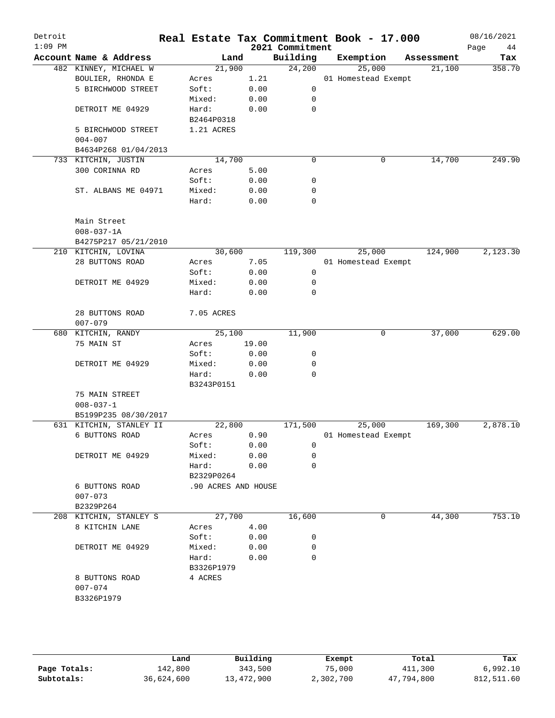| Detroit<br>$1:09$ PM |                                |                     |       | 2021 Commitment | Real Estate Tax Commitment Book - 17.000 |            | 08/16/2021<br>Page<br>44 |
|----------------------|--------------------------------|---------------------|-------|-----------------|------------------------------------------|------------|--------------------------|
|                      | Account Name & Address         | Land                |       | Building        | Exemption                                | Assessment | Tax                      |
|                      | 482 KINNEY, MICHAEL W          | 21,900              |       | 24,200          | 25,000                                   | 21,100     | 358.70                   |
|                      | BOULIER, RHONDA E              | Acres               | 1.21  |                 | 01 Homestead Exempt                      |            |                          |
|                      | 5 BIRCHWOOD STREET             | Soft:               | 0.00  | 0               |                                          |            |                          |
|                      |                                | Mixed:              | 0.00  | 0               |                                          |            |                          |
|                      | DETROIT ME 04929               | Hard:               | 0.00  | 0               |                                          |            |                          |
|                      |                                | B2464P0318          |       |                 |                                          |            |                          |
|                      | 5 BIRCHWOOD STREET             | 1.21 ACRES          |       |                 |                                          |            |                          |
|                      | $004 - 007$                    |                     |       |                 |                                          |            |                          |
|                      | B4634P268 01/04/2013           |                     |       |                 |                                          |            |                          |
|                      | 733 KITCHIN, JUSTIN            | 14,700              |       | $\mathbf 0$     | 0                                        | 14,700     | 249.90                   |
|                      | 300 CORINNA RD                 | Acres               | 5.00  |                 |                                          |            |                          |
|                      |                                | Soft:               | 0.00  | $\mathsf{O}$    |                                          |            |                          |
|                      | ST. ALBANS ME 04971            | Mixed:              | 0.00  | 0               |                                          |            |                          |
|                      |                                | Hard:               | 0.00  | $\mathbf 0$     |                                          |            |                          |
|                      | Main Street                    |                     |       |                 |                                          |            |                          |
|                      | $008 - 037 - 1A$               |                     |       |                 |                                          |            |                          |
|                      | B4275P217 05/21/2010           |                     |       |                 |                                          |            |                          |
|                      | 210 KITCHIN, LOVINA            | 30,600              |       | 119,300         | 25,000                                   | 124,900    | 2,123.30                 |
|                      | 28 BUTTONS ROAD                | Acres               | 7.05  |                 | 01 Homestead Exempt                      |            |                          |
|                      |                                | Soft:               | 0.00  | 0               |                                          |            |                          |
|                      | DETROIT ME 04929               | Mixed:              | 0.00  | 0               |                                          |            |                          |
|                      |                                | Hard:               | 0.00  | $\mathbf 0$     |                                          |            |                          |
|                      |                                |                     |       |                 |                                          |            |                          |
|                      | 28 BUTTONS ROAD<br>$007 - 079$ | 7.05 ACRES          |       |                 |                                          |            |                          |
|                      | 680 KITCHIN, RANDY             | 25,100              |       | 11,900          | 0                                        | 37,000     | 629.00                   |
|                      | 75 MAIN ST                     |                     |       |                 |                                          |            |                          |
|                      |                                | Acres               | 19.00 |                 |                                          |            |                          |
|                      |                                | Soft:               | 0.00  | 0               |                                          |            |                          |
|                      | DETROIT ME 04929               | Mixed:              | 0.00  | 0               |                                          |            |                          |
|                      |                                | Hard:               | 0.00  | $\mathbf 0$     |                                          |            |                          |
|                      |                                | B3243P0151          |       |                 |                                          |            |                          |
|                      | 75 MAIN STREET                 |                     |       |                 |                                          |            |                          |
|                      | $008 - 037 - 1$                |                     |       |                 |                                          |            |                          |
|                      | B5199P235 08/30/2017           |                     |       |                 |                                          |            |                          |
|                      | 631 KITCHIN, STANLEY II        | 22,800              |       | 171,500         | 25,000                                   | 169,300    | 2,878.10                 |
|                      | 6 BUTTONS ROAD                 | Acres               | 0.90  |                 | 01 Homestead Exempt                      |            |                          |
|                      |                                | Soft:               | 0.00  | 0               |                                          |            |                          |
|                      | DETROIT ME 04929               | Mixed:              | 0.00  | 0               |                                          |            |                          |
|                      |                                | Hard:               | 0.00  | $\mathbf 0$     |                                          |            |                          |
|                      |                                | B2329P0264          |       |                 |                                          |            |                          |
|                      | 6 BUTTONS ROAD                 | .90 ACRES AND HOUSE |       |                 |                                          |            |                          |
|                      | $007 - 073$                    |                     |       |                 |                                          |            |                          |
|                      | B2329P264                      |                     |       |                 |                                          |            |                          |
|                      | 208 KITCHIN, STANLEY S         | 27,700              |       | 16,600          | 0                                        | 44,300     | 753.10                   |
|                      | 8 KITCHIN LANE                 | Acres               | 4.00  |                 |                                          |            |                          |
|                      |                                | Soft:               | 0.00  | 0               |                                          |            |                          |
|                      | DETROIT ME 04929               | Mixed:              | 0.00  | 0               |                                          |            |                          |
|                      |                                | Hard:               | 0.00  | $\mathbf 0$     |                                          |            |                          |
|                      |                                | B3326P1979          |       |                 |                                          |            |                          |
|                      | 8 BUTTONS ROAD                 | 4 ACRES             |       |                 |                                          |            |                          |
|                      | $007 - 074$                    |                     |       |                 |                                          |            |                          |
|                      | B3326P1979                     |                     |       |                 |                                          |            |                          |
|                      |                                |                     |       |                 |                                          |            |                          |
|                      |                                |                     |       |                 |                                          |            |                          |
|                      |                                |                     |       |                 |                                          |            |                          |
|                      |                                |                     |       |                 |                                          |            |                          |

|              | Land       | Building   | Exempt    | Total      | Tax        |
|--------------|------------|------------|-----------|------------|------------|
| Page Totals: | 142,800    | 343,500    | 75,000    | 411,300    | 6,992.10   |
| Subtotals:   | 36,624,600 | 13,472,900 | 2,302,700 | 47,794,800 | 812,511.60 |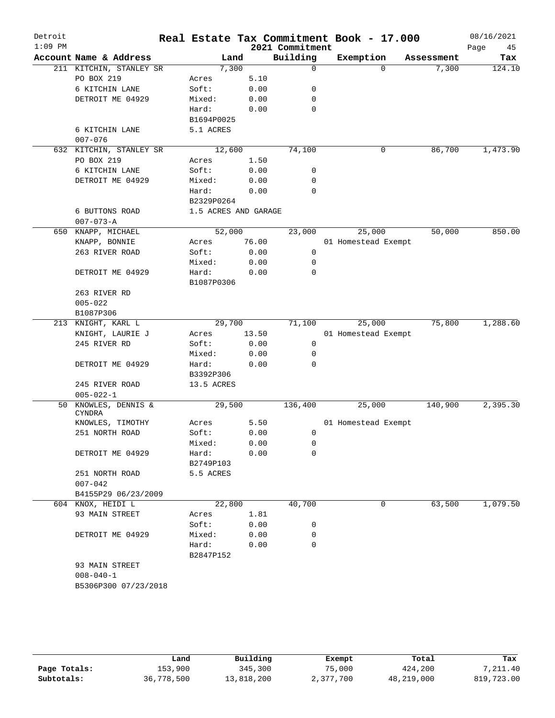| Detroit<br>$1:09$ PM |                         |                      |       | 2021 Commitment | Real Estate Tax Commitment Book - 17.000 |            | 08/16/2021<br>45<br>Page |
|----------------------|-------------------------|----------------------|-------|-----------------|------------------------------------------|------------|--------------------------|
|                      | Account Name & Address  | Land                 |       | Building        | Exemption                                | Assessment | Tax                      |
|                      | 211 KITCHIN, STANLEY SR | 7,300                |       | $\mathbf 0$     | $\Omega$                                 | 7,300      | 124.10                   |
|                      | PO BOX 219              | Acres                | 5.10  |                 |                                          |            |                          |
|                      | 6 KITCHIN LANE          | Soft:                | 0.00  | 0               |                                          |            |                          |
|                      | DETROIT ME 04929        | Mixed:               | 0.00  | 0               |                                          |            |                          |
|                      |                         | Hard:                | 0.00  | $\mathbf 0$     |                                          |            |                          |
|                      |                         | B1694P0025           |       |                 |                                          |            |                          |
|                      | 6 KITCHIN LANE          | 5.1 ACRES            |       |                 |                                          |            |                          |
|                      | $007 - 076$             |                      |       |                 |                                          |            |                          |
|                      | 632 KITCHIN, STANLEY SR | 12,600               |       | 74,100          | 0                                        | 86,700     | 1,473.90                 |
|                      | PO BOX 219              | Acres                | 1.50  |                 |                                          |            |                          |
|                      | 6 KITCHIN LANE          | Soft:                | 0.00  | 0               |                                          |            |                          |
|                      | DETROIT ME 04929        | Mixed:               | 0.00  | 0               |                                          |            |                          |
|                      |                         | Hard:                | 0.00  | 0               |                                          |            |                          |
|                      |                         | B2329P0264           |       |                 |                                          |            |                          |
|                      | 6 BUTTONS ROAD          | 1.5 ACRES AND GARAGE |       |                 |                                          |            |                          |
|                      | $007 - 073 - A$         |                      |       |                 |                                          |            |                          |
| 650                  | KNAPP, MICHAEL          | 52,000               |       | 23,000          | 25,000                                   | 50,000     | 850.00                   |
|                      | KNAPP, BONNIE           | Acres                | 76.00 |                 | 01 Homestead Exempt                      |            |                          |
|                      | 263 RIVER ROAD          | Soft:                | 0.00  | 0               |                                          |            |                          |
|                      |                         | Mixed:               | 0.00  | 0               |                                          |            |                          |
|                      | DETROIT ME 04929        | Hard:                | 0.00  | 0               |                                          |            |                          |
|                      |                         | B1087P0306           |       |                 |                                          |            |                          |
|                      | 263 RIVER RD            |                      |       |                 |                                          |            |                          |
|                      | $005 - 022$             |                      |       |                 |                                          |            |                          |
|                      | B1087P306               |                      |       |                 |                                          |            |                          |
| 213                  | KNIGHT, KARL L          | 29,700               |       | 71,100          | 25,000                                   | 75,800     | 1,288.60                 |
|                      | KNIGHT, LAURIE J        | Acres                | 13.50 |                 | 01 Homestead Exempt                      |            |                          |
|                      | 245 RIVER RD            | Soft:                | 0.00  | 0               |                                          |            |                          |
|                      |                         | Mixed:               | 0.00  | 0               |                                          |            |                          |
|                      | DETROIT ME 04929        | Hard:                | 0.00  | $\mathbf 0$     |                                          |            |                          |
|                      |                         | B3392P306            |       |                 |                                          |            |                          |
|                      | 245 RIVER ROAD          | 13.5 ACRES           |       |                 |                                          |            |                          |
|                      | $005 - 022 - 1$         |                      |       |                 |                                          |            |                          |
| 50                   | KNOWLES, DENNIS &       | 29,500               |       | 136,400         | 25,000                                   | 140,900    | 2,395.30                 |
|                      | CYNDRA                  |                      |       |                 |                                          |            |                          |
|                      | KNOWLES, TIMOTHY        | Acres                | 5.50  |                 | 01 Homestead Exempt                      |            |                          |
|                      | 251 NORTH ROAD          | Soft:                | 0.00  | 0               |                                          |            |                          |
|                      |                         | Mixed:               | 0.00  | 0               |                                          |            |                          |
|                      | DETROIT ME 04929        | Hard:                | 0.00  | 0               |                                          |            |                          |
|                      |                         | B2749P103            |       |                 |                                          |            |                          |
|                      | 251 NORTH ROAD          | 5.5 ACRES            |       |                 |                                          |            |                          |
|                      | $007 - 042$             |                      |       |                 |                                          |            |                          |
|                      | B4155P29 06/23/2009     |                      |       |                 |                                          |            |                          |
|                      | 604 KNOX, HEIDI L       | 22,800               |       | 40,700          | 0                                        | 63,500     | 1,079.50                 |
|                      | 93 MAIN STREET          | Acres                | 1.81  |                 |                                          |            |                          |
|                      |                         | Soft:                | 0.00  | 0               |                                          |            |                          |
|                      | DETROIT ME 04929        | Mixed:               | 0.00  | 0               |                                          |            |                          |
|                      |                         | Hard:                | 0.00  | 0               |                                          |            |                          |
|                      |                         | B2847P152            |       |                 |                                          |            |                          |
|                      | 93 MAIN STREET          |                      |       |                 |                                          |            |                          |
|                      | $008 - 040 - 1$         |                      |       |                 |                                          |            |                          |
|                      | B5306P300 07/23/2018    |                      |       |                 |                                          |            |                          |
|                      |                         |                      |       |                 |                                          |            |                          |
|                      |                         |                      |       |                 |                                          |            |                          |

|              | Land       | Building   | Exempt    | Total      | Tax        |
|--------------|------------|------------|-----------|------------|------------|
| Page Totals: | 153,900    | 345,300    | 75,000    | 424,200    | 7,211.40   |
| Subtotals:   | 36,778,500 | 13,818,200 | 2,377,700 | 48,219,000 | 819,723.00 |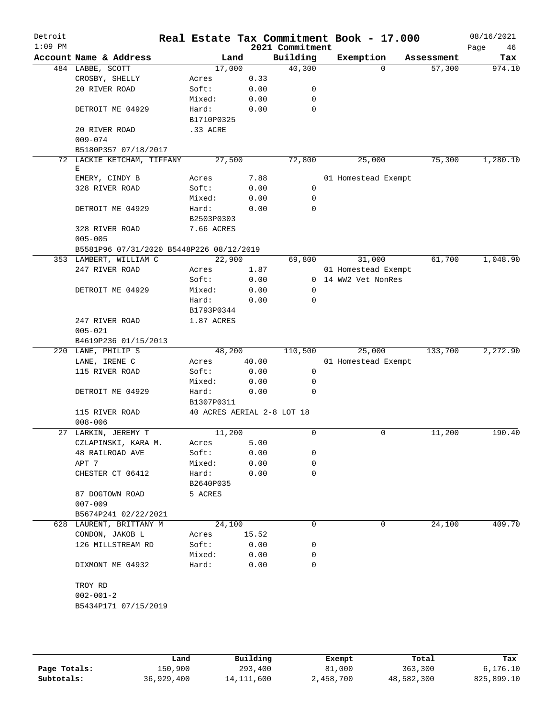| Detroit<br>$1:09$ PM |                                          |                            |       | 2021 Commitment | Real Estate Tax Commitment Book - 17.000 |            | 08/16/2021<br>Page<br>46 |
|----------------------|------------------------------------------|----------------------------|-------|-----------------|------------------------------------------|------------|--------------------------|
|                      | Account Name & Address                   | Land                       |       | Building        | Exemption                                | Assessment | Tax                      |
|                      | 484 LABBE, SCOTT                         | 17,000                     |       | 40,300          | $\Omega$                                 | 57,300     | 974.10                   |
|                      | CROSBY, SHELLY                           | Acres                      | 0.33  |                 |                                          |            |                          |
|                      | 20 RIVER ROAD                            | Soft:                      | 0.00  | 0               |                                          |            |                          |
|                      |                                          | Mixed:                     | 0.00  | 0               |                                          |            |                          |
|                      | DETROIT ME 04929                         | Hard:                      | 0.00  | 0               |                                          |            |                          |
|                      |                                          | B1710P0325                 |       |                 |                                          |            |                          |
|                      | 20 RIVER ROAD                            | .33 ACRE                   |       |                 |                                          |            |                          |
|                      | $009 - 074$                              |                            |       |                 |                                          |            |                          |
|                      | B5180P357 07/18/2017                     |                            |       |                 |                                          |            |                          |
|                      | 72 LACKIE KETCHAM, TIFFANY               | 27,500                     |       | 72,800          | 25,000                                   | 75,300     | 1,280.10                 |
|                      | Е                                        |                            |       |                 |                                          |            |                          |
|                      | EMERY, CINDY B                           | Acres                      | 7.88  |                 | 01 Homestead Exempt                      |            |                          |
|                      | 328 RIVER ROAD                           | Soft:                      | 0.00  | $\mathbf 0$     |                                          |            |                          |
|                      |                                          | Mixed:                     | 0.00  | 0               |                                          |            |                          |
|                      | DETROIT ME 04929                         | Hard:                      | 0.00  | 0               |                                          |            |                          |
|                      |                                          | B2503P0303                 |       |                 |                                          |            |                          |
|                      | 328 RIVER ROAD                           | 7.66 ACRES                 |       |                 |                                          |            |                          |
|                      | $005 - 005$                              |                            |       |                 |                                          |            |                          |
|                      | B5581P96 07/31/2020 B5448P226 08/12/2019 |                            |       |                 |                                          |            |                          |
|                      | 353 LAMBERT, WILLIAM C                   | 22,900                     |       | 69,800          | 31,000                                   | 61,700     | 1,048.90                 |
|                      | 247 RIVER ROAD                           | Acres                      | 1.87  |                 | 01 Homestead Exempt                      |            |                          |
|                      |                                          | Soft:                      | 0.00  |                 | 0 14 WW2 Vet NonRes                      |            |                          |
|                      | DETROIT ME 04929                         | Mixed:                     | 0.00  | 0               |                                          |            |                          |
|                      |                                          | Hard:                      | 0.00  | 0               |                                          |            |                          |
|                      |                                          | B1793P0344                 |       |                 |                                          |            |                          |
|                      | 247 RIVER ROAD                           | 1.87 ACRES                 |       |                 |                                          |            |                          |
|                      | $005 - 021$                              |                            |       |                 |                                          |            |                          |
|                      | B4619P236 01/15/2013                     |                            |       |                 |                                          |            |                          |
|                      | 220 LANE, PHILIP S                       | 48,200                     |       | 110,500         | 25,000                                   | 133,700    | 2,272.90                 |
|                      | LANE, IRENE C                            | Acres                      | 40.00 |                 | 01 Homestead Exempt                      |            |                          |
|                      | 115 RIVER ROAD                           | Soft:                      | 0.00  | 0               |                                          |            |                          |
|                      |                                          | Mixed:                     | 0.00  | 0               |                                          |            |                          |
|                      | DETROIT ME 04929                         | Hard:                      | 0.00  | 0               |                                          |            |                          |
|                      |                                          | B1307P0311                 |       |                 |                                          |            |                          |
|                      | 115 RIVER ROAD                           | 40 ACRES AERIAL 2-8 LOT 18 |       |                 |                                          |            |                          |
|                      | $008 - 006$                              |                            |       |                 |                                          |            |                          |
|                      | 27 LARKIN, JEREMY T                      | 11,200                     |       | 0               | 0                                        | 11,200     | 190.40                   |
|                      | CZLAPINSKI, KARA M.                      | Acres                      | 5.00  |                 |                                          |            |                          |
|                      | 48 RAILROAD AVE                          | Soft:                      | 0.00  | 0               |                                          |            |                          |
|                      | APT 7                                    | Mixed:                     | 0.00  | 0               |                                          |            |                          |
|                      | CHESTER CT 06412                         | Hard:                      | 0.00  | 0               |                                          |            |                          |
|                      |                                          | B2640P035                  |       |                 |                                          |            |                          |
|                      | 87 DOGTOWN ROAD                          | 5 ACRES                    |       |                 |                                          |            |                          |
|                      | $007 - 009$                              |                            |       |                 |                                          |            |                          |
|                      | B5674P241 02/22/2021                     |                            |       |                 |                                          |            |                          |
|                      | 628 LAURENT, BRITTANY M                  | 24,100                     |       | 0               | 0                                        | 24,100     | 409.70                   |
|                      | CONDON, JAKOB L                          | Acres                      | 15.52 |                 |                                          |            |                          |
|                      | 126 MILLSTREAM RD                        | Soft:                      | 0.00  | 0               |                                          |            |                          |
|                      |                                          | Mixed:                     | 0.00  | 0               |                                          |            |                          |
|                      | DIXMONT ME 04932                         | Hard:                      | 0.00  | 0               |                                          |            |                          |
|                      | TROY RD                                  |                            |       |                 |                                          |            |                          |
|                      | $002 - 001 - 2$                          |                            |       |                 |                                          |            |                          |
|                      | B5434P171 07/15/2019                     |                            |       |                 |                                          |            |                          |
|                      |                                          |                            |       |                 |                                          |            |                          |
|                      |                                          |                            |       |                 |                                          |            |                          |

|              | Land       | Building     | Exempt    | Total      | Tax        |
|--------------|------------|--------------|-----------|------------|------------|
| Page Totals: | 150,900    | 293,400      | 81,000    | 363,300    | 6,176.10   |
| Subtotals:   | 36,929,400 | 14, 111, 600 | 2,458,700 | 48,582,300 | 825,899.10 |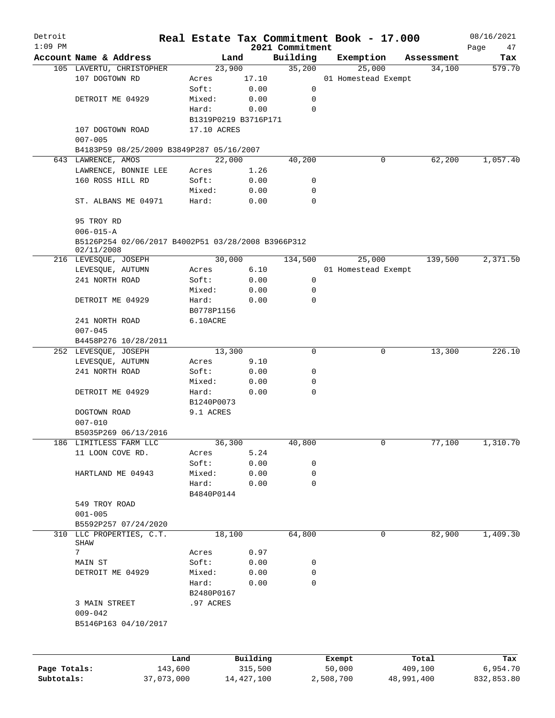| Detroit      |                                                    |            |             |                      |                    |           | Real Estate Tax Commitment Book - 17.000 |                      | 08/16/2021    |
|--------------|----------------------------------------------------|------------|-------------|----------------------|--------------------|-----------|------------------------------------------|----------------------|---------------|
| $1:09$ PM    | Account Name & Address                             |            |             |                      | 2021 Commitment    |           |                                          |                      | Page<br>47    |
|              |                                                    |            |             | Land<br>23,900       | Building<br>35,200 |           | Exemption<br>25,000                      | Assessment<br>34,100 | Tax<br>579.70 |
|              | 105 LAVERTU, CHRISTOPHER<br>107 DOGTOWN RD         |            | Acres       | 17.10                |                    |           | 01 Homestead Exempt                      |                      |               |
|              |                                                    |            | Soft:       | 0.00                 | 0                  |           |                                          |                      |               |
|              | DETROIT ME 04929                                   |            | Mixed:      | 0.00                 | 0                  |           |                                          |                      |               |
|              |                                                    |            | Hard:       | 0.00                 | 0                  |           |                                          |                      |               |
|              |                                                    |            |             | B1319P0219 B3716P171 |                    |           |                                          |                      |               |
|              | 107 DOGTOWN ROAD                                   |            | 17.10 ACRES |                      |                    |           |                                          |                      |               |
|              | $007 - 005$                                        |            |             |                      |                    |           |                                          |                      |               |
|              | B4183P59 08/25/2009 B3849P287 05/16/2007           |            |             |                      |                    |           |                                          |                      |               |
|              | 643 LAWRENCE, AMOS                                 |            |             | 22,000               | 40,200             |           | 0                                        | 62,200               | 1,057.40      |
|              | LAWRENCE, BONNIE LEE                               |            | Acres       | 1.26                 |                    |           |                                          |                      |               |
|              | 160 ROSS HILL RD                                   |            | Soft:       | 0.00                 | 0                  |           |                                          |                      |               |
|              |                                                    |            | Mixed:      | 0.00                 | 0                  |           |                                          |                      |               |
|              | ST. ALBANS ME 04971                                |            | Hard:       | 0.00                 | $\Omega$           |           |                                          |                      |               |
|              | 95 TROY RD                                         |            |             |                      |                    |           |                                          |                      |               |
|              | $006 - 015 - A$                                    |            |             |                      |                    |           |                                          |                      |               |
|              | B5126P254 02/06/2017 B4002P51 03/28/2008 B3966P312 |            |             |                      |                    |           |                                          |                      |               |
|              | 02/11/2008                                         |            |             |                      |                    |           |                                          |                      |               |
|              | 216 LEVESQUE, JOSEPH                               |            |             | 30,000               | 134,500            |           | 25,000                                   | 139,500              | 2,371.50      |
|              | LEVESQUE, AUTUMN                                   |            | Acres       | 6.10                 |                    |           | 01 Homestead Exempt                      |                      |               |
|              | 241 NORTH ROAD                                     |            | Soft:       | 0.00                 | 0                  |           |                                          |                      |               |
|              |                                                    |            | Mixed:      | 0.00                 | 0                  |           |                                          |                      |               |
|              | DETROIT ME 04929                                   |            | Hard:       | 0.00                 | 0                  |           |                                          |                      |               |
|              |                                                    |            | B0778P1156  |                      |                    |           |                                          |                      |               |
|              | 241 NORTH ROAD                                     |            | 6.10ACRE    |                      |                    |           |                                          |                      |               |
|              | $007 - 045$                                        |            |             |                      |                    |           |                                          |                      |               |
|              | B4458P276 10/28/2011                               |            |             |                      |                    |           |                                          |                      |               |
|              | 252 LEVESQUE, JOSEPH                               |            |             | 13,300               | 0                  |           | 0                                        | 13,300               | 226.10        |
|              | LEVESQUE, AUTUMN                                   |            | Acres       | 9.10                 |                    |           |                                          |                      |               |
|              | 241 NORTH ROAD                                     |            | Soft:       | 0.00                 | 0                  |           |                                          |                      |               |
|              |                                                    |            | Mixed:      | 0.00                 | 0                  |           |                                          |                      |               |
|              | DETROIT ME 04929                                   |            | Hard:       | 0.00                 | 0                  |           |                                          |                      |               |
|              |                                                    |            | B1240P0073  |                      |                    |           |                                          |                      |               |
|              | DOGTOWN ROAD                                       |            | 9.1 ACRES   |                      |                    |           |                                          |                      |               |
|              | $007 - 010$                                        |            |             |                      |                    |           |                                          |                      |               |
|              | B5035P269 06/13/2016                               |            |             |                      |                    |           |                                          |                      |               |
|              | 186 LIMITLESS FARM LLC                             |            |             | 36,300               | 40,800             |           | 0                                        | 77,100               | 1,310.70      |
|              | 11 LOON COVE RD.                                   |            | Acres       | 5.24                 |                    |           |                                          |                      |               |
|              |                                                    |            | Soft:       | 0.00                 | 0                  |           |                                          |                      |               |
|              | HARTLAND ME 04943                                  |            | Mixed:      | 0.00                 | 0                  |           |                                          |                      |               |
|              |                                                    |            | Hard:       | 0.00                 | 0                  |           |                                          |                      |               |
|              |                                                    |            | B4840P0144  |                      |                    |           |                                          |                      |               |
|              | 549 TROY ROAD                                      |            |             |                      |                    |           |                                          |                      |               |
|              | $001 - 005$                                        |            |             |                      |                    |           |                                          |                      |               |
|              | B5592P257 07/24/2020                               |            |             |                      |                    |           |                                          |                      |               |
|              | 310 LLC PROPERTIES, C.T.<br>SHAW                   |            |             | 18,100               | 64,800             |           | $\mathbf 0$                              | 82,900               | 1,409.30      |
|              | 7                                                  |            | Acres       | 0.97                 |                    |           |                                          |                      |               |
|              |                                                    |            | Soft:       | 0.00                 | 0                  |           |                                          |                      |               |
|              | MAIN ST                                            |            |             |                      | 0                  |           |                                          |                      |               |
|              | DETROIT ME 04929                                   |            | Mixed:      | 0.00                 | $\mathbf 0$        |           |                                          |                      |               |
|              |                                                    |            | Hard:       | 0.00                 |                    |           |                                          |                      |               |
|              |                                                    |            | B2480P0167  |                      |                    |           |                                          |                      |               |
|              | 3 MAIN STREET                                      |            | .97 ACRES   |                      |                    |           |                                          |                      |               |
|              | $009 - 042$                                        |            |             |                      |                    |           |                                          |                      |               |
|              | B5146P163 04/10/2017                               |            |             |                      |                    |           |                                          |                      |               |
|              |                                                    |            |             |                      |                    |           |                                          |                      |               |
|              |                                                    | Land       |             | Building             |                    | Exempt    |                                          | Total                | Tax           |
| Page Totals: |                                                    | 143,600    |             | 315,500              |                    | 50,000    |                                          | 409,100              | 6,954.70      |
| Subtotals:   |                                                    | 37,073,000 |             | 14,427,100           |                    | 2,508,700 | 48,991,400                               |                      | 832,853.80    |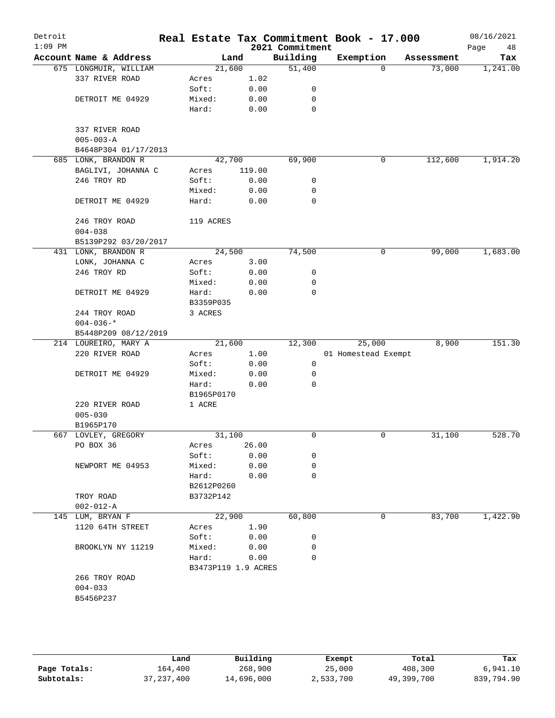| Detroit<br>$1:09$ PM |                        |                              |              | 2021 Commitment | Real Estate Tax Commitment Book - 17.000 |            | 08/16/2021<br>Page<br>48 |
|----------------------|------------------------|------------------------------|--------------|-----------------|------------------------------------------|------------|--------------------------|
|                      | Account Name & Address |                              | Land         | Building        | Exemption                                | Assessment | Tax                      |
|                      | 675 LONGMUIR, WILLIAM  | 21,600                       |              | 51,400          | 0                                        | 73,000     | 1,241.00                 |
|                      | 337 RIVER ROAD         | Acres                        | 1.02         |                 |                                          |            |                          |
|                      |                        | Soft:                        | 0.00         | 0               |                                          |            |                          |
|                      | DETROIT ME 04929       | Mixed:                       | 0.00         | 0               |                                          |            |                          |
|                      |                        | Hard:                        | 0.00         | $\mathbf 0$     |                                          |            |                          |
|                      |                        |                              |              |                 |                                          |            |                          |
|                      | 337 RIVER ROAD         |                              |              |                 |                                          |            |                          |
|                      | $005 - 003 - A$        |                              |              |                 |                                          |            |                          |
|                      | B4648P304 01/17/2013   |                              |              |                 |                                          |            |                          |
|                      | 685 LONK, BRANDON R    | 42,700                       |              | 69,900          | 0                                        | 112,600    | 1,914.20                 |
|                      | BAGLIVI, JOHANNA C     | Acres                        | 119.00       |                 |                                          |            |                          |
|                      | 246 TROY RD            | Soft:                        | 0.00         | 0               |                                          |            |                          |
|                      |                        | Mixed:                       | 0.00         | 0               |                                          |            |                          |
|                      | DETROIT ME 04929       | Hard:                        | 0.00         | 0               |                                          |            |                          |
|                      | 246 TROY ROAD          | 119 ACRES                    |              |                 |                                          |            |                          |
|                      | $004 - 038$            |                              |              |                 |                                          |            |                          |
|                      | B5139P292 03/20/2017   |                              |              |                 |                                          |            |                          |
|                      | 431 LONK, BRANDON R    | 24,500                       |              | 74,500          | 0                                        | 99,000     | 1,683.00                 |
|                      | LONK, JOHANNA C        | Acres                        | 3.00         |                 |                                          |            |                          |
|                      | 246 TROY RD            | Soft:                        | 0.00         | 0               |                                          |            |                          |
|                      |                        | Mixed:                       | 0.00         | 0               |                                          |            |                          |
|                      | DETROIT ME 04929       | Hard:                        | 0.00         | $\mathbf 0$     |                                          |            |                          |
|                      |                        | B3359P035                    |              |                 |                                          |            |                          |
|                      | 244 TROY ROAD          | 3 ACRES                      |              |                 |                                          |            |                          |
|                      | $004 - 036 -$ *        |                              |              |                 |                                          |            |                          |
|                      | B5448P209 08/12/2019   |                              |              |                 |                                          |            |                          |
|                      | 214 LOUREIRO, MARY A   | 21,600                       |              | 12,300          | 25,000                                   | 8,900      | 151.30                   |
|                      | 220 RIVER ROAD         | Acres                        | 1.00         |                 | 01 Homestead Exempt                      |            |                          |
|                      |                        | Soft:                        | 0.00         | 0               |                                          |            |                          |
|                      | DETROIT ME 04929       | Mixed:                       | 0.00         | 0               |                                          |            |                          |
|                      |                        | Hard:                        | 0.00         | $\mathbf 0$     |                                          |            |                          |
|                      |                        | B1965P0170                   |              |                 |                                          |            |                          |
|                      | 220 RIVER ROAD         | 1 ACRE                       |              |                 |                                          |            |                          |
|                      | $005 - 030$            |                              |              |                 |                                          |            |                          |
|                      | B1965P170              |                              |              |                 |                                          |            |                          |
|                      | 667 LOVLEY, GREGORY    | 31,100                       |              | 0               | 0                                        | 31,100     | 528.70                   |
|                      | PO BOX 36              | Acres                        | 26.00        |                 |                                          |            |                          |
|                      |                        | Soft:                        | 0.00         | 0               |                                          |            |                          |
|                      | NEWPORT ME 04953       | Mixed:                       | 0.00         | 0               |                                          |            |                          |
|                      |                        | Hard:                        | 0.00         | 0               |                                          |            |                          |
|                      |                        | B2612P0260                   |              |                 |                                          |            |                          |
|                      | TROY ROAD              | B3732P142                    |              |                 |                                          |            |                          |
|                      | $002 - 012 - A$        |                              |              |                 |                                          |            |                          |
|                      | 145 LUM, BRYAN F       | 22,900                       |              | 60,800          | 0                                        | 83,700     | 1,422.90                 |
|                      | 1120 64TH STREET       | Acres                        | 1.90         |                 |                                          |            |                          |
|                      | BROOKLYN NY 11219      | Soft:<br>Mixed:              | 0.00<br>0.00 | 0<br>0          |                                          |            |                          |
|                      |                        |                              |              | $\Omega$        |                                          |            |                          |
|                      |                        | Hard:<br>B3473P119 1.9 ACRES | 0.00         |                 |                                          |            |                          |
|                      | 266 TROY ROAD          |                              |              |                 |                                          |            |                          |
|                      | $004 - 033$            |                              |              |                 |                                          |            |                          |
|                      | B5456P237              |                              |              |                 |                                          |            |                          |
|                      |                        |                              |              |                 |                                          |            |                          |
|                      |                        |                              |              |                 |                                          |            |                          |
|                      |                        |                              |              |                 |                                          |            |                          |

|              | Land         | Building   | Exempt    | Total      | Tax        |
|--------------|--------------|------------|-----------|------------|------------|
| Page Totals: | 164,400      | 268,900    | 25,000    | 408,300    | 6,941.10   |
| Subtotals:   | 37, 237, 400 | 14,696,000 | 2,533,700 | 49,399,700 | 839,794.90 |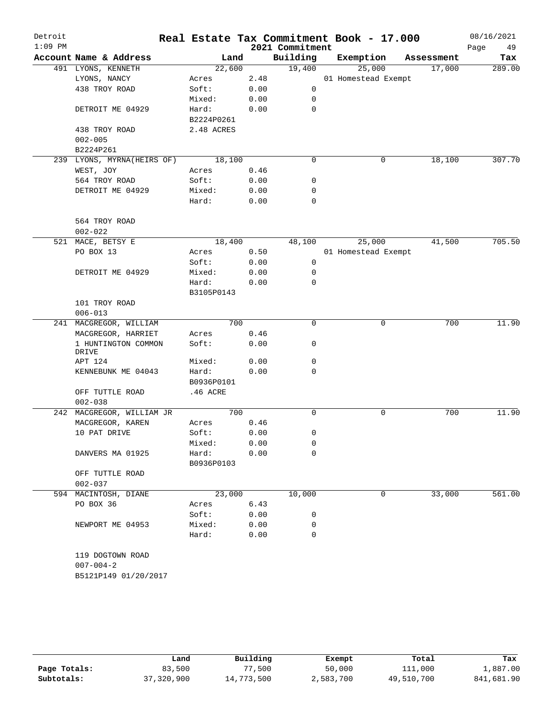| Detroit<br>$1:09$ PM |                              |            |      | 2021 Commitment | Real Estate Tax Commitment Book - 17.000 |            | 08/16/2021<br>Page<br>49 |
|----------------------|------------------------------|------------|------|-----------------|------------------------------------------|------------|--------------------------|
|                      | Account Name & Address       | Land       |      | Building        | Exemption                                | Assessment | Tax                      |
|                      | 491 LYONS, KENNETH           | 22,600     |      | 19,400          | 25,000                                   | 17,000     | 289.00                   |
|                      | LYONS, NANCY                 | Acres      | 2.48 |                 | 01 Homestead Exempt                      |            |                          |
|                      | 438 TROY ROAD                | Soft:      | 0.00 | 0               |                                          |            |                          |
|                      |                              | Mixed:     | 0.00 | 0               |                                          |            |                          |
|                      | DETROIT ME 04929             | Hard:      | 0.00 | 0               |                                          |            |                          |
|                      |                              | B2224P0261 |      |                 |                                          |            |                          |
|                      | 438 TROY ROAD                | 2.48 ACRES |      |                 |                                          |            |                          |
|                      | $002 - 005$                  |            |      |                 |                                          |            |                          |
|                      | B2224P261                    |            |      |                 |                                          |            |                          |
|                      | 239 LYONS, MYRNA(HEIRS OF)   | 18,100     |      | 0               | $\mathbf 0$                              | 18,100     | 307.70                   |
|                      | WEST, JOY                    | Acres      | 0.46 |                 |                                          |            |                          |
|                      | 564 TROY ROAD                | Soft:      | 0.00 | 0               |                                          |            |                          |
|                      | DETROIT ME 04929             | Mixed:     | 0.00 | 0               |                                          |            |                          |
|                      |                              | Hard:      | 0.00 | $\mathbf 0$     |                                          |            |                          |
|                      | 564 TROY ROAD                |            |      |                 |                                          |            |                          |
|                      | $002 - 022$                  |            |      |                 |                                          |            |                          |
|                      | 521 MACE, BETSY E            | 18,400     |      | 48,100          | 25,000                                   | 41,500     | 705.50                   |
|                      | PO BOX 13                    | Acres      | 0.50 |                 | 01 Homestead Exempt                      |            |                          |
|                      |                              | Soft:      | 0.00 | 0               |                                          |            |                          |
|                      | DETROIT ME 04929             | Mixed:     | 0.00 | 0               |                                          |            |                          |
|                      |                              | Hard:      | 0.00 | 0               |                                          |            |                          |
|                      |                              | B3105P0143 |      |                 |                                          |            |                          |
|                      | 101 TROY ROAD                |            |      |                 |                                          |            |                          |
|                      | $006 - 013$                  |            |      |                 |                                          |            |                          |
|                      | 241 MACGREGOR, WILLIAM       | 700        |      | $\mathbf 0$     | $\mathbf 0$                              | 700        | 11.90                    |
|                      | MACGREGOR, HARRIET           | Acres      | 0.46 |                 |                                          |            |                          |
|                      | 1 HUNTINGTON COMMON<br>DRIVE | Soft:      | 0.00 | 0               |                                          |            |                          |
|                      | APT 124                      | Mixed:     | 0.00 | 0               |                                          |            |                          |
|                      | KENNEBUNK ME 04043           | Hard:      | 0.00 | 0               |                                          |            |                          |
|                      |                              | B0936P0101 |      |                 |                                          |            |                          |
|                      | OFF TUTTLE ROAD              | .46 ACRE   |      |                 |                                          |            |                          |
|                      | $002 - 038$                  |            |      |                 |                                          |            |                          |
|                      | 242 MACGREGOR, WILLIAM JR    | 700        |      | 0               | $\mathsf{O}$                             | 700        | 11.90                    |
|                      | MACGREGOR, KAREN             | Acres      | 0.46 |                 |                                          |            |                          |
|                      | 10 PAT DRIVE                 | Soft:      | 0.00 | 0               |                                          |            |                          |
|                      |                              | Mixed:     | 0.00 | 0               |                                          |            |                          |
|                      | DANVERS MA 01925             | Hard:      | 0.00 | 0               |                                          |            |                          |
|                      |                              | B0936P0103 |      |                 |                                          |            |                          |
|                      | OFF TUTTLE ROAD              |            |      |                 |                                          |            |                          |
|                      | $002 - 037$                  |            |      |                 |                                          |            |                          |
|                      | 594 MACINTOSH, DIANE         | 23,000     |      | 10,000          | 0                                        | 33,000     | 561.00                   |
|                      | PO BOX 36                    | Acres      | 6.43 |                 |                                          |            |                          |
|                      |                              | Soft:      | 0.00 | 0               |                                          |            |                          |
|                      | NEWPORT ME 04953             | Mixed:     | 0.00 | 0               |                                          |            |                          |
|                      |                              | Hard:      | 0.00 | $\Omega$        |                                          |            |                          |
|                      | 119 DOGTOWN ROAD             |            |      |                 |                                          |            |                          |
|                      | $007 - 004 - 2$              |            |      |                 |                                          |            |                          |
|                      | B5121P149 01/20/2017         |            |      |                 |                                          |            |                          |
|                      |                              |            |      |                 |                                          |            |                          |

|              | Land       | Building   | Exempt    | Total      | Tax        |
|--------------|------------|------------|-----------|------------|------------|
| Page Totals: | 83,500     | ,500       | 50,000    | 111,000    | 1,887.00   |
| Subtotals:   | 37,320,900 | 14,773,500 | 2,583,700 | 49,510,700 | 841,681.90 |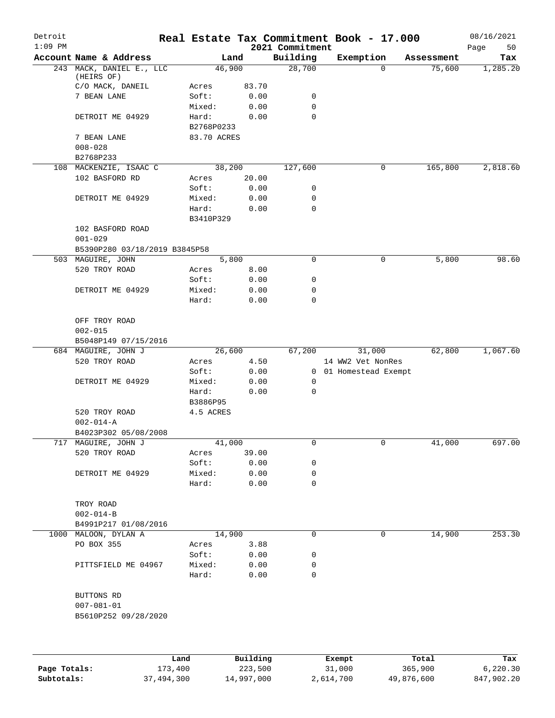| Detroit<br>$1:09$ PM |                                        |      |                    |              | 2021 Commitment | Real Estate Tax Commitment Book - 17.000 |          |            | 08/16/2021<br>Page<br>50 |
|----------------------|----------------------------------------|------|--------------------|--------------|-----------------|------------------------------------------|----------|------------|--------------------------|
|                      | Account Name & Address                 |      |                    | Land         | Building        | Exemption                                |          | Assessment | Tax                      |
|                      | 243 MACK, DANIEL E., LLC<br>(HEIRS OF) |      | 46,900             |              | 28,700          |                                          | $\Omega$ | 75,600     | 1,285.20                 |
|                      | C/O MACK, DANEIL                       |      | Acres              | 83.70        |                 |                                          |          |            |                          |
|                      | 7 BEAN LANE                            |      | Soft:              | 0.00         | 0               |                                          |          |            |                          |
|                      |                                        |      | Mixed:             | 0.00         | 0               |                                          |          |            |                          |
|                      | DETROIT ME 04929                       |      | Hard:              | 0.00         | 0               |                                          |          |            |                          |
|                      |                                        |      | B2768P0233         |              |                 |                                          |          |            |                          |
|                      | 7 BEAN LANE                            |      | 83.70 ACRES        |              |                 |                                          |          |            |                          |
|                      | $008 - 028$                            |      |                    |              |                 |                                          |          |            |                          |
|                      | B2768P233                              |      |                    |              |                 |                                          |          |            |                          |
|                      | 108 MACKENZIE, ISAAC C                 |      | 38,200             |              | 127,600         |                                          | 0        | 165,800    | 2,818.60                 |
|                      | 102 BASFORD RD                         |      | Acres              | 20.00        |                 |                                          |          |            |                          |
|                      |                                        |      | Soft:              | 0.00         | 0               |                                          |          |            |                          |
|                      | DETROIT ME 04929                       |      | Mixed:             | 0.00         | 0               |                                          |          |            |                          |
|                      |                                        |      | Hard:<br>B3410P329 | 0.00         | 0               |                                          |          |            |                          |
|                      | 102 BASFORD ROAD                       |      |                    |              |                 |                                          |          |            |                          |
|                      | $001 - 029$                            |      |                    |              |                 |                                          |          |            |                          |
|                      | B5390P280 03/18/2019 B3845P58          |      |                    |              |                 |                                          |          |            |                          |
|                      | 503 MAGUIRE, JOHN                      |      |                    | 5,800        | $\mathbf 0$     |                                          | 0        | 5,800      | 98.60                    |
|                      | 520 TROY ROAD                          |      | Acres              | 8.00         |                 |                                          |          |            |                          |
|                      |                                        |      | Soft:              | 0.00         | 0               |                                          |          |            |                          |
|                      | DETROIT ME 04929                       |      | Mixed:             | 0.00         | 0               |                                          |          |            |                          |
|                      |                                        |      | Hard:              | 0.00         | 0               |                                          |          |            |                          |
|                      | OFF TROY ROAD                          |      |                    |              |                 |                                          |          |            |                          |
|                      | $002 - 015$                            |      |                    |              |                 |                                          |          |            |                          |
|                      | B5048P149 07/15/2016                   |      |                    |              |                 |                                          |          |            |                          |
|                      | 684 MAGUIRE, JOHN J                    |      | 26,600             |              | 67,200          |                                          | 31,000   | 62,800     | 1,067.60                 |
|                      | 520 TROY ROAD                          |      | Acres              | 4.50         |                 | 14 WW2 Vet NonRes                        |          |            |                          |
|                      |                                        |      | Soft:              | 0.00         |                 | 0 01 Homestead Exempt                    |          |            |                          |
|                      | DETROIT ME 04929                       |      | Mixed:             | 0.00         | 0               |                                          |          |            |                          |
|                      |                                        |      | Hard:              | 0.00         | $\mathbf 0$     |                                          |          |            |                          |
|                      |                                        |      | B3886P95           |              |                 |                                          |          |            |                          |
|                      | 520 TROY ROAD                          |      | 4.5 ACRES          |              |                 |                                          |          |            |                          |
|                      | $002 - 014 - A$                        |      |                    |              |                 |                                          |          |            |                          |
|                      | B4023P302 05/08/2008                   |      |                    |              |                 |                                          |          |            |                          |
|                      | 717 MAGUIRE, JOHN J                    |      | 41,000             |              | 0               |                                          | 0        | 41,000     | 697.00                   |
|                      | 520 TROY ROAD                          |      | Acres              | 39.00        |                 |                                          |          |            |                          |
|                      |                                        |      | Soft:              | 0.00         | 0               |                                          |          |            |                          |
|                      | DETROIT ME 04929                       |      | Mixed:<br>Hard:    | 0.00<br>0.00 | 0<br>0          |                                          |          |            |                          |
|                      |                                        |      |                    |              |                 |                                          |          |            |                          |
|                      | TROY ROAD                              |      |                    |              |                 |                                          |          |            |                          |
|                      | $002 - 014 - B$                        |      |                    |              |                 |                                          |          |            |                          |
|                      | B4991P217 01/08/2016                   |      |                    |              |                 |                                          |          |            |                          |
|                      | 1000 MALOON, DYLAN A                   |      | 14,900             |              | 0               |                                          | 0        | 14,900     | 253.30                   |
|                      | PO BOX 355                             |      | Acres              | 3.88         |                 |                                          |          |            |                          |
|                      |                                        |      | Soft:              | 0.00         | 0               |                                          |          |            |                          |
|                      | PITTSFIELD ME 04967                    |      | Mixed:             | 0.00         | 0               |                                          |          |            |                          |
|                      |                                        |      | Hard:              | 0.00         | $\mathbf 0$     |                                          |          |            |                          |
|                      | BUTTONS RD                             |      |                    |              |                 |                                          |          |            |                          |
|                      | $007 - 081 - 01$                       |      |                    |              |                 |                                          |          |            |                          |
|                      | B5610P252 09/28/2020                   |      |                    |              |                 |                                          |          |            |                          |
|                      |                                        |      |                    |              |                 |                                          |          |            |                          |
|                      |                                        | Land |                    | Building     |                 | Exempt                                   |          | Total      | Tax                      |
|                      |                                        |      |                    |              |                 |                                          |          |            |                          |

**Page Totals:** 173,400 223,500 31,000 365,900 6,220.30 **Subtotals:** 37,494,300 14,997,000 2,614,700 49,876,600 847,902.20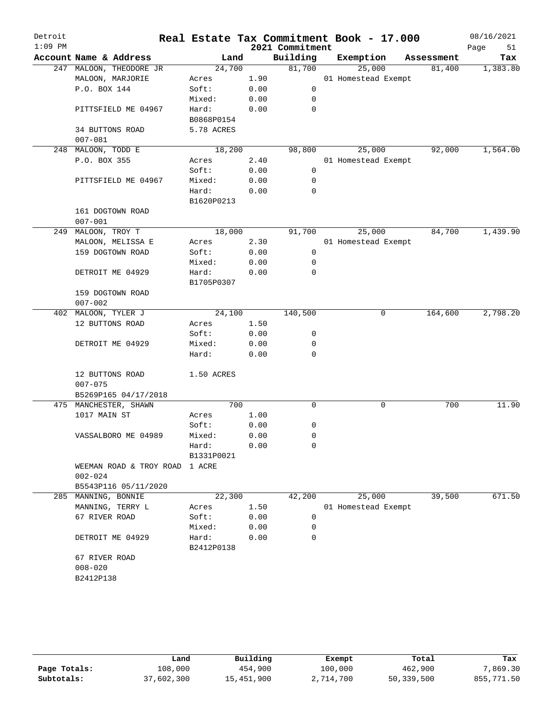| Detroit<br>$1:09$ PM |                         |            |      | 2021 Commitment | Real Estate Tax Commitment Book - 17.000 |            | 08/16/2021<br>Page<br>51 |
|----------------------|-------------------------|------------|------|-----------------|------------------------------------------|------------|--------------------------|
|                      | Account Name & Address  | Land       |      | Building        | Exemption                                | Assessment | Tax                      |
|                      | 247 MALOON, THEODORE JR | 24,700     |      | 81,700          | 25,000                                   | 81,400     | 1,383.80                 |
|                      | MALOON, MARJORIE        | Acres      | 1.90 |                 | 01 Homestead Exempt                      |            |                          |
|                      | P.O. BOX 144            | Soft:      | 0.00 | 0               |                                          |            |                          |
|                      |                         | Mixed:     | 0.00 | 0               |                                          |            |                          |
|                      | PITTSFIELD ME 04967     | Hard:      | 0.00 | $\mathbf 0$     |                                          |            |                          |
|                      |                         | B0868P0154 |      |                 |                                          |            |                          |
|                      | 34 BUTTONS ROAD         | 5.78 ACRES |      |                 |                                          |            |                          |
|                      | $007 - 081$             |            |      |                 |                                          |            |                          |
| 248                  | MALOON, TODD E          | 18,200     |      | 98,800          | 25,000                                   | 92,000     | 1,564.00                 |
|                      | P.O. BOX 355            | Acres      | 2.40 |                 | 01 Homestead Exempt                      |            |                          |
|                      |                         | Soft:      | 0.00 | 0               |                                          |            |                          |
|                      | PITTSFIELD ME 04967     | Mixed:     | 0.00 | 0               |                                          |            |                          |
|                      |                         | Hard:      | 0.00 | $\mathbf 0$     |                                          |            |                          |
|                      |                         | B1620P0213 |      |                 |                                          |            |                          |
|                      | 161 DOGTOWN ROAD        |            |      |                 |                                          |            |                          |
|                      | $007 - 001$             |            |      |                 |                                          |            |                          |
| 249                  | MALOON, TROY T          | 18,000     |      | 91,700          | 25,000                                   | 84,700     | 1,439.90                 |
|                      | MALOON, MELISSA E       | Acres      | 2.30 |                 | 01 Homestead Exempt                      |            |                          |
|                      | 159 DOGTOWN ROAD        | Soft:      | 0.00 | 0               |                                          |            |                          |
|                      |                         | Mixed:     | 0.00 | 0               |                                          |            |                          |
|                      | DETROIT ME 04929        | Hard:      | 0.00 | $\mathbf 0$     |                                          |            |                          |
|                      |                         | B1705P0307 |      |                 |                                          |            |                          |
|                      | 159 DOGTOWN ROAD        |            |      |                 |                                          |            |                          |
|                      | $007 - 002$             |            |      |                 |                                          |            |                          |
| 402                  | MALOON, TYLER J         | 24,100     |      | 140,500         | 0                                        | 164,600    | 2,798.20                 |
|                      | 12 BUTTONS ROAD         | Acres      | 1.50 |                 |                                          |            |                          |
|                      |                         | Soft:      | 0.00 | 0               |                                          |            |                          |
|                      | DETROIT ME 04929        | Mixed:     | 0.00 | 0               |                                          |            |                          |
|                      |                         | Hard:      | 0.00 | $\mathbf 0$     |                                          |            |                          |
|                      |                         |            |      |                 |                                          |            |                          |
|                      | 12 BUTTONS ROAD         |            |      |                 |                                          |            |                          |
|                      | $007 - 075$             | 1.50 ACRES |      |                 |                                          |            |                          |
|                      | B5269P165 04/17/2018    |            |      |                 |                                          |            |                          |
|                      |                         | 700        |      | $\mathbf 0$     | 0                                        |            | 11.90                    |
|                      | 475 MANCHESTER, SHAWN   |            |      |                 |                                          | 700        |                          |
|                      | 1017 MAIN ST            | Acres      | 1.00 |                 |                                          |            |                          |
|                      |                         | Soft:      | 0.00 | 0               |                                          |            |                          |
|                      | VASSALBORO ME 04989     | Mixed:     | 0.00 | $\mathbf 0$     |                                          |            |                          |
|                      |                         | Hard:      | 0.00 | $\mathbf 0$     |                                          |            |                          |
|                      |                         | B1331P0021 |      |                 |                                          |            |                          |
|                      | WEEMAN ROAD & TROY ROAD | 1 ACRE     |      |                 |                                          |            |                          |
|                      | $002 - 024$             |            |      |                 |                                          |            |                          |
|                      | B5543P116 05/11/2020    |            |      |                 |                                          |            |                          |
| 285                  | MANNING, BONNIE         | 22,300     |      | 42,200          | 25,000                                   | 39,500     | 671.50                   |
|                      | MANNING, TERRY L        | Acres      | 1.50 |                 | 01 Homestead Exempt                      |            |                          |
|                      | 67 RIVER ROAD           | Soft:      | 0.00 | 0               |                                          |            |                          |
|                      |                         | Mixed:     | 0.00 | 0               |                                          |            |                          |
|                      | DETROIT ME 04929        | Hard:      | 0.00 | $\mathbf 0$     |                                          |            |                          |
|                      |                         | B2412P0138 |      |                 |                                          |            |                          |
|                      | 67 RIVER ROAD           |            |      |                 |                                          |            |                          |
|                      | $008 - 020$             |            |      |                 |                                          |            |                          |
|                      | B2412P138               |            |      |                 |                                          |            |                          |
|                      |                         |            |      |                 |                                          |            |                          |

|              | Land       | Building   | Exempt    | Total      | Tax        |
|--------------|------------|------------|-----------|------------|------------|
| Page Totals: | 108,000    | 454,900    | 100,000   | 462,900    | 7,869.30   |
| Subtotals:   | 37,602,300 | 15,451,900 | 2,714,700 | 50,339,500 | 855,771.50 |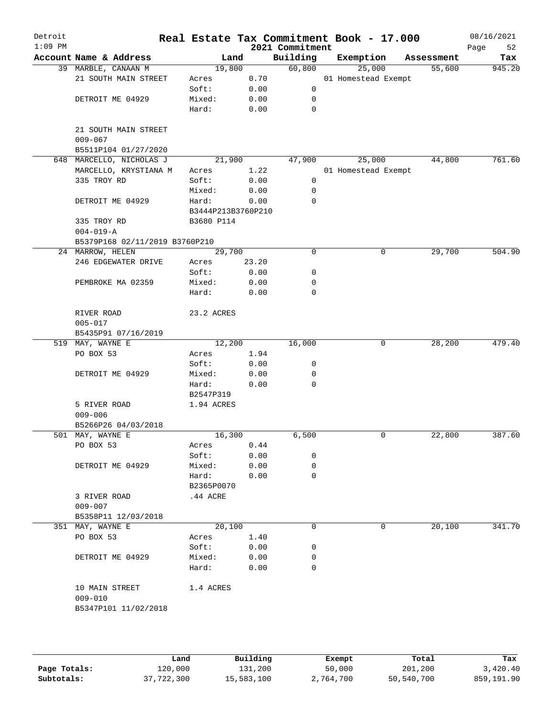| Detroit<br>$1:09$ PM |                                |                    |       | 2021 Commitment | Real Estate Tax Commitment Book - 17.000 |            | 08/16/2021<br>Page<br>52 |
|----------------------|--------------------------------|--------------------|-------|-----------------|------------------------------------------|------------|--------------------------|
|                      | Account Name & Address         | Land               |       | Building        | Exemption                                | Assessment | Tax                      |
|                      | 39 MARBLE, CANAAN M            | 19,800             |       | 60,800          | 25,000                                   | 55,600     | 945.20                   |
|                      | 21 SOUTH MAIN STREET           | Acres              | 0.70  |                 | 01 Homestead Exempt                      |            |                          |
|                      |                                | Soft:              | 0.00  | 0               |                                          |            |                          |
|                      | DETROIT ME 04929               | Mixed:             | 0.00  | 0               |                                          |            |                          |
|                      |                                | Hard:              | 0.00  | $\mathbf 0$     |                                          |            |                          |
|                      | 21 SOUTH MAIN STREET           |                    |       |                 |                                          |            |                          |
|                      | $009 - 067$                    |                    |       |                 |                                          |            |                          |
|                      | B5511P104 01/27/2020           |                    |       |                 |                                          |            |                          |
|                      | 648 MARCELLO, NICHOLAS J       | 21,900             |       | 47,900          | 25,000                                   | 44,800     | 761.60                   |
|                      | MARCELLO, KRYSTIANA M          | Acres              | 1.22  |                 | 01 Homestead Exempt                      |            |                          |
|                      | 335 TROY RD                    | Soft:              | 0.00  | 0               |                                          |            |                          |
|                      |                                | Mixed:             | 0.00  | 0               |                                          |            |                          |
|                      | DETROIT ME 04929               | Hard:              | 0.00  | 0               |                                          |            |                          |
|                      |                                | B3444P213B3760P210 |       |                 |                                          |            |                          |
|                      | 335 TROY RD                    | B3680 P114         |       |                 |                                          |            |                          |
|                      | $004 - 019 - A$                |                    |       |                 |                                          |            |                          |
|                      | B5379P168 02/11/2019 B3760P210 |                    |       |                 |                                          |            |                          |
|                      | 24 MARROW, HELEN               | 29,700             |       | 0               | 0                                        | 29,700     | 504.90                   |
|                      | 246 EDGEWATER DRIVE            | Acres              | 23.20 |                 |                                          |            |                          |
|                      |                                | Soft:              | 0.00  | 0               |                                          |            |                          |
|                      | PEMBROKE MA 02359              | Mixed:             | 0.00  | 0               |                                          |            |                          |
|                      |                                | Hard:              | 0.00  | 0               |                                          |            |                          |
|                      | RIVER ROAD                     | 23.2 ACRES         |       |                 |                                          |            |                          |
|                      | $005 - 017$                    |                    |       |                 |                                          |            |                          |
|                      | B5435P91 07/16/2019            |                    |       |                 |                                          |            |                          |
|                      | 519 MAY, WAYNE E               | 12,200             |       | 16,000          | 0                                        | 28,200     | 479.40                   |
|                      | PO BOX 53                      | Acres              | 1.94  |                 |                                          |            |                          |
|                      |                                | Soft:              | 0.00  | 0               |                                          |            |                          |
|                      | DETROIT ME 04929               | Mixed:             | 0.00  | 0               |                                          |            |                          |
|                      |                                | Hard:              | 0.00  | 0               |                                          |            |                          |
|                      |                                | B2547P319          |       |                 |                                          |            |                          |
|                      | 5 RIVER ROAD                   | 1.94 ACRES         |       |                 |                                          |            |                          |
|                      | $009 - 006$                    |                    |       |                 |                                          |            |                          |
|                      | B5266P26 04/03/2018            |                    |       |                 |                                          |            |                          |
|                      | 501 MAY, WAYNE E               | 16,300             |       | 6,500           | 0                                        | 22,800     | 387.60                   |
|                      | PO BOX 53                      | Acres              | 0.44  |                 |                                          |            |                          |
|                      |                                | Soft:              | 0.00  | 0               |                                          |            |                          |
|                      | DETROIT ME 04929               | Mixed:             | 0.00  | 0               |                                          |            |                          |
|                      |                                | Hard:              | 0.00  | 0               |                                          |            |                          |
|                      |                                | B2365P0070         |       |                 |                                          |            |                          |
|                      | 3 RIVER ROAD                   | $.44$ ACRE         |       |                 |                                          |            |                          |
|                      | $009 - 007$                    |                    |       |                 |                                          |            |                          |
|                      | B5358P11 12/03/2018            |                    |       |                 |                                          |            |                          |
|                      | 351 MAY, WAYNE E               | 20,100             |       | 0               | 0                                        | 20,100     | 341.70                   |
|                      | PO BOX 53                      | Acres              | 1.40  |                 |                                          |            |                          |
|                      |                                | Soft:              | 0.00  | 0               |                                          |            |                          |
|                      | DETROIT ME 04929               | Mixed:             | 0.00  | 0               |                                          |            |                          |
|                      |                                | Hard:              | 0.00  | 0               |                                          |            |                          |
|                      | 10 MAIN STREET                 | 1.4 ACRES          |       |                 |                                          |            |                          |
|                      | $009 - 010$                    |                    |       |                 |                                          |            |                          |
|                      | B5347P101 11/02/2018           |                    |       |                 |                                          |            |                          |
|                      |                                |                    |       |                 |                                          |            |                          |

|              | Land       | Building   | Exempt    | Total      | Tax        |
|--------------|------------|------------|-----------|------------|------------|
| Page Totals: | 120,000    | 131,200    | 50,000    | 201,200    | 3,420.40   |
| Subtotals:   | 37,722,300 | 15,583,100 | 2,764,700 | 50,540,700 | 859,191.90 |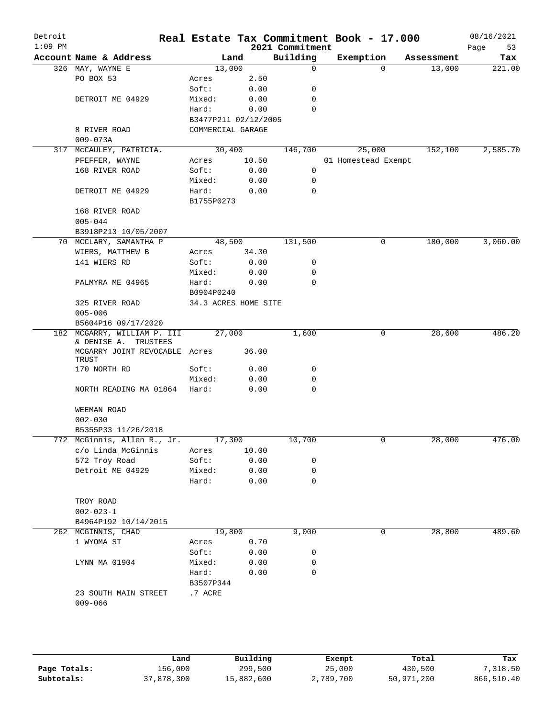| Detroit<br>$1:09$ PM |                                        |                      |       | 2021 Commitment | Real Estate Tax Commitment Book - 17.000 |            | 08/16/2021<br>Page<br>53 |
|----------------------|----------------------------------------|----------------------|-------|-----------------|------------------------------------------|------------|--------------------------|
|                      | Account Name & Address                 |                      | Land  | Building        | Exemption                                | Assessment | Tax                      |
|                      | 326 MAY, WAYNE E                       | 13,000               |       | $\mathbf 0$     | $\Omega$                                 | 13,000     | 221.00                   |
|                      | PO BOX 53                              | Acres                | 2.50  |                 |                                          |            |                          |
|                      |                                        | Soft:                | 0.00  | 0               |                                          |            |                          |
|                      | DETROIT ME 04929                       | Mixed:               | 0.00  | 0               |                                          |            |                          |
|                      |                                        | Hard:                | 0.00  | 0               |                                          |            |                          |
|                      |                                        | B3477P211 02/12/2005 |       |                 |                                          |            |                          |
|                      | 8 RIVER ROAD                           | COMMERCIAL GARAGE    |       |                 |                                          |            |                          |
|                      | $009 - 073A$                           |                      |       |                 |                                          |            |                          |
|                      | 317 MCCAULEY, PATRICIA.                | 30,400               |       | 146,700         | 25,000                                   | 152,100    | 2,585.70                 |
|                      | PFEFFER, WAYNE                         | Acres                | 10.50 |                 | 01 Homestead Exempt                      |            |                          |
|                      | 168 RIVER ROAD                         | Soft:                | 0.00  | 0               |                                          |            |                          |
|                      |                                        | Mixed:               | 0.00  | 0               |                                          |            |                          |
|                      | DETROIT ME 04929                       | Hard:                | 0.00  | 0               |                                          |            |                          |
|                      |                                        | B1755P0273           |       |                 |                                          |            |                          |
|                      | 168 RIVER ROAD                         |                      |       |                 |                                          |            |                          |
|                      | $005 - 044$                            |                      |       |                 |                                          |            |                          |
|                      | B3918P213 10/05/2007                   |                      |       |                 |                                          |            |                          |
|                      | 70 MCCLARY, SAMANTHA P                 | 48,500               |       | 131,500         | 0                                        | 180,000    | 3,060.00                 |
|                      | WIERS, MATTHEW B                       | Acres                | 34.30 |                 |                                          |            |                          |
|                      | 141 WIERS RD                           | Soft:                | 0.00  | 0               |                                          |            |                          |
|                      |                                        | Mixed:               | 0.00  | 0               |                                          |            |                          |
|                      | PALMYRA ME 04965                       | Hard:                | 0.00  | $\mathbf 0$     |                                          |            |                          |
|                      |                                        | B0904P0240           |       |                 |                                          |            |                          |
|                      | 325 RIVER ROAD                         | 34.3 ACRES HOME SITE |       |                 |                                          |            |                          |
|                      | $005 - 006$                            |                      |       |                 |                                          |            |                          |
|                      | B5604P16 09/17/2020                    |                      |       |                 |                                          |            |                          |
|                      | 182 MCGARRY, WILLIAM P. III            | 27,000               |       | 1,600           | 0                                        | 28,600     | 486.20                   |
|                      | & DENISE A. TRUSTEES                   |                      |       |                 |                                          |            |                          |
|                      | MCGARRY JOINT REVOCABLE Acres<br>TRUST |                      | 36.00 |                 |                                          |            |                          |
|                      | 170 NORTH RD                           | Soft:                | 0.00  | 0               |                                          |            |                          |
|                      |                                        | Mixed:               | 0.00  | 0               |                                          |            |                          |
|                      | NORTH READING MA 01864 Hard:           |                      | 0.00  | $\mathbf 0$     |                                          |            |                          |
|                      | WEEMAN ROAD                            |                      |       |                 |                                          |            |                          |
|                      | $002 - 030$                            |                      |       |                 |                                          |            |                          |
|                      | B5355P33 11/26/2018                    |                      |       |                 |                                          |            |                          |
|                      | 772 McGinnis, Allen R., Jr. 17,300     |                      |       | 10,700          |                                          | 28,000     | 476.00                   |
|                      | c/o Linda McGinnis                     | Acres                | 10.00 |                 |                                          |            |                          |
|                      | 572 Troy Road                          | Soft:                | 0.00  | 0               |                                          |            |                          |
|                      | Detroit ME 04929                       | Mixed:               | 0.00  | 0               |                                          |            |                          |
|                      |                                        | Hard:                | 0.00  | 0               |                                          |            |                          |
|                      | TROY ROAD                              |                      |       |                 |                                          |            |                          |
|                      | $002 - 023 - 1$                        |                      |       |                 |                                          |            |                          |
|                      | B4964P192 10/14/2015                   |                      |       |                 |                                          |            |                          |
|                      | 262 MCGINNIS, CHAD                     | 19,800               |       | 9,000           | 0                                        | 28,800     | 489.60                   |
|                      | 1 WYOMA ST                             | Acres                | 0.70  |                 |                                          |            |                          |
|                      |                                        | Soft:                | 0.00  | 0               |                                          |            |                          |
|                      | LYNN MA 01904                          | Mixed:               | 0.00  | 0               |                                          |            |                          |
|                      |                                        | Hard:                | 0.00  | 0               |                                          |            |                          |
|                      |                                        | B3507P344            |       |                 |                                          |            |                          |
|                      | 23 SOUTH MAIN STREET                   | .7 ACRE              |       |                 |                                          |            |                          |
|                      | $009 - 066$                            |                      |       |                 |                                          |            |                          |
|                      |                                        |                      |       |                 |                                          |            |                          |
|                      |                                        |                      |       |                 |                                          |            |                          |
|                      |                                        |                      |       |                 |                                          |            |                          |
|                      |                                        |                      |       |                 |                                          |            |                          |
|                      |                                        |                      |       |                 |                                          |            |                          |

|              | Land       | Building   | Exempt    | Total      | Tax        |
|--------------|------------|------------|-----------|------------|------------|
| Page Totals: | 156,000    | 299,500    | 25,000    | 430,500    | 7,318.50   |
| Subtotals:   | 37,878,300 | 15,882,600 | 2,789,700 | 50,971,200 | 866,510.40 |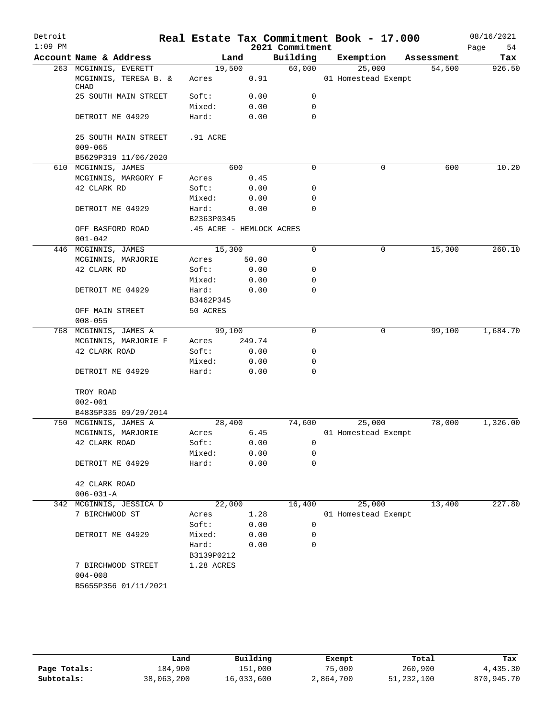| Account Name & Address<br>Building<br>Exemption<br>Land<br>Assessment<br>Tax<br>60,000<br>19,500<br>25,000<br>54,500<br>263 MCGINNIS, EVERETT<br>926.50<br>0.91<br>01 Homestead Exempt<br>MCGINNIS, TERESA B. &<br>Acres<br>CHAD<br>25 SOUTH MAIN STREET<br>Soft:<br>0.00<br>0<br>$\mathbf 0$<br>Mixed:<br>0.00<br>$\mathbf 0$<br>DETROIT ME 04929<br>Hard:<br>0.00<br>.91 ACRE<br>25 SOUTH MAIN STREET<br>$009 - 065$<br>B5629P319 11/06/2020<br>610 MCGINNIS, JAMES<br>600<br>0<br>0<br>600<br>MCGINNIS, MARGORY F<br>0.45<br>Acres<br>42 CLARK RD<br>Soft:<br>0.00<br>0<br>0.00<br>Mixed:<br>0<br>Hard:<br>0.00<br>0<br>DETROIT ME 04929<br>B2363P0345<br>OFF BASFORD ROAD<br>.45 ACRE - HEMLOCK ACRES<br>$001 - 042$<br>15,300<br>0<br>0<br>15,300<br>446 MCGINNIS, JAMES<br>MCGINNIS, MARJORIE<br>50.00<br>Acres<br>42 CLARK RD<br>Soft:<br>0.00<br>0<br>Mixed:<br>0.00<br>0<br>0<br>0.00<br>DETROIT ME 04929<br>Hard:<br>B3462P345<br>OFF MAIN STREET<br>50 ACRES<br>$008 - 055$<br>$\Omega$<br>$\mathbf 0$<br>99,100<br>768 MCGINNIS, JAMES A<br>99,100<br>MCGINNIS, MARJORIE F<br>249.74<br>Acres<br>42 CLARK ROAD<br>Soft:<br>0.00<br>0<br>0.00<br>Mixed:<br>0<br>Hard:<br>0.00<br>0<br>DETROIT ME 04929<br>TROY ROAD<br>$002 - 001$<br>B4835P335 09/29/2014<br>28,400<br>74,600<br>25,000<br>78,000<br>750 MCGINNIS, JAMES A<br>MCGINNIS, MARJORIE<br>6.45<br>01 Homestead Exempt<br>Acres<br>Soft:<br>0.00<br>0<br>42 CLARK ROAD<br>0.00<br>Mixed:<br>0<br>Hard:<br>0.00<br>$\mathbf 0$<br>DETROIT ME 04929<br>42 CLARK ROAD<br>$006 - 031 - A$<br>342 MCGINNIS, JESSICA D<br>22,000<br>16,400<br>25,000<br>13,400<br>7 BIRCHWOOD ST<br>1.28<br>01 Homestead Exempt<br>Acres<br>0.00<br>Soft:<br>0<br>Mixed:<br>0.00<br>0<br>DETROIT ME 04929<br>Hard:<br>0.00<br>$\Omega$<br>B3139P0212<br>7 BIRCHWOOD STREET<br>1.28 ACRES<br>$004 - 008$<br>B5655P356 01/11/2021 | Detroit<br>$1:09$ PM |  | 2021 Commitment | Real Estate Tax Commitment Book - 17.000 | 08/16/2021<br>Page<br>54 |
|--------------------------------------------------------------------------------------------------------------------------------------------------------------------------------------------------------------------------------------------------------------------------------------------------------------------------------------------------------------------------------------------------------------------------------------------------------------------------------------------------------------------------------------------------------------------------------------------------------------------------------------------------------------------------------------------------------------------------------------------------------------------------------------------------------------------------------------------------------------------------------------------------------------------------------------------------------------------------------------------------------------------------------------------------------------------------------------------------------------------------------------------------------------------------------------------------------------------------------------------------------------------------------------------------------------------------------------------------------------------------------------------------------------------------------------------------------------------------------------------------------------------------------------------------------------------------------------------------------------------------------------------------------------------------------------------------------------------------------------------------------------------------------------------------------------------------------------------------------------------------------|----------------------|--|-----------------|------------------------------------------|--------------------------|
|                                                                                                                                                                                                                                                                                                                                                                                                                                                                                                                                                                                                                                                                                                                                                                                                                                                                                                                                                                                                                                                                                                                                                                                                                                                                                                                                                                                                                                                                                                                                                                                                                                                                                                                                                                                                                                                                                |                      |  |                 |                                          |                          |
|                                                                                                                                                                                                                                                                                                                                                                                                                                                                                                                                                                                                                                                                                                                                                                                                                                                                                                                                                                                                                                                                                                                                                                                                                                                                                                                                                                                                                                                                                                                                                                                                                                                                                                                                                                                                                                                                                |                      |  |                 |                                          |                          |
|                                                                                                                                                                                                                                                                                                                                                                                                                                                                                                                                                                                                                                                                                                                                                                                                                                                                                                                                                                                                                                                                                                                                                                                                                                                                                                                                                                                                                                                                                                                                                                                                                                                                                                                                                                                                                                                                                |                      |  |                 |                                          |                          |
|                                                                                                                                                                                                                                                                                                                                                                                                                                                                                                                                                                                                                                                                                                                                                                                                                                                                                                                                                                                                                                                                                                                                                                                                                                                                                                                                                                                                                                                                                                                                                                                                                                                                                                                                                                                                                                                                                |                      |  |                 |                                          |                          |
|                                                                                                                                                                                                                                                                                                                                                                                                                                                                                                                                                                                                                                                                                                                                                                                                                                                                                                                                                                                                                                                                                                                                                                                                                                                                                                                                                                                                                                                                                                                                                                                                                                                                                                                                                                                                                                                                                |                      |  |                 |                                          |                          |
|                                                                                                                                                                                                                                                                                                                                                                                                                                                                                                                                                                                                                                                                                                                                                                                                                                                                                                                                                                                                                                                                                                                                                                                                                                                                                                                                                                                                                                                                                                                                                                                                                                                                                                                                                                                                                                                                                |                      |  |                 |                                          |                          |
|                                                                                                                                                                                                                                                                                                                                                                                                                                                                                                                                                                                                                                                                                                                                                                                                                                                                                                                                                                                                                                                                                                                                                                                                                                                                                                                                                                                                                                                                                                                                                                                                                                                                                                                                                                                                                                                                                |                      |  |                 |                                          |                          |
|                                                                                                                                                                                                                                                                                                                                                                                                                                                                                                                                                                                                                                                                                                                                                                                                                                                                                                                                                                                                                                                                                                                                                                                                                                                                                                                                                                                                                                                                                                                                                                                                                                                                                                                                                                                                                                                                                |                      |  |                 |                                          |                          |
|                                                                                                                                                                                                                                                                                                                                                                                                                                                                                                                                                                                                                                                                                                                                                                                                                                                                                                                                                                                                                                                                                                                                                                                                                                                                                                                                                                                                                                                                                                                                                                                                                                                                                                                                                                                                                                                                                |                      |  |                 |                                          | 10.20                    |
|                                                                                                                                                                                                                                                                                                                                                                                                                                                                                                                                                                                                                                                                                                                                                                                                                                                                                                                                                                                                                                                                                                                                                                                                                                                                                                                                                                                                                                                                                                                                                                                                                                                                                                                                                                                                                                                                                |                      |  |                 |                                          |                          |
|                                                                                                                                                                                                                                                                                                                                                                                                                                                                                                                                                                                                                                                                                                                                                                                                                                                                                                                                                                                                                                                                                                                                                                                                                                                                                                                                                                                                                                                                                                                                                                                                                                                                                                                                                                                                                                                                                |                      |  |                 |                                          |                          |
|                                                                                                                                                                                                                                                                                                                                                                                                                                                                                                                                                                                                                                                                                                                                                                                                                                                                                                                                                                                                                                                                                                                                                                                                                                                                                                                                                                                                                                                                                                                                                                                                                                                                                                                                                                                                                                                                                |                      |  |                 |                                          |                          |
|                                                                                                                                                                                                                                                                                                                                                                                                                                                                                                                                                                                                                                                                                                                                                                                                                                                                                                                                                                                                                                                                                                                                                                                                                                                                                                                                                                                                                                                                                                                                                                                                                                                                                                                                                                                                                                                                                |                      |  |                 |                                          |                          |
|                                                                                                                                                                                                                                                                                                                                                                                                                                                                                                                                                                                                                                                                                                                                                                                                                                                                                                                                                                                                                                                                                                                                                                                                                                                                                                                                                                                                                                                                                                                                                                                                                                                                                                                                                                                                                                                                                |                      |  |                 |                                          |                          |
|                                                                                                                                                                                                                                                                                                                                                                                                                                                                                                                                                                                                                                                                                                                                                                                                                                                                                                                                                                                                                                                                                                                                                                                                                                                                                                                                                                                                                                                                                                                                                                                                                                                                                                                                                                                                                                                                                |                      |  |                 |                                          |                          |
|                                                                                                                                                                                                                                                                                                                                                                                                                                                                                                                                                                                                                                                                                                                                                                                                                                                                                                                                                                                                                                                                                                                                                                                                                                                                                                                                                                                                                                                                                                                                                                                                                                                                                                                                                                                                                                                                                |                      |  |                 |                                          |                          |
|                                                                                                                                                                                                                                                                                                                                                                                                                                                                                                                                                                                                                                                                                                                                                                                                                                                                                                                                                                                                                                                                                                                                                                                                                                                                                                                                                                                                                                                                                                                                                                                                                                                                                                                                                                                                                                                                                |                      |  |                 |                                          | 260.10                   |
|                                                                                                                                                                                                                                                                                                                                                                                                                                                                                                                                                                                                                                                                                                                                                                                                                                                                                                                                                                                                                                                                                                                                                                                                                                                                                                                                                                                                                                                                                                                                                                                                                                                                                                                                                                                                                                                                                |                      |  |                 |                                          |                          |
|                                                                                                                                                                                                                                                                                                                                                                                                                                                                                                                                                                                                                                                                                                                                                                                                                                                                                                                                                                                                                                                                                                                                                                                                                                                                                                                                                                                                                                                                                                                                                                                                                                                                                                                                                                                                                                                                                |                      |  |                 |                                          |                          |
|                                                                                                                                                                                                                                                                                                                                                                                                                                                                                                                                                                                                                                                                                                                                                                                                                                                                                                                                                                                                                                                                                                                                                                                                                                                                                                                                                                                                                                                                                                                                                                                                                                                                                                                                                                                                                                                                                |                      |  |                 |                                          |                          |
|                                                                                                                                                                                                                                                                                                                                                                                                                                                                                                                                                                                                                                                                                                                                                                                                                                                                                                                                                                                                                                                                                                                                                                                                                                                                                                                                                                                                                                                                                                                                                                                                                                                                                                                                                                                                                                                                                |                      |  |                 |                                          |                          |
|                                                                                                                                                                                                                                                                                                                                                                                                                                                                                                                                                                                                                                                                                                                                                                                                                                                                                                                                                                                                                                                                                                                                                                                                                                                                                                                                                                                                                                                                                                                                                                                                                                                                                                                                                                                                                                                                                |                      |  |                 |                                          |                          |
|                                                                                                                                                                                                                                                                                                                                                                                                                                                                                                                                                                                                                                                                                                                                                                                                                                                                                                                                                                                                                                                                                                                                                                                                                                                                                                                                                                                                                                                                                                                                                                                                                                                                                                                                                                                                                                                                                |                      |  |                 |                                          |                          |
|                                                                                                                                                                                                                                                                                                                                                                                                                                                                                                                                                                                                                                                                                                                                                                                                                                                                                                                                                                                                                                                                                                                                                                                                                                                                                                                                                                                                                                                                                                                                                                                                                                                                                                                                                                                                                                                                                |                      |  |                 |                                          |                          |
|                                                                                                                                                                                                                                                                                                                                                                                                                                                                                                                                                                                                                                                                                                                                                                                                                                                                                                                                                                                                                                                                                                                                                                                                                                                                                                                                                                                                                                                                                                                                                                                                                                                                                                                                                                                                                                                                                |                      |  |                 |                                          | 1,684.70                 |
|                                                                                                                                                                                                                                                                                                                                                                                                                                                                                                                                                                                                                                                                                                                                                                                                                                                                                                                                                                                                                                                                                                                                                                                                                                                                                                                                                                                                                                                                                                                                                                                                                                                                                                                                                                                                                                                                                |                      |  |                 |                                          |                          |
|                                                                                                                                                                                                                                                                                                                                                                                                                                                                                                                                                                                                                                                                                                                                                                                                                                                                                                                                                                                                                                                                                                                                                                                                                                                                                                                                                                                                                                                                                                                                                                                                                                                                                                                                                                                                                                                                                |                      |  |                 |                                          |                          |
|                                                                                                                                                                                                                                                                                                                                                                                                                                                                                                                                                                                                                                                                                                                                                                                                                                                                                                                                                                                                                                                                                                                                                                                                                                                                                                                                                                                                                                                                                                                                                                                                                                                                                                                                                                                                                                                                                |                      |  |                 |                                          |                          |
|                                                                                                                                                                                                                                                                                                                                                                                                                                                                                                                                                                                                                                                                                                                                                                                                                                                                                                                                                                                                                                                                                                                                                                                                                                                                                                                                                                                                                                                                                                                                                                                                                                                                                                                                                                                                                                                                                |                      |  |                 |                                          |                          |
|                                                                                                                                                                                                                                                                                                                                                                                                                                                                                                                                                                                                                                                                                                                                                                                                                                                                                                                                                                                                                                                                                                                                                                                                                                                                                                                                                                                                                                                                                                                                                                                                                                                                                                                                                                                                                                                                                |                      |  |                 |                                          |                          |
|                                                                                                                                                                                                                                                                                                                                                                                                                                                                                                                                                                                                                                                                                                                                                                                                                                                                                                                                                                                                                                                                                                                                                                                                                                                                                                                                                                                                                                                                                                                                                                                                                                                                                                                                                                                                                                                                                |                      |  |                 |                                          |                          |
|                                                                                                                                                                                                                                                                                                                                                                                                                                                                                                                                                                                                                                                                                                                                                                                                                                                                                                                                                                                                                                                                                                                                                                                                                                                                                                                                                                                                                                                                                                                                                                                                                                                                                                                                                                                                                                                                                |                      |  |                 |                                          |                          |
|                                                                                                                                                                                                                                                                                                                                                                                                                                                                                                                                                                                                                                                                                                                                                                                                                                                                                                                                                                                                                                                                                                                                                                                                                                                                                                                                                                                                                                                                                                                                                                                                                                                                                                                                                                                                                                                                                |                      |  |                 |                                          | 1,326.00                 |
|                                                                                                                                                                                                                                                                                                                                                                                                                                                                                                                                                                                                                                                                                                                                                                                                                                                                                                                                                                                                                                                                                                                                                                                                                                                                                                                                                                                                                                                                                                                                                                                                                                                                                                                                                                                                                                                                                |                      |  |                 |                                          |                          |
|                                                                                                                                                                                                                                                                                                                                                                                                                                                                                                                                                                                                                                                                                                                                                                                                                                                                                                                                                                                                                                                                                                                                                                                                                                                                                                                                                                                                                                                                                                                                                                                                                                                                                                                                                                                                                                                                                |                      |  |                 |                                          |                          |
|                                                                                                                                                                                                                                                                                                                                                                                                                                                                                                                                                                                                                                                                                                                                                                                                                                                                                                                                                                                                                                                                                                                                                                                                                                                                                                                                                                                                                                                                                                                                                                                                                                                                                                                                                                                                                                                                                |                      |  |                 |                                          |                          |
|                                                                                                                                                                                                                                                                                                                                                                                                                                                                                                                                                                                                                                                                                                                                                                                                                                                                                                                                                                                                                                                                                                                                                                                                                                                                                                                                                                                                                                                                                                                                                                                                                                                                                                                                                                                                                                                                                |                      |  |                 |                                          |                          |
|                                                                                                                                                                                                                                                                                                                                                                                                                                                                                                                                                                                                                                                                                                                                                                                                                                                                                                                                                                                                                                                                                                                                                                                                                                                                                                                                                                                                                                                                                                                                                                                                                                                                                                                                                                                                                                                                                |                      |  |                 |                                          |                          |
|                                                                                                                                                                                                                                                                                                                                                                                                                                                                                                                                                                                                                                                                                                                                                                                                                                                                                                                                                                                                                                                                                                                                                                                                                                                                                                                                                                                                                                                                                                                                                                                                                                                                                                                                                                                                                                                                                |                      |  |                 |                                          | 227.80                   |
|                                                                                                                                                                                                                                                                                                                                                                                                                                                                                                                                                                                                                                                                                                                                                                                                                                                                                                                                                                                                                                                                                                                                                                                                                                                                                                                                                                                                                                                                                                                                                                                                                                                                                                                                                                                                                                                                                |                      |  |                 |                                          |                          |
|                                                                                                                                                                                                                                                                                                                                                                                                                                                                                                                                                                                                                                                                                                                                                                                                                                                                                                                                                                                                                                                                                                                                                                                                                                                                                                                                                                                                                                                                                                                                                                                                                                                                                                                                                                                                                                                                                |                      |  |                 |                                          |                          |
|                                                                                                                                                                                                                                                                                                                                                                                                                                                                                                                                                                                                                                                                                                                                                                                                                                                                                                                                                                                                                                                                                                                                                                                                                                                                                                                                                                                                                                                                                                                                                                                                                                                                                                                                                                                                                                                                                |                      |  |                 |                                          |                          |
|                                                                                                                                                                                                                                                                                                                                                                                                                                                                                                                                                                                                                                                                                                                                                                                                                                                                                                                                                                                                                                                                                                                                                                                                                                                                                                                                                                                                                                                                                                                                                                                                                                                                                                                                                                                                                                                                                |                      |  |                 |                                          |                          |
|                                                                                                                                                                                                                                                                                                                                                                                                                                                                                                                                                                                                                                                                                                                                                                                                                                                                                                                                                                                                                                                                                                                                                                                                                                                                                                                                                                                                                                                                                                                                                                                                                                                                                                                                                                                                                                                                                |                      |  |                 |                                          |                          |
|                                                                                                                                                                                                                                                                                                                                                                                                                                                                                                                                                                                                                                                                                                                                                                                                                                                                                                                                                                                                                                                                                                                                                                                                                                                                                                                                                                                                                                                                                                                                                                                                                                                                                                                                                                                                                                                                                |                      |  |                 |                                          |                          |
|                                                                                                                                                                                                                                                                                                                                                                                                                                                                                                                                                                                                                                                                                                                                                                                                                                                                                                                                                                                                                                                                                                                                                                                                                                                                                                                                                                                                                                                                                                                                                                                                                                                                                                                                                                                                                                                                                |                      |  |                 |                                          |                          |
|                                                                                                                                                                                                                                                                                                                                                                                                                                                                                                                                                                                                                                                                                                                                                                                                                                                                                                                                                                                                                                                                                                                                                                                                                                                                                                                                                                                                                                                                                                                                                                                                                                                                                                                                                                                                                                                                                |                      |  |                 |                                          |                          |
|                                                                                                                                                                                                                                                                                                                                                                                                                                                                                                                                                                                                                                                                                                                                                                                                                                                                                                                                                                                                                                                                                                                                                                                                                                                                                                                                                                                                                                                                                                                                                                                                                                                                                                                                                                                                                                                                                |                      |  |                 |                                          |                          |

|              | Land       | Building   | Exempt    | Total      | Tax        |
|--------------|------------|------------|-----------|------------|------------|
| Page Totals: | 184,900    | 151,000    | 75,000    | 260,900    | 4,435.30   |
| Subtotals:   | 38,063,200 | 16,033,600 | 2,864,700 | 51,232,100 | 870,945.70 |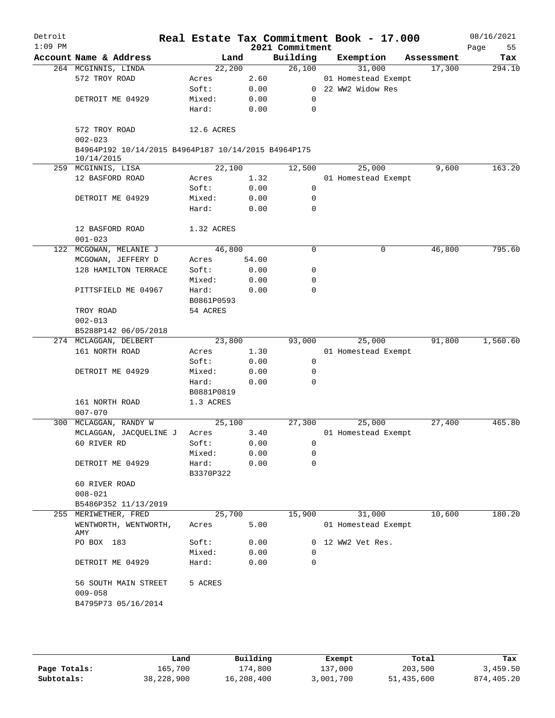| Detroit<br>$1:09$ PM |                                                                   |                     |       | 2021 Commitment | Real Estate Tax Commitment Book - 17.000 |            | 08/16/2021<br>Page<br>55 |
|----------------------|-------------------------------------------------------------------|---------------------|-------|-----------------|------------------------------------------|------------|--------------------------|
|                      | Account Name & Address                                            | Land                |       | Building        | Exemption                                | Assessment | Tax                      |
|                      | 264 MCGINNIS, LINDA                                               | 22,200              |       | 26,100          | 31,000                                   | 17,300     | 294.10                   |
|                      | 572 TROY ROAD                                                     | Acres               | 2.60  |                 | 01 Homestead Exempt                      |            |                          |
|                      |                                                                   | Soft:               | 0.00  |                 | 0 22 WW2 Widow Res                       |            |                          |
|                      | DETROIT ME 04929                                                  | Mixed:              | 0.00  | 0               |                                          |            |                          |
|                      |                                                                   | Hard:               | 0.00  | $\mathbf 0$     |                                          |            |                          |
|                      | 572 TROY ROAD                                                     | 12.6 ACRES          |       |                 |                                          |            |                          |
|                      | $002 - 023$                                                       |                     |       |                 |                                          |            |                          |
|                      | B4964P192 10/14/2015 B4964P187 10/14/2015 B4964P175<br>10/14/2015 |                     |       |                 |                                          |            |                          |
|                      | 259 MCGINNIS, LISA                                                | 22,100              |       | 12,500          | 25,000                                   | 9,600      | 163.20                   |
|                      | 12 BASFORD ROAD                                                   | Acres               | 1.32  |                 | 01 Homestead Exempt                      |            |                          |
|                      |                                                                   | Soft:               | 0.00  | $\mathbf 0$     |                                          |            |                          |
|                      | DETROIT ME 04929                                                  | Mixed:              | 0.00  | 0               |                                          |            |                          |
|                      |                                                                   | Hard:               | 0.00  | $\mathbf 0$     |                                          |            |                          |
|                      | 12 BASFORD ROAD<br>$001 - 023$                                    | 1.32 ACRES          |       |                 |                                          |            |                          |
|                      | 122 MCGOWAN, MELANIE J                                            | 46,800              |       | $\mathbf 0$     | 0                                        | 46,800     | 795.60                   |
|                      | MCGOWAN, JEFFERY D                                                | Acres               | 54.00 |                 |                                          |            |                          |
|                      | 128 HAMILTON TERRACE                                              | Soft:               | 0.00  | 0               |                                          |            |                          |
|                      |                                                                   | Mixed:              | 0.00  | 0               |                                          |            |                          |
|                      | PITTSFIELD ME 04967                                               | Hard:<br>B0861P0593 | 0.00  | $\Omega$        |                                          |            |                          |
|                      | TROY ROAD                                                         | 54 ACRES            |       |                 |                                          |            |                          |
|                      | $002 - 013$                                                       |                     |       |                 |                                          |            |                          |
|                      | B5288P142 06/05/2018                                              |                     |       |                 |                                          |            |                          |
|                      | 274 MCLAGGAN, DELBERT                                             | 23,800              |       | 93,000          | 25,000                                   | 91,800     | 1,560.60                 |
|                      | 161 NORTH ROAD                                                    | Acres               | 1.30  |                 | 01 Homestead Exempt                      |            |                          |
|                      |                                                                   | Soft:               | 0.00  | $\mathbf 0$     |                                          |            |                          |
|                      | DETROIT ME 04929                                                  | Mixed:              | 0.00  | 0               |                                          |            |                          |
|                      |                                                                   | Hard:               | 0.00  | 0               |                                          |            |                          |
|                      |                                                                   | B0881P0819          |       |                 |                                          |            |                          |
|                      | 161 NORTH ROAD                                                    | 1.3 ACRES           |       |                 |                                          |            |                          |
|                      | $007 - 070$                                                       |                     |       |                 |                                          |            |                          |
|                      | 300 MCLAGGAN, RANDY W                                             | 25,100              |       | 27,300          | 25,000                                   | 27,400     | 465.80                   |
|                      | MCLAGGAN, JACQUELINE J                                            | Acres               | 3.40  |                 | 01 Homestead Exempt                      |            |                          |
|                      | 60 RIVER RD                                                       | Soft:               | 0.00  | 0               |                                          |            |                          |
|                      |                                                                   | Mixed:              | 0.00  | 0               |                                          |            |                          |
|                      | DETROIT ME 04929                                                  | Hard:               | 0.00  | 0               |                                          |            |                          |
|                      |                                                                   | B3370P322           |       |                 |                                          |            |                          |
|                      | 60 RIVER ROAD                                                     |                     |       |                 |                                          |            |                          |
|                      | $008 - 021$                                                       |                     |       |                 |                                          |            |                          |
|                      |                                                                   |                     |       |                 |                                          |            |                          |
|                      | B5486P352 11/13/2019                                              | 25,700              |       | 15,900          | 31,000                                   | 10,600     | 180.20                   |
|                      | 255 MERIWETHER, FRED                                              |                     |       |                 |                                          |            |                          |
|                      | WENTWORTH, WENTWORTH,<br>AMY                                      | Acres               | 5.00  |                 | 01 Homestead Exempt                      |            |                          |
|                      | PO BOX 183                                                        | Soft:               | 0.00  | 0               | 12 WW2 Vet Res.                          |            |                          |
|                      |                                                                   | Mixed:              | 0.00  | $\Omega$        |                                          |            |                          |
|                      | DETROIT ME 04929                                                  | Hard:               | 0.00  | 0               |                                          |            |                          |
|                      | 56 SOUTH MAIN STREET                                              | 5 ACRES             |       |                 |                                          |            |                          |
|                      | $009 - 058$                                                       |                     |       |                 |                                          |            |                          |
|                      | B4795P73 05/16/2014                                               |                     |       |                 |                                          |            |                          |
|                      |                                                                   |                     |       |                 |                                          |            |                          |
|                      |                                                                   |                     |       |                 |                                          |            |                          |
|                      |                                                                   |                     |       |                 |                                          |            |                          |

|              | Land       | Building   | Exempt    | Total      | Tax        |
|--------------|------------|------------|-----------|------------|------------|
| Page Totals: | 165,700    | 174,800    | 137,000   | 203,500    | 3,459.50   |
| Subtotals:   | 38,228,900 | 16,208,400 | 3,001,700 | 51,435,600 | 874,405.20 |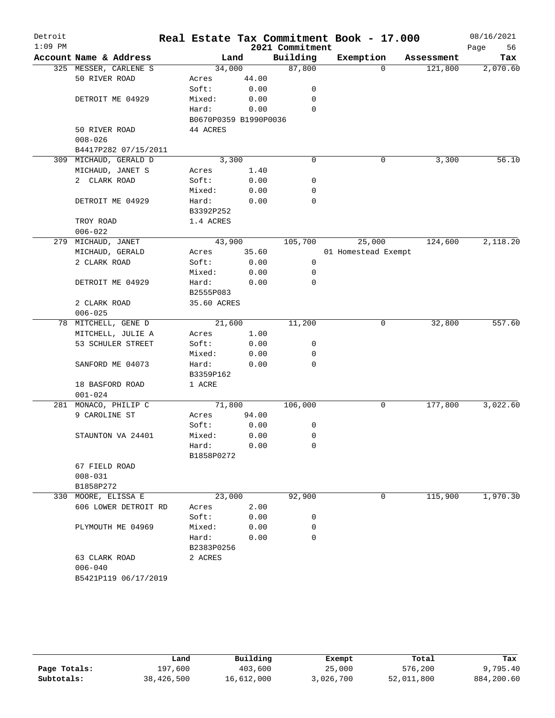| Detroit<br>$1:09$ PM |                     |                        |                       |       | 2021 Commitment | Real Estate Tax Commitment Book - 17.000 |          |            | 08/16/2021<br>Page | 56    |
|----------------------|---------------------|------------------------|-----------------------|-------|-----------------|------------------------------------------|----------|------------|--------------------|-------|
|                      |                     | Account Name & Address |                       | Land  | Building        | Exemption                                |          | Assessment |                    | Tax   |
|                      |                     | 325 MESSER, CARLENE S  | 34,000                |       | 87,800          |                                          | $\Omega$ | 121,800    | 2,070.60           |       |
|                      | 50 RIVER ROAD       |                        | Acres                 | 44.00 |                 |                                          |          |            |                    |       |
|                      |                     |                        | Soft:                 | 0.00  | 0               |                                          |          |            |                    |       |
|                      |                     | DETROIT ME 04929       | Mixed:                | 0.00  | 0               |                                          |          |            |                    |       |
|                      |                     |                        | Hard:                 | 0.00  | $\mathbf 0$     |                                          |          |            |                    |       |
|                      |                     |                        | B0670P0359 B1990P0036 |       |                 |                                          |          |            |                    |       |
|                      | 50 RIVER ROAD       |                        | 44 ACRES              |       |                 |                                          |          |            |                    |       |
|                      | $008 - 026$         |                        |                       |       |                 |                                          |          |            |                    |       |
|                      |                     | B4417P282 07/15/2011   |                       |       |                 |                                          |          |            |                    |       |
| 309                  |                     | MICHAUD, GERALD D      | 3,300                 |       | 0               |                                          | 0        | 3,300      |                    | 56.10 |
|                      |                     | MICHAUD, JANET S       | Acres                 | 1.40  |                 |                                          |          |            |                    |       |
|                      | 2 CLARK ROAD        |                        | Soft:                 | 0.00  | 0               |                                          |          |            |                    |       |
|                      |                     |                        | Mixed:                | 0.00  | 0               |                                          |          |            |                    |       |
|                      |                     | DETROIT ME 04929       | Hard:                 | 0.00  | 0               |                                          |          |            |                    |       |
|                      |                     |                        | B3392P252             |       |                 |                                          |          |            |                    |       |
|                      | TROY ROAD           |                        | 1.4 ACRES             |       |                 |                                          |          |            |                    |       |
|                      | $006 - 022$         |                        |                       |       |                 |                                          |          |            |                    |       |
|                      | 279 MICHAUD, JANET  |                        | 43,900                |       | 105,700         | 25,000                                   |          | 124,600    | 2,118.20           |       |
|                      | MICHAUD, GERALD     |                        | Acres                 | 35.60 |                 | 01 Homestead Exempt                      |          |            |                    |       |
|                      | 2 CLARK ROAD        |                        | Soft:                 | 0.00  | 0               |                                          |          |            |                    |       |
|                      |                     |                        | Mixed:                | 0.00  | 0               |                                          |          |            |                    |       |
|                      |                     | DETROIT ME 04929       | Hard:                 | 0.00  | $\mathbf 0$     |                                          |          |            |                    |       |
|                      |                     |                        | B2555P083             |       |                 |                                          |          |            |                    |       |
|                      | 2 CLARK ROAD        |                        | 35.60 ACRES           |       |                 |                                          |          |            |                    |       |
|                      | $006 - 025$         |                        |                       |       |                 |                                          |          |            |                    |       |
|                      |                     | 78 MITCHELL, GENE D    | 21,600                |       | 11,200          |                                          | 0        | 32,800     | 557.60             |       |
|                      |                     | MITCHELL, JULIE A      | Acres                 | 1.00  |                 |                                          |          |            |                    |       |
|                      |                     | 53 SCHULER STREET      | Soft:                 | 0.00  | 0               |                                          |          |            |                    |       |
|                      |                     |                        | Mixed:                | 0.00  | 0               |                                          |          |            |                    |       |
|                      |                     | SANFORD ME 04073       | Hard:                 | 0.00  | 0               |                                          |          |            |                    |       |
|                      |                     |                        | B3359P162             |       |                 |                                          |          |            |                    |       |
|                      | 18 BASFORD ROAD     |                        | 1 ACRE                |       |                 |                                          |          |            |                    |       |
|                      | $001 - 024$         |                        |                       |       |                 |                                          |          |            |                    |       |
| 281                  |                     | MONACO, PHILIP C       | 71,800                |       | 106,000         |                                          | 0        | 177,800    | 3,022.60           |       |
|                      | 9 CAROLINE ST       |                        | Acres                 | 94.00 |                 |                                          |          |            |                    |       |
|                      |                     |                        | Soft:                 | 0.00  | 0               |                                          |          |            |                    |       |
|                      |                     | STAUNTON VA 24401      | Mixed:                | 0.00  | 0               |                                          |          |            |                    |       |
|                      |                     |                        | Hard:                 | 0.00  | 0               |                                          |          |            |                    |       |
|                      |                     |                        | B1858P0272            |       |                 |                                          |          |            |                    |       |
|                      | 67 FIELD ROAD       |                        |                       |       |                 |                                          |          |            |                    |       |
|                      | $008 - 031$         |                        |                       |       |                 |                                          |          |            |                    |       |
|                      | B1858P272           |                        |                       |       |                 |                                          |          |            |                    |       |
|                      | 330 MOORE, ELISSA E |                        | 23,000                |       | 92,900          |                                          | 0        | 115,900    | 1,970.30           |       |
|                      |                     | 606 LOWER DETROIT RD   | Acres                 | 2.00  |                 |                                          |          |            |                    |       |
|                      |                     |                        | Soft:                 | 0.00  | 0               |                                          |          |            |                    |       |
|                      |                     | PLYMOUTH ME 04969      | Mixed:                | 0.00  | 0               |                                          |          |            |                    |       |
|                      |                     |                        | Hard:                 | 0.00  | $\Omega$        |                                          |          |            |                    |       |
|                      |                     |                        | B2383P0256            |       |                 |                                          |          |            |                    |       |
|                      | 63 CLARK ROAD       |                        | 2 ACRES               |       |                 |                                          |          |            |                    |       |
|                      | $006 - 040$         |                        |                       |       |                 |                                          |          |            |                    |       |
|                      |                     | B5421P119 06/17/2019   |                       |       |                 |                                          |          |            |                    |       |

|              | Land       | Building   | Exempt    | Total      | Tax        |
|--------------|------------|------------|-----------|------------|------------|
| Page Totals: | 197,600    | 403,600    | 25,000    | 576,200    | 9,795.40   |
| Subtotals:   | 38,426,500 | 16,612,000 | 3,026,700 | 52,011,800 | 884,200.60 |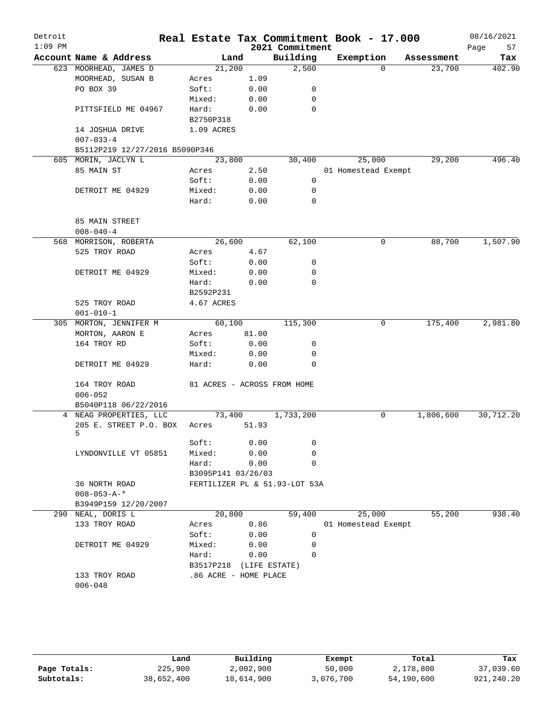| Detroit<br>$1:09$ PM |                                      |                       |       | 2021 Commitment               | Real Estate Tax Commitment Book - 17.000 |            | 08/16/2021<br>57<br>Page |
|----------------------|--------------------------------------|-----------------------|-------|-------------------------------|------------------------------------------|------------|--------------------------|
|                      | Account Name & Address               | Land                  |       | Building                      | Exemption                                | Assessment | Tax                      |
|                      | 623 MOORHEAD, JAMES D                | 21,200                |       | 2,500                         | $\Omega$                                 | 23,700     | 402.90                   |
|                      | MOORHEAD, SUSAN B                    | Acres                 | 1.09  |                               |                                          |            |                          |
|                      | PO BOX 39                            | Soft:                 | 0.00  | 0                             |                                          |            |                          |
|                      |                                      | Mixed:                | 0.00  | 0                             |                                          |            |                          |
|                      | PITTSFIELD ME 04967                  | Hard:                 | 0.00  | 0                             |                                          |            |                          |
|                      |                                      | B2750P318             |       |                               |                                          |            |                          |
|                      | 14 JOSHUA DRIVE                      | 1.09 ACRES            |       |                               |                                          |            |                          |
|                      | $007 - 033 - 4$                      |                       |       |                               |                                          |            |                          |
|                      | B5112P219 12/27/2016 B5090P346       |                       |       |                               |                                          |            |                          |
|                      | 605 MORIN, JACLYN L                  | 23,800                |       | 30,400                        | 25,000                                   | 29,200     | 496.40                   |
|                      | 85 MAIN ST                           | Acres                 | 2.50  |                               | 01 Homestead Exempt                      |            |                          |
|                      |                                      | Soft:                 | 0.00  | 0                             |                                          |            |                          |
|                      | DETROIT ME 04929                     | Mixed:                | 0.00  | 0                             |                                          |            |                          |
|                      |                                      | Hard:                 | 0.00  | 0                             |                                          |            |                          |
|                      | 85 MAIN STREET                       |                       |       |                               |                                          |            |                          |
|                      | $008 - 040 - 4$                      |                       |       |                               |                                          |            |                          |
|                      | 568 MORRISON, ROBERTA                | 26,600                |       | 62,100                        | 0                                        | 88,700     | 1,507.90                 |
|                      | 525 TROY ROAD                        | Acres                 | 4.67  |                               |                                          |            |                          |
|                      |                                      | Soft:                 | 0.00  | 0                             |                                          |            |                          |
|                      | DETROIT ME 04929                     | Mixed:                | 0.00  | 0                             |                                          |            |                          |
|                      |                                      | Hard:                 | 0.00  | 0                             |                                          |            |                          |
|                      |                                      | B2592P231             |       |                               |                                          |            |                          |
|                      | 525 TROY ROAD                        | 4.67 ACRES            |       |                               |                                          |            |                          |
|                      | $001 - 010 - 1$                      |                       |       |                               |                                          |            |                          |
|                      | 305 MORTON, JENNIFER M               | 60,100                |       | 115,300                       | 0                                        | 175,400    | 2,981.80                 |
|                      | MORTON, AARON E                      | Acres                 | 81.00 |                               |                                          |            |                          |
|                      | 164 TROY RD                          | Soft:                 | 0.00  | 0                             |                                          |            |                          |
|                      |                                      | Mixed:                | 0.00  | 0                             |                                          |            |                          |
|                      | DETROIT ME 04929                     | Hard:                 | 0.00  | 0                             |                                          |            |                          |
|                      | 164 TROY ROAD                        |                       |       | 81 ACRES - ACROSS FROM HOME   |                                          |            |                          |
|                      | $006 - 052$                          |                       |       |                               |                                          |            |                          |
|                      | B5040P118 06/22/2016                 |                       |       |                               |                                          |            |                          |
|                      | 4 NEAG PROPERTIES, LLC               | 73,400                |       | 1,733,200                     | 0                                        | 1,806,600  | 30,712.20                |
|                      | 205 E. STREET P.O. BOX<br>5          | Acres                 | 51.93 |                               |                                          |            |                          |
|                      |                                      | Soft:                 | 0.00  | 0                             |                                          |            |                          |
|                      | LYNDONVILLE VT 05851                 | Mixed:                | 0.00  | 0                             |                                          |            |                          |
|                      |                                      | Hard:                 | 0.00  | 0                             |                                          |            |                          |
|                      |                                      | B3095P141 03/26/03    |       |                               |                                          |            |                          |
|                      | 36 NORTH ROAD<br>$008 - 053 - A -$ * |                       |       | FERTILIZER PL & 51.93-LOT 53A |                                          |            |                          |
|                      | B3949P159 12/20/2007                 |                       |       |                               |                                          |            |                          |
|                      | 290 NEAL, DORIS L                    | 20,800                |       | 59,400                        | 25,000                                   | 55,200     | 938.40                   |
|                      | 133 TROY ROAD                        | Acres                 | 0.86  |                               | 01 Homestead Exempt                      |            |                          |
|                      |                                      | Soft:                 | 0.00  | 0                             |                                          |            |                          |
|                      | DETROIT ME 04929                     | Mixed:                | 0.00  | 0                             |                                          |            |                          |
|                      |                                      | Hard:                 | 0.00  | $\Omega$                      |                                          |            |                          |
|                      |                                      | B3517P218             |       | (LIFE ESTATE)                 |                                          |            |                          |
|                      | 133 TROY ROAD                        | .86 ACRE - HOME PLACE |       |                               |                                          |            |                          |
|                      | $006 - 048$                          |                       |       |                               |                                          |            |                          |
|                      |                                      |                       |       |                               |                                          |            |                          |
|                      |                                      |                       |       |                               |                                          |            |                          |

|              | Land       | Building   | Exempt    | Total      | Tax        |
|--------------|------------|------------|-----------|------------|------------|
| Page Totals: | 225,900    | 2,002,900  | 50,000    | 2,178,800  | 37,039.60  |
| Subtotals:   | 38,652,400 | 18,614,900 | 3,076,700 | 54,190,600 | 921,240.20 |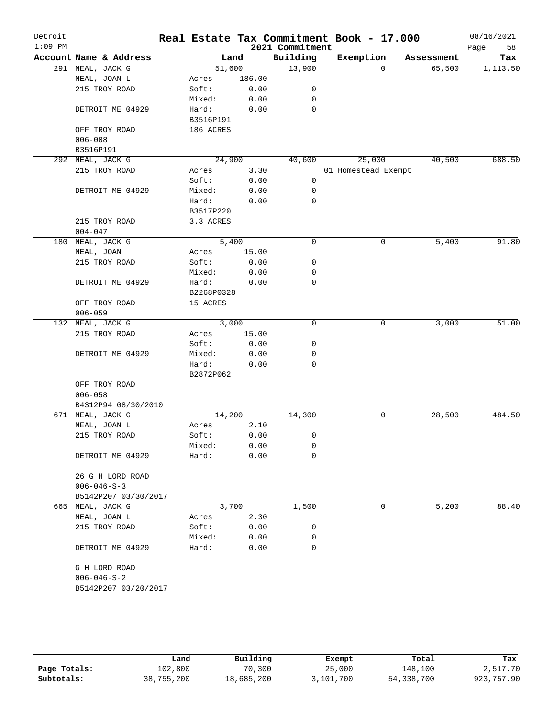| Detroit<br>$1:09$ PM |                        |            |        | Real Estate Tax Commitment Book - 17.000<br>2021 Commitment |                     |            | 08/16/2021<br>58<br>Page |
|----------------------|------------------------|------------|--------|-------------------------------------------------------------|---------------------|------------|--------------------------|
|                      | Account Name & Address | Land       |        | Building                                                    | Exemption           | Assessment | Tax                      |
|                      | 291 NEAL, JACK G       | 51,600     |        | 13,900                                                      | $\Omega$            | 65,500     | 1,113.50                 |
|                      | NEAL, JOAN L           | Acres      | 186.00 |                                                             |                     |            |                          |
|                      | 215 TROY ROAD          | Soft:      | 0.00   | 0                                                           |                     |            |                          |
|                      |                        | Mixed:     | 0.00   | 0                                                           |                     |            |                          |
|                      | DETROIT ME 04929       | Hard:      | 0.00   | 0                                                           |                     |            |                          |
|                      |                        | B3516P191  |        |                                                             |                     |            |                          |
|                      | OFF TROY ROAD          | 186 ACRES  |        |                                                             |                     |            |                          |
|                      | $006 - 008$            |            |        |                                                             |                     |            |                          |
|                      | B3516P191              |            |        |                                                             |                     |            |                          |
|                      | 292 NEAL, JACK G       | 24,900     |        | 40,600                                                      | 25,000              | 40,500     | 688.50                   |
|                      | 215 TROY ROAD          | Acres      | 3.30   |                                                             | 01 Homestead Exempt |            |                          |
|                      |                        | Soft:      | 0.00   | 0                                                           |                     |            |                          |
|                      | DETROIT ME 04929       | Mixed:     | 0.00   | 0                                                           |                     |            |                          |
|                      |                        | Hard:      | 0.00   | 0                                                           |                     |            |                          |
|                      |                        | B3517P220  |        |                                                             |                     |            |                          |
|                      | 215 TROY ROAD          | 3.3 ACRES  |        |                                                             |                     |            |                          |
|                      | $004 - 047$            |            |        |                                                             |                     |            |                          |
|                      | 180 NEAL, JACK G       | 5,400      |        | 0                                                           | 0                   | 5,400      | 91.80                    |
|                      | NEAL, JOAN             | Acres      | 15.00  |                                                             |                     |            |                          |
|                      | 215 TROY ROAD          | Soft:      | 0.00   | 0                                                           |                     |            |                          |
|                      |                        | Mixed:     | 0.00   | 0                                                           |                     |            |                          |
|                      | DETROIT ME 04929       | Hard:      | 0.00   | 0                                                           |                     |            |                          |
|                      |                        | B2268P0328 |        |                                                             |                     |            |                          |
|                      | OFF TROY ROAD          | 15 ACRES   |        |                                                             |                     |            |                          |
|                      | $006 - 059$            |            |        |                                                             |                     |            |                          |
|                      | 132 NEAL, JACK G       | 3,000      |        | 0                                                           | 0                   | 3,000      | 51.00                    |
|                      | 215 TROY ROAD          | Acres      | 15.00  |                                                             |                     |            |                          |
|                      |                        | Soft:      | 0.00   | 0                                                           |                     |            |                          |
|                      | DETROIT ME 04929       | Mixed:     | 0.00   | 0                                                           |                     |            |                          |
|                      |                        | Hard:      | 0.00   | 0                                                           |                     |            |                          |
|                      |                        | B2872P062  |        |                                                             |                     |            |                          |
|                      | OFF TROY ROAD          |            |        |                                                             |                     |            |                          |
|                      | $006 - 058$            |            |        |                                                             |                     |            |                          |
|                      | B4312P94 08/30/2010    |            |        |                                                             |                     |            |                          |
|                      | 671 NEAL, JACK G       | 14,200     |        | 14,300                                                      | 0                   | 28,500     | 484.50                   |
|                      | NEAL, JOAN L           | Acres      | 2.10   |                                                             |                     |            |                          |
|                      | 215 TROY ROAD          | Soft:      | 0.00   | 0                                                           |                     |            |                          |
|                      |                        | Mixed:     | 0.00   | 0                                                           |                     |            |                          |
|                      | DETROIT ME 04929       | Hard:      | 0.00   | 0                                                           |                     |            |                          |
|                      |                        |            |        |                                                             |                     |            |                          |
|                      | 26 G H LORD ROAD       |            |        |                                                             |                     |            |                          |
|                      | $006 - 046 - S - 3$    |            |        |                                                             |                     |            |                          |
|                      | B5142P207 03/30/2017   |            |        |                                                             |                     |            |                          |
|                      | 665 NEAL, JACK G       | 3,700      |        | 1,500                                                       | 0                   | 5,200      | 88.40                    |
|                      | NEAL, JOAN L           | Acres      | 2.30   |                                                             |                     |            |                          |
|                      | 215 TROY ROAD          | Soft:      | 0.00   | 0                                                           |                     |            |                          |
|                      |                        | Mixed:     | 0.00   | 0                                                           |                     |            |                          |
|                      | DETROIT ME 04929       | Hard:      | 0.00   | 0                                                           |                     |            |                          |
|                      |                        |            |        |                                                             |                     |            |                          |
|                      | G H LORD ROAD          |            |        |                                                             |                     |            |                          |
|                      | $006 - 046 - S - 2$    |            |        |                                                             |                     |            |                          |
|                      | B5142P207 03/20/2017   |            |        |                                                             |                     |            |                          |
|                      |                        |            |        |                                                             |                     |            |                          |
|                      |                        |            |        |                                                             |                     |            |                          |

|              | Land       | Building   | Exempt    | Total      | Tax        |
|--------------|------------|------------|-----------|------------|------------|
| Page Totals: | 102,800    | 70,300     | 25,000    | 148,100    | 2,517.70   |
| Subtotals:   | 38,755,200 | 18,685,200 | 3,101,700 | 54,338,700 | 923,757.90 |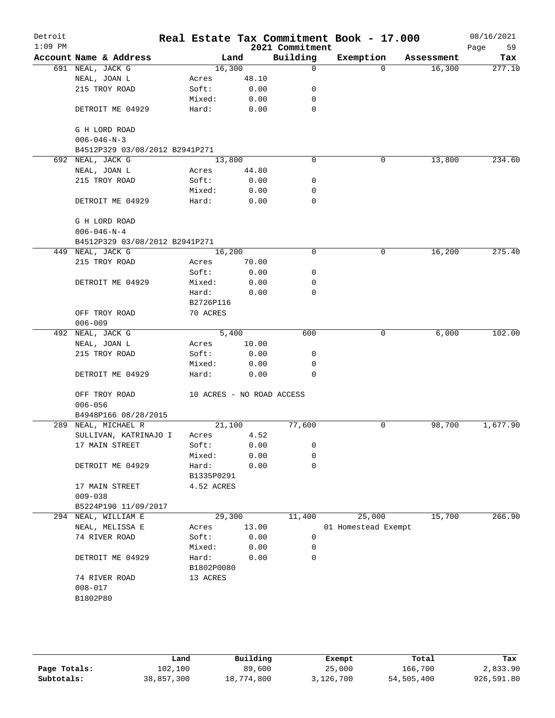| Detroit<br>$1:09$ PM |                                |                           |       | 2021 Commitment | Real Estate Tax Commitment Book - 17.000 |            | 08/16/2021<br>59<br>Page |
|----------------------|--------------------------------|---------------------------|-------|-----------------|------------------------------------------|------------|--------------------------|
|                      | Account Name & Address         |                           | Land  | Building        | Exemption                                | Assessment | Tax                      |
|                      | 691 NEAL, JACK G               | 16,300                    |       | $\mathbf 0$     | $\Omega$                                 | 16,300     | 277.10                   |
|                      | NEAL, JOAN L                   | Acres                     | 48.10 |                 |                                          |            |                          |
|                      | 215 TROY ROAD                  | Soft:                     | 0.00  | 0               |                                          |            |                          |
|                      |                                | Mixed:                    | 0.00  | 0               |                                          |            |                          |
|                      | DETROIT ME 04929               | Hard:                     | 0.00  | $\mathbf 0$     |                                          |            |                          |
|                      | G H LORD ROAD                  |                           |       |                 |                                          |            |                          |
|                      | $006 - 046 - N - 3$            |                           |       |                 |                                          |            |                          |
|                      | B4512P329 03/08/2012 B2941P271 |                           |       |                 |                                          |            |                          |
|                      | 692 NEAL, JACK G               | 13,800                    |       | 0               | 0                                        | 13,800     | 234.60                   |
|                      | NEAL, JOAN L                   | Acres                     | 44.80 |                 |                                          |            |                          |
|                      | 215 TROY ROAD                  | Soft:                     | 0.00  | 0               |                                          |            |                          |
|                      |                                | Mixed:                    | 0.00  | 0               |                                          |            |                          |
|                      | DETROIT ME 04929               | Hard:                     | 0.00  | 0               |                                          |            |                          |
|                      | G H LORD ROAD                  |                           |       |                 |                                          |            |                          |
|                      | $006 - 046 - N - 4$            |                           |       |                 |                                          |            |                          |
|                      | B4512P329 03/08/2012 B2941P271 |                           |       |                 |                                          |            |                          |
|                      | 449 NEAL, JACK G               | 16,200                    |       | 0               | 0                                        | 16,200     | 275.40                   |
|                      | 215 TROY ROAD                  | Acres                     | 70.00 |                 |                                          |            |                          |
|                      |                                | Soft:                     | 0.00  | 0               |                                          |            |                          |
|                      | DETROIT ME 04929               | Mixed:                    | 0.00  | 0               |                                          |            |                          |
|                      |                                | Hard:                     | 0.00  | $\mathbf 0$     |                                          |            |                          |
|                      |                                | B2726P116                 |       |                 |                                          |            |                          |
|                      | OFF TROY ROAD                  | 70 ACRES                  |       |                 |                                          |            |                          |
|                      | $006 - 009$                    |                           |       |                 |                                          |            |                          |
|                      | 492 NEAL, JACK G               |                           | 5,400 | 600             | 0                                        | 6,000      | 102.00                   |
|                      | NEAL, JOAN L                   | Acres                     | 10.00 |                 |                                          |            |                          |
|                      | 215 TROY ROAD                  | Soft:                     | 0.00  | 0               |                                          |            |                          |
|                      |                                | Mixed:                    | 0.00  | 0               |                                          |            |                          |
|                      | DETROIT ME 04929               | Hard:                     | 0.00  | $\Omega$        |                                          |            |                          |
|                      | OFF TROY ROAD                  | 10 ACRES - NO ROAD ACCESS |       |                 |                                          |            |                          |
|                      | $006 - 056$                    |                           |       |                 |                                          |            |                          |
|                      | B4948P166 08/28/2015           |                           |       |                 |                                          |            |                          |
|                      | 289 NEAL, MICHAEL R            | 21,100                    |       | 77,600          | 0                                        | 98,700     | 1,677.90                 |
|                      | SULLIVAN, KATRINAJO I          | Acres                     | 4.52  |                 |                                          |            |                          |
|                      | 17 MAIN STREET                 | Soft:                     | 0.00  | 0               |                                          |            |                          |
|                      |                                | Mixed:                    | 0.00  | 0               |                                          |            |                          |
|                      | DETROIT ME 04929               | Hard:                     | 0.00  | $\mathbf 0$     |                                          |            |                          |
|                      |                                | B1335P0291                |       |                 |                                          |            |                          |
|                      | 17 MAIN STREET<br>$009 - 038$  | 4.52 ACRES                |       |                 |                                          |            |                          |
|                      | B5224P190 11/09/2017           |                           |       |                 |                                          |            |                          |
|                      | 294 NEAL, WILLIAM E            | 29,300                    |       | 11,400          | 25,000                                   | 15,700     | 266.90                   |
|                      | NEAL, MELISSA E                | Acres                     | 13.00 |                 | 01 Homestead Exempt                      |            |                          |
|                      | 74 RIVER ROAD                  | Soft:                     | 0.00  | 0               |                                          |            |                          |
|                      |                                |                           | 0.00  | 0               |                                          |            |                          |
|                      |                                | Mixed:                    |       | 0               |                                          |            |                          |
|                      | DETROIT ME 04929               | Hard:                     | 0.00  |                 |                                          |            |                          |
|                      |                                | B1802P0080                |       |                 |                                          |            |                          |
|                      | 74 RIVER ROAD                  | 13 ACRES                  |       |                 |                                          |            |                          |
|                      | $008 - 017$                    |                           |       |                 |                                          |            |                          |
|                      | B1802P80                       |                           |       |                 |                                          |            |                          |
|                      |                                |                           |       |                 |                                          |            |                          |
|                      |                                |                           |       |                 |                                          |            |                          |
|                      |                                |                           |       |                 |                                          |            |                          |

|              | Land       | Building   | Exempt    | Total      | Tax        |
|--------------|------------|------------|-----------|------------|------------|
| Page Totals: | 102,100    | 89,600     | 25,000    | 166,700    | 2,833.90   |
| Subtotals:   | 38,857,300 | 18,774,800 | 3,126,700 | 54,505,400 | 926,591.80 |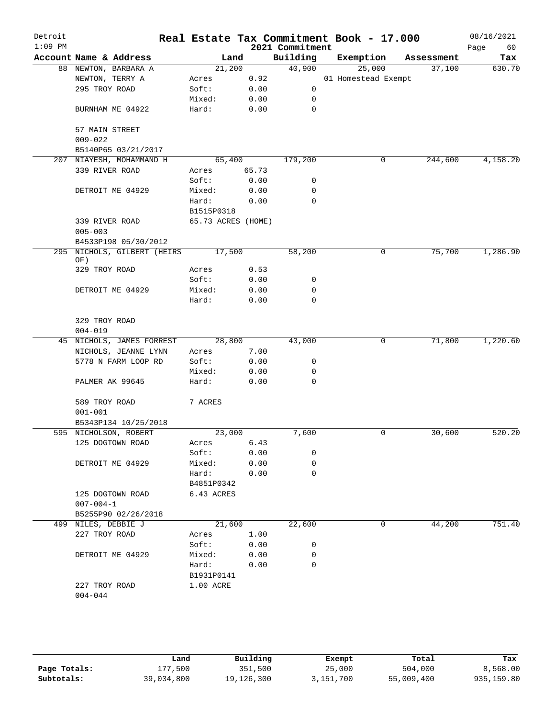| Detroit<br>$1:09$ PM |                                    |                    |       | 2021 Commitment | Real Estate Tax Commitment Book - 17.000 |            | 08/16/2021<br>Page<br>60 |
|----------------------|------------------------------------|--------------------|-------|-----------------|------------------------------------------|------------|--------------------------|
|                      | Account Name & Address             | Land               |       | Building        | Exemption                                | Assessment | Tax                      |
|                      | 88 NEWTON, BARBARA A               | 21,200             |       | 40,900          | 25,000                                   | 37,100     | 630.70                   |
|                      | NEWTON, TERRY A                    | Acres              | 0.92  |                 | 01 Homestead Exempt                      |            |                          |
|                      | 295 TROY ROAD                      | Soft:              | 0.00  | 0               |                                          |            |                          |
|                      |                                    | Mixed:             | 0.00  | 0               |                                          |            |                          |
|                      | BURNHAM ME 04922                   | Hard:              | 0.00  | $\mathbf 0$     |                                          |            |                          |
|                      | 57 MAIN STREET                     |                    |       |                 |                                          |            |                          |
|                      | $009 - 022$                        |                    |       |                 |                                          |            |                          |
|                      | B5140P65 03/21/2017                |                    |       |                 |                                          |            |                          |
|                      | 207 NIAYESH, MOHAMMAND H           | 65,400             |       | 179,200         | 0                                        | 244,600    | 4,158.20                 |
|                      | 339 RIVER ROAD                     | Acres              | 65.73 |                 |                                          |            |                          |
|                      |                                    | Soft:              | 0.00  | 0               |                                          |            |                          |
|                      | DETROIT ME 04929                   | Mixed:             | 0.00  | 0               |                                          |            |                          |
|                      |                                    | Hard:              | 0.00  | $\mathbf 0$     |                                          |            |                          |
|                      |                                    | B1515P0318         |       |                 |                                          |            |                          |
|                      | 339 RIVER ROAD                     | 65.73 ACRES (HOME) |       |                 |                                          |            |                          |
|                      | $005 - 003$                        |                    |       |                 |                                          |            |                          |
|                      | B4533P198 05/30/2012               |                    |       |                 |                                          |            |                          |
|                      | 295 NICHOLS, GILBERT (HEIRS<br>OF) | 17,500             |       | 58,200          | 0                                        | 75,700     | 1,286.90                 |
|                      | 329 TROY ROAD                      | Acres              | 0.53  |                 |                                          |            |                          |
|                      |                                    | Soft:              | 0.00  | 0               |                                          |            |                          |
|                      | DETROIT ME 04929                   | Mixed:             | 0.00  | 0               |                                          |            |                          |
|                      |                                    | Hard:              | 0.00  | $\mathbf 0$     |                                          |            |                          |
|                      |                                    |                    |       |                 |                                          |            |                          |
|                      | 329 TROY ROAD                      |                    |       |                 |                                          |            |                          |
|                      | $004 - 019$                        |                    |       |                 |                                          |            |                          |
|                      | 45 NICHOLS, JAMES FORREST          | 28,800             |       | 43,000          | $\mathbf 0$                              | 71,800     | 1,220.60                 |
|                      | NICHOLS, JEANNE LYNN               | Acres              | 7.00  |                 |                                          |            |                          |
|                      | 5778 N FARM LOOP RD                | Soft:              | 0.00  | 0               |                                          |            |                          |
|                      |                                    | Mixed:             | 0.00  | 0               |                                          |            |                          |
|                      | PALMER AK 99645                    | Hard:              | 0.00  | $\mathbf 0$     |                                          |            |                          |
|                      | 589 TROY ROAD                      | 7 ACRES            |       |                 |                                          |            |                          |
|                      | $001 - 001$                        |                    |       |                 |                                          |            |                          |
|                      | B5343P134 10/25/2018               |                    |       |                 |                                          |            |                          |
|                      | 595 NICHOLSON, ROBERT              | 23,000             |       | 7,600           | 0                                        | 30,600     | 520.20                   |
|                      | 125 DOGTOWN ROAD                   | Acres              | 6.43  |                 |                                          |            |                          |
|                      |                                    | Soft:              | 0.00  | 0               |                                          |            |                          |
|                      | DETROIT ME 04929                   | Mixed:             | 0.00  | 0               |                                          |            |                          |
|                      |                                    | Hard:              | 0.00  | 0               |                                          |            |                          |
|                      |                                    | B4851P0342         |       |                 |                                          |            |                          |
|                      | 125 DOGTOWN ROAD                   | 6.43 ACRES         |       |                 |                                          |            |                          |
|                      | $007 - 004 - 1$                    |                    |       |                 |                                          |            |                          |
|                      | B5255P90 02/26/2018                |                    |       |                 |                                          |            |                          |
|                      | 499 NILES, DEBBIE J                | 21,600             |       | 22,600          | $\mathbf 0$                              | 44,200     | 751.40                   |
|                      | 227 TROY ROAD                      | Acres              | 1.00  |                 |                                          |            |                          |
|                      |                                    | Soft:              | 0.00  | 0               |                                          |            |                          |
|                      | DETROIT ME 04929                   | Mixed:             | 0.00  | 0               |                                          |            |                          |
|                      |                                    | Hard:              | 0.00  | 0               |                                          |            |                          |
|                      |                                    | B1931P0141         |       |                 |                                          |            |                          |
|                      | 227 TROY ROAD                      | 1.00 ACRE          |       |                 |                                          |            |                          |
|                      | $004 - 044$                        |                    |       |                 |                                          |            |                          |
|                      |                                    |                    |       |                 |                                          |            |                          |

|              | Land       | Building   | Exempt    | Total      | Tax        |
|--------------|------------|------------|-----------|------------|------------|
| Page Totals: | .77.500    | 351,500    | 25,000    | 504,000    | 8,568.00   |
| Subtotals:   | 39,034,800 | 19,126,300 | 3,151,700 | 55,009,400 | 935,159.80 |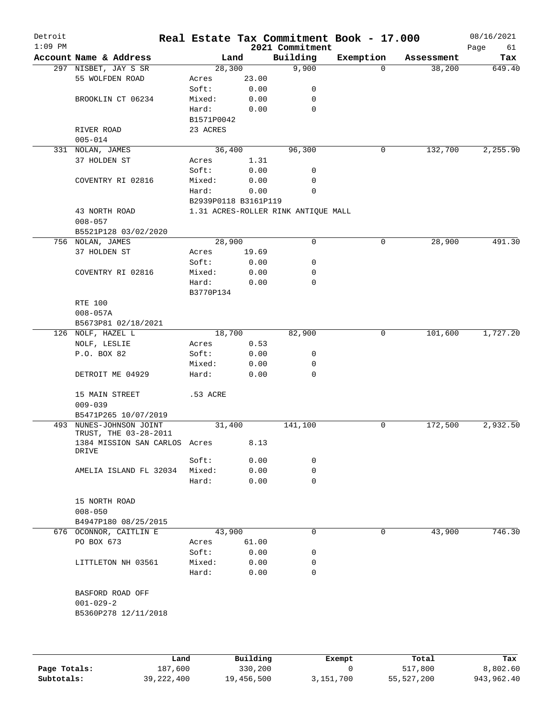| Detroit<br>$1:09$ PM |                               |                      |       | 2021 Commitment                     | Real Estate Tax Commitment Book - 17.000 |            | 08/16/2021<br>Page<br>61 |
|----------------------|-------------------------------|----------------------|-------|-------------------------------------|------------------------------------------|------------|--------------------------|
|                      | Account Name & Address        | Land                 |       | Building                            | Exemption                                | Assessment | Tax                      |
|                      | 297 NISBET, JAY S SR          | 28,300               |       | 9,900                               | $\Omega$                                 | 38,200     | 649.40                   |
|                      | 55 WOLFDEN ROAD               | Acres                | 23.00 |                                     |                                          |            |                          |
|                      |                               | Soft:                | 0.00  | 0                                   |                                          |            |                          |
|                      | BROOKLIN CT 06234             | Mixed:               | 0.00  | 0                                   |                                          |            |                          |
|                      |                               | Hard:                | 0.00  | 0                                   |                                          |            |                          |
|                      |                               | B1571P0042           |       |                                     |                                          |            |                          |
|                      | RIVER ROAD                    | 23 ACRES             |       |                                     |                                          |            |                          |
|                      | $005 - 014$                   |                      |       |                                     |                                          |            |                          |
|                      | 331 NOLAN, JAMES              | 36,400               |       | 96,300                              | 0                                        | 132,700    | 2,255.90                 |
|                      | 37 HOLDEN ST                  | Acres                | 1.31  |                                     |                                          |            |                          |
|                      |                               | Soft:                | 0.00  | 0                                   |                                          |            |                          |
|                      | COVENTRY RI 02816             | Mixed:               | 0.00  | $\mathbf 0$                         |                                          |            |                          |
|                      |                               | Hard:                | 0.00  | $\mathbf 0$                         |                                          |            |                          |
|                      |                               | B2939P0118 B3161P119 |       |                                     |                                          |            |                          |
|                      | 43 NORTH ROAD                 |                      |       | 1.31 ACRES-ROLLER RINK ANTIQUE MALL |                                          |            |                          |
|                      | $008 - 057$                   |                      |       |                                     |                                          |            |                          |
|                      | B5521P128 03/02/2020          |                      |       |                                     |                                          |            |                          |
|                      | 756 NOLAN, JAMES              | 28,900               |       | 0                                   | $\mathbf 0$                              | 28,900     | 491.30                   |
|                      | 37 HOLDEN ST                  | Acres                | 19.69 |                                     |                                          |            |                          |
|                      |                               |                      |       |                                     |                                          |            |                          |
|                      |                               | Soft:                | 0.00  | 0                                   |                                          |            |                          |
|                      | COVENTRY RI 02816             | Mixed:               | 0.00  | 0                                   |                                          |            |                          |
|                      |                               | Hard:                | 0.00  | $\mathbf 0$                         |                                          |            |                          |
|                      |                               | B3770P134            |       |                                     |                                          |            |                          |
|                      | RTE 100                       |                      |       |                                     |                                          |            |                          |
|                      | $008 - 057A$                  |                      |       |                                     |                                          |            |                          |
|                      | B5673P81 02/18/2021           |                      |       |                                     |                                          |            |                          |
|                      | 126 NOLF, HAZEL L             | 18,700               |       | 82,900                              | 0                                        | 101,600    | 1,727.20                 |
|                      | NOLF, LESLIE                  | Acres                | 0.53  |                                     |                                          |            |                          |
|                      | P.O. BOX 82                   | Soft:                | 0.00  | 0                                   |                                          |            |                          |
|                      |                               | Mixed:               | 0.00  | 0                                   |                                          |            |                          |
|                      | DETROIT ME 04929              | Hard:                | 0.00  | $\Omega$                            |                                          |            |                          |
|                      | 15 MAIN STREET                | .53 ACRE             |       |                                     |                                          |            |                          |
|                      | $009 - 039$                   |                      |       |                                     |                                          |            |                          |
|                      | B5471P265 10/07/2019          |                      |       |                                     |                                          |            |                          |
| 493                  | NUNES-JOHNSON JOINT           | 31,400               |       | 141,100                             | 0                                        | 172,500    | 2,932.50                 |
|                      | TRUST, THE 03-28-2011         |                      |       |                                     |                                          |            |                          |
|                      | 1384 MISSION SAN CARLOS Acres |                      | 8.13  |                                     |                                          |            |                          |
|                      | DRIVE                         |                      |       |                                     |                                          |            |                          |
|                      |                               | Soft:                | 0.00  | 0                                   |                                          |            |                          |
|                      | AMELIA ISLAND FL 32034        | Mixed:               | 0.00  | 0                                   |                                          |            |                          |
|                      |                               | Hard:                | 0.00  | 0                                   |                                          |            |                          |
|                      |                               |                      |       |                                     |                                          |            |                          |
|                      | 15 NORTH ROAD                 |                      |       |                                     |                                          |            |                          |
|                      | $008 - 050$                   |                      |       |                                     |                                          |            |                          |
|                      | B4947P180 08/25/2015          |                      |       |                                     |                                          |            |                          |
|                      | 676 OCONNOR, CAITLIN E        | 43,900               |       | 0                                   | 0                                        | 43,900     | 746.30                   |
|                      | PO BOX 673                    | Acres                | 61.00 |                                     |                                          |            |                          |
|                      |                               | Soft:                | 0.00  | 0                                   |                                          |            |                          |
|                      | LITTLETON NH 03561            | Mixed:               | 0.00  | 0                                   |                                          |            |                          |
|                      |                               | Hard:                | 0.00  | 0                                   |                                          |            |                          |
|                      |                               |                      |       |                                     |                                          |            |                          |
|                      | BASFORD ROAD OFF              |                      |       |                                     |                                          |            |                          |
|                      | $001 - 029 - 2$               |                      |       |                                     |                                          |            |                          |
|                      | B5360P278 12/11/2018          |                      |       |                                     |                                          |            |                          |
|                      |                               |                      |       |                                     |                                          |            |                          |
|                      |                               |                      |       |                                     |                                          |            |                          |
|                      |                               |                      |       |                                     |                                          |            |                          |

|              | Land         | Building   | Exempt    | Total      | Tax        |
|--------------|--------------|------------|-----------|------------|------------|
| Page Totals: | 187,600      | 330,200    |           | 517,800    | 8,802.60   |
| Subtotals:   | 39, 222, 400 | 19,456,500 | 3,151,700 | 55,527,200 | 943,962.40 |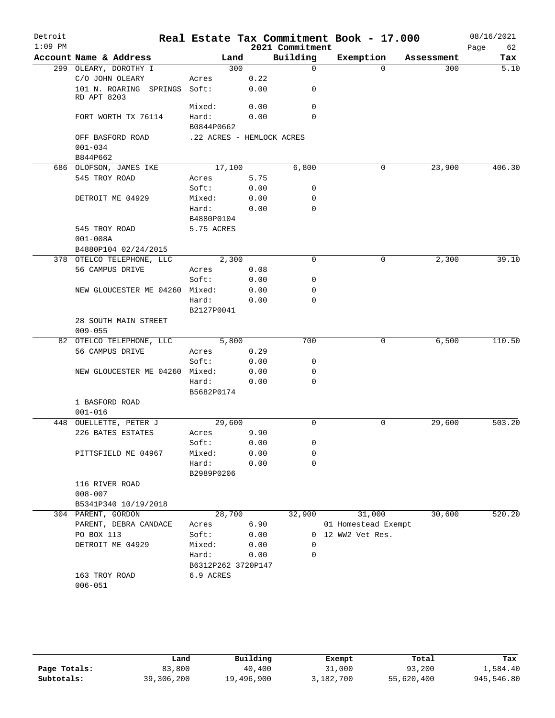| Detroit   |                                             |                           |             |                         | Real Estate Tax Commitment Book - 17.000 |            | 08/16/2021               |
|-----------|---------------------------------------------|---------------------------|-------------|-------------------------|------------------------------------------|------------|--------------------------|
| $1:09$ PM |                                             |                           |             | 2021 Commitment         |                                          |            | 62<br>Page               |
|           | Account Name & Address                      | Land                      |             | Building<br>$\mathbf 0$ | Exemption<br>$\Omega$                    | Assessment | Tax<br>$\overline{5.10}$ |
|           | 299 OLEARY, DOROTHY I<br>C/O JOHN OLEARY    |                           | 300<br>0.22 |                         |                                          | 300        |                          |
|           | 101 N. ROARING SPRINGS Soft:<br>RD APT 8203 | Acres                     | 0.00        | 0                       |                                          |            |                          |
|           |                                             | Mixed:                    | 0.00        | 0                       |                                          |            |                          |
|           | FORT WORTH TX 76114                         | Hard:<br>B0844P0662       | 0.00        | $\Omega$                |                                          |            |                          |
|           | OFF BASFORD ROAD<br>$001 - 034$             | .22 ACRES - HEMLOCK ACRES |             |                         |                                          |            |                          |
|           | B844P662                                    |                           |             |                         |                                          |            |                          |
|           | 686 OLOFSON, JAMES IKE                      | 17,100                    |             | 6,800                   | 0                                        | 23,900     | 406.30                   |
|           | 545 TROY ROAD                               | Acres                     | 5.75        |                         |                                          |            |                          |
|           |                                             | Soft:                     | 0.00        | 0                       |                                          |            |                          |
|           | DETROIT ME 04929                            | Mixed:                    | 0.00        | 0                       |                                          |            |                          |
|           |                                             | Hard:                     | 0.00        | 0                       |                                          |            |                          |
|           |                                             | B4880P0104                |             |                         |                                          |            |                          |
|           | 545 TROY ROAD                               | 5.75 ACRES                |             |                         |                                          |            |                          |
|           | $001 - 008A$                                |                           |             |                         |                                          |            |                          |
|           | B4880P104 02/24/2015                        |                           |             |                         |                                          |            |                          |
|           | 378 OTELCO TELEPHONE, LLC                   | 2,300                     |             | 0                       | 0                                        | 2,300      | 39.10                    |
|           | 56 CAMPUS DRIVE                             | Acres                     | 0.08        |                         |                                          |            |                          |
|           |                                             | Soft:                     | 0.00        | 0                       |                                          |            |                          |
|           | NEW GLOUCESTER ME 04260 Mixed:              |                           | 0.00        | 0                       |                                          |            |                          |
|           |                                             | Hard:                     | 0.00        | $\Omega$                |                                          |            |                          |
|           |                                             | B2127P0041                |             |                         |                                          |            |                          |
|           | 28 SOUTH MAIN STREET<br>$009 - 055$         |                           |             |                         |                                          |            |                          |
|           | 82 OTELCO TELEPHONE, LLC                    | 5,800                     |             | 700                     | 0                                        | 6,500      | 110.50                   |
|           | 56 CAMPUS DRIVE                             | Acres                     | 0.29        |                         |                                          |            |                          |
|           |                                             | Soft:                     | 0.00        | 0                       |                                          |            |                          |
|           | NEW GLOUCESTER ME 04260 Mixed:              |                           | 0.00        | 0                       |                                          |            |                          |
|           |                                             | Hard:                     | 0.00        | 0                       |                                          |            |                          |
|           |                                             | B5682P0174                |             |                         |                                          |            |                          |
|           | 1 BASFORD ROAD                              |                           |             |                         |                                          |            |                          |
|           | $001 - 016$                                 |                           |             |                         |                                          |            |                          |
|           | 448 OUELLETTE, PETER J                      | 29,600                    |             | 0                       | 0                                        | 29,600     | 503.20                   |
|           | 226 BATES ESTATES                           | Acres                     | 9.90        |                         |                                          |            |                          |
|           |                                             | Soft:                     | 0.00        | 0                       |                                          |            |                          |
|           | PITTSFIELD ME 04967                         | Mixed:                    | 0.00        | $\mathbf 0$             |                                          |            |                          |
|           |                                             | Hard:<br>B2989P0206       | 0.00        | 0                       |                                          |            |                          |
|           | 116 RIVER ROAD                              |                           |             |                         |                                          |            |                          |
|           | $008 - 007$                                 |                           |             |                         |                                          |            |                          |
|           | B5341P340 10/19/2018                        |                           |             |                         |                                          |            |                          |
|           | 304 PARENT, GORDON                          | 28,700                    |             | 32,900                  | 31,000                                   | 30,600     | 520.20                   |
|           | PARENT, DEBRA CANDACE                       | Acres                     | 6.90        |                         | 01 Homestead Exempt                      |            |                          |
|           | PO BOX 113                                  | Soft:                     | 0.00        |                         | 0 12 WW2 Vet Res.                        |            |                          |
|           | DETROIT ME 04929                            | Mixed:                    | 0.00        | 0                       |                                          |            |                          |
|           |                                             | Hard:                     | 0.00        | 0                       |                                          |            |                          |
|           |                                             | B6312P262 3720P147        |             |                         |                                          |            |                          |
|           | 163 TROY ROAD<br>$006 - 051$                | 6.9 ACRES                 |             |                         |                                          |            |                          |

|              | Land       | Building   | Exempt    | Total      | Tax        |
|--------------|------------|------------|-----------|------------|------------|
| Page Totals: | 83,800     | 40,400     | 31,000    | 93,200     | 1,584.40   |
| Subtotals:   | 39,306,200 | 19,496,900 | 3,182,700 | 55,620,400 | 945,546.80 |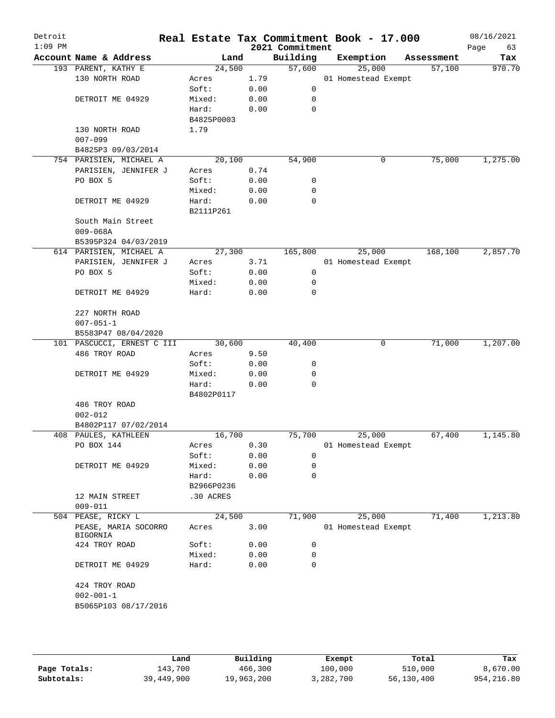| Detroit<br>$1:09$ PM |                                  |            |      | 2021 Commitment | Real Estate Tax Commitment Book - 17.000 |            | 08/16/2021<br>Page<br>63 |
|----------------------|----------------------------------|------------|------|-----------------|------------------------------------------|------------|--------------------------|
|                      | Account Name & Address           | Land       |      | Building        | Exemption                                | Assessment | Tax                      |
|                      | 193 PARENT, KATHY E              | 24,500     |      | 57,600          | 25,000                                   | 57,100     | 970.70                   |
|                      | 130 NORTH ROAD                   | Acres      | 1.79 |                 | 01 Homestead Exempt                      |            |                          |
|                      |                                  | Soft:      | 0.00 | 0               |                                          |            |                          |
|                      | DETROIT ME 04929                 | Mixed:     | 0.00 | 0               |                                          |            |                          |
|                      |                                  | Hard:      | 0.00 | $\mathbf 0$     |                                          |            |                          |
|                      |                                  | B4825P0003 |      |                 |                                          |            |                          |
|                      | 130 NORTH ROAD                   | 1.79       |      |                 |                                          |            |                          |
|                      | $007 - 099$                      |            |      |                 |                                          |            |                          |
|                      | B4825P3 09/03/2014               |            |      |                 |                                          |            |                          |
|                      | 754 PARISIEN, MICHAEL A          | 20,100     |      | 54,900          | 0                                        | 75,000     | 1,275.00                 |
|                      | PARISIEN, JENNIFER J             | Acres      | 0.74 |                 |                                          |            |                          |
|                      | PO BOX 5                         | Soft:      | 0.00 | 0               |                                          |            |                          |
|                      |                                  | Mixed:     | 0.00 | 0               |                                          |            |                          |
|                      | DETROIT ME 04929                 | Hard:      | 0.00 | 0               |                                          |            |                          |
|                      |                                  | B2111P261  |      |                 |                                          |            |                          |
|                      | South Main Street                |            |      |                 |                                          |            |                          |
|                      | $009 - 068A$                     |            |      |                 |                                          |            |                          |
|                      | B5395P324 04/03/2019             |            |      |                 |                                          |            |                          |
|                      |                                  | 27,300     |      |                 | 25,000                                   |            | 2,857.70                 |
|                      | 614 PARISIEN, MICHAEL A          |            |      | 165,800         |                                          | 168,100    |                          |
|                      | PARISIEN, JENNIFER J             | Acres      | 3.71 |                 | 01 Homestead Exempt                      |            |                          |
|                      | PO BOX 5                         | Soft:      | 0.00 | 0               |                                          |            |                          |
|                      |                                  | Mixed:     | 0.00 | 0               |                                          |            |                          |
|                      | DETROIT ME 04929                 | Hard:      | 0.00 | $\mathbf 0$     |                                          |            |                          |
|                      | 227 NORTH ROAD                   |            |      |                 |                                          |            |                          |
|                      | $007 - 051 - 1$                  |            |      |                 |                                          |            |                          |
|                      | B5583P47 08/04/2020              |            |      |                 |                                          |            |                          |
|                      | 101 PASCUCCI, ERNEST C III       | 30,600     |      | 40,400          | 0                                        | 71,000     | 1,207.00                 |
|                      | 486 TROY ROAD                    | Acres      | 9.50 |                 |                                          |            |                          |
|                      |                                  | Soft:      | 0.00 | 0               |                                          |            |                          |
|                      | DETROIT ME 04929                 | Mixed:     | 0.00 | 0               |                                          |            |                          |
|                      |                                  | Hard:      | 0.00 | 0               |                                          |            |                          |
|                      |                                  | B4802P0117 |      |                 |                                          |            |                          |
|                      | 486 TROY ROAD                    |            |      |                 |                                          |            |                          |
|                      | $002 - 012$                      |            |      |                 |                                          |            |                          |
|                      | B4802P117 07/02/2014             |            |      |                 |                                          |            |                          |
|                      | 408 PAULES, KATHLEEN             | 16,700     |      | 75,700          | 25,000                                   | 67,400     | 1,145.80                 |
|                      | PO BOX 144                       | Acres      | 0.30 |                 | 01 Homestead Exempt                      |            |                          |
|                      |                                  | Soft:      | 0.00 | 0               |                                          |            |                          |
|                      | DETROIT ME 04929                 | Mixed:     | 0.00 | 0               |                                          |            |                          |
|                      |                                  | Hard:      | 0.00 | 0               |                                          |            |                          |
|                      |                                  | B2966P0236 |      |                 |                                          |            |                          |
|                      | 12 MAIN STREET                   |            |      |                 |                                          |            |                          |
|                      |                                  | .30 ACRES  |      |                 |                                          |            |                          |
|                      | $009 - 011$                      |            |      |                 |                                          |            |                          |
|                      | 504 PEASE, RICKY L               | 24,500     |      | 71,900          | 25,000                                   | 71,400     | 1,213.80                 |
|                      | PEASE, MARIA SOCORRO<br>BIGORNIA | Acres      | 3.00 |                 | 01 Homestead Exempt                      |            |                          |
|                      | 424 TROY ROAD                    | Soft:      | 0.00 | 0               |                                          |            |                          |
|                      |                                  | Mixed:     | 0.00 | 0               |                                          |            |                          |
|                      | DETROIT ME 04929                 | Hard:      | 0.00 | 0               |                                          |            |                          |
|                      | 424 TROY ROAD                    |            |      |                 |                                          |            |                          |
|                      | $002 - 001 - 1$                  |            |      |                 |                                          |            |                          |
|                      | B5065P103 08/17/2016             |            |      |                 |                                          |            |                          |
|                      |                                  |            |      |                 |                                          |            |                          |
|                      |                                  |            |      |                 |                                          |            |                          |

|              | Land       | Building   | Exempt    | Total      | Tax         |
|--------------|------------|------------|-----------|------------|-------------|
| Page Totals: | 143,700    | 466,300    | 100,000   | 510,000    | 8,670.00    |
| Subtotals:   | 39,449,900 | 19,963,200 | 3,282,700 | 56,130,400 | 954, 216.80 |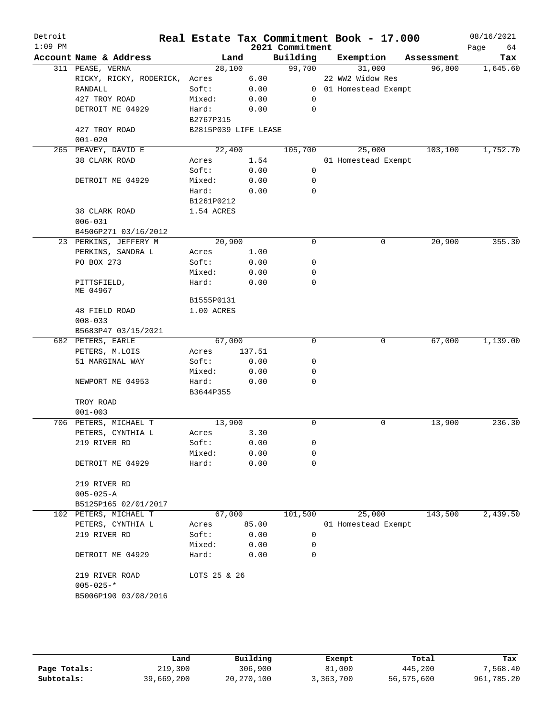| Detroit<br>$1:09$ PM |                               |                      |        | 2021 Commitment | Real Estate Tax Commitment Book - 17.000 |            | 08/16/2021<br>Page<br>64 |
|----------------------|-------------------------------|----------------------|--------|-----------------|------------------------------------------|------------|--------------------------|
|                      | Account Name & Address        | Land                 |        | Building        | Exemption                                | Assessment | Tax                      |
|                      | 311 PEASE, VERNA              | 28,100               |        | 99,700          | 31,000                                   | 96,800     | 1,645.60                 |
|                      | RICKY, RICKY, RODERICK, Acres |                      | 6.00   |                 | 22 WW2 Widow Res                         |            |                          |
|                      | RANDALL                       | Soft:                | 0.00   |                 | 0 01 Homestead Exempt                    |            |                          |
|                      | 427 TROY ROAD                 | Mixed:               | 0.00   | 0               |                                          |            |                          |
|                      | DETROIT ME 04929              | Hard:                | 0.00   | 0               |                                          |            |                          |
|                      |                               | B2767P315            |        |                 |                                          |            |                          |
|                      | 427 TROY ROAD                 | B2815P039 LIFE LEASE |        |                 |                                          |            |                          |
|                      | $001 - 020$                   |                      |        |                 |                                          |            |                          |
|                      | 265 PEAVEY, DAVID E           | 22,400               |        | 105,700         | 25,000                                   | 103,100    | 1,752.70                 |
|                      | 38 CLARK ROAD                 | Acres                | 1.54   |                 | 01 Homestead Exempt                      |            |                          |
|                      |                               | Soft:                | 0.00   | 0               |                                          |            |                          |
|                      | DETROIT ME 04929              | Mixed:               | 0.00   | 0               |                                          |            |                          |
|                      |                               | Hard:                | 0.00   | 0               |                                          |            |                          |
|                      |                               | B1261P0212           |        |                 |                                          |            |                          |
|                      | 38 CLARK ROAD                 | 1.54 ACRES           |        |                 |                                          |            |                          |
|                      | $006 - 031$                   |                      |        |                 |                                          |            |                          |
|                      | B4506P271 03/16/2012          |                      |        |                 |                                          |            |                          |
|                      | 23 PERKINS, JEFFERY M         | 20,900               |        | $\mathbf 0$     | $\mathbf 0$                              | 20,900     | 355.30                   |
|                      | PERKINS, SANDRA L             | Acres                | 1.00   |                 |                                          |            |                          |
|                      | PO BOX 273                    | Soft:                | 0.00   | 0               |                                          |            |                          |
|                      |                               | Mixed:               | 0.00   | 0               |                                          |            |                          |
|                      | PITTSFIELD,                   | Hard:                | 0.00   | $\mathbf 0$     |                                          |            |                          |
|                      | ME 04967                      |                      |        |                 |                                          |            |                          |
|                      |                               | B1555P0131           |        |                 |                                          |            |                          |
|                      | 48 FIELD ROAD                 | 1.00 ACRES           |        |                 |                                          |            |                          |
|                      | $008 - 033$                   |                      |        |                 |                                          |            |                          |
|                      | B5683P47 03/15/2021           |                      |        |                 |                                          |            |                          |
|                      | 682 PETERS, EARLE             | 67,000               |        | $\Omega$        | 0                                        | 67,000     | 1,139.00                 |
|                      | PETERS, M.LOIS                | Acres                | 137.51 |                 |                                          |            |                          |
|                      | 51 MARGINAL WAY               | Soft:                | 0.00   | 0               |                                          |            |                          |
|                      |                               | Mixed:               | 0.00   | 0               |                                          |            |                          |
|                      | NEWPORT ME 04953              | Hard:                | 0.00   | 0               |                                          |            |                          |
|                      |                               | B3644P355            |        |                 |                                          |            |                          |
|                      | TROY ROAD                     |                      |        |                 |                                          |            |                          |
|                      | $001 - 003$                   |                      |        |                 |                                          |            |                          |
|                      | 706 PETERS, MICHAEL T         | 13,900               |        | 0               | 0                                        | 13,900     | 236.30                   |
|                      | PETERS, CYNTHIA L             | Acres                | 3.30   |                 |                                          |            |                          |
|                      | 219 RIVER RD                  | Soft:                | 0.00   | 0               |                                          |            |                          |
|                      |                               | Mixed:               | 0.00   | 0               |                                          |            |                          |
|                      | DETROIT ME 04929              | Hard:                | 0.00   | 0               |                                          |            |                          |
|                      |                               |                      |        |                 |                                          |            |                          |
|                      | 219 RIVER RD                  |                      |        |                 |                                          |            |                          |
|                      | $005 - 025 - A$               |                      |        |                 |                                          |            |                          |
|                      | B5125P165 02/01/2017          |                      |        |                 |                                          |            |                          |
|                      | 102 PETERS, MICHAEL T         | 67,000               |        | 101,500         | 25,000                                   | 143,500    | 2,439.50                 |
|                      | PETERS, CYNTHIA L             | Acres                | 85.00  |                 | 01 Homestead Exempt                      |            |                          |
|                      | 219 RIVER RD                  | Soft:                | 0.00   | 0               |                                          |            |                          |
|                      |                               | Mixed:               | 0.00   | 0               |                                          |            |                          |
|                      | DETROIT ME 04929              | Hard:                | 0.00   | $\Omega$        |                                          |            |                          |
|                      |                               |                      |        |                 |                                          |            |                          |
|                      | 219 RIVER ROAD                | LOTS 25 & 26         |        |                 |                                          |            |                          |
|                      | $005 - 025 -$ *               |                      |        |                 |                                          |            |                          |
|                      | B5006P190 03/08/2016          |                      |        |                 |                                          |            |                          |
|                      |                               |                      |        |                 |                                          |            |                          |
|                      |                               |                      |        |                 |                                          |            |                          |

|              | Land       | Building   | Exempt    | Total      | Tax        |
|--------------|------------|------------|-----------|------------|------------|
| Page Totals: | 219,300    | 306,900    | 81,000    | 445,200    | 7,568.40   |
| Subtotals:   | 39,669,200 | 20,270,100 | 3,363,700 | 56,575,600 | 961,785.20 |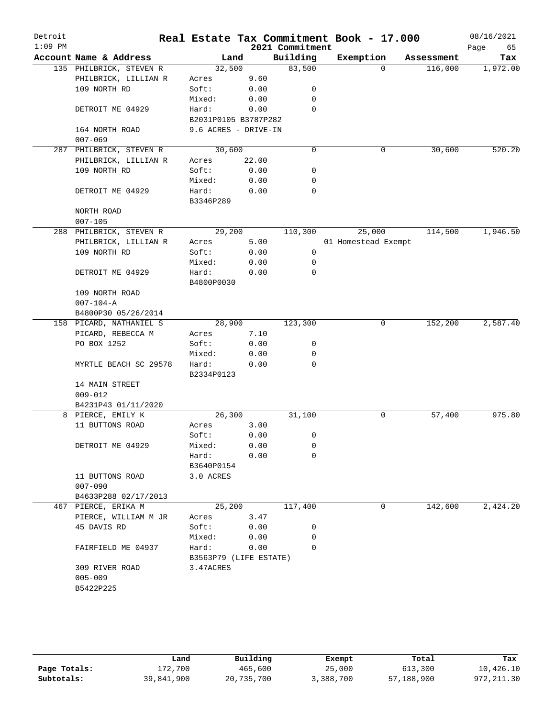| Detroit<br>$1:09$ PM |                                      |                        |       | 2021 Commitment | Real Estate Tax Commitment Book - 17.000 |            | 08/16/2021<br>Page<br>65 |
|----------------------|--------------------------------------|------------------------|-------|-----------------|------------------------------------------|------------|--------------------------|
|                      | Account Name & Address               | Land                   |       | Building        | Exemption                                | Assessment | Tax                      |
|                      | 135 PHILBRICK, STEVEN R              | 32,500                 |       | 83,500          | $\Omega$                                 | 116,000    | 1,972.00                 |
|                      | PHILBRICK, LILLIAN R                 | Acres                  | 9.60  |                 |                                          |            |                          |
|                      | 109 NORTH RD                         | Soft:                  | 0.00  | 0               |                                          |            |                          |
|                      |                                      | Mixed:                 | 0.00  | $\mathbf 0$     |                                          |            |                          |
|                      | DETROIT ME 04929                     | Hard:                  | 0.00  | $\mathbf 0$     |                                          |            |                          |
|                      |                                      | B2031P0105 B3787P282   |       |                 |                                          |            |                          |
|                      | 164 NORTH ROAD                       | 9.6 ACRES - DRIVE-IN   |       |                 |                                          |            |                          |
|                      | $007 - 069$                          |                        |       |                 |                                          |            |                          |
|                      | 287 PHILBRICK, STEVEN R              | 30,600                 |       | $\mathbf 0$     | 0                                        | 30,600     | 520.20                   |
|                      | PHILBRICK, LILLIAN R                 | Acres                  | 22.00 |                 |                                          |            |                          |
|                      | 109 NORTH RD                         | Soft:                  | 0.00  | 0               |                                          |            |                          |
|                      |                                      | Mixed:                 | 0.00  | 0               |                                          |            |                          |
|                      | DETROIT ME 04929                     | Hard:                  | 0.00  | $\mathbf 0$     |                                          |            |                          |
|                      |                                      | B3346P289              |       |                 |                                          |            |                          |
|                      | NORTH ROAD                           |                        |       |                 |                                          |            |                          |
|                      | $007 - 105$                          |                        |       |                 |                                          |            |                          |
|                      | 288 PHILBRICK, STEVEN R              | 29,200                 |       | 110,300         | 25,000                                   | 114,500    | 1,946.50                 |
|                      | PHILBRICK, LILLIAN R                 | Acres                  | 5.00  |                 | 01 Homestead Exempt                      |            |                          |
|                      | 109 NORTH RD                         | Soft:                  | 0.00  | 0               |                                          |            |                          |
|                      |                                      | Mixed:                 | 0.00  | 0               |                                          |            |                          |
|                      | DETROIT ME 04929                     | Hard:                  | 0.00  | $\mathbf 0$     |                                          |            |                          |
|                      |                                      | B4800P0030             |       |                 |                                          |            |                          |
|                      | 109 NORTH ROAD                       |                        |       |                 |                                          |            |                          |
|                      | $007 - 104 - A$                      |                        |       |                 |                                          |            |                          |
|                      | B4800P30 05/26/2014                  |                        |       |                 |                                          |            |                          |
|                      | 158 PICARD, NATHANIEL S              | 28,900                 |       | 123,300         | 0                                        | 152,200    | 2,587.40                 |
|                      | PICARD, REBECCA M                    | Acres                  | 7.10  |                 |                                          |            |                          |
|                      | PO BOX 1252                          | Soft:                  | 0.00  | 0               |                                          |            |                          |
|                      |                                      | Mixed:                 | 0.00  | 0               |                                          |            |                          |
|                      | MYRTLE BEACH SC 29578                | Hard:                  | 0.00  | $\mathbf 0$     |                                          |            |                          |
|                      |                                      | B2334P0123             |       |                 |                                          |            |                          |
|                      | 14 MAIN STREET                       |                        |       |                 |                                          |            |                          |
|                      | $009 - 012$                          |                        |       |                 |                                          |            |                          |
|                      | B4231P43 01/11/2020                  |                        |       |                 |                                          |            | 975.80                   |
|                      | 8 PIERCE, EMILY K<br>11 BUTTONS ROAD | 26,300<br>Acres        | 3.00  | 31,100          | 0                                        | 57,400     |                          |
|                      |                                      | Soft:                  | 0.00  | 0               |                                          |            |                          |
|                      | DETROIT ME 04929                     | Mixed:                 | 0.00  | 0               |                                          |            |                          |
|                      |                                      | Hard:                  | 0.00  | $\mathbf 0$     |                                          |            |                          |
|                      |                                      | B3640P0154             |       |                 |                                          |            |                          |
|                      | 11 BUTTONS ROAD                      | 3.0 ACRES              |       |                 |                                          |            |                          |
|                      | $007 - 090$                          |                        |       |                 |                                          |            |                          |
|                      | B4633P288 02/17/2013                 |                        |       |                 |                                          |            |                          |
|                      | 467 PIERCE, ERIKA M                  | 25,200                 |       | 117,400         | 0                                        | 142,600    | 2,424.20                 |
|                      | PIERCE, WILLIAM M JR                 | Acres                  | 3.47  |                 |                                          |            |                          |
|                      | 45 DAVIS RD                          | Soft:                  | 0.00  | 0               |                                          |            |                          |
|                      |                                      | Mixed:                 | 0.00  | $\mathbf 0$     |                                          |            |                          |
|                      | FAIRFIELD ME 04937                   | Hard:                  | 0.00  | $\Omega$        |                                          |            |                          |
|                      |                                      | B3563P79 (LIFE ESTATE) |       |                 |                                          |            |                          |
|                      | 309 RIVER ROAD                       | 3.47ACRES              |       |                 |                                          |            |                          |
|                      | $005 - 009$                          |                        |       |                 |                                          |            |                          |
|                      | B5422P225                            |                        |       |                 |                                          |            |                          |
|                      |                                      |                        |       |                 |                                          |            |                          |

|              | Land       | Building   | Exempt    | Total      | Tax         |
|--------------|------------|------------|-----------|------------|-------------|
| Page Totals: | 172,700    | 465,600    | 25,000    | 613,300    | 10,426.10   |
| Subtotals:   | 39,841,900 | 20,735,700 | 3,388,700 | 57,188,900 | 972, 211.30 |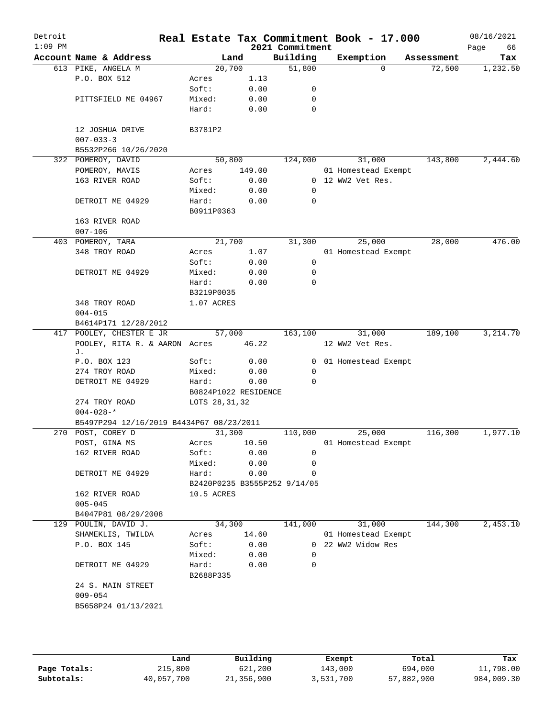| Detroit<br>$1:09$ PM |                                          |                              |        | 2021 Commitment | Real Estate Tax Commitment Book - 17.000 |            | 08/16/2021<br>66<br>Page |
|----------------------|------------------------------------------|------------------------------|--------|-----------------|------------------------------------------|------------|--------------------------|
|                      | Account Name & Address                   | Land                         |        | Building        | Exemption                                | Assessment | Tax                      |
|                      | 613 PIKE, ANGELA M                       | 20,700                       |        | 51,800          | $\Omega$                                 | 72,500     | 1,232.50                 |
|                      | P.O. BOX 512                             | Acres                        | 1.13   |                 |                                          |            |                          |
|                      |                                          | Soft:                        | 0.00   | 0               |                                          |            |                          |
|                      | PITTSFIELD ME 04967                      | Mixed:                       | 0.00   | 0               |                                          |            |                          |
|                      |                                          | Hard:                        | 0.00   | $\mathbf 0$     |                                          |            |                          |
|                      | 12 JOSHUA DRIVE                          | B3781P2                      |        |                 |                                          |            |                          |
|                      | $007 - 033 - 3$<br>B5532P266 10/26/2020  |                              |        |                 |                                          |            |                          |
| 322                  | POMEROY, DAVID                           | 50,800                       |        | 124,000         | 31,000                                   | 143,800    | 2,444.60                 |
|                      | POMEROY, MAVIS                           | Acres                        | 149.00 |                 | 01 Homestead Exempt                      |            |                          |
|                      | 163 RIVER ROAD                           | Soft:                        | 0.00   |                 | 0 12 WW2 Vet Res.                        |            |                          |
|                      |                                          | Mixed:                       | 0.00   | 0               |                                          |            |                          |
|                      | DETROIT ME 04929                         | Hard:<br>B0911P0363          | 0.00   | 0               |                                          |            |                          |
|                      | 163 RIVER ROAD                           |                              |        |                 |                                          |            |                          |
|                      | $007 - 106$                              |                              |        |                 |                                          |            |                          |
|                      | 403 POMEROY, TARA                        | 21,700                       |        | 31,300          | 25,000                                   | 28,000     | 476.00                   |
|                      | 348 TROY ROAD                            | Acres                        | 1.07   |                 | 01 Homestead Exempt                      |            |                          |
|                      |                                          | Soft:                        | 0.00   | 0               |                                          |            |                          |
|                      | DETROIT ME 04929                         | Mixed:                       | 0.00   | 0               |                                          |            |                          |
|                      |                                          | Hard:                        | 0.00   | $\mathbf 0$     |                                          |            |                          |
|                      |                                          | B3219P0035                   |        |                 |                                          |            |                          |
|                      | 348 TROY ROAD                            | 1.07 ACRES                   |        |                 |                                          |            |                          |
|                      | $004 - 015$                              |                              |        |                 |                                          |            |                          |
|                      | B4614P171 12/28/2012                     |                              |        |                 |                                          |            |                          |
| 417                  | POOLEY, CHESTER E JR                     | 57,000                       |        | 163,100         | 31,000                                   | 189,100    | 3,214.70                 |
|                      | POOLEY, RITA R. & AARON Acres<br>J.      |                              | 46.22  |                 | 12 WW2 Vet Res.                          |            |                          |
|                      | P.O. BOX 123                             | Soft:                        | 0.00   | 0               | 01 Homestead Exempt                      |            |                          |
|                      | 274 TROY ROAD                            | Mixed:                       | 0.00   | 0               |                                          |            |                          |
|                      | DETROIT ME 04929                         | Hard:                        | 0.00   | $\Omega$        |                                          |            |                          |
|                      |                                          | B0824P1022 RESIDENCE         |        |                 |                                          |            |                          |
|                      | 274 TROY ROAD                            | LOTS 28, 31, 32              |        |                 |                                          |            |                          |
|                      | $004 - 028 -$ *                          |                              |        |                 |                                          |            |                          |
|                      | B5497P294 12/16/2019 B4434P67 08/23/2011 |                              |        |                 |                                          |            |                          |
|                      | 270 POST, COREY D                        | 31,300                       |        | 110,000         | 25,000                                   | 116,300    | 1,977.10                 |
|                      | POST, GINA MS                            | Acres                        | 10.50  |                 | 01 Homestead Exempt                      |            |                          |
|                      | 162 RIVER ROAD                           | Soft:                        | 0.00   | 0               |                                          |            |                          |
|                      |                                          | Mixed:                       | 0.00   | 0               |                                          |            |                          |
|                      | DETROIT ME 04929                         | Hard:                        | 0.00   | $\Omega$        |                                          |            |                          |
|                      |                                          | B2420P0235 B3555P252 9/14/05 |        |                 |                                          |            |                          |
|                      | 162 RIVER ROAD                           | 10.5 ACRES                   |        |                 |                                          |            |                          |
|                      | $005 - 045$                              |                              |        |                 |                                          |            |                          |
|                      | B4047P81 08/29/2008                      |                              |        |                 |                                          |            |                          |
| 129                  | POULIN, DAVID J.                         | 34,300                       |        | 141,000         | 31,000                                   | 144,300    | 2,453.10                 |
|                      | SHAMEKLIS, TWILDA                        | Acres                        | 14.60  |                 | 01 Homestead Exempt                      |            |                          |
|                      | P.O. BOX 145                             | Soft:                        | 0.00   |                 | 0 22 WW2 Widow Res                       |            |                          |
|                      |                                          | Mixed:                       | 0.00   | 0               |                                          |            |                          |
|                      | DETROIT ME 04929                         | Hard:<br>B2688P335           | 0.00   | 0               |                                          |            |                          |
|                      | 24 S. MAIN STREET                        |                              |        |                 |                                          |            |                          |
|                      | $009 - 054$                              |                              |        |                 |                                          |            |                          |
|                      | B5658P24 01/13/2021                      |                              |        |                 |                                          |            |                          |
|                      |                                          |                              |        |                 |                                          |            |                          |
|                      |                                          |                              |        |                 |                                          |            |                          |
|                      |                                          |                              |        |                 |                                          |            |                          |

|              | Land       | Building   | Exempt    | Total      | Tax        |
|--------------|------------|------------|-----------|------------|------------|
| Page Totals: | 215,800    | 621,200    | 143,000   | 694,000    | 11,798.00  |
| Subtotals:   | 40,057,700 | 21,356,900 | 3,531,700 | 57,882,900 | 984,009.30 |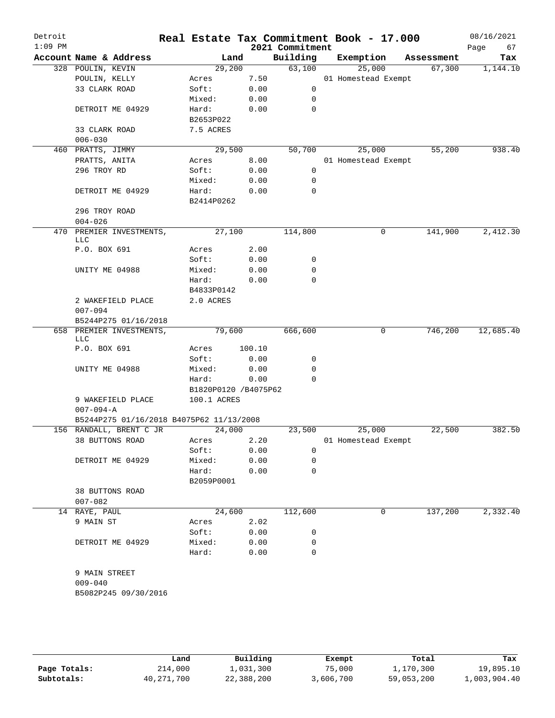| Detroit<br>$1:09$ PM |                                          |                      |        | 2021 Commitment | Real Estate Tax Commitment Book - 17.000 |            | 08/16/2021<br>67<br>Page |
|----------------------|------------------------------------------|----------------------|--------|-----------------|------------------------------------------|------------|--------------------------|
|                      | Account Name & Address                   | Land                 |        | Building        | Exemption                                | Assessment | Tax                      |
|                      | 328 POULIN, KEVIN                        | 29,200               |        | 63,100          | 25,000                                   | 67,300     | 1,144.10                 |
|                      | POULIN, KELLY                            | Acres                | 7.50   |                 | 01 Homestead Exempt                      |            |                          |
|                      | 33 CLARK ROAD                            | Soft:                | 0.00   | 0               |                                          |            |                          |
|                      |                                          | Mixed:               | 0.00   | 0               |                                          |            |                          |
|                      | DETROIT ME 04929                         | Hard:                | 0.00   | 0               |                                          |            |                          |
|                      |                                          | B2653P022            |        |                 |                                          |            |                          |
|                      | 33 CLARK ROAD                            | 7.5 ACRES            |        |                 |                                          |            |                          |
|                      | $006 - 030$                              |                      |        |                 |                                          |            |                          |
|                      | 460 PRATTS, JIMMY                        | 29,500               |        | 50,700          | 25,000                                   | 55,200     | 938.40                   |
|                      | PRATTS, ANITA                            | Acres                | 8.00   |                 | 01 Homestead Exempt                      |            |                          |
|                      | 296 TROY RD                              | Soft:                | 0.00   | $\mathbf 0$     |                                          |            |                          |
|                      |                                          | Mixed:               | 0.00   | 0               |                                          |            |                          |
|                      | DETROIT ME 04929                         | Hard:                | 0.00   | 0               |                                          |            |                          |
|                      |                                          | B2414P0262           |        |                 |                                          |            |                          |
|                      | 296 TROY ROAD                            |                      |        |                 |                                          |            |                          |
|                      | $004 - 026$                              |                      |        |                 |                                          |            |                          |
|                      | 470 PREMIER INVESTMENTS,                 | 27,100               |        | 114,800         | 0                                        | 141,900    | 2,412.30                 |
|                      | LLC                                      |                      |        |                 |                                          |            |                          |
|                      | P.O. BOX 691                             | Acres                | 2.00   |                 |                                          |            |                          |
|                      |                                          | Soft:                | 0.00   | 0               |                                          |            |                          |
|                      | UNITY ME 04988                           | Mixed:               | 0.00   | 0               |                                          |            |                          |
|                      |                                          | Hard:                | 0.00   | 0               |                                          |            |                          |
|                      |                                          | B4833P0142           |        |                 |                                          |            |                          |
|                      | 2 WAKEFIELD PLACE                        | 2.0 ACRES            |        |                 |                                          |            |                          |
|                      | $007 - 094$                              |                      |        |                 |                                          |            |                          |
|                      | B5244P275 01/16/2018                     |                      |        |                 |                                          |            |                          |
|                      | 658 PREMIER INVESTMENTS,                 | 79,600               |        | 666,600         | 0                                        | 746,200    | 12,685.40                |
|                      | <b>LLC</b>                               |                      |        |                 |                                          |            |                          |
|                      | P.O. BOX 691                             | Acres                | 100.10 |                 |                                          |            |                          |
|                      |                                          | Soft:                | 0.00   | 0               |                                          |            |                          |
|                      | UNITY ME 04988                           | Mixed:               | 0.00   | 0               |                                          |            |                          |
|                      |                                          | Hard:                | 0.00   | $\mathbf 0$     |                                          |            |                          |
|                      |                                          | B1820P0120 /B4075P62 |        |                 |                                          |            |                          |
|                      | 9 WAKEFIELD PLACE                        | 100.1 ACRES          |        |                 |                                          |            |                          |
|                      | $007 - 094 - A$                          |                      |        |                 |                                          |            |                          |
|                      | B5244P275 01/16/2018 B4075P62 11/13/2008 |                      |        |                 |                                          |            |                          |
|                      | 156 RANDALL, BRENT C JR                  | 24,000               |        | 23,500          | 25,000                                   | 22,500     | 382.50                   |
|                      | 38 BUTTONS ROAD                          | Acres                | 2.20   |                 | 01 Homestead Exempt                      |            |                          |
|                      |                                          | Soft:                | 0.00   | 0               |                                          |            |                          |
|                      | DETROIT ME 04929                         | Mixed:               | 0.00   | 0               |                                          |            |                          |
|                      |                                          | Hard:                | 0.00   | 0               |                                          |            |                          |
|                      |                                          |                      |        |                 |                                          |            |                          |
|                      | 38 BUTTONS ROAD                          | B2059P0001           |        |                 |                                          |            |                          |
|                      |                                          |                      |        |                 |                                          |            |                          |
|                      | $007 - 082$                              |                      |        |                 |                                          |            |                          |
|                      | 14 RAYE, PAUL                            | 24,600               |        | 112,600         | 0                                        | 137,200    | 2,332.40                 |
|                      | 9 MAIN ST                                | Acres                | 2.02   |                 |                                          |            |                          |
|                      |                                          | Soft:                | 0.00   | 0               |                                          |            |                          |
|                      | DETROIT ME 04929                         | Mixed:               | 0.00   | 0               |                                          |            |                          |
|                      |                                          | Hard:                | 0.00   | $\mathbf 0$     |                                          |            |                          |
|                      |                                          |                      |        |                 |                                          |            |                          |
|                      | 9 MAIN STREET                            |                      |        |                 |                                          |            |                          |
|                      | $009 - 040$                              |                      |        |                 |                                          |            |                          |
|                      | B5082P245 09/30/2016                     |                      |        |                 |                                          |            |                          |
|                      |                                          |                      |        |                 |                                          |            |                          |
|                      |                                          |                      |        |                 |                                          |            |                          |
|                      |                                          |                      |        |                 |                                          |            |                          |
|                      |                                          |                      |        |                 |                                          |            |                          |

|              | Land       | Building   | Exempt    | Total      | Tax          |
|--------------|------------|------------|-----------|------------|--------------|
| Page Totals: | 214,000    | 1,031,300  | 75,000    | 1,170,300  | 19,895.10    |
| Subtotals:   | 40,271,700 | 22,388,200 | 3,606,700 | 59,053,200 | 1,003,904.40 |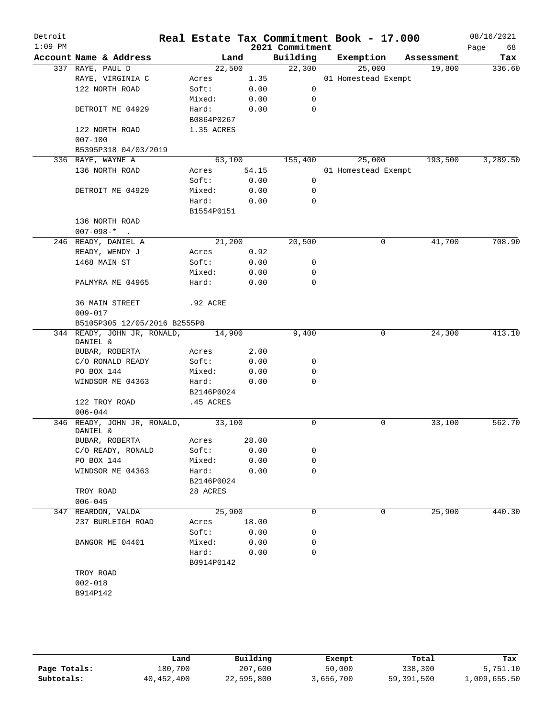| Detroit<br>$1:09$ PM |                                         |                     |       | 2021 Commitment | Real Estate Tax Commitment Book - 17.000 |            | 08/16/2021<br>68<br>Page |
|----------------------|-----------------------------------------|---------------------|-------|-----------------|------------------------------------------|------------|--------------------------|
|                      | Account Name & Address                  |                     | Land  | Building        | Exemption                                | Assessment | Tax                      |
|                      | 337 RAYE, PAUL D                        | 22,500              |       | 22,300          | 25,000                                   | 19,800     | 336.60                   |
|                      | RAYE, VIRGINIA C                        | Acres               | 1.35  |                 | 01 Homestead Exempt                      |            |                          |
|                      | 122 NORTH ROAD                          | Soft:               | 0.00  | 0               |                                          |            |                          |
|                      |                                         | Mixed:              | 0.00  | 0               |                                          |            |                          |
|                      | DETROIT ME 04929                        | Hard:               | 0.00  | $\mathbf 0$     |                                          |            |                          |
|                      |                                         | B0864P0267          |       |                 |                                          |            |                          |
|                      | 122 NORTH ROAD<br>$007 - 100$           | 1.35 ACRES          |       |                 |                                          |            |                          |
|                      | B5395P318 04/03/2019                    |                     |       |                 |                                          |            |                          |
|                      | 336 RAYE, WAYNE A                       | 63,100              |       | 155,400         | 25,000                                   | 193,500    | 3,289.50                 |
|                      | 136 NORTH ROAD                          | Acres               | 54.15 |                 | 01 Homestead Exempt                      |            |                          |
|                      |                                         | Soft:               | 0.00  | 0               |                                          |            |                          |
|                      | DETROIT ME 04929                        | Mixed:              | 0.00  | 0               |                                          |            |                          |
|                      |                                         | Hard:               | 0.00  | $\Omega$        |                                          |            |                          |
|                      |                                         | B1554P0151          |       |                 |                                          |            |                          |
|                      | 136 NORTH ROAD<br>$007 - 098 - *$       |                     |       |                 |                                          |            |                          |
|                      | 246 READY, DANIEL A                     | 21,200              |       | 20,500          | 0                                        | 41,700     | 708.90                   |
|                      | READY, WENDY J                          | Acres               | 0.92  |                 |                                          |            |                          |
|                      | 1468 MAIN ST                            | Soft:               | 0.00  | 0               |                                          |            |                          |
|                      |                                         | Mixed:              | 0.00  | 0               |                                          |            |                          |
|                      | PALMYRA ME 04965                        | Hard:               | 0.00  | $\mathbf 0$     |                                          |            |                          |
|                      | 36 MAIN STREET                          | .92 ACRE            |       |                 |                                          |            |                          |
|                      | $009 - 017$                             |                     |       |                 |                                          |            |                          |
|                      | B5105P305 12/05/2016 B2555P8            |                     |       |                 |                                          |            |                          |
|                      | 344 READY, JOHN JR, RONALD,<br>DANIEL & | 14,900              |       | 9,400           | 0                                        | 24,300     | 413.10                   |
|                      | BUBAR, ROBERTA                          | Acres               | 2.00  |                 |                                          |            |                          |
|                      | C/O RONALD READY                        | Soft:               | 0.00  | 0               |                                          |            |                          |
|                      | PO BOX 144                              | Mixed:              | 0.00  | 0               |                                          |            |                          |
|                      | WINDSOR ME 04363                        | Hard:               | 0.00  | $\mathbf 0$     |                                          |            |                          |
|                      |                                         | B2146P0024          |       |                 |                                          |            |                          |
|                      | 122 TROY ROAD<br>$006 - 044$            | .45 ACRES           |       |                 |                                          |            |                          |
| 346                  | READY, JOHN JR, RONALD,<br>DANIEL &     | $\overline{33,100}$ |       | $\mathbf 0$     | 0                                        | 33,100     | 562.70                   |
|                      | BUBAR, ROBERTA                          | Acres 28.00         |       |                 |                                          |            |                          |
|                      | C/O READY, RONALD                       | Soft:               | 0.00  | 0               |                                          |            |                          |
|                      | PO BOX 144                              | Mixed:              | 0.00  | 0               |                                          |            |                          |
|                      | WINDSOR ME 04363                        | Hard:               | 0.00  | 0               |                                          |            |                          |
|                      |                                         | B2146P0024          |       |                 |                                          |            |                          |
|                      | TROY ROAD                               | 28 ACRES            |       |                 |                                          |            |                          |
|                      | $006 - 045$                             |                     |       |                 |                                          |            |                          |
|                      | 347 REARDON, VALDA                      | 25,900              |       | 0               | 0                                        | 25,900     | 440.30                   |
|                      | 237 BURLEIGH ROAD                       | Acres               | 18.00 |                 |                                          |            |                          |
|                      |                                         | Soft:               | 0.00  | 0               |                                          |            |                          |
|                      | BANGOR ME 04401                         | Mixed:              | 0.00  | 0               |                                          |            |                          |
|                      |                                         | Hard:               | 0.00  | 0               |                                          |            |                          |
|                      |                                         | B0914P0142          |       |                 |                                          |            |                          |
|                      | TROY ROAD                               |                     |       |                 |                                          |            |                          |
|                      | $002 - 018$                             |                     |       |                 |                                          |            |                          |
|                      | B914P142                                |                     |       |                 |                                          |            |                          |
|                      |                                         |                     |       |                 |                                          |            |                          |

|              | Land       | Building   | Exempt    | Total      | Tax          |
|--------------|------------|------------|-----------|------------|--------------|
| Page Totals: | 180,700    | 207,600    | 50,000    | 338,300    | 5,751.10     |
| Subtotals:   | 40,452,400 | 22,595,800 | 3,656,700 | 59,391,500 | L,009,655.50 |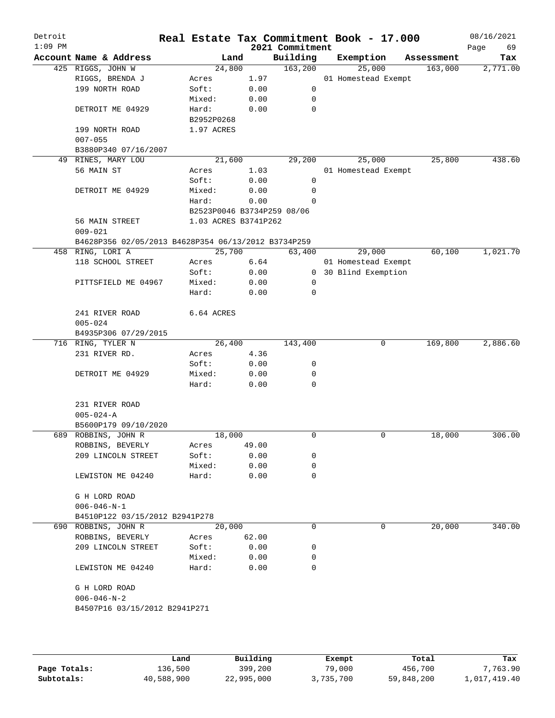| Detroit<br>$1:09$ PM |                                                     |                            |       | 2021 Commitment | Real Estate Tax Commitment Book - 17.000 |            | 08/16/2021<br>69<br>Page |
|----------------------|-----------------------------------------------------|----------------------------|-------|-----------------|------------------------------------------|------------|--------------------------|
|                      | Account Name & Address                              | Land                       |       | Building        | Exemption                                | Assessment | Tax                      |
|                      | 425 RIGGS, JOHN W                                   | 24,800                     |       | 163,200         | 25,000                                   | 163,000    | 2,771.00                 |
|                      | RIGGS, BRENDA J                                     | Acres                      | 1.97  |                 | 01 Homestead Exempt                      |            |                          |
|                      | 199 NORTH ROAD                                      | Soft:                      | 0.00  | 0               |                                          |            |                          |
|                      |                                                     | Mixed:                     | 0.00  | 0               |                                          |            |                          |
|                      | DETROIT ME 04929                                    | Hard:                      | 0.00  | 0               |                                          |            |                          |
|                      |                                                     | B2952P0268                 |       |                 |                                          |            |                          |
|                      | 199 NORTH ROAD                                      | 1.97 ACRES                 |       |                 |                                          |            |                          |
|                      | $007 - 055$                                         |                            |       |                 |                                          |            |                          |
|                      | B3880P340 07/16/2007                                |                            |       |                 |                                          |            |                          |
|                      | 49 RINES, MARY LOU                                  | 21,600                     |       | 29,200          | 25,000                                   | 25,800     | 438.60                   |
|                      | 56 MAIN ST                                          | Acres                      | 1.03  |                 | 01 Homestead Exempt                      |            |                          |
|                      |                                                     | Soft:                      | 0.00  | 0               |                                          |            |                          |
|                      | DETROIT ME 04929                                    | Mixed:                     | 0.00  | 0               |                                          |            |                          |
|                      |                                                     | Hard:                      | 0.00  | $\Omega$        |                                          |            |                          |
|                      |                                                     | B2523P0046 B3734P259 08/06 |       |                 |                                          |            |                          |
|                      | 56 MAIN STREET                                      | 1.03 ACRES B3741P262       |       |                 |                                          |            |                          |
|                      | $009 - 021$                                         |                            |       |                 |                                          |            |                          |
|                      | B4628P356 02/05/2013 B4628P354 06/13/2012 B3734P259 |                            |       |                 |                                          |            |                          |
|                      | 458 RING, LORI A                                    | 25,700                     |       | 63,400          | 29,000                                   | 60,100     | 1,021.70                 |
|                      | 118 SCHOOL STREET                                   | Acres                      | 6.64  |                 | 01 Homestead Exempt                      |            |                          |
|                      |                                                     | Soft:                      | 0.00  |                 | 0 30 Blind Exemption                     |            |                          |
|                      | PITTSFIELD ME 04967                                 | Mixed:                     | 0.00  | 0               |                                          |            |                          |
|                      |                                                     | Hard:                      | 0.00  | 0               |                                          |            |                          |
|                      |                                                     |                            |       |                 |                                          |            |                          |
|                      | 241 RIVER ROAD                                      | 6.64 ACRES                 |       |                 |                                          |            |                          |
|                      | $005 - 024$                                         |                            |       |                 |                                          |            |                          |
|                      | B4935P306 07/29/2015                                |                            |       |                 |                                          |            |                          |
|                      | 716 RING, TYLER N                                   | 26,400                     |       | 143,400         | 0                                        | 169,800    | 2,886.60                 |
|                      | 231 RIVER RD.                                       | Acres                      | 4.36  |                 |                                          |            |                          |
|                      |                                                     | Soft:                      | 0.00  | 0               |                                          |            |                          |
|                      | DETROIT ME 04929                                    | Mixed:                     | 0.00  | 0               |                                          |            |                          |
|                      |                                                     | Hard:                      | 0.00  | 0               |                                          |            |                          |
|                      |                                                     |                            |       |                 |                                          |            |                          |
|                      | 231 RIVER ROAD                                      |                            |       |                 |                                          |            |                          |
|                      | $005 - 024 - A$                                     |                            |       |                 |                                          |            |                          |
|                      | B5600P179 09/10/2020                                |                            |       |                 |                                          |            |                          |
|                      | 689 ROBBINS, JOHN R                                 | 18,000                     |       | 0               | $\mathbf 0$                              | 18,000     | 306.00                   |
|                      | ROBBINS, BEVERLY                                    | Acres                      | 49.00 |                 |                                          |            |                          |
|                      | 209 LINCOLN STREET                                  | Soft:                      | 0.00  | 0               |                                          |            |                          |
|                      |                                                     | Mixed:                     | 0.00  | 0               |                                          |            |                          |
|                      | LEWISTON ME 04240                                   | Hard:                      | 0.00  | 0               |                                          |            |                          |
|                      |                                                     |                            |       |                 |                                          |            |                          |
|                      | G H LORD ROAD                                       |                            |       |                 |                                          |            |                          |
|                      | $006 - 046 - N - 1$                                 |                            |       |                 |                                          |            |                          |
|                      | B4510P122 03/15/2012 B2941P278                      |                            |       |                 |                                          |            |                          |
|                      | 690 ROBBINS, JOHN R                                 | 20,000                     |       | 0               | 0                                        | 20,000     | 340.00                   |
|                      | ROBBINS, BEVERLY                                    | Acres                      | 62.00 |                 |                                          |            |                          |
|                      | 209 LINCOLN STREET                                  | Soft:                      | 0.00  | 0               |                                          |            |                          |
|                      |                                                     |                            |       | 0               |                                          |            |                          |
|                      |                                                     | Mixed:                     | 0.00  | 0               |                                          |            |                          |
|                      | LEWISTON ME 04240                                   | Hard:                      | 0.00  |                 |                                          |            |                          |
|                      |                                                     |                            |       |                 |                                          |            |                          |
|                      | G H LORD ROAD                                       |                            |       |                 |                                          |            |                          |
|                      | $006 - 046 - N - 2$                                 |                            |       |                 |                                          |            |                          |
|                      | B4507P16 03/15/2012 B2941P271                       |                            |       |                 |                                          |            |                          |
|                      |                                                     |                            |       |                 |                                          |            |                          |
|                      |                                                     |                            |       |                 |                                          |            |                          |
|                      |                                                     |                            |       |                 |                                          |            |                          |

|              | Land       | Building   | Exempt    | Total      | Tax          |
|--------------|------------|------------|-----------|------------|--------------|
| Page Totals: | 136,500    | 399,200    | 79,000    | 456,700    | 7,763.90     |
| Subtotals:   | 40,588,900 | 22,995,000 | 3,735,700 | 59,848,200 | l,017,419.40 |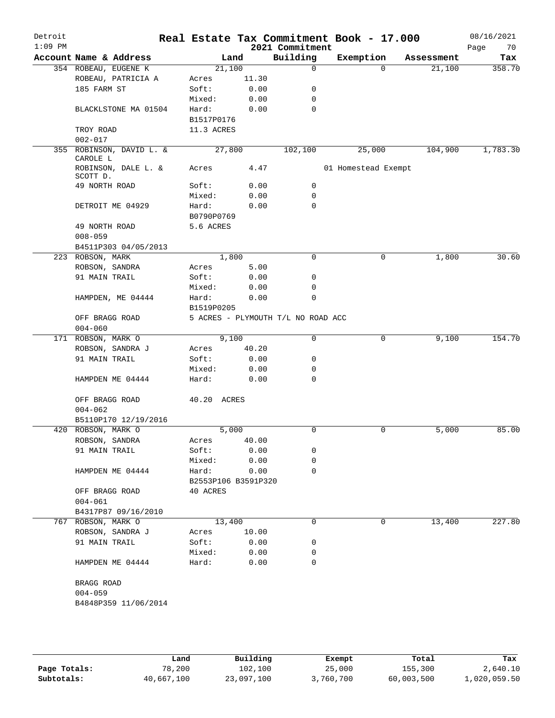| Detroit<br>$1:09$ PM |                                 |                     |        | Real Estate Tax Commitment Book - 17.000<br>2021 Commitment |                     |          |            | 08/16/2021        |
|----------------------|---------------------------------|---------------------|--------|-------------------------------------------------------------|---------------------|----------|------------|-------------------|
|                      | Account Name & Address          |                     | Land   | Building                                                    | Exemption           |          | Assessment | Page<br>70<br>Tax |
|                      | 354 ROBEAU, EUGENE K            |                     | 21,100 | $\mathbf 0$                                                 |                     | $\Omega$ | 21,100     | 358.70            |
|                      | ROBEAU, PATRICIA A              | Acres               | 11.30  |                                                             |                     |          |            |                   |
|                      | 185 FARM ST                     | Soft:               | 0.00   | 0                                                           |                     |          |            |                   |
|                      |                                 | Mixed:              | 0.00   | 0                                                           |                     |          |            |                   |
|                      | BLACKLSTONE MA 01504            | Hard:               | 0.00   | 0                                                           |                     |          |            |                   |
|                      |                                 | B1517P0176          |        |                                                             |                     |          |            |                   |
|                      | TROY ROAD                       | 11.3 ACRES          |        |                                                             |                     |          |            |                   |
|                      | $002 - 017$                     |                     |        |                                                             |                     |          |            |                   |
|                      | 355 ROBINSON, DAVID L. &        |                     | 27,800 | 102,100                                                     | 25,000              |          | 104,900    | 1,783.30          |
|                      | CAROLE L                        |                     |        |                                                             |                     |          |            |                   |
|                      | ROBINSON, DALE L. &<br>SCOTT D. | Acres               | 4.47   |                                                             | 01 Homestead Exempt |          |            |                   |
|                      | 49 NORTH ROAD                   | Soft:               | 0.00   | 0                                                           |                     |          |            |                   |
|                      |                                 | Mixed:              | 0.00   | 0                                                           |                     |          |            |                   |
|                      | DETROIT ME 04929                | Hard:               | 0.00   | 0                                                           |                     |          |            |                   |
|                      |                                 | B0790P0769          |        |                                                             |                     |          |            |                   |
|                      | 49 NORTH ROAD                   | 5.6 ACRES           |        |                                                             |                     |          |            |                   |
|                      | $008 - 059$                     |                     |        |                                                             |                     |          |            |                   |
|                      | B4511P303 04/05/2013            |                     |        |                                                             |                     |          |            |                   |
|                      | 223 ROBSON, MARK                |                     | 1,800  | $\Omega$                                                    |                     | $\Omega$ | 1,800      | 30.60             |
|                      | ROBSON, SANDRA                  | Acres               | 5.00   |                                                             |                     |          |            |                   |
|                      | 91 MAIN TRAIL                   | Soft:               | 0.00   | 0                                                           |                     |          |            |                   |
|                      |                                 | Mixed:              | 0.00   | 0                                                           |                     |          |            |                   |
|                      | HAMPDEN, ME 04444               | Hard:               | 0.00   | $\mathbf 0$                                                 |                     |          |            |                   |
|                      |                                 | B1519P0205          |        |                                                             |                     |          |            |                   |
|                      | OFF BRAGG ROAD                  |                     |        | 5 ACRES - PLYMOUTH T/L NO ROAD ACC                          |                     |          |            |                   |
|                      | $004 - 060$                     |                     |        |                                                             |                     |          |            |                   |
|                      | 171 ROBSON, MARK O              |                     | 9,100  | 0                                                           |                     | 0        | 9,100      | 154.70            |
|                      | ROBSON, SANDRA J                | Acres               | 40.20  |                                                             |                     |          |            |                   |
|                      | 91 MAIN TRAIL                   | Soft:               | 0.00   | 0                                                           |                     |          |            |                   |
|                      |                                 | Mixed:              | 0.00   | 0                                                           |                     |          |            |                   |
|                      | HAMPDEN ME 04444                | Hard:               | 0.00   | $\mathbf 0$                                                 |                     |          |            |                   |
|                      |                                 |                     |        |                                                             |                     |          |            |                   |
|                      | OFF BRAGG ROAD                  | 40.20 ACRES         |        |                                                             |                     |          |            |                   |
|                      | $004 - 062$                     |                     |        |                                                             |                     |          |            |                   |
|                      | B5110P170 12/19/2016            |                     |        |                                                             |                     |          |            |                   |
|                      | 420 ROBSON, MARK O              |                     | 5,000  | 0                                                           |                     | 0        | 5,000      | 85.00             |
|                      | ROBSON, SANDRA                  | Acres               | 40.00  |                                                             |                     |          |            |                   |
|                      | 91 MAIN TRAIL                   | Soft:               | 0.00   | 0                                                           |                     |          |            |                   |
|                      |                                 | Mixed:              | 0.00   | 0                                                           |                     |          |            |                   |
|                      | HAMPDEN ME 04444                | Hard:               | 0.00   | $\Omega$                                                    |                     |          |            |                   |
|                      |                                 | B2553P106 B3591P320 |        |                                                             |                     |          |            |                   |
|                      | OFF BRAGG ROAD                  | 40 ACRES            |        |                                                             |                     |          |            |                   |
|                      | $004 - 061$                     |                     |        |                                                             |                     |          |            |                   |
|                      | B4317P87 09/16/2010             |                     |        |                                                             |                     |          |            |                   |
|                      | 767 ROBSON, MARK O              |                     | 13,400 | 0                                                           |                     | 0        | 13,400     | 227.80            |
|                      | ROBSON, SANDRA J                | Acres               | 10.00  |                                                             |                     |          |            |                   |
|                      | 91 MAIN TRAIL                   | Soft:               | 0.00   | 0                                                           |                     |          |            |                   |
|                      |                                 | Mixed:              | 0.00   | 0                                                           |                     |          |            |                   |
|                      | HAMPDEN ME 04444                | Hard:               | 0.00   | 0                                                           |                     |          |            |                   |
|                      |                                 |                     |        |                                                             |                     |          |            |                   |
|                      | BRAGG ROAD                      |                     |        |                                                             |                     |          |            |                   |
|                      | $004 - 059$                     |                     |        |                                                             |                     |          |            |                   |
|                      | B4848P359 11/06/2014            |                     |        |                                                             |                     |          |            |                   |
|                      |                                 |                     |        |                                                             |                     |          |            |                   |
|                      |                                 |                     |        |                                                             |                     |          |            |                   |

|              | Land       | Building   | Exempt    | Total      | Tax          |
|--------------|------------|------------|-----------|------------|--------------|
| Page Totals: | 78,200     | 102,100    | 25,000    | 155,300    | 2,640.10     |
| Subtotals:   | 40,667,100 | 23,097,100 | 3,760,700 | 60,003,500 | 1,020,059.50 |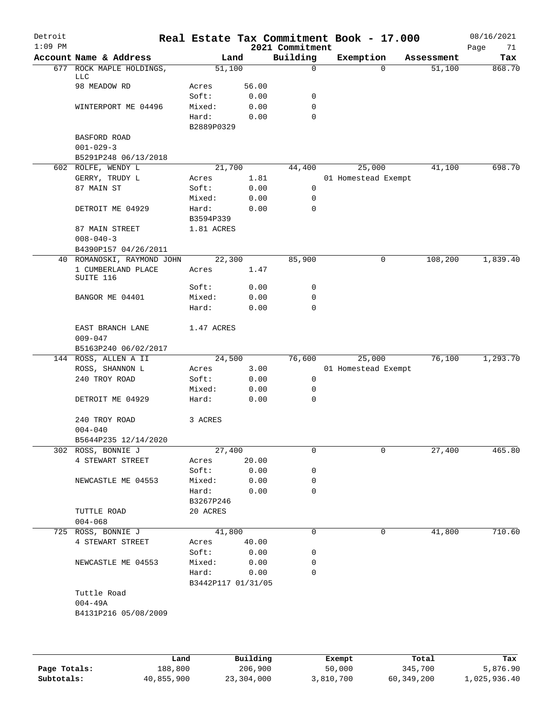| Detroit<br>$1:09$ PM |                             |                    |       | 2021 Commitment | Real Estate Tax Commitment Book - 17.000 |            | 08/16/2021<br>Page<br>71 |
|----------------------|-----------------------------|--------------------|-------|-----------------|------------------------------------------|------------|--------------------------|
|                      | Account Name & Address      |                    | Land  | Building        | Exemption                                | Assessment | Tax                      |
| 677                  | ROCK MAPLE HOLDINGS,<br>LLC | 51,100             |       | $\mathbf 0$     | $\Omega$                                 | 51,100     | 868.70                   |
|                      | 98 MEADOW RD                | Acres              | 56.00 |                 |                                          |            |                          |
|                      |                             | Soft:              | 0.00  | 0               |                                          |            |                          |
|                      | WINTERPORT ME 04496         | Mixed:             | 0.00  | $\mathbf 0$     |                                          |            |                          |
|                      |                             | Hard:              | 0.00  | $\mathbf 0$     |                                          |            |                          |
|                      |                             | B2889P0329         |       |                 |                                          |            |                          |
|                      | BASFORD ROAD                |                    |       |                 |                                          |            |                          |
|                      | $001 - 029 - 3$             |                    |       |                 |                                          |            |                          |
|                      | B5291P248 06/13/2018        |                    |       |                 |                                          |            |                          |
|                      | 602 ROLFE, WENDY L          | 21,700             |       | 44,400          | 25,000                                   | 41,100     | 698.70                   |
|                      | GERRY, TRUDY L              | Acres              | 1.81  |                 | 01 Homestead Exempt                      |            |                          |
|                      | 87 MAIN ST                  | Soft:              | 0.00  | 0               |                                          |            |                          |
|                      |                             | Mixed:             | 0.00  | 0               |                                          |            |                          |
|                      | DETROIT ME 04929            | Hard:              | 0.00  | 0               |                                          |            |                          |
|                      |                             | B3594P339          |       |                 |                                          |            |                          |
|                      | 87 MAIN STREET              | 1.81 ACRES         |       |                 |                                          |            |                          |
|                      | $008 - 040 - 3$             |                    |       |                 |                                          |            |                          |
|                      | B4390P157 04/26/2011        |                    |       |                 |                                          |            |                          |
|                      | 40 ROMANOSKI, RAYMOND JOHN  | 22,300             |       | 85,900          | 0                                        | 108,200    | 1,839.40                 |
|                      | 1 CUMBERLAND PLACE          | Acres              | 1.47  |                 |                                          |            |                          |
|                      | SUITE 116                   |                    |       |                 |                                          |            |                          |
|                      |                             | Soft:              | 0.00  | 0               |                                          |            |                          |
|                      | BANGOR ME 04401             | Mixed:             | 0.00  | $\mathbf 0$     |                                          |            |                          |
|                      |                             | Hard:              | 0.00  | $\mathbf 0$     |                                          |            |                          |
|                      |                             |                    |       |                 |                                          |            |                          |
|                      | EAST BRANCH LANE            | 1.47 ACRES         |       |                 |                                          |            |                          |
|                      | $009 - 047$                 |                    |       |                 |                                          |            |                          |
|                      | B5163P240 06/02/2017        |                    |       |                 |                                          |            |                          |
|                      | 144 ROSS, ALLEN A II        | 24,500             |       | 76,600          | 25,000                                   | 76,100     | 1,293.70                 |
|                      | ROSS, SHANNON L             | Acres              | 3.00  |                 | 01 Homestead Exempt                      |            |                          |
|                      | 240 TROY ROAD               | Soft:              | 0.00  | 0               |                                          |            |                          |
|                      |                             | Mixed:             | 0.00  | 0               |                                          |            |                          |
|                      | DETROIT ME 04929            | Hard:              | 0.00  | $\mathbf 0$     |                                          |            |                          |
|                      |                             |                    |       |                 |                                          |            |                          |
|                      | 240 TROY ROAD               | 3 ACRES            |       |                 |                                          |            |                          |
|                      | $004 - 040$                 |                    |       |                 |                                          |            |                          |
|                      | B5644P235 12/14/2020        |                    |       |                 |                                          |            |                          |
|                      | 302 ROSS, BONNIE J          | 27,400             |       | 0               | 0                                        | 27,400     | 465.80                   |
|                      | 4 STEWART STREET            | Acres              | 20.00 |                 |                                          |            |                          |
|                      |                             | Soft:              | 0.00  | 0               |                                          |            |                          |
|                      | NEWCASTLE ME 04553          | Mixed:             | 0.00  | 0               |                                          |            |                          |
|                      |                             | Hard:              | 0.00  | $\Omega$        |                                          |            |                          |
|                      |                             | B3267P246          |       |                 |                                          |            |                          |
|                      | TUTTLE ROAD                 | 20 ACRES           |       |                 |                                          |            |                          |
|                      | $004 - 068$                 |                    |       |                 |                                          |            |                          |
|                      | 725 ROSS, BONNIE J          | 41,800             |       | 0               | 0                                        | 41,800     | 710.60                   |
|                      | 4 STEWART STREET            | Acres              | 40.00 |                 |                                          |            |                          |
|                      |                             | Soft:              | 0.00  | 0               |                                          |            |                          |
|                      | NEWCASTLE ME 04553          | Mixed:             | 0.00  | 0               |                                          |            |                          |
|                      |                             | Hard:              | 0.00  | 0               |                                          |            |                          |
|                      |                             |                    |       |                 |                                          |            |                          |
|                      |                             | B3442P117 01/31/05 |       |                 |                                          |            |                          |
|                      | Tuttle Road                 |                    |       |                 |                                          |            |                          |
|                      | $004 - 49A$                 |                    |       |                 |                                          |            |                          |
|                      | B4131P216 05/08/2009        |                    |       |                 |                                          |            |                          |
|                      |                             |                    |       |                 |                                          |            |                          |
|                      |                             |                    |       |                 |                                          |            |                          |

|              | Land       | Building   | Exempt    | Total      | Tax          |
|--------------|------------|------------|-----------|------------|--------------|
| Page Totals: | 188,800    | 206,900    | 50,000    | 345,700    | 5,876.90     |
| Subtotals:   | 40,855,900 | 23,304,000 | 3,810,700 | 60,349,200 | 1,025,936.40 |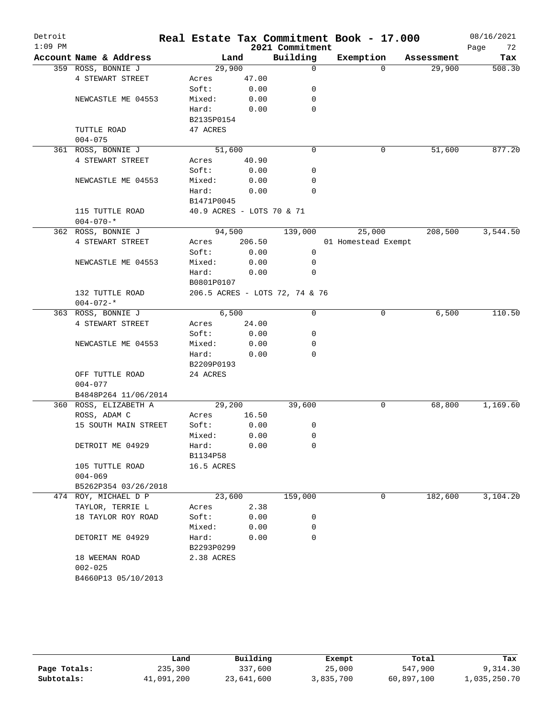| Detroit   |                        |                           |        |                                | Real Estate Tax Commitment Book - 17.000 |            | 08/16/2021 |
|-----------|------------------------|---------------------------|--------|--------------------------------|------------------------------------------|------------|------------|
| $1:09$ PM |                        |                           |        | 2021 Commitment                |                                          |            | 72<br>Page |
|           | Account Name & Address | Land                      |        | Building                       | Exemption                                | Assessment | Tax        |
|           | 359 ROSS, BONNIE J     | 29,900                    |        | $\mathbf 0$                    | $\Omega$                                 | 29,900     | 508.30     |
|           | 4 STEWART STREET       | Acres                     | 47.00  |                                |                                          |            |            |
|           |                        | Soft:                     | 0.00   | 0                              |                                          |            |            |
|           | NEWCASTLE ME 04553     | Mixed:                    | 0.00   | 0                              |                                          |            |            |
|           |                        | Hard:                     | 0.00   | $\mathbf 0$                    |                                          |            |            |
|           |                        | B2135P0154                |        |                                |                                          |            |            |
|           | TUTTLE ROAD            | 47 ACRES                  |        |                                |                                          |            |            |
|           | $004 - 075$            |                           |        |                                |                                          |            |            |
|           | 361 ROSS, BONNIE J     | 51,600                    |        | $\mathbf 0$                    | 0                                        | 51,600     | 877.20     |
|           | 4 STEWART STREET       | Acres                     | 40.90  |                                |                                          |            |            |
|           |                        | Soft:                     | 0.00   | 0                              |                                          |            |            |
|           | NEWCASTLE ME 04553     | Mixed:                    | 0.00   | 0                              |                                          |            |            |
|           |                        | Hard:                     | 0.00   | $\Omega$                       |                                          |            |            |
|           |                        | B1471P0045                |        |                                |                                          |            |            |
|           | 115 TUTTLE ROAD        | 40.9 ACRES - LOTS 70 & 71 |        |                                |                                          |            |            |
|           | $004 - 070 -$ *        |                           |        |                                |                                          |            |            |
|           | 362 ROSS, BONNIE J     | 94,500                    |        | 139,000                        | 25,000                                   | 208,500    | 3,544.50   |
|           | 4 STEWART STREET       | Acres                     | 206.50 |                                | 01 Homestead Exempt                      |            |            |
|           |                        | Soft:                     | 0.00   | $\mathbf 0$                    |                                          |            |            |
|           | NEWCASTLE ME 04553     | Mixed:                    | 0.00   | 0                              |                                          |            |            |
|           |                        | Hard:                     | 0.00   | $\mathbf 0$                    |                                          |            |            |
|           |                        | B0801P0107                |        |                                |                                          |            |            |
|           | 132 TUTTLE ROAD        |                           |        | 206.5 ACRES - LOTS 72, 74 & 76 |                                          |            |            |
|           | $004 - 072 -$ *        |                           |        |                                |                                          |            |            |
|           | 363 ROSS, BONNIE J     | 6,500                     |        | 0                              | 0                                        | 6,500      | 110.50     |
|           | 4 STEWART STREET       | Acres                     | 24.00  |                                |                                          |            |            |
|           |                        | Soft:                     | 0.00   | 0                              |                                          |            |            |
|           | NEWCASTLE ME 04553     | Mixed:                    | 0.00   | 0<br>$\mathbf 0$               |                                          |            |            |
|           |                        | Hard:                     | 0.00   |                                |                                          |            |            |
|           | OFF TUTTLE ROAD        | B2209P0193<br>24 ACRES    |        |                                |                                          |            |            |
|           | $004 - 077$            |                           |        |                                |                                          |            |            |
|           | B4848P264 11/06/2014   |                           |        |                                |                                          |            |            |
|           | 360 ROSS, ELIZABETH A  | 29,200                    |        | 39,600                         | 0                                        | 68,800     | 1,169.60   |
|           | ROSS, ADAM C           | Acres                     | 16.50  |                                |                                          |            |            |
|           | 15 SOUTH MAIN STREET   | Soft:                     | 0.00   | 0                              |                                          |            |            |
|           |                        | Mixed:                    | 0.00   | 0                              |                                          |            |            |
|           | DETROIT ME 04929       | Hard:                     | 0.00   | 0                              |                                          |            |            |
|           |                        | B1134P58                  |        |                                |                                          |            |            |
|           | 105 TUTTLE ROAD        | 16.5 ACRES                |        |                                |                                          |            |            |
|           | $004 - 069$            |                           |        |                                |                                          |            |            |
|           | B5262P354 03/26/2018   |                           |        |                                |                                          |            |            |
|           | 474 ROY, MICHAEL D P   | 23,600                    |        | 159,000                        | 0                                        | 182,600    | 3,104.20   |
|           | TAYLOR, TERRIE L       | Acres                     | 2.38   |                                |                                          |            |            |
|           | 18 TAYLOR ROY ROAD     | Soft:                     | 0.00   | 0                              |                                          |            |            |
|           |                        | Mixed:                    | 0.00   | 0                              |                                          |            |            |
|           | DETORIT ME 04929       | Hard:                     | 0.00   | 0                              |                                          |            |            |
|           |                        | B2293P0299                |        |                                |                                          |            |            |
|           | 18 WEEMAN ROAD         | 2.38 ACRES                |        |                                |                                          |            |            |
|           | $002 - 025$            |                           |        |                                |                                          |            |            |
|           | B4660P13 05/10/2013    |                           |        |                                |                                          |            |            |
|           |                        |                           |        |                                |                                          |            |            |

|              | Land       | Building   | Exempt    | Total      | Tax          |
|--------------|------------|------------|-----------|------------|--------------|
| Page Totals: | 235,300    | 337,600    | 25,000    | 547,900    | 9,314.30     |
| Subtotals:   | 41,091,200 | 23,641,600 | 3,835,700 | 60,897,100 | 1,035,250.70 |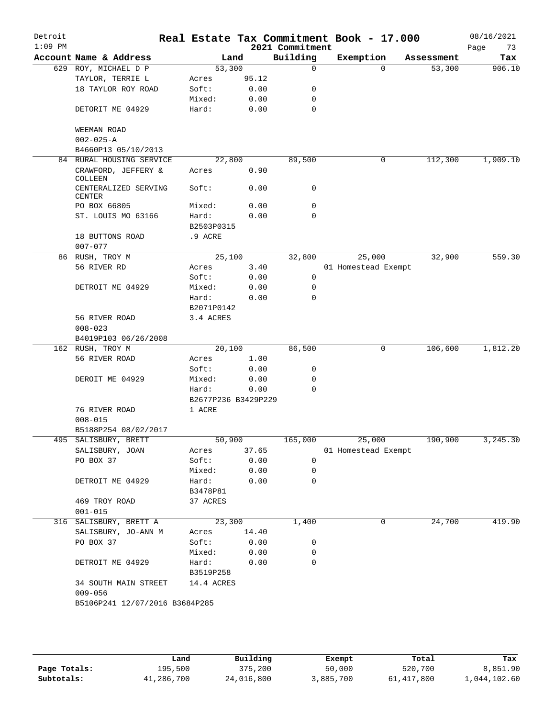| Detroit<br>$1:09$ PM |                                     |                     |       | 2021 Commitment | Real Estate Tax Commitment Book - 17.000 |            | 08/16/2021<br>73<br>Page |
|----------------------|-------------------------------------|---------------------|-------|-----------------|------------------------------------------|------------|--------------------------|
|                      | Account Name & Address              |                     | Land  | Building        | Exemption                                | Assessment | Tax                      |
|                      | 629 ROY, MICHAEL D P                | 53,300              |       | $\mathbf 0$     | $\Omega$                                 | 53,300     | 906.10                   |
|                      | TAYLOR, TERRIE L                    | Acres               | 95.12 |                 |                                          |            |                          |
|                      | 18 TAYLOR ROY ROAD                  | Soft:               | 0.00  | 0               |                                          |            |                          |
|                      |                                     | Mixed:              | 0.00  | 0               |                                          |            |                          |
|                      | DETORIT ME 04929                    | Hard:               | 0.00  | $\mathbf 0$     |                                          |            |                          |
|                      | WEEMAN ROAD                         |                     |       |                 |                                          |            |                          |
|                      | $002 - 025 - A$                     |                     |       |                 |                                          |            |                          |
|                      | B4660P13 05/10/2013                 |                     |       |                 |                                          |            |                          |
|                      | 84 RURAL HOUSING SERVICE            | 22,800              |       | 89,500          | 0                                        | 112,300    | 1,909.10                 |
|                      | CRAWFORD, JEFFERY &<br>COLLEEN      | Acres               | 0.90  |                 |                                          |            |                          |
|                      | CENTERALIZED SERVING<br>CENTER      | Soft:               | 0.00  | 0               |                                          |            |                          |
|                      | PO BOX 66805                        | Mixed:              | 0.00  | 0               |                                          |            |                          |
|                      | ST. LOUIS MO 63166                  | Hard:               | 0.00  | $\Omega$        |                                          |            |                          |
|                      |                                     | B2503P0315          |       |                 |                                          |            |                          |
|                      | 18 BUTTONS ROAD                     | .9 ACRE             |       |                 |                                          |            |                          |
|                      | $007 - 077$                         |                     |       |                 |                                          |            |                          |
|                      | 86 RUSH, TROY M                     | 25,100              |       | 32,800          | 25,000                                   | 32,900     | 559.30                   |
|                      | 56 RIVER RD                         | Acres               | 3.40  |                 | 01 Homestead Exempt                      |            |                          |
|                      |                                     | Soft:               | 0.00  | 0               |                                          |            |                          |
|                      | DETROIT ME 04929                    | Mixed:              | 0.00  | 0               |                                          |            |                          |
|                      |                                     | Hard:               | 0.00  | $\Omega$        |                                          |            |                          |
|                      |                                     | B2071P0142          |       |                 |                                          |            |                          |
|                      | 56 RIVER ROAD                       | 3.4 ACRES           |       |                 |                                          |            |                          |
|                      | $008 - 023$                         |                     |       |                 |                                          |            |                          |
|                      | B4019P103 06/26/2008                |                     |       |                 |                                          |            |                          |
|                      | 162 RUSH, TROY M                    | 20,100              |       | 86,500          | 0                                        | 106,600    | 1,812.20                 |
|                      | 56 RIVER ROAD                       | Acres               | 1.00  |                 |                                          |            |                          |
|                      |                                     | Soft:               | 0.00  | 0               |                                          |            |                          |
|                      | DEROIT ME 04929                     | Mixed:              | 0.00  | 0               |                                          |            |                          |
|                      |                                     | Hard:               | 0.00  | $\mathbf 0$     |                                          |            |                          |
|                      |                                     | B2677P236 B3429P229 |       |                 |                                          |            |                          |
|                      | 76 RIVER ROAD                       | 1 ACRE              |       |                 |                                          |            |                          |
|                      | $008 - 015$                         |                     |       |                 |                                          |            |                          |
|                      | B5188P254 08/02/2017                |                     |       |                 |                                          |            |                          |
|                      | 495 SALISBURY, BRETT                | 50,900              |       |                 | 165,000 25,000                           | 190,900    | 3,245.30                 |
|                      | SALISBURY, JOAN                     | Acres               | 37.65 |                 | 01 Homestead Exempt                      |            |                          |
|                      | PO BOX 37                           | Soft:               | 0.00  | 0               |                                          |            |                          |
|                      |                                     | Mixed:              | 0.00  | 0               |                                          |            |                          |
|                      | DETROIT ME 04929                    | Hard:<br>B3478P81   | 0.00  | 0               |                                          |            |                          |
|                      | 469 TROY ROAD                       | 37 ACRES            |       |                 |                                          |            |                          |
|                      | $001 - 015$                         |                     |       |                 |                                          |            |                          |
|                      | 316 SALISBURY, BRETT A              | 23,300              |       | 1,400           | 0                                        | 24,700     | 419.90                   |
|                      | SALISBURY, JO-ANN M                 | Acres               | 14.40 |                 |                                          |            |                          |
|                      | PO BOX 37                           | Soft:               | 0.00  | 0               |                                          |            |                          |
|                      |                                     | Mixed:              | 0.00  | 0               |                                          |            |                          |
|                      | DETROIT ME 04929                    | Hard:               | 0.00  | 0               |                                          |            |                          |
|                      |                                     | B3519P258           |       |                 |                                          |            |                          |
|                      | 34 SOUTH MAIN STREET<br>$009 - 056$ | 14.4 ACRES          |       |                 |                                          |            |                          |
|                      | B5106P241 12/07/2016 B3684P285      |                     |       |                 |                                          |            |                          |
|                      |                                     |                     |       |                 |                                          |            |                          |
|                      |                                     |                     |       |                 |                                          |            |                          |
|                      |                                     |                     |       |                 |                                          |            |                          |

|              | Land       | Building   | Exempt    | Total        | Tax          |
|--------------|------------|------------|-----------|--------------|--------------|
| Page Totals: | 195,500    | 375,200    | 50,000    | 520,700      | 8,851.90     |
| Subtotals:   | 41,286,700 | 24,016,800 | 3,885,700 | 61, 417, 800 | 1,044,102.60 |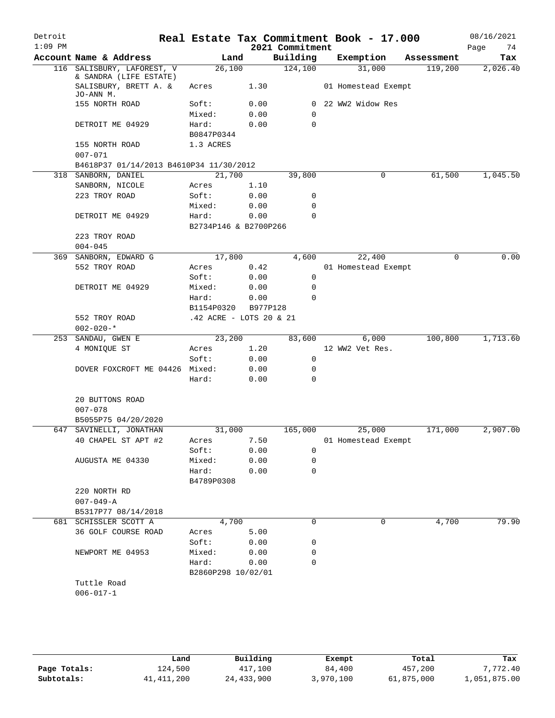| Detroit   |                                                  |                         |              |                 | Real Estate Tax Commitment Book - 17.000 |            | 08/16/2021 |
|-----------|--------------------------------------------------|-------------------------|--------------|-----------------|------------------------------------------|------------|------------|
| $1:09$ PM |                                                  |                         |              | 2021 Commitment |                                          |            | Page<br>74 |
|           | Account Name & Address                           | Land                    |              | Building        | Exemption                                | Assessment | Tax        |
| 116       | SALISBURY, LAFOREST, V<br>& SANDRA (LIFE ESTATE) | 26,100                  |              | 124,100         | 31,000                                   | 119,200    | 2,026.40   |
|           | SALISBURY, BRETT A. &<br>JO-ANN M.               | Acres                   | 1.30         |                 | 01 Homestead Exempt                      |            |            |
|           | 155 NORTH ROAD                                   | Soft:                   | 0.00         | $\mathbf{0}$    | 22 WW2 Widow Res                         |            |            |
|           |                                                  | Mixed:                  | 0.00         | $\mathbf 0$     |                                          |            |            |
|           | DETROIT ME 04929                                 | Hard:<br>B0847P0344     | 0.00         | 0               |                                          |            |            |
|           | 155 NORTH ROAD<br>$007 - 071$                    | 1.3 ACRES               |              |                 |                                          |            |            |
|           | B4618P37 01/14/2013 B4610P34 11/30/2012          |                         |              |                 |                                          |            |            |
|           | 318 SANBORN, DANIEL                              | 21,700                  |              | 39,800          | 0                                        | 61,500     | 1,045.50   |
|           | SANBORN, NICOLE                                  | Acres                   | 1.10         |                 |                                          |            |            |
|           | 223 TROY ROAD                                    | Soft:                   | 0.00         | 0               |                                          |            |            |
|           |                                                  | Mixed:                  | 0.00         | 0               |                                          |            |            |
|           | DETROIT ME 04929                                 | Hard:                   | 0.00         | $\mathbf 0$     |                                          |            |            |
|           |                                                  | B2734P146 & B2700P266   |              |                 |                                          |            |            |
|           | 223 TROY ROAD                                    |                         |              |                 |                                          |            |            |
|           | $004 - 045$<br>369 SANBORN, EDWARD G             | 17,800                  |              | 4,600           | 22,400                                   | $\Omega$   | 0.00       |
|           | 552 TROY ROAD                                    | Acres                   |              |                 | 01 Homestead Exempt                      |            |            |
|           |                                                  | Soft:                   | 0.42<br>0.00 | 0               |                                          |            |            |
|           | DETROIT ME 04929                                 | Mixed:                  | 0.00         | 0               |                                          |            |            |
|           |                                                  | Hard:                   | 0.00         | 0               |                                          |            |            |
|           |                                                  | B1154P0320              | B977P128     |                 |                                          |            |            |
|           | 552 TROY ROAD                                    | .42 ACRE - LOTS 20 & 21 |              |                 |                                          |            |            |
|           | $002 - 020 -$ *                                  |                         |              |                 |                                          |            |            |
| 253       | SANDAU, GWEN E                                   | 23,200                  |              | 83,600          | 6,000                                    | 100,800    | 1,713.60   |
|           | 4 MONIQUE ST                                     | Acres                   | 1.20         |                 | 12 WW2 Vet Res.                          |            |            |
|           |                                                  | Soft:                   | 0.00         | 0               |                                          |            |            |
|           | DOVER FOXCROFT ME 04426 Mixed:                   |                         | 0.00         | 0               |                                          |            |            |
|           |                                                  | Hard:                   | 0.00         | $\mathbf 0$     |                                          |            |            |
|           | 20 BUTTONS ROAD                                  |                         |              |                 |                                          |            |            |
|           | $007 - 078$                                      |                         |              |                 |                                          |            |            |
|           | B5055P75 04/20/2020                              |                         |              |                 |                                          |            |            |
|           | 647 SAVINELLI, JONATHAN                          | 31,000                  |              | 165,000         | 25,000                                   | 171,000    | 2,907.00   |
|           | 40 CHAPEL ST APT #2                              | Acres                   | 7.50         |                 | 01 Homestead Exempt                      |            |            |
|           |                                                  | Soft:                   | 0.00         | 0               |                                          |            |            |
|           | AUGUSTA ME 04330                                 | Mixed:                  | 0.00         | 0               |                                          |            |            |
|           |                                                  | Hard:                   | 0.00         | $\Omega$        |                                          |            |            |
|           |                                                  | B4789P0308              |              |                 |                                          |            |            |
|           | 220 NORTH RD                                     |                         |              |                 |                                          |            |            |
|           | $007 - 049 - A$                                  |                         |              |                 |                                          |            |            |
|           | B5317P77 08/14/2018                              |                         |              |                 |                                          |            |            |
|           | 681 SCHISSLER SCOTT A                            | 4,700                   |              | 0               | 0                                        | 4,700      | 79.90      |
|           | 36 GOLF COURSE ROAD                              | Acres<br>Soft:          | 5.00<br>0.00 | 0               |                                          |            |            |
|           | NEWPORT ME 04953                                 | Mixed:                  | 0.00         | 0               |                                          |            |            |
|           |                                                  | Hard:                   | 0.00         | $\mathbf 0$     |                                          |            |            |
|           |                                                  | B2860P298 10/02/01      |              |                 |                                          |            |            |
|           | Tuttle Road                                      |                         |              |                 |                                          |            |            |
|           | $006 - 017 - 1$                                  |                         |              |                 |                                          |            |            |
|           |                                                  |                         |              |                 |                                          |            |            |
|           |                                                  |                         |              |                 |                                          |            |            |

|              | Land       | Building     | Exempt    | Total      | Tax          |
|--------------|------------|--------------|-----------|------------|--------------|
| Page Totals: | 124,500    | 417,100      | 84,400    | 457,200    | 7,772.40     |
| Subtotals:   | 41,411,200 | 24, 433, 900 | 3,970,100 | 61,875,000 | 1,051,875.00 |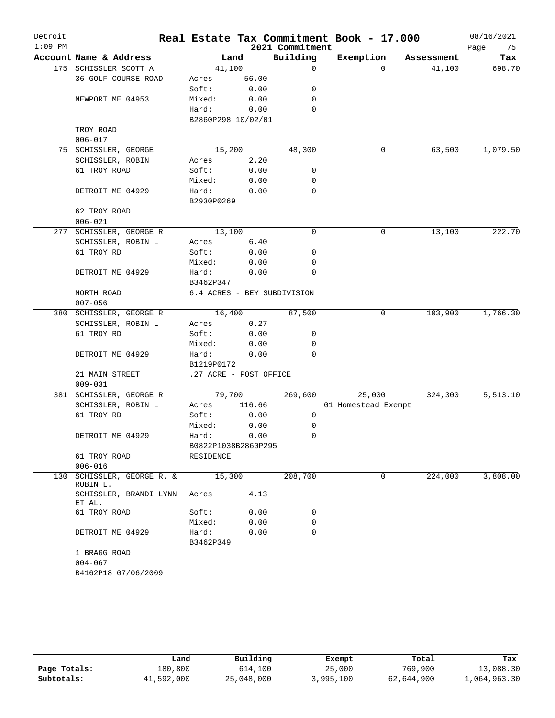| Detroit<br>$1:09$ PM |                                  |                        |        | 2021 Commitment             | Real Estate Tax Commitment Book - 17.000 |            | 08/16/2021            |
|----------------------|----------------------------------|------------------------|--------|-----------------------------|------------------------------------------|------------|-----------------------|
|                      | Account Name & Address           |                        | Land   | Building                    | Exemption                                | Assessment | Page<br>75<br>Tax     |
|                      | 175 SCHISSLER SCOTT A            | 41,100                 |        | 0                           | $\Omega$                                 | 41,100     | 698.70                |
|                      | 36 GOLF COURSE ROAD              | Acres                  | 56.00  |                             |                                          |            |                       |
|                      |                                  | Soft:                  | 0.00   | 0                           |                                          |            |                       |
|                      | NEWPORT ME 04953                 | Mixed:                 | 0.00   | 0                           |                                          |            |                       |
|                      |                                  | Hard:                  | 0.00   | 0                           |                                          |            |                       |
|                      |                                  | B2860P298 10/02/01     |        |                             |                                          |            |                       |
|                      | TROY ROAD                        |                        |        |                             |                                          |            |                       |
|                      | $006 - 017$                      |                        |        |                             |                                          |            |                       |
|                      | 75 SCHISSLER, GEORGE             | 15,200                 |        | 48,300                      | 0                                        | 63,500     | 1,079.50              |
|                      | SCHISSLER, ROBIN                 | Acres                  | 2.20   |                             |                                          |            |                       |
|                      | 61 TROY ROAD                     | Soft:                  | 0.00   | 0                           |                                          |            |                       |
|                      |                                  | Mixed:                 | 0.00   | 0                           |                                          |            |                       |
|                      | DETROIT ME 04929                 | Hard:                  | 0.00   | 0                           |                                          |            |                       |
|                      |                                  | B2930P0269             |        |                             |                                          |            |                       |
|                      | 62 TROY ROAD                     |                        |        |                             |                                          |            |                       |
|                      | $006 - 021$                      |                        |        |                             |                                          |            |                       |
| 277                  | SCHISSLER, GEORGE R              | 13,100                 |        | 0                           | 0                                        | 13,100     | 222.70                |
|                      | SCHISSLER, ROBIN L               | Acres                  | 6.40   |                             |                                          |            |                       |
|                      | 61 TROY RD                       | Soft:                  | 0.00   | 0                           |                                          |            |                       |
|                      |                                  | Mixed:                 | 0.00   | 0                           |                                          |            |                       |
|                      | DETROIT ME 04929                 | Hard:                  | 0.00   | 0                           |                                          |            |                       |
|                      |                                  | B3462P347              |        |                             |                                          |            |                       |
|                      | NORTH ROAD                       |                        |        | 6.4 ACRES - BEY SUBDIVISION |                                          |            |                       |
|                      | $007 - 056$                      |                        |        |                             |                                          |            |                       |
|                      | 380 SCHISSLER, GEORGE R          | 16,400                 |        | 87,500                      | 0                                        | 103,900    | 1,766.30              |
|                      |                                  |                        |        |                             |                                          |            |                       |
|                      | SCHISSLER, ROBIN L               | Acres                  | 0.27   |                             |                                          |            |                       |
|                      | 61 TROY RD                       | Soft:                  | 0.00   | 0                           |                                          |            |                       |
|                      |                                  | Mixed:                 | 0.00   | 0                           |                                          |            |                       |
|                      | DETROIT ME 04929                 | Hard:                  | 0.00   | $\Omega$                    |                                          |            |                       |
|                      |                                  | B1219P0172             |        |                             |                                          |            |                       |
|                      | 21 MAIN STREET                   | .27 ACRE - POST OFFICE |        |                             |                                          |            |                       |
|                      | $009 - 031$                      |                        |        |                             |                                          |            |                       |
| 381                  | SCHISSLER, GEORGE R              | 79,700                 |        | 269,600                     | 25,000                                   | 324,300    | $\overline{5,513.10}$ |
|                      | SCHISSLER, ROBIN L               | Acres                  | 116.66 |                             | 01 Homestead Exempt                      |            |                       |
|                      | 61 TROY RD                       | Soft:                  | 0.00   | 0                           |                                          |            |                       |
|                      |                                  | Mixed:                 | 0.00   | 0                           |                                          |            |                       |
|                      | DETROIT ME 04929                 | Hard:                  | 0.00   | 0                           |                                          |            |                       |
|                      |                                  | B0822P1038B2860P295    |        |                             |                                          |            |                       |
|                      | 61 TROY ROAD                     | RESIDENCE              |        |                             |                                          |            |                       |
|                      | $006 - 016$                      |                        |        |                             |                                          |            |                       |
| 130                  | SCHISSLER, GEORGE R. &           | 15,300                 |        | 208,700                     | 0                                        | 224,000    | 3,808.00              |
|                      | ROBIN L.                         |                        |        |                             |                                          |            |                       |
|                      | SCHISSLER, BRANDI LYNN<br>ET AL. | Acres                  | 4.13   |                             |                                          |            |                       |
|                      | 61 TROY ROAD                     | Soft:                  | 0.00   | 0                           |                                          |            |                       |
|                      |                                  | Mixed:                 | 0.00   | 0                           |                                          |            |                       |
|                      | DETROIT ME 04929                 | Hard:                  | 0.00   | 0                           |                                          |            |                       |
|                      |                                  | B3462P349              |        |                             |                                          |            |                       |
|                      | 1 BRAGG ROAD                     |                        |        |                             |                                          |            |                       |
|                      | $004 - 067$                      |                        |        |                             |                                          |            |                       |
|                      | B4162P18 07/06/2009              |                        |        |                             |                                          |            |                       |
|                      |                                  |                        |        |                             |                                          |            |                       |

|              | Land       | Building   | Exempt    | Total      | Tax          |
|--------------|------------|------------|-----------|------------|--------------|
| Page Totals: | 180,800    | 614,100    | 25,000    | 769,900    | 13,088.30    |
| Subtotals:   | 41,592,000 | 25,048,000 | 3,995,100 | 62,644,900 | 1,064,963.30 |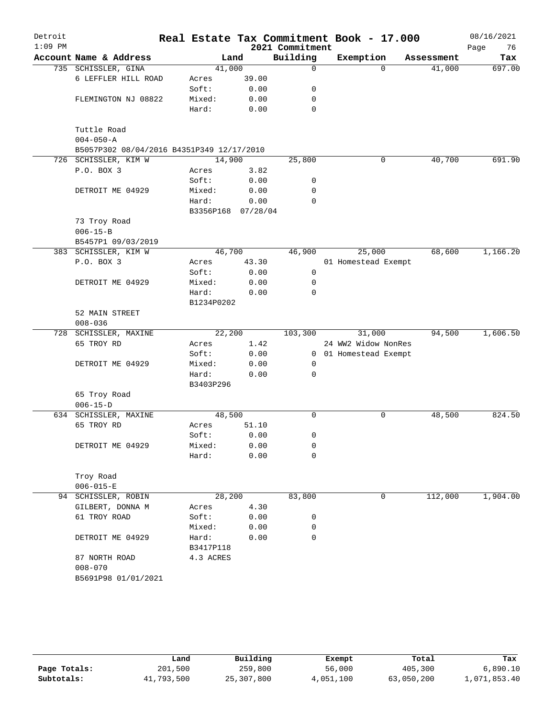| Detroit   |                                           |                    |       |                 | Real Estate Tax Commitment Book - 17.000 |          |            | 08/16/2021 |          |
|-----------|-------------------------------------------|--------------------|-------|-----------------|------------------------------------------|----------|------------|------------|----------|
| $1:09$ PM |                                           |                    |       | 2021 Commitment |                                          |          |            | Page       | 76       |
|           | Account Name & Address                    |                    | Land  | Building        | Exemption                                |          | Assessment |            | Tax      |
|           | 735 SCHISSLER, GINA                       | 41,000             |       | $\Omega$        |                                          | $\Omega$ | 41,000     |            | 697.00   |
|           | 6 LEFFLER HILL ROAD                       | Acres              | 39.00 |                 |                                          |          |            |            |          |
|           |                                           | Soft:              | 0.00  | 0               |                                          |          |            |            |          |
|           | FLEMINGTON NJ 08822                       | Mixed:             | 0.00  | 0               |                                          |          |            |            |          |
|           |                                           | Hard:              | 0.00  | 0               |                                          |          |            |            |          |
|           | Tuttle Road<br>$004 - 050 - A$            |                    |       |                 |                                          |          |            |            |          |
|           | B5057P302 08/04/2016 B4351P349 12/17/2010 |                    |       |                 |                                          |          |            |            |          |
|           | 726 SCHISSLER, KIM W                      | 14,900             |       | 25,800          |                                          | 0        | 40,700     |            | 691.90   |
|           | P.O. BOX 3                                | Acres              | 3.82  |                 |                                          |          |            |            |          |
|           |                                           | Soft:              | 0.00  | 0               |                                          |          |            |            |          |
|           | DETROIT ME 04929                          | Mixed:             | 0.00  | 0               |                                          |          |            |            |          |
|           |                                           | Hard:              | 0.00  | $\Omega$        |                                          |          |            |            |          |
|           |                                           | B3356P168 07/28/04 |       |                 |                                          |          |            |            |          |
|           | 73 Troy Road                              |                    |       |                 |                                          |          |            |            |          |
|           | $006 - 15 - B$                            |                    |       |                 |                                          |          |            |            |          |
|           | B5457P1 09/03/2019                        |                    |       |                 |                                          |          |            |            |          |
|           | 383 SCHISSLER, KIM W                      | 46,700             |       | 46,900          | 25,000                                   |          | 68,600     |            | 1,166.20 |
|           | P.O. BOX 3                                | Acres              | 43.30 |                 | 01 Homestead Exempt                      |          |            |            |          |
|           |                                           | Soft:              | 0.00  | $\mathsf{O}$    |                                          |          |            |            |          |
|           | DETROIT ME 04929                          | Mixed:             | 0.00  | 0               |                                          |          |            |            |          |
|           |                                           | Hard:              | 0.00  | $\mathbf 0$     |                                          |          |            |            |          |
|           |                                           | B1234P0202         |       |                 |                                          |          |            |            |          |
|           | 52 MAIN STREET                            |                    |       |                 |                                          |          |            |            |          |
|           | $008 - 036$                               |                    |       |                 |                                          |          |            |            |          |
|           | 728 SCHISSLER, MAXINE                     | 22,200             |       | 103,300         | 31,000                                   |          | 94,500     |            | 1,606.50 |
|           | 65 TROY RD                                | Acres              | 1.42  |                 | 24 WW2 Widow NonRes                      |          |            |            |          |
|           |                                           | Soft:              | 0.00  | $\overline{0}$  | 01 Homestead Exempt                      |          |            |            |          |
|           | DETROIT ME 04929                          | Mixed:             | 0.00  | 0               |                                          |          |            |            |          |
|           |                                           | Hard:              | 0.00  | $\mathbf 0$     |                                          |          |            |            |          |
|           |                                           | B3403P296          |       |                 |                                          |          |            |            |          |
|           | 65 Troy Road                              |                    |       |                 |                                          |          |            |            |          |
|           | $006 - 15 - D$                            |                    |       |                 |                                          |          |            |            |          |
|           | 634 SCHISSLER, MAXINE                     | 48,500             |       | 0               |                                          | 0        | 48,500     |            | 824.50   |
|           | 65 TROY RD                                | Acres              | 51.10 |                 |                                          |          |            |            |          |
|           |                                           | Soft:              | 0.00  | 0               |                                          |          |            |            |          |
|           | DETROIT ME 04929                          | Mixed:             | 0.00  | 0               |                                          |          |            |            |          |
|           |                                           | Hard:              | 0.00  | $\mathbf 0$     |                                          |          |            |            |          |
|           | Troy Road                                 |                    |       |                 |                                          |          |            |            |          |
|           | $006 - 015 - E$                           |                    |       |                 |                                          |          |            |            |          |
|           | 94 SCHISSLER, ROBIN                       | 28,200             |       | 83,800          |                                          | 0        | 112,000    |            | 1,904.00 |
|           |                                           |                    | 4.30  |                 |                                          |          |            |            |          |
|           | GILBERT, DONNA M                          | Acres<br>Soft:     | 0.00  |                 |                                          |          |            |            |          |
|           | 61 TROY ROAD                              | Mixed:             | 0.00  | 0<br>0          |                                          |          |            |            |          |
|           |                                           |                    |       | 0               |                                          |          |            |            |          |
|           | DETROIT ME 04929                          | Hard:<br>B3417P118 | 0.00  |                 |                                          |          |            |            |          |
|           | 87 NORTH ROAD                             | 4.3 ACRES          |       |                 |                                          |          |            |            |          |
|           | $008 - 070$                               |                    |       |                 |                                          |          |            |            |          |
|           | B5691P98 01/01/2021                       |                    |       |                 |                                          |          |            |            |          |
|           |                                           |                    |       |                 |                                          |          |            |            |          |

|              | Land       | Building   | Exempt    | Total      | Tax          |
|--------------|------------|------------|-----------|------------|--------------|
| Page Totals: | 201,500    | 259,800    | 56,000    | 405,300    | 6,890.10     |
| Subtotals:   | 41,793,500 | 25,307,800 | 4,051,100 | 63,050,200 | 1,071,853.40 |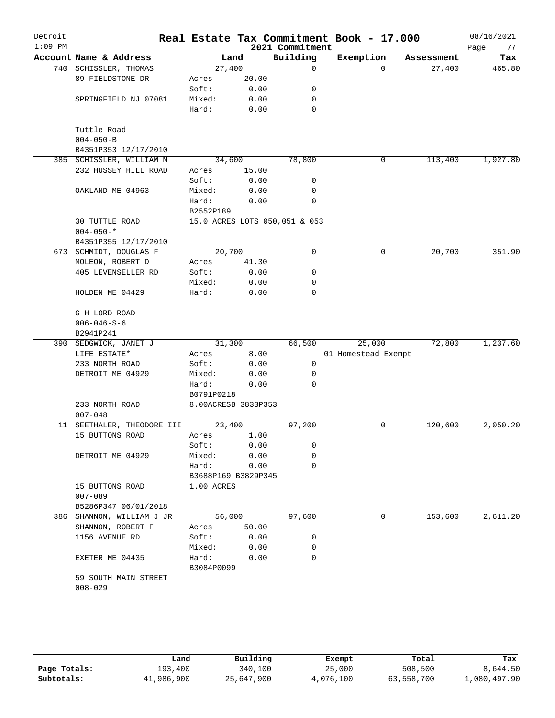| Detroit<br>$1:09$ PM |                                                   |                     |       | 2021 Commitment               | Real Estate Tax Commitment Book - 17.000 |            | 08/16/2021<br>Page<br>77 |
|----------------------|---------------------------------------------------|---------------------|-------|-------------------------------|------------------------------------------|------------|--------------------------|
|                      | Account Name & Address                            | Land                |       | Building                      | Exemption                                | Assessment | Tax                      |
|                      | 740 SCHISSLER, THOMAS                             | 27,400              |       | $\mathbf 0$                   | $\Omega$                                 | 27,400     | 465.80                   |
|                      | 89 FIELDSTONE DR                                  | Acres               | 20.00 |                               |                                          |            |                          |
|                      |                                                   | Soft:               | 0.00  | 0                             |                                          |            |                          |
|                      | SPRINGFIELD NJ 07081                              | Mixed:              | 0.00  | 0                             |                                          |            |                          |
|                      |                                                   | Hard:               | 0.00  | $\mathbf 0$                   |                                          |            |                          |
|                      |                                                   |                     |       |                               |                                          |            |                          |
|                      | Tuttle Road                                       |                     |       |                               |                                          |            |                          |
|                      | $004 - 050 - B$                                   |                     |       |                               |                                          |            |                          |
|                      | B4351P353 12/17/2010<br>385 SCHISSLER, WILLIAM M  | 34,600              |       | 78,800                        | 0                                        | 113,400    | 1,927.80                 |
|                      | 232 HUSSEY HILL ROAD                              | Acres               | 15.00 |                               |                                          |            |                          |
|                      |                                                   | Soft:               | 0.00  | 0                             |                                          |            |                          |
|                      | OAKLAND ME 04963                                  | Mixed:              | 0.00  | 0                             |                                          |            |                          |
|                      |                                                   | Hard:               | 0.00  | 0                             |                                          |            |                          |
|                      |                                                   | B2552P189           |       |                               |                                          |            |                          |
|                      | <b>30 TUTTLE ROAD</b>                             |                     |       | 15.0 ACRES LOTS 050,051 & 053 |                                          |            |                          |
|                      | $004 - 050 -$ *                                   |                     |       |                               |                                          |            |                          |
|                      | B4351P355 12/17/2010                              |                     |       |                               |                                          |            |                          |
|                      | 673 SCHMIDT, DOUGLAS F                            | 20,700              |       | 0                             | 0                                        | 20,700     | 351.90                   |
|                      | MOLEON, ROBERT D                                  | Acres               | 41.30 |                               |                                          |            |                          |
|                      | 405 LEVENSELLER RD                                | Soft:               | 0.00  | 0                             |                                          |            |                          |
|                      |                                                   | Mixed:              | 0.00  | 0                             |                                          |            |                          |
|                      | HOLDEN ME 04429                                   | Hard:               | 0.00  | $\mathbf 0$                   |                                          |            |                          |
|                      | G H LORD ROAD                                     |                     |       |                               |                                          |            |                          |
|                      | $006 - 046 - S - 6$                               |                     |       |                               |                                          |            |                          |
|                      | B2941P241                                         |                     |       |                               |                                          |            |                          |
|                      | 390 SEDGWICK, JANET J                             | 31,300              |       | 66,500                        | 25,000                                   | 72,800     | 1,237.60                 |
|                      | LIFE ESTATE*                                      | Acres               | 8.00  |                               | 01 Homestead Exempt                      |            |                          |
|                      | 233 NORTH ROAD                                    | Soft:               | 0.00  | 0                             |                                          |            |                          |
|                      | DETROIT ME 04929                                  | Mixed:              | 0.00  | 0                             |                                          |            |                          |
|                      |                                                   | Hard:               | 0.00  | 0                             |                                          |            |                          |
|                      |                                                   | B0791P0218          |       |                               |                                          |            |                          |
|                      | 233 NORTH ROAD                                    | 8.00ACRESB 3833P353 |       |                               |                                          |            |                          |
|                      | $007 - 048$                                       |                     |       |                               |                                          |            |                          |
|                      | 11 SEETHALER, THEODORE III                        | 23,400              |       | 97,200                        | 0                                        | 120,600    | 2,050.20                 |
|                      | 15 BUTTONS ROAD                                   | Acres               | 1.00  |                               |                                          |            |                          |
|                      |                                                   | Soft:               | 0.00  | 0                             |                                          |            |                          |
|                      | DETROIT ME 04929                                  | Mixed:              | 0.00  | 0                             |                                          |            |                          |
|                      |                                                   | Hard:               | 0.00  | 0                             |                                          |            |                          |
|                      |                                                   | B3688P169 B3829P345 |       |                               |                                          |            |                          |
|                      | 15 BUTTONS ROAD                                   | 1.00 ACRES          |       |                               |                                          |            |                          |
|                      | $007 - 089$                                       |                     |       |                               |                                          |            |                          |
|                      | B5286P347 06/01/2018<br>386 SHANNON, WILLIAM J JR | 56,000              |       | 97,600                        | 0                                        | 153,600    | 2,611.20                 |
|                      | SHANNON, ROBERT F                                 | Acres               | 50.00 |                               |                                          |            |                          |
|                      | 1156 AVENUE RD                                    | Soft:               | 0.00  | 0                             |                                          |            |                          |
|                      |                                                   | Mixed:              | 0.00  | 0                             |                                          |            |                          |
|                      | EXETER ME 04435                                   | Hard:               | 0.00  | $\Omega$                      |                                          |            |                          |
|                      |                                                   | B3084P0099          |       |                               |                                          |            |                          |
|                      | 59 SOUTH MAIN STREET                              |                     |       |                               |                                          |            |                          |
|                      | $008 - 029$                                       |                     |       |                               |                                          |            |                          |
|                      |                                                   |                     |       |                               |                                          |            |                          |
|                      |                                                   |                     |       |                               |                                          |            |                          |

|              | Land       | Building   | Exempt    | Total      | Tax          |
|--------------|------------|------------|-----------|------------|--------------|
| Page Totals: | 193,400    | 340,100    | 25,000    | 508,500    | 8,644.50     |
| Subtotals:   | 41,986,900 | 25,647,900 | 4,076,100 | 63,558,700 | 1,080,497.90 |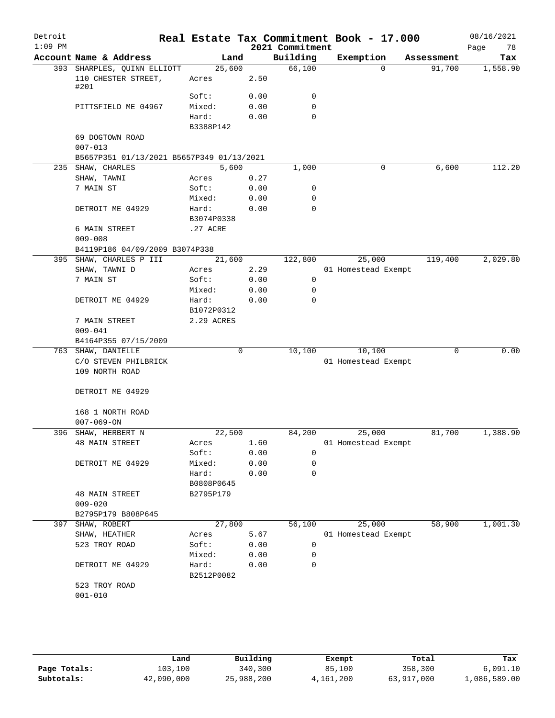| Detroit<br>$1:09$ PM |                                           |                     |      | 2021 Commitment | Real Estate Tax Commitment Book - 17.000 |             | 08/16/2021<br>Page<br>78 |
|----------------------|-------------------------------------------|---------------------|------|-----------------|------------------------------------------|-------------|--------------------------|
|                      | Account Name & Address                    | Land                |      | Building        | Exemption                                | Assessment  | Tax                      |
|                      | 393 SHARPLES, QUINN ELLIOTT               | 25,600              |      | 66,100          | $\Omega$                                 | 91,700      | 1,558.90                 |
|                      | 110 CHESTER STREET,<br>#201               | Acres               | 2.50 |                 |                                          |             |                          |
|                      |                                           | Soft:               | 0.00 | 0               |                                          |             |                          |
|                      | PITTSFIELD ME 04967                       | Mixed:              | 0.00 | $\mathbf 0$     |                                          |             |                          |
|                      |                                           | Hard:               | 0.00 | $\Omega$        |                                          |             |                          |
|                      |                                           | B3388P142           |      |                 |                                          |             |                          |
|                      | 69 DOGTOWN ROAD<br>$007 - 013$            |                     |      |                 |                                          |             |                          |
|                      | B5657P351 01/13/2021 B5657P349 01/13/2021 |                     |      |                 |                                          |             |                          |
|                      | 235 SHAW, CHARLES                         | 5,600               |      | 1,000           | 0                                        | 6,600       | 112.20                   |
|                      | SHAW, TAWNI                               | Acres               | 0.27 |                 |                                          |             |                          |
|                      | 7 MAIN ST                                 | Soft:               | 0.00 | 0               |                                          |             |                          |
|                      |                                           | Mixed:              | 0.00 | 0               |                                          |             |                          |
|                      | DETROIT ME 04929                          | Hard:               | 0.00 | 0               |                                          |             |                          |
|                      |                                           | B3074P0338          |      |                 |                                          |             |                          |
|                      | 6 MAIN STREET                             | .27 ACRE            |      |                 |                                          |             |                          |
|                      | $009 - 008$                               |                     |      |                 |                                          |             |                          |
|                      |                                           |                     |      |                 |                                          |             |                          |
|                      | B4119P186 04/09/2009 B3074P338            |                     |      |                 |                                          |             |                          |
|                      | 395 SHAW, CHARLES P III                   | 21,600              |      | 122,800         | 25,000                                   | 119,400     | 2,029.80                 |
|                      | SHAW, TAWNI D                             | Acres               | 2.29 |                 | 01 Homestead Exempt                      |             |                          |
|                      | 7 MAIN ST                                 | Soft:               | 0.00 | $\mathsf{O}$    |                                          |             |                          |
|                      |                                           | Mixed:              | 0.00 | 0               |                                          |             |                          |
|                      | DETROIT ME 04929                          | Hard:<br>B1072P0312 | 0.00 | 0               |                                          |             |                          |
|                      | 7 MAIN STREET                             | 2.29 ACRES          |      |                 |                                          |             |                          |
|                      | $009 - 041$                               |                     |      |                 |                                          |             |                          |
|                      | B4164P355 07/15/2009                      |                     |      |                 |                                          |             |                          |
|                      | 763 SHAW, DANIELLE                        |                     | 0    | 10,100          | 10,100                                   | $\mathbf 0$ | 0.00                     |
|                      | C/O STEVEN PHILBRICK                      |                     |      |                 | 01 Homestead Exempt                      |             |                          |
|                      | 109 NORTH ROAD                            |                     |      |                 |                                          |             |                          |
|                      | DETROIT ME 04929                          |                     |      |                 |                                          |             |                          |
|                      | 168 1 NORTH ROAD                          |                     |      |                 |                                          |             |                          |
|                      | $007 - 069 - ON$                          |                     |      |                 |                                          |             |                          |
|                      | 396 SHAW, HERBERT N                       | 22,500              |      | 84,200          | 25,000                                   | 81,700      | 1,388.90                 |
|                      | <b>48 MAIN STREET</b>                     | Acres               | 1.60 |                 | 01 Homestead Exempt                      |             |                          |
|                      |                                           | Soft:               | 0.00 | 0               |                                          |             |                          |
|                      | DETROIT ME 04929                          | Mixed:              | 0.00 | 0               |                                          |             |                          |
|                      |                                           | Hard:               | 0.00 | $\mathbf 0$     |                                          |             |                          |
|                      |                                           | B0808P0645          |      |                 |                                          |             |                          |
|                      | <b>48 MAIN STREET</b>                     | B2795P179           |      |                 |                                          |             |                          |
|                      | $009 - 020$                               |                     |      |                 |                                          |             |                          |
|                      | B2795P179 B808P645                        |                     |      |                 |                                          |             |                          |
| 397                  | SHAW, ROBERT                              | 27,800              |      | 56,100          | 25,000                                   | 58,900      | 1,001.30                 |
|                      | SHAW, HEATHER                             | Acres               | 5.67 |                 | 01 Homestead Exempt                      |             |                          |
|                      | 523 TROY ROAD                             | Soft:               | 0.00 | 0               |                                          |             |                          |
|                      |                                           | Mixed:              | 0.00 | 0               |                                          |             |                          |
|                      | DETROIT ME 04929                          | Hard:               | 0.00 | 0               |                                          |             |                          |
|                      |                                           | B2512P0082          |      |                 |                                          |             |                          |
|                      | 523 TROY ROAD                             |                     |      |                 |                                          |             |                          |
|                      | $001 - 010$                               |                     |      |                 |                                          |             |                          |
|                      |                                           |                     |      |                 |                                          |             |                          |
|                      |                                           |                     |      |                 |                                          |             |                          |

|              | Land       | Building   | Exempt    | Total      | Tax          |
|--------------|------------|------------|-----------|------------|--------------|
| Page Totals: | 103,100    | 340,300    | 85,100    | 358,300    | 6,091.10     |
| Subtotals:   | 42,090,000 | 25,988,200 | 4,161,200 | 63,917,000 | 1,086,589.00 |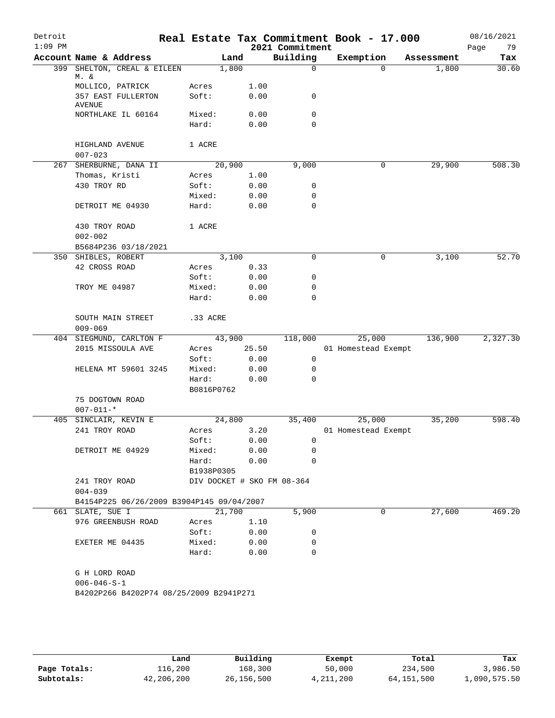| Detroit<br>$1:09$ PM |                                      |                                           |                     |        |              | 2021 Commitment            | Real Estate Tax Commitment Book - 17.000 |            | 08/16/2021<br>79<br>Page |
|----------------------|--------------------------------------|-------------------------------------------|---------------------|--------|--------------|----------------------------|------------------------------------------|------------|--------------------------|
|                      |                                      | Account Name & Address                    |                     | Land   |              | Building                   | Exemption                                | Assessment | Tax                      |
|                      |                                      | 399 SHELTON, CREAL & EILEEN               |                     | 1,800  |              | $\mathsf{O}$               | $\Omega$                                 | 1,800      | 30.60                    |
|                      | M. &                                 | MOLLICO, PATRICK                          | Acres               |        |              |                            |                                          |            |                          |
|                      |                                      | 357 EAST FULLERTON                        | Soft:               |        | 1.00<br>0.00 | 0                          |                                          |            |                          |
|                      | <b>AVENUE</b>                        |                                           |                     |        |              | 0                          |                                          |            |                          |
|                      |                                      | NORTHLAKE IL 60164                        | Mixed:<br>Hard:     |        | 0.00<br>0.00 | 0                          |                                          |            |                          |
|                      | HIGHLAND AVENUE<br>$007 - 023$       |                                           | 1 ACRE              |        |              |                            |                                          |            |                          |
|                      |                                      | 267 SHERBURNE, DANA II                    | 20,900              |        |              | 9,000                      | 0                                        | 29,900     | 508.30                   |
|                      | Thomas, Kristi                       |                                           | Acres               |        | 1.00         |                            |                                          |            |                          |
|                      | 430 TROY RD                          |                                           | Soft:               |        | 0.00         | 0                          |                                          |            |                          |
|                      |                                      |                                           | Mixed:              |        | 0.00         | 0                          |                                          |            |                          |
|                      |                                      | DETROIT ME 04930                          | Hard:               |        | 0.00         | $\mathbf 0$                |                                          |            |                          |
|                      | 430 TROY ROAD<br>$002 - 002$         |                                           | 1 ACRE              |        |              |                            |                                          |            |                          |
|                      |                                      | B5684P236 03/18/2021                      |                     |        |              |                            |                                          |            |                          |
|                      | 350 SHIBLES, ROBERT                  |                                           |                     | 3,100  |              | $\Omega$                   | 0                                        | 3,100      | 52.70                    |
|                      | 42 CROSS ROAD                        |                                           | Acres               |        | 0.33         |                            |                                          |            |                          |
|                      |                                      |                                           | Soft:               |        | 0.00         | 0                          |                                          |            |                          |
|                      | TROY ME 04987                        |                                           | Mixed:              |        | 0.00         | 0                          |                                          |            |                          |
|                      |                                      |                                           | Hard:               |        | 0.00         | $\Omega$                   |                                          |            |                          |
|                      | $009 - 069$                          | SOUTH MAIN STREET                         | .33 ACRE            |        |              |                            |                                          |            |                          |
|                      |                                      | 404 SIEGMUND, CARLTON F                   | 43,900              |        |              | 118,000                    | 25,000                                   | 136,900    | 2,327.30                 |
|                      |                                      | 2015 MISSOULA AVE                         | Acres               |        | 25.50        |                            | 01 Homestead Exempt                      |            |                          |
|                      |                                      |                                           | Soft:               |        | 0.00         | 0                          |                                          |            |                          |
|                      |                                      | HELENA MT 59601 3245                      | Mixed:              |        | 0.00         | 0                          |                                          |            |                          |
|                      |                                      |                                           | Hard:<br>B0816P0762 |        | 0.00         | 0                          |                                          |            |                          |
|                      | 75 DOGTOWN ROAD<br>$007 - 011 -$ *   |                                           |                     |        |              |                            |                                          |            |                          |
|                      |                                      | 405 SINCLAIR, KEVIN E                     |                     | 24,800 |              | 35,400                     | 25,000                                   | 35,200     | 598.40                   |
|                      | 241 TROY ROAD                        |                                           | Acres               |        | 3.20         |                            | 01 Homestead Exempt                      |            |                          |
|                      |                                      |                                           | Soft:               |        | 0.00         | $\overline{0}$             |                                          |            |                          |
|                      |                                      | DETROIT ME 04929                          | Mixed:              |        | 0.00         | 0                          |                                          |            |                          |
|                      |                                      |                                           | Hard:               |        | 0.00         | 0                          |                                          |            |                          |
|                      |                                      |                                           | B1938P0305          |        |              |                            |                                          |            |                          |
|                      | 241 TROY ROAD<br>$004 - 039$         |                                           |                     |        |              | DIV DOCKET # SKO FM 08-364 |                                          |            |                          |
|                      |                                      | B4154P225 06/26/2009 B3904P145 09/04/2007 |                     |        |              |                            |                                          |            |                          |
|                      | 661 SLATE, SUE I                     |                                           |                     |        | 21,700       | 5,900                      | $\mathbf 0$                              | 27,600     | 469.20                   |
|                      |                                      | 976 GREENBUSH ROAD                        | Acres               |        | 1.10         |                            |                                          |            |                          |
|                      |                                      |                                           | Soft:               |        | 0.00         | 0                          |                                          |            |                          |
|                      | EXETER ME 04435                      |                                           | Mixed:              |        | 0.00         | 0                          |                                          |            |                          |
|                      |                                      |                                           | Hard:               |        | 0.00         | 0                          |                                          |            |                          |
|                      | G H LORD ROAD<br>$006 - 046 - S - 1$ | B4202P266 B4202P74 08/25/2009 B2941P271   |                     |        |              |                            |                                          |            |                          |
|                      |                                      |                                           |                     |        |              |                            |                                          |            |                          |

|              | Land       | Building     | Exempt    | Total      | Tax          |
|--------------|------------|--------------|-----------|------------|--------------|
| Page Totals: | 116,200    | 168,300      | 50,000    | 234,500    | 3,986.50     |
| Subtotals:   | 42,206,200 | 26, 156, 500 | 4,211,200 | 64,151,500 | L,090,575.50 |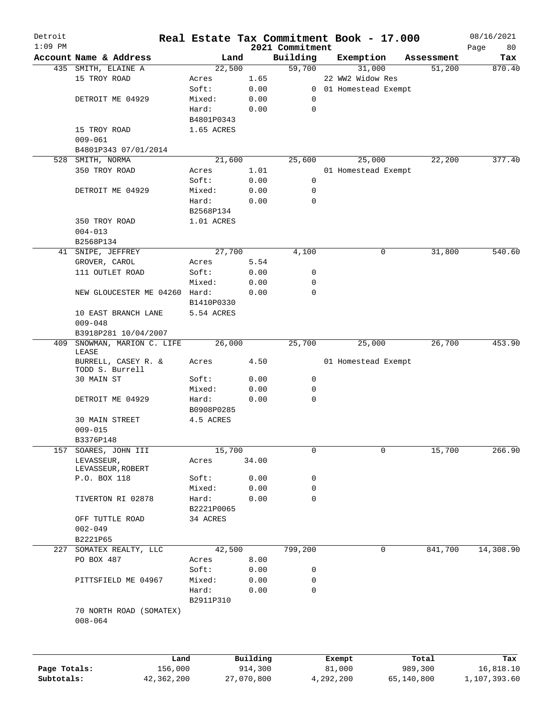| Detroit      |                                        | Real Estate Tax Commitment Book - 17.000 |            |                             |                     |            |            | 08/16/2021        |
|--------------|----------------------------------------|------------------------------------------|------------|-----------------------------|---------------------|------------|------------|-------------------|
| $1:09$ PM    | Account Name & Address                 | Land                                     |            | 2021 Commitment<br>Building | Exemption           |            | Assessment | Page<br>80<br>Tax |
|              | 435 SMITH, ELAINE A                    | 22,500                                   |            | 59,700                      | 31,000              |            | 51,200     | 870.40            |
|              | 15 TROY ROAD                           | Acres                                    | 1.65       |                             | 22 WW2 Widow Res    |            |            |                   |
|              |                                        | Soft:                                    | 0.00       | $\mathbf{0}$                | 01 Homestead Exempt |            |            |                   |
|              | DETROIT ME 04929                       | Mixed:                                   | 0.00       | 0                           |                     |            |            |                   |
|              |                                        | Hard:                                    | 0.00       | $\mathbf 0$                 |                     |            |            |                   |
|              |                                        | B4801P0343                               |            |                             |                     |            |            |                   |
|              | 15 TROY ROAD                           | 1.65 ACRES                               |            |                             |                     |            |            |                   |
|              | $009 - 061$                            |                                          |            |                             |                     |            |            |                   |
|              | B4801P343 07/01/2014                   |                                          |            |                             |                     |            |            |                   |
|              | 528 SMITH, NORMA                       | 21,600                                   |            | 25,600                      | 25,000              |            | 22,200     | 377.40            |
|              | 350 TROY ROAD                          | Acres                                    | 1.01       |                             | 01 Homestead Exempt |            |            |                   |
|              |                                        | Soft:                                    | 0.00       | 0                           |                     |            |            |                   |
|              | DETROIT ME 04929                       | Mixed:                                   | 0.00       | 0                           |                     |            |            |                   |
|              |                                        | Hard:                                    | 0.00       | $\mathbf 0$                 |                     |            |            |                   |
|              |                                        | B2568P134                                |            |                             |                     |            |            |                   |
|              | 350 TROY ROAD                          | 1.01 ACRES                               |            |                             |                     |            |            |                   |
|              | $004 - 013$                            |                                          |            |                             |                     |            |            |                   |
|              | B2568P134                              |                                          |            |                             |                     |            |            |                   |
|              | 41 SNIPE, JEFFREY                      | 27,700                                   |            | 4,100                       | 0                   |            | 31,800     | 540.60            |
|              | GROVER, CAROL                          | Acres                                    | 5.54       |                             |                     |            |            |                   |
|              | 111 OUTLET ROAD                        | Soft:                                    | 0.00       | 0                           |                     |            |            |                   |
|              |                                        | Mixed:                                   | 0.00       | 0                           |                     |            |            |                   |
|              | NEW GLOUCESTER ME 04260                | Hard:                                    | 0.00       | $\mathbf 0$                 |                     |            |            |                   |
|              |                                        | B1410P0330                               |            |                             |                     |            |            |                   |
|              | 10 EAST BRANCH LANE                    | 5.54 ACRES                               |            |                             |                     |            |            |                   |
|              | $009 - 048$                            |                                          |            |                             |                     |            |            |                   |
|              | B3918P281 10/04/2007                   |                                          |            |                             |                     |            |            |                   |
| 409          | SNOWMAN, MARION C. LIFE<br>LEASE       | 26,000                                   |            | 25,700                      | 25,000              |            | 26,700     | 453.90            |
|              | BURRELL, CASEY R. &<br>TODD S. Burrell | Acres                                    | 4.50       |                             | 01 Homestead Exempt |            |            |                   |
|              | 30 MAIN ST                             | Soft:                                    | 0.00       | 0                           |                     |            |            |                   |
|              |                                        | Mixed:                                   | 0.00       | 0                           |                     |            |            |                   |
|              | DETROIT ME 04929                       | Hard:                                    | 0.00       | 0                           |                     |            |            |                   |
|              |                                        | B0908P0285                               |            |                             |                     |            |            |                   |
|              | <b>30 MAIN STREET</b>                  | 4.5 ACRES                                |            |                             |                     |            |            |                   |
|              | $009 - 015$                            |                                          |            |                             |                     |            |            |                   |
|              | B3376P148                              |                                          |            |                             |                     |            |            |                   |
| 157          | SOARES, JOHN III                       | 15,700                                   |            | 0                           | 0                   |            | 15,700     | 266.90            |
|              | LEVASSEUR,<br>LEVASSEUR, ROBERT        | Acres                                    | 34.00      |                             |                     |            |            |                   |
|              | P.O. BOX 118                           | Soft:                                    | 0.00       | 0                           |                     |            |            |                   |
|              |                                        | Mixed:                                   | 0.00       | $\mathbf 0$                 |                     |            |            |                   |
|              | TIVERTON RI 02878                      | Hard:                                    | 0.00       | 0                           |                     |            |            |                   |
|              |                                        | B2221P0065                               |            |                             |                     |            |            |                   |
|              | OFF TUTTLE ROAD                        | 34 ACRES                                 |            |                             |                     |            |            |                   |
|              | $002 - 049$                            |                                          |            |                             |                     |            |            |                   |
|              | B2221P65                               |                                          |            |                             |                     |            |            |                   |
|              | 227 SOMATEX REALTY, LLC                | 42,500                                   |            | 799,200                     | 0                   |            | 841,700    | 14,308.90         |
|              | PO BOX 487                             | Acres                                    | 8.00       |                             |                     |            |            |                   |
|              |                                        | Soft:                                    | 0.00       | 0                           |                     |            |            |                   |
|              | PITTSFIELD ME 04967                    | Mixed:                                   | 0.00       | 0<br>$\mathbf 0$            |                     |            |            |                   |
|              |                                        | Hard:                                    | 0.00       |                             |                     |            |            |                   |
|              | 70 NORTH ROAD (SOMATEX)                | B2911P310                                |            |                             |                     |            |            |                   |
|              | $008 - 064$                            |                                          |            |                             |                     |            |            |                   |
|              |                                        |                                          |            |                             |                     |            |            |                   |
|              |                                        | Land                                     | Building   |                             | Exempt              | Total      |            | Tax               |
| Page Totals: | 156,000                                |                                          | 914,300    |                             | 81,000              | 989,300    |            | 16,818.10         |
| Subtotals:   | 42,362,200                             |                                          | 27,070,800 |                             | 4,292,200           | 65,140,800 |            | 1,107,393.60      |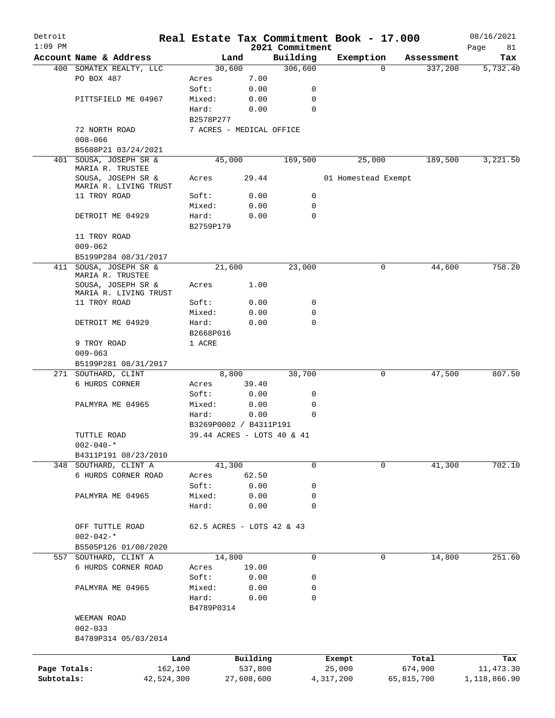| Detroit<br>$1:09$ PM       |                                                                 |                    |                            | 2021 Commitment | Real Estate Tax Commitment Book - 17.000 |             |                       | 08/16/2021<br>Page<br>81   |
|----------------------------|-----------------------------------------------------------------|--------------------|----------------------------|-----------------|------------------------------------------|-------------|-----------------------|----------------------------|
|                            | Account Name & Address                                          |                    | Land                       | Building        | Exemption                                |             | Assessment            | Tax                        |
|                            | 400 SOMATEX REALTY, LLC                                         |                    | 30,600                     | 306,600         |                                          | $\Omega$    | 337,200               | 5,732.40                   |
|                            | PO BOX 487                                                      | Acres              | 7.00                       |                 |                                          |             |                       |                            |
|                            |                                                                 | Soft:              | 0.00                       | 0               |                                          |             |                       |                            |
|                            | PITTSFIELD ME 04967                                             | Mixed:             | 0.00                       | 0               |                                          |             |                       |                            |
|                            |                                                                 | Hard:              | 0.00                       | 0               |                                          |             |                       |                            |
|                            |                                                                 | B2578P277          |                            |                 |                                          |             |                       |                            |
|                            | 72 NORTH ROAD                                                   |                    | 7 ACRES - MEDICAL OFFICE   |                 |                                          |             |                       |                            |
|                            | $008 - 066$                                                     |                    |                            |                 |                                          |             |                       |                            |
|                            | B5688P21 03/24/2021                                             |                    |                            |                 |                                          |             |                       |                            |
| 401                        | SOUSA, JOSEPH SR &                                              |                    | 45,000                     | 169,500         |                                          | 25,000      | 189,500               | 3,221.50                   |
|                            | MARIA R. TRUSTEE<br>SOUSA, JOSEPH SR &<br>MARIA R. LIVING TRUST | Acres              | 29.44                      |                 | 01 Homestead Exempt                      |             |                       |                            |
|                            | 11 TROY ROAD                                                    | Soft:              | 0.00                       | 0               |                                          |             |                       |                            |
|                            |                                                                 | Mixed:             | 0.00                       | 0               |                                          |             |                       |                            |
|                            |                                                                 |                    |                            | $\mathbf 0$     |                                          |             |                       |                            |
|                            | DETROIT ME 04929                                                | Hard:<br>B2759P179 | 0.00                       |                 |                                          |             |                       |                            |
|                            | 11 TROY ROAD                                                    |                    |                            |                 |                                          |             |                       |                            |
|                            | $009 - 062$                                                     |                    |                            |                 |                                          |             |                       |                            |
|                            | B5199P284 08/31/2017                                            |                    |                            |                 |                                          |             |                       |                            |
|                            | 411 SOUSA, JOSEPH SR &<br>MARIA R. TRUSTEE                      |                    | 21,600                     | 23,000          |                                          | 0           | 44,600                | 758.20                     |
|                            | SOUSA, JOSEPH SR &<br>MARIA R. LIVING TRUST                     | Acres              | 1.00                       |                 |                                          |             |                       |                            |
|                            | 11 TROY ROAD                                                    | Soft:              | 0.00                       | 0               |                                          |             |                       |                            |
|                            |                                                                 | Mixed:             | 0.00                       | 0               |                                          |             |                       |                            |
|                            | DETROIT ME 04929                                                | Hard:              | 0.00                       | 0               |                                          |             |                       |                            |
|                            |                                                                 | B2668P016          |                            |                 |                                          |             |                       |                            |
|                            | 9 TROY ROAD                                                     | 1 ACRE             |                            |                 |                                          |             |                       |                            |
|                            | $009 - 063$                                                     |                    |                            |                 |                                          |             |                       |                            |
|                            | B5199P281 08/31/2017                                            |                    |                            |                 |                                          |             |                       |                            |
|                            | 271 SOUTHARD, CLINT                                             |                    | 8,800                      | 38,700          |                                          | 0           | 47,500                | 807.50                     |
|                            | 6 HURDS CORNER                                                  | Acres              | 39.40                      |                 |                                          |             |                       |                            |
|                            |                                                                 | Soft:              | 0.00                       | 0               |                                          |             |                       |                            |
|                            | PALMYRA ME 04965                                                | Mixed:             | 0.00                       | 0               |                                          |             |                       |                            |
|                            |                                                                 | Hard:              | 0.00                       | 0               |                                          |             |                       |                            |
|                            |                                                                 |                    | B3269P0002 / B4311P191     |                 |                                          |             |                       |                            |
|                            | TUTTLE ROAD                                                     |                    | 39.44 ACRES - LOTS 40 & 41 |                 |                                          |             |                       |                            |
|                            | $002 - 040 -$ *                                                 |                    |                            |                 |                                          |             |                       |                            |
|                            | B4311P191 08/23/2010                                            |                    |                            |                 |                                          |             |                       |                            |
|                            | 348 SOUTHARD, CLINT A                                           |                    | 41,300                     | $\mathbf 0$     |                                          | $\mathbf 0$ | 41,300                | 702.10                     |
|                            | 6 HURDS CORNER ROAD                                             | Acres              | 62.50                      |                 |                                          |             |                       |                            |
|                            |                                                                 | Soft:              | 0.00                       | 0               |                                          |             |                       |                            |
|                            | PALMYRA ME 04965                                                | Mixed:             | 0.00                       | 0               |                                          |             |                       |                            |
|                            |                                                                 | Hard:              | 0.00                       | $\mathbf 0$     |                                          |             |                       |                            |
|                            | OFF TUTTLE ROAD<br>$002 - 042 -$ *                              |                    | 62.5 ACRES - LOTS 42 & 43  |                 |                                          |             |                       |                            |
|                            | B5505P126 01/08/2020                                            |                    |                            |                 |                                          |             |                       |                            |
| 557                        | SOUTHARD, CLINT A                                               |                    | 14,800                     | $\mathbf 0$     |                                          | 0           | 14,800                | 251.60                     |
|                            | 6 HURDS CORNER ROAD                                             | Acres              | 19.00                      |                 |                                          |             |                       |                            |
|                            |                                                                 | Soft:              | 0.00                       | 0               |                                          |             |                       |                            |
|                            | PALMYRA ME 04965                                                | Mixed:             | 0.00                       | 0               |                                          |             |                       |                            |
|                            |                                                                 | Hard:              | 0.00                       | $\mathbf 0$     |                                          |             |                       |                            |
|                            |                                                                 | B4789P0314         |                            |                 |                                          |             |                       |                            |
|                            | WEEMAN ROAD                                                     |                    |                            |                 |                                          |             |                       |                            |
|                            | $002 - 033$                                                     |                    |                            |                 |                                          |             |                       |                            |
|                            | B4789P314 05/03/2014                                            |                    |                            |                 |                                          |             |                       |                            |
|                            |                                                                 |                    |                            |                 |                                          |             |                       |                            |
|                            |                                                                 | Land               | Building                   |                 | Exempt                                   |             | Total                 | Tax                        |
| Page Totals:<br>Subtotals: | 162,100<br>42,524,300                                           |                    | 537,800<br>27,608,600      |                 | 25,000<br>4,317,200                      |             | 674,900<br>65,815,700 | 11, 473.30<br>1,118,866.90 |
|                            |                                                                 |                    |                            |                 |                                          |             |                       |                            |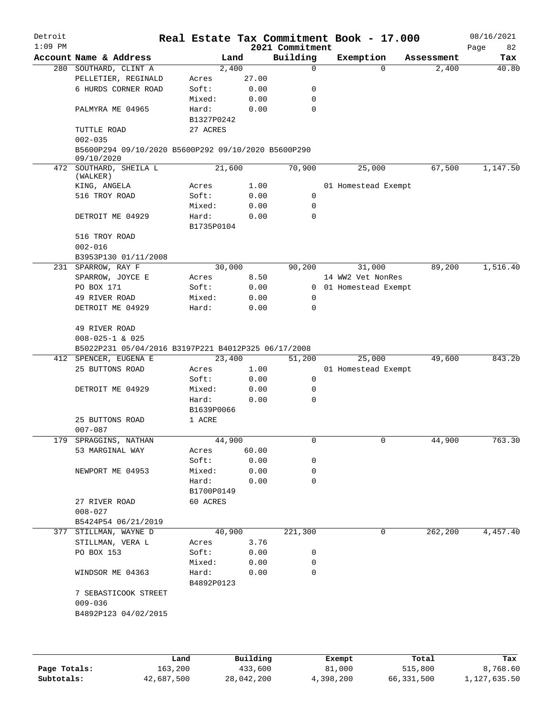| Detroit<br>$1:09$ PM |                                                                   |            |       | 2021 Commitment | Real Estate Tax Commitment Book - 17.000 |            | 08/16/2021<br>Page<br>82 |
|----------------------|-------------------------------------------------------------------|------------|-------|-----------------|------------------------------------------|------------|--------------------------|
|                      | Account Name & Address                                            | Land       |       | Building        | Exemption                                | Assessment | Tax                      |
|                      | 280 SOUTHARD, CLINT A                                             | 2,400      |       | $\mathbf 0$     | $\Omega$                                 | 2,400      | 40.80                    |
|                      | PELLETIER, REGINALD                                               | Acres      | 27.00 |                 |                                          |            |                          |
|                      | 6 HURDS CORNER ROAD                                               | Soft:      | 0.00  | 0               |                                          |            |                          |
|                      |                                                                   | Mixed:     | 0.00  | 0               |                                          |            |                          |
|                      | PALMYRA ME 04965                                                  | Hard:      | 0.00  | $\mathbf 0$     |                                          |            |                          |
|                      |                                                                   | B1327P0242 |       |                 |                                          |            |                          |
|                      | TUTTLE ROAD                                                       | 27 ACRES   |       |                 |                                          |            |                          |
|                      | $002 - 035$                                                       |            |       |                 |                                          |            |                          |
|                      | B5600P294 09/10/2020 B5600P292 09/10/2020 B5600P290<br>09/10/2020 |            |       |                 |                                          |            |                          |
|                      | 472 SOUTHARD, SHEILA L                                            | 21,600     |       | 70,900          | 25,000                                   | 67,500     | 1,147.50                 |
|                      | (WALKER)                                                          |            |       |                 |                                          |            |                          |
|                      | KING, ANGELA                                                      | Acres      | 1.00  |                 | 01 Homestead Exempt                      |            |                          |
|                      | 516 TROY ROAD                                                     | Soft:      | 0.00  | 0               |                                          |            |                          |
|                      |                                                                   | Mixed:     | 0.00  | 0               |                                          |            |                          |
|                      | DETROIT ME 04929                                                  | Hard:      | 0.00  | $\mathbf 0$     |                                          |            |                          |
|                      |                                                                   | B1735P0104 |       |                 |                                          |            |                          |
|                      | 516 TROY ROAD                                                     |            |       |                 |                                          |            |                          |
|                      | $002 - 016$                                                       |            |       |                 |                                          |            |                          |
|                      | B3953P130 01/11/2008                                              |            |       |                 |                                          |            |                          |
|                      | 231 SPARROW, RAY F                                                | 30,000     |       | 90,200          | 31,000                                   | 89,200     | 1,516.40                 |
|                      | SPARROW, JOYCE E                                                  | Acres      | 8.50  |                 | 14 WW2 Vet NonRes                        |            |                          |
|                      | PO BOX 171                                                        | Soft:      | 0.00  |                 | 0 01 Homestead Exempt                    |            |                          |
|                      | 49 RIVER ROAD                                                     | Mixed:     | 0.00  | 0               |                                          |            |                          |
|                      | DETROIT ME 04929                                                  | Hard:      | 0.00  | $\Omega$        |                                          |            |                          |
|                      |                                                                   |            |       |                 |                                          |            |                          |
|                      |                                                                   |            |       |                 |                                          |            |                          |
|                      | 49 RIVER ROAD                                                     |            |       |                 |                                          |            |                          |
|                      | $008 - 025 - 1$ & 025                                             |            |       |                 |                                          |            |                          |
|                      | B5022P231 05/04/2016 B3197P221 B4012P325 06/17/2008               |            |       |                 |                                          |            |                          |
|                      | 412 SPENCER, EUGENA E                                             | 23,400     |       | 51,200          | 25,000                                   | 49,600     | 843.20                   |
|                      | 25 BUTTONS ROAD                                                   | Acres      | 1.00  |                 | 01 Homestead Exempt                      |            |                          |
|                      |                                                                   | Soft:      | 0.00  | 0               |                                          |            |                          |
|                      | DETROIT ME 04929                                                  | Mixed:     | 0.00  | 0               |                                          |            |                          |
|                      |                                                                   | Hard:      | 0.00  | $\Omega$        |                                          |            |                          |
|                      |                                                                   | B1639P0066 |       |                 |                                          |            |                          |
|                      | 25 BUTTONS ROAD                                                   | 1 ACRE     |       |                 |                                          |            |                          |
|                      | $007 - 087$                                                       |            |       |                 |                                          |            |                          |
|                      | 179 SPRAGGINS, NATHAN                                             | 44,900     |       | 0               | 0                                        | 44,900     | 763.30                   |
|                      | 53 MARGINAL WAY                                                   | Acres      | 60.00 |                 |                                          |            |                          |
|                      |                                                                   | Soft:      | 0.00  | 0               |                                          |            |                          |
|                      | NEWPORT ME 04953                                                  | Mixed:     | 0.00  | 0               |                                          |            |                          |
|                      |                                                                   | Hard:      | 0.00  | $\Omega$        |                                          |            |                          |
|                      |                                                                   | B1700P0149 |       |                 |                                          |            |                          |
|                      | 27 RIVER ROAD                                                     | 60 ACRES   |       |                 |                                          |            |                          |
|                      | $008 - 027$                                                       |            |       |                 |                                          |            |                          |
|                      | B5424P54 06/21/2019                                               |            |       |                 |                                          |            |                          |
|                      | 377 STILLMAN, WAYNE D                                             | 40,900     |       | 221,300         | $\Omega$                                 | 262,200    | 4,457.40                 |
|                      |                                                                   |            |       |                 |                                          |            |                          |
|                      | STILLMAN, VERA L                                                  | Acres      | 3.76  |                 |                                          |            |                          |
|                      | PO BOX 153                                                        | Soft:      | 0.00  | 0               |                                          |            |                          |
|                      |                                                                   | Mixed:     | 0.00  | 0               |                                          |            |                          |
|                      | WINDSOR ME 04363                                                  | Hard:      | 0.00  | 0               |                                          |            |                          |
|                      |                                                                   | B4892P0123 |       |                 |                                          |            |                          |
|                      | 7 SEBASTICOOK STREET                                              |            |       |                 |                                          |            |                          |
|                      | $009 - 036$                                                       |            |       |                 |                                          |            |                          |
|                      | B4892P123 04/02/2015                                              |            |       |                 |                                          |            |                          |
|                      |                                                                   |            |       |                 |                                          |            |                          |
|                      |                                                                   |            |       |                 |                                          |            |                          |
|                      |                                                                   |            |       |                 |                                          |            |                          |
|                      |                                                                   |            |       |                 |                                          |            |                          |

|              | Land       | Building   | Exempt    | Total      | Tax          |
|--------------|------------|------------|-----------|------------|--------------|
| Page Totals: | 163,200    | 433,600    | 81,000    | 515,800    | 8,768.60     |
| Subtotals:   | 42,687,500 | 28,042,200 | 4,398,200 | 66,331,500 | 1,127,635.50 |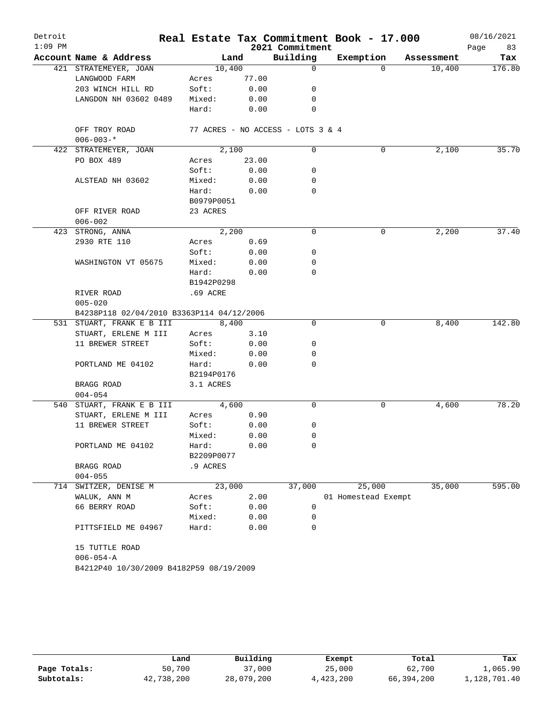| Detroit   |                                           |            |       |                                   | Real Estate Tax Commitment Book - 17.000 |            | 08/16/2021 |
|-----------|-------------------------------------------|------------|-------|-----------------------------------|------------------------------------------|------------|------------|
| $1:09$ PM |                                           |            |       | 2021 Commitment                   |                                          |            | 83<br>Page |
|           | Account Name & Address                    |            | Land  | Building                          | Exemption                                | Assessment | Tax        |
|           | 421 STRATEMEYER, JOAN                     | 10,400     |       | 0                                 | $\Omega$                                 | 10,400     | 176.80     |
|           | LANGWOOD FARM                             | Acres      | 77.00 |                                   |                                          |            |            |
|           | 203 WINCH HILL RD                         | Soft:      | 0.00  | 0                                 |                                          |            |            |
|           | LANGDON NH 03602 0489                     | Mixed:     | 0.00  | 0                                 |                                          |            |            |
|           |                                           | Hard:      | 0.00  | 0                                 |                                          |            |            |
|           | OFF TROY ROAD<br>$006 - 003 -$ *          |            |       | 77 ACRES - NO ACCESS - LOTS 3 & 4 |                                          |            |            |
|           | 422 STRATEMEYER, JOAN                     | 2,100      |       | 0                                 | 0                                        | 2,100      | 35.70      |
|           | PO BOX 489                                | Acres      | 23.00 |                                   |                                          |            |            |
|           |                                           | Soft:      | 0.00  | 0                                 |                                          |            |            |
|           | ALSTEAD NH 03602                          | Mixed:     | 0.00  | 0                                 |                                          |            |            |
|           |                                           | Hard:      | 0.00  | 0                                 |                                          |            |            |
|           |                                           | B0979P0051 |       |                                   |                                          |            |            |
|           | OFF RIVER ROAD                            | 23 ACRES   |       |                                   |                                          |            |            |
|           | $006 - 002$                               |            |       |                                   |                                          |            |            |
|           | 423 STRONG, ANNA                          | 2,200      |       | 0                                 | 0                                        | 2,200      | 37.40      |
|           | 2930 RTE 110                              | Acres      | 0.69  |                                   |                                          |            |            |
|           |                                           | Soft:      | 0.00  | 0                                 |                                          |            |            |
|           | WASHINGTON VT 05675                       | Mixed:     | 0.00  | 0                                 |                                          |            |            |
|           |                                           | Hard:      | 0.00  | 0                                 |                                          |            |            |
|           |                                           | B1942P0298 |       |                                   |                                          |            |            |
|           | RIVER ROAD                                | .69 ACRE   |       |                                   |                                          |            |            |
|           | $005 - 020$                               |            |       |                                   |                                          |            |            |
|           | B4238P118 02/04/2010 B3363P114 04/12/2006 |            |       |                                   |                                          |            |            |
|           | 531 STUART, FRANK E B III                 | 8,400      |       | $\mathbf 0$                       | 0                                        | 8,400      | 142.80     |
|           | STUART, ERLENE M III                      | Acres      | 3.10  |                                   |                                          |            |            |
|           | 11 BREWER STREET                          | Soft:      | 0.00  | 0                                 |                                          |            |            |
|           |                                           | Mixed:     | 0.00  | 0                                 |                                          |            |            |
|           | PORTLAND ME 04102                         | Hard:      | 0.00  | 0                                 |                                          |            |            |
|           |                                           | B2194P0176 |       |                                   |                                          |            |            |
|           | BRAGG ROAD                                | 3.1 ACRES  |       |                                   |                                          |            |            |
|           | $004 - 054$                               |            |       |                                   |                                          |            |            |
|           | 540 STUART, FRANK E B III                 | 4,600      |       | 0                                 | 0                                        | 4,600      | 78.20      |
|           | STUART, ERLENE M III                      | Acres      | 0.90  |                                   |                                          |            |            |
|           | 11 BREWER STREET                          | Soft:      | 0.00  | 0                                 |                                          |            |            |
|           |                                           | Mixed:     | 0.00  | 0                                 |                                          |            |            |
|           | PORTLAND ME 04102                         | Hard:      | 0.00  | 0                                 |                                          |            |            |
|           |                                           | B2209P0077 |       |                                   |                                          |            |            |
|           | BRAGG ROAD                                | .9 ACRES   |       |                                   |                                          |            |            |
|           | $004 - 055$                               |            |       |                                   |                                          |            |            |
| 714       | SWITZER, DENISE M                         | 23,000     |       | 37,000                            | 25,000                                   | 35,000     | 595.00     |
|           | WALUK, ANN M                              | Acres      | 2.00  |                                   | 01 Homestead Exempt                      |            |            |
|           | 66 BERRY ROAD                             | Soft:      | 0.00  | 0                                 |                                          |            |            |
|           |                                           | Mixed:     | 0.00  | 0                                 |                                          |            |            |
|           | PITTSFIELD ME 04967                       | Hard:      | 0.00  | 0                                 |                                          |            |            |
|           | 15 TUTTLE ROAD                            |            |       |                                   |                                          |            |            |
|           | $006 - 054 - A$                           |            |       |                                   |                                          |            |            |
|           | B4212P40 10/30/2009 B4182P59 08/19/2009   |            |       |                                   |                                          |            |            |
|           |                                           |            |       |                                   |                                          |            |            |

|              | Land       | Building   | Exempt    | Total      | Tax          |
|--------------|------------|------------|-----------|------------|--------------|
| Page Totals: | 50,700     | 37,000     | 25,000    | 62,700     | 1,065.90     |
| Subtotals:   | 42,738,200 | 28,079,200 | 4,423,200 | 66,394,200 | 1,128,701.40 |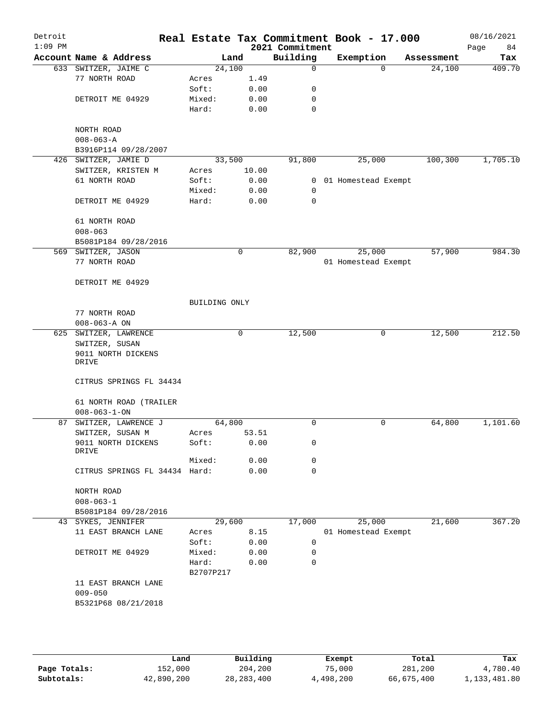| Detroit<br>$1:09$ PM |                                     |               |             | 2021 Commitment | Real Estate Tax Commitment Book - 17.000 |            | 08/16/2021<br>84<br>Page |
|----------------------|-------------------------------------|---------------|-------------|-----------------|------------------------------------------|------------|--------------------------|
|                      | Account Name & Address              |               | Land        | Building        | Exemption                                | Assessment | Tax                      |
|                      | 633 SWITZER, JAIME C                | 24,100        |             | $\mathbf 0$     | $\Omega$                                 | 24,100     | 409.70                   |
|                      | 77 NORTH ROAD                       | Acres         | 1.49        |                 |                                          |            |                          |
|                      |                                     | Soft:         | 0.00        | 0               |                                          |            |                          |
|                      | DETROIT ME 04929                    | Mixed:        | 0.00        | 0               |                                          |            |                          |
|                      |                                     | Hard:         | 0.00        | 0               |                                          |            |                          |
|                      | NORTH ROAD                          |               |             |                 |                                          |            |                          |
|                      | $008 - 063 - A$                     |               |             |                 |                                          |            |                          |
|                      | B3916P114 09/28/2007                |               |             |                 |                                          |            |                          |
|                      | 426 SWITZER, JAMIE D                | 33,500        |             | 91,800          | 25,000                                   | 100, 300   | 1,705.10                 |
|                      | SWITZER, KRISTEN M                  | Acres         | 10.00       |                 |                                          |            |                          |
|                      | 61 NORTH ROAD                       | Soft:         | 0.00        |                 | 0 01 Homestead Exempt                    |            |                          |
|                      |                                     | Mixed:        | 0.00        | 0               |                                          |            |                          |
|                      | DETROIT ME 04929                    | Hard:         | 0.00        | 0               |                                          |            |                          |
|                      | 61 NORTH ROAD                       |               |             |                 |                                          |            |                          |
|                      | $008 - 063$                         |               |             |                 |                                          |            |                          |
|                      | B5081P184 09/28/2016                |               |             |                 |                                          |            |                          |
|                      | 569 SWITZER, JASON                  |               | $\mathbf 0$ | 82,900          | 25,000                                   | 57,900     | 984.30                   |
|                      | 77 NORTH ROAD                       |               |             |                 | 01 Homestead Exempt                      |            |                          |
|                      |                                     |               |             |                 |                                          |            |                          |
|                      | DETROIT ME 04929                    |               |             |                 |                                          |            |                          |
|                      |                                     | BUILDING ONLY |             |                 |                                          |            |                          |
|                      | 77 NORTH ROAD<br>$008 - 063 - A$ ON |               |             |                 |                                          |            |                          |
|                      | 625 SWITZER, LAWRENCE               |               | $\mathbf 0$ | 12,500          | 0                                        | 12,500     | 212.50                   |
|                      | SWITZER, SUSAN                      |               |             |                 |                                          |            |                          |
|                      | 9011 NORTH DICKENS<br>DRIVE         |               |             |                 |                                          |            |                          |
|                      |                                     |               |             |                 |                                          |            |                          |
|                      | CITRUS SPRINGS FL 34434             |               |             |                 |                                          |            |                          |
|                      | 61 NORTH ROAD (TRAILER              |               |             |                 |                                          |            |                          |
|                      | $008 - 063 - 1 - ON$                |               |             |                 |                                          |            |                          |
| 87                   | SWITZER, LAWRENCE J                 | 64,800        |             | $\mathbf 0$     | 0                                        | 64,800     | 1,101.60                 |
|                      | SWITZER, SUSAN M                    | Acres         | 53.51       |                 |                                          |            |                          |
|                      | 9011 NORTH DICKENS<br>DRIVE         | Soft:         | 0.00        | 0               |                                          |            |                          |
|                      |                                     | Mixed:        | 0.00        | 0               |                                          |            |                          |
|                      | CITRUS SPRINGS FL 34434 Hard:       |               | 0.00        | $\mathbf 0$     |                                          |            |                          |
|                      |                                     |               |             |                 |                                          |            |                          |
|                      | NORTH ROAD                          |               |             |                 |                                          |            |                          |
|                      | $008 - 063 - 1$                     |               |             |                 |                                          |            |                          |
|                      | B5081P184 09/28/2016                |               |             |                 |                                          |            |                          |
|                      | 43 SYKES, JENNIFER                  |               | 29,600      | 17,000          | 25,000                                   | 21,600     | 367.20                   |
|                      | 11 EAST BRANCH LANE                 | Acres         | 8.15        |                 | 01 Homestead Exempt                      |            |                          |
|                      |                                     | Soft:         | 0.00        | 0               |                                          |            |                          |
|                      | DETROIT ME 04929                    | Mixed:        | 0.00        | 0               |                                          |            |                          |
|                      |                                     | Hard:         | 0.00        | $\mathbf 0$     |                                          |            |                          |
|                      |                                     | B2707P217     |             |                 |                                          |            |                          |
|                      | 11 EAST BRANCH LANE                 |               |             |                 |                                          |            |                          |
|                      | $009 - 050$                         |               |             |                 |                                          |            |                          |
|                      | B5321P68 08/21/2018                 |               |             |                 |                                          |            |                          |
|                      |                                     |               |             |                 |                                          |            |                          |
|                      |                                     |               |             |                 |                                          |            |                          |
|                      |                                     |               |             |                 |                                          |            |                          |
|                      |                                     |               |             |                 |                                          |            |                          |

|              | Land       | Building     | Exempt    | Total      | Tax          |
|--------------|------------|--------------|-----------|------------|--------------|
| Page Totals: | 152,000    | 204,200      | 75,000    | 281,200    | 4,780.40     |
| Subtotals:   | 42,890,200 | 28, 283, 400 | 4,498,200 | 66,675,400 | 1,133,481.80 |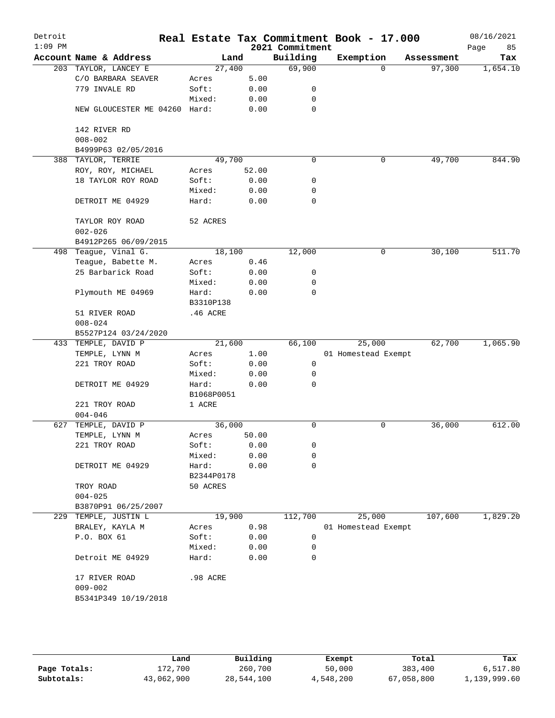| Detroit<br>$1:09$ PM |                                |            |              | 2021 Commitment | Real Estate Tax Commitment Book - 17.000 |            | 08/16/2021<br>85<br>Page |
|----------------------|--------------------------------|------------|--------------|-----------------|------------------------------------------|------------|--------------------------|
|                      | Account Name & Address         | Land       |              | Building        | Exemption                                | Assessment | Tax                      |
|                      | 203 TAYLOR, LANCEY E           | 27,400     |              | 69,900          | $\Omega$                                 | 97,300     | 1,654.10                 |
|                      | C/O BARBARA SEAVER             | Acres      | 5.00         |                 |                                          |            |                          |
|                      | 779 INVALE RD                  | Soft:      | 0.00         | 0               |                                          |            |                          |
|                      |                                | Mixed:     | 0.00         | 0               |                                          |            |                          |
|                      | NEW GLOUCESTER ME 04260 Hard:  |            | 0.00         | 0               |                                          |            |                          |
|                      | 142 RIVER RD                   |            |              |                 |                                          |            |                          |
|                      | $008 - 002$                    |            |              |                 |                                          |            |                          |
|                      | B4999P63 02/05/2016            |            |              |                 |                                          |            |                          |
| 388                  | TAYLOR, TERRIE                 | 49,700     |              | 0               | 0                                        | 49,700     | 844.90                   |
|                      | ROY, ROY, MICHAEL              | Acres      | 52.00        |                 |                                          |            |                          |
|                      | 18 TAYLOR ROY ROAD             | Soft:      | 0.00         | 0               |                                          |            |                          |
|                      |                                | Mixed:     | 0.00         | 0               |                                          |            |                          |
|                      | DETROIT ME 04929               | Hard:      | 0.00         | 0               |                                          |            |                          |
|                      | TAYLOR ROY ROAD<br>$002 - 026$ | 52 ACRES   |              |                 |                                          |            |                          |
|                      | B4912P265 06/09/2015           |            |              |                 |                                          |            |                          |
|                      | 498 Teague, Vinal G.           | 18,100     |              | 12,000          | 0                                        | 30,100     | 511.70                   |
|                      | Teague, Babette M.             | Acres      | 0.46         |                 |                                          |            |                          |
|                      | 25 Barbarick Road              | Soft:      | 0.00         | 0               |                                          |            |                          |
|                      |                                | Mixed:     | 0.00         | 0               |                                          |            |                          |
|                      | Plymouth ME 04969              | Hard:      | 0.00         | $\mathbf 0$     |                                          |            |                          |
|                      |                                | B3310P138  |              |                 |                                          |            |                          |
|                      | 51 RIVER ROAD                  | .46 ACRE   |              |                 |                                          |            |                          |
|                      | $008 - 024$                    |            |              |                 |                                          |            |                          |
|                      | B5527P124 03/24/2020           |            |              |                 |                                          |            |                          |
|                      | 433 TEMPLE, DAVID P            | 21,600     |              | 66,100          | 25,000                                   | 62,700     | 1,065.90                 |
|                      | TEMPLE, LYNN M                 | Acres      | 1.00         |                 | 01 Homestead Exempt                      |            |                          |
|                      | 221 TROY ROAD                  | Soft:      | 0.00         | 0               |                                          |            |                          |
|                      |                                | Mixed:     | 0.00         | 0               |                                          |            |                          |
|                      | DETROIT ME 04929               | Hard:      | 0.00         | $\Omega$        |                                          |            |                          |
|                      |                                | B1068P0051 |              |                 |                                          |            |                          |
|                      | 221 TROY ROAD                  | 1 ACRE     |              |                 |                                          |            |                          |
|                      | $004 - 046$                    |            |              |                 |                                          |            |                          |
| 627                  | TEMPLE, DAVID P                | 36,000     |              | 0               | 0                                        | 36,000     | 612.00                   |
|                      | TEMPLE, LYNN M                 | Acres      | 50.00        |                 |                                          |            |                          |
|                      | 221 TROY ROAD                  | Soft:      | 0.00         | 0               |                                          |            |                          |
|                      |                                | Mixed:     | 0.00         | 0               |                                          |            |                          |
|                      | DETROIT ME 04929               | Hard:      | 0.00         | $\mathbf 0$     |                                          |            |                          |
|                      |                                | B2344P0178 |              |                 |                                          |            |                          |
|                      | TROY ROAD                      | 50 ACRES   |              |                 |                                          |            |                          |
|                      | $004 - 025$                    |            |              |                 |                                          |            |                          |
|                      | B3870P91 06/25/2007            |            |              |                 |                                          |            |                          |
|                      | 229 TEMPLE, JUSTIN L           | 19,900     |              | 112,700         | 25,000                                   | 107,600    | 1,829.20                 |
|                      | BRALEY, KAYLA M                | Acres      | 0.98         |                 | 01 Homestead Exempt                      |            |                          |
|                      | P.O. BOX 61                    | Soft:      | 0.00         | 0               |                                          |            |                          |
|                      |                                | Mixed:     |              | $\mathbf 0$     |                                          |            |                          |
|                      | Detroit ME 04929               | Hard:      | 0.00<br>0.00 | 0               |                                          |            |                          |
|                      |                                |            |              |                 |                                          |            |                          |
|                      | 17 RIVER ROAD<br>$009 - 002$   | .98 ACRE   |              |                 |                                          |            |                          |
|                      | B5341P349 10/19/2018           |            |              |                 |                                          |            |                          |

|              | Land       | Building   | Exempt    | Total      | Tax          |
|--------------|------------|------------|-----------|------------|--------------|
| Page Totals: | 172,700    | 260,700    | 50,000    | 383,400    | 6,517.80     |
| Subtotals:   | 43,062,900 | 28,544,100 | 4,548,200 | 67,058,800 | 1,139,999.60 |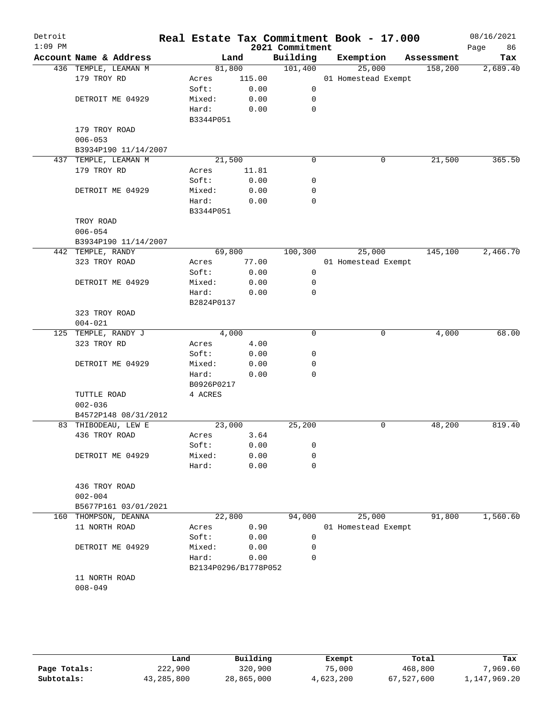| Detroit<br>$1:09$ PM |                              |                      |        | 2021 Commitment | Real Estate Tax Commitment Book - 17.000 |            | 08/16/2021<br>86<br>Page |
|----------------------|------------------------------|----------------------|--------|-----------------|------------------------------------------|------------|--------------------------|
|                      | Account Name & Address       |                      | Land   | Building        | Exemption                                | Assessment | Tax                      |
|                      | 436 TEMPLE, LEAMAN M         | 81,800               |        | 101,400         | 25,000                                   | 158,200    | 2,689.40                 |
|                      | 179 TROY RD                  | Acres                | 115.00 |                 | 01 Homestead Exempt                      |            |                          |
|                      |                              | Soft:                | 0.00   | 0               |                                          |            |                          |
|                      | DETROIT ME 04929             | Mixed:               | 0.00   | 0               |                                          |            |                          |
|                      |                              | Hard:                | 0.00   | $\mathbf 0$     |                                          |            |                          |
|                      |                              | B3344P051            |        |                 |                                          |            |                          |
|                      | 179 TROY ROAD                |                      |        |                 |                                          |            |                          |
|                      | $006 - 053$                  |                      |        |                 |                                          |            |                          |
|                      | B3934P190 11/14/2007         |                      |        |                 |                                          |            |                          |
|                      | 437 TEMPLE, LEAMAN M         | 21,500               |        | $\mathbf 0$     | 0                                        | 21,500     | 365.50                   |
|                      | 179 TROY RD                  | Acres                | 11.81  |                 |                                          |            |                          |
|                      |                              | Soft:                | 0.00   | 0               |                                          |            |                          |
|                      | DETROIT ME 04929             | Mixed:               | 0.00   | 0               |                                          |            |                          |
|                      |                              | Hard:                | 0.00   | 0               |                                          |            |                          |
|                      |                              | B3344P051            |        |                 |                                          |            |                          |
|                      | TROY ROAD                    |                      |        |                 |                                          |            |                          |
|                      | $006 - 054$                  |                      |        |                 |                                          |            |                          |
|                      | B3934P190 11/14/2007         |                      |        |                 |                                          |            |                          |
|                      | 442 TEMPLE, RANDY            | 69,800               |        | 100,300         | 25,000                                   | 145,100    | 2,466.70                 |
|                      | 323 TROY ROAD                | Acres                | 77.00  |                 | 01 Homestead Exempt                      |            |                          |
|                      |                              | Soft:                | 0.00   | 0               |                                          |            |                          |
|                      | DETROIT ME 04929             | Mixed:               | 0.00   | 0               |                                          |            |                          |
|                      |                              | Hard:                | 0.00   | $\mathbf 0$     |                                          |            |                          |
|                      |                              | B2824P0137           |        |                 |                                          |            |                          |
|                      | 323 TROY ROAD<br>$004 - 021$ |                      |        |                 |                                          |            |                          |
|                      | 125 TEMPLE, RANDY J          | 4,000                |        | 0               | 0                                        | 4,000      | 68.00                    |
|                      | 323 TROY RD                  | Acres                | 4.00   |                 |                                          |            |                          |
|                      |                              | Soft:                | 0.00   | 0               |                                          |            |                          |
|                      | DETROIT ME 04929             | Mixed:               | 0.00   | 0               |                                          |            |                          |
|                      |                              | Hard:                | 0.00   | 0               |                                          |            |                          |
|                      |                              | B0926P0217           |        |                 |                                          |            |                          |
|                      | TUTTLE ROAD                  | 4 ACRES              |        |                 |                                          |            |                          |
|                      | $002 - 036$                  |                      |        |                 |                                          |            |                          |
|                      | B4572P148 08/31/2012         |                      |        |                 |                                          |            |                          |
|                      | 83 THIBODEAU, LEW E          | 23,000               |        | 25,200          | 0                                        | 48,200     | 819.40                   |
|                      | 436 TROY ROAD                | Acres                | 3.64   |                 |                                          |            |                          |
|                      |                              | Soft:                | 0.00   | 0               |                                          |            |                          |
|                      | DETROIT ME 04929             | Mixed:               | 0.00   | 0               |                                          |            |                          |
|                      |                              | Hard:                | 0.00   | $\mathbf 0$     |                                          |            |                          |
|                      |                              |                      |        |                 |                                          |            |                          |
|                      | 436 TROY ROAD                |                      |        |                 |                                          |            |                          |
|                      | $002 - 004$                  |                      |        |                 |                                          |            |                          |
|                      | B5677P161 03/01/2021         |                      |        |                 |                                          |            |                          |
|                      | 160 THOMPSON, DEANNA         | 22,800               |        | 94,000          | 25,000                                   | 91,800     | 1,560.60                 |
|                      | 11 NORTH ROAD                | Acres                | 0.90   |                 | 01 Homestead Exempt                      |            |                          |
|                      |                              | Soft:                | 0.00   | 0               |                                          |            |                          |
|                      | DETROIT ME 04929             | Mixed:               | 0.00   | 0               |                                          |            |                          |
|                      |                              | Hard:                | 0.00   | 0               |                                          |            |                          |
|                      |                              | B2134P0296/B1778P052 |        |                 |                                          |            |                          |
|                      | 11 NORTH ROAD                |                      |        |                 |                                          |            |                          |
|                      | $008 - 049$                  |                      |        |                 |                                          |            |                          |
|                      |                              |                      |        |                 |                                          |            |                          |

|              | Land       | Building   | Exempt    | Total      | Tax          |
|--------------|------------|------------|-----------|------------|--------------|
| Page Totals: | 222,900    | 320,900    | 75,000    | 468,800    | ,969.60      |
| Subtotals:   | 43,285,800 | 28,865,000 | 4,623,200 | 67,527,600 | 1,147,969.20 |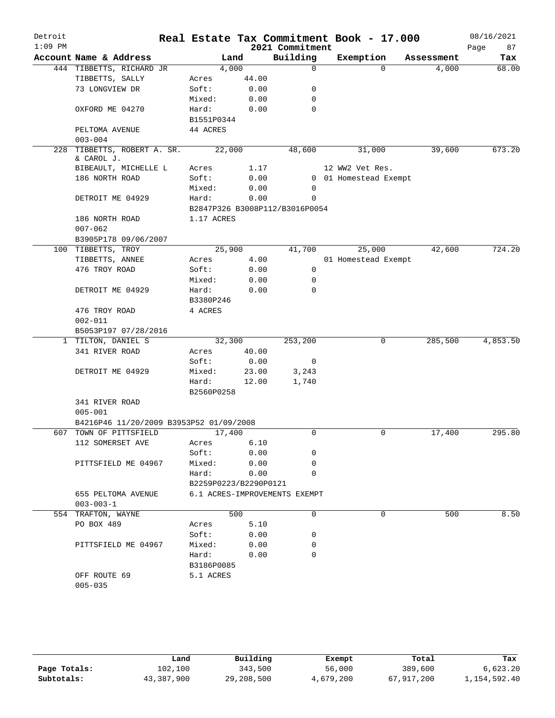| Detroit   |                                         |                       |       |                                | Real Estate Tax Commitment Book - 17.000 |            | 08/16/2021 |
|-----------|-----------------------------------------|-----------------------|-------|--------------------------------|------------------------------------------|------------|------------|
| $1:09$ PM |                                         |                       |       | 2021 Commitment                |                                          |            | 87<br>Page |
|           | Account Name & Address                  |                       | Land  | Building                       | Exemption                                | Assessment | Tax        |
|           | 444 TIBBETTS, RICHARD JR                | 4,000                 |       | $\mathbf 0$                    | $\Omega$                                 | 4,000      | 68.00      |
|           | TIBBETTS, SALLY                         | Acres                 | 44.00 |                                |                                          |            |            |
|           | 73 LONGVIEW DR                          | Soft:                 | 0.00  | 0                              |                                          |            |            |
|           |                                         | Mixed:                | 0.00  | 0                              |                                          |            |            |
|           | OXFORD ME 04270                         | Hard:                 | 0.00  | 0                              |                                          |            |            |
|           |                                         | B1551P0344            |       |                                |                                          |            |            |
|           | PELTOMA AVENUE                          | 44 ACRES              |       |                                |                                          |            |            |
|           | $003 - 004$                             |                       |       |                                |                                          |            |            |
| 228       | TIBBETTS, ROBERT A. SR.<br>& CAROL J.   | 22,000                |       | 48,600                         | 31,000                                   | 39,600     | 673.20     |
|           | BIBEAULT, MICHELLE L                    | Acres                 | 1.17  |                                | 12 WW2 Vet Res.                          |            |            |
|           | 186 NORTH ROAD                          | Soft:                 | 0.00  |                                | 0 01 Homestead Exempt                    |            |            |
|           |                                         | Mixed:                | 0.00  | 0                              |                                          |            |            |
|           | DETROIT ME 04929                        | Hard:                 | 0.00  | 0                              |                                          |            |            |
|           |                                         |                       |       | B2847P326 B3008P112/B3016P0054 |                                          |            |            |
|           | 186 NORTH ROAD                          | 1.17 ACRES            |       |                                |                                          |            |            |
|           | $007 - 062$                             |                       |       |                                |                                          |            |            |
|           | B3905P178 09/06/2007                    |                       |       |                                |                                          |            |            |
|           | 100 TIBBETTS, TROY                      | 25,900                |       | 41,700                         | 25,000                                   | 42,600     | 724.20     |
|           | TIBBETTS, ANNEE                         | Acres                 | 4.00  |                                | 01 Homestead Exempt                      |            |            |
|           | 476 TROY ROAD                           | Soft:                 | 0.00  | 0                              |                                          |            |            |
|           |                                         | Mixed:                | 0.00  | 0                              |                                          |            |            |
|           | DETROIT ME 04929                        | Hard:                 | 0.00  | 0                              |                                          |            |            |
|           |                                         | B3380P246             |       |                                |                                          |            |            |
|           | 476 TROY ROAD                           | 4 ACRES               |       |                                |                                          |            |            |
|           | $002 - 011$                             |                       |       |                                |                                          |            |            |
|           | B5053P197 07/28/2016                    |                       |       |                                |                                          |            |            |
|           | 1 TILTON, DANIEL S                      | 32,300                |       | 253,200                        | 0                                        | 285,500    | 4,853.50   |
|           | 341 RIVER ROAD                          | Acres                 | 40.00 |                                |                                          |            |            |
|           |                                         | Soft:                 | 0.00  | 0                              |                                          |            |            |
|           | DETROIT ME 04929                        | Mixed:                | 23.00 | 3,243                          |                                          |            |            |
|           |                                         | Hard:                 | 12.00 | 1,740                          |                                          |            |            |
|           |                                         | B2560P0258            |       |                                |                                          |            |            |
|           | 341 RIVER ROAD                          |                       |       |                                |                                          |            |            |
|           | $005 - 001$                             |                       |       |                                |                                          |            |            |
|           | B4216P46 11/20/2009 B3953P52 01/09/2008 |                       |       |                                |                                          |            |            |
| 607       | TOWN OF PITTSFIELD                      | 17,400                |       | 0                              | 0                                        | 17,400     | 295.80     |
|           | 112 SOMERSET AVE                        | Acres                 | 6.10  |                                |                                          |            |            |
|           |                                         | Soft:                 | 0.00  | 0                              |                                          |            |            |
|           | PITTSFIELD ME 04967                     | Mixed:                | 0.00  | 0                              |                                          |            |            |
|           |                                         | Hard:                 | 0.00  | $\Omega$                       |                                          |            |            |
|           |                                         | B2259P0223/B2290P0121 |       |                                |                                          |            |            |
|           | 655 PELTOMA AVENUE                      |                       |       | 6.1 ACRES-IMPROVEMENTS EXEMPT  |                                          |            |            |
|           | $003 - 003 - 1$                         |                       |       |                                |                                          |            |            |
|           | 554 TRAFTON, WAYNE                      |                       | 500   | $\mathbf 0$                    | $\Omega$                                 | 500        | 8.50       |
|           | PO BOX 489                              | Acres                 | 5.10  |                                |                                          |            |            |
|           |                                         | Soft:                 | 0.00  | 0                              |                                          |            |            |
|           | PITTSFIELD ME 04967                     | Mixed:                | 0.00  | 0                              |                                          |            |            |
|           |                                         | Hard:                 | 0.00  | $\Omega$                       |                                          |            |            |
|           |                                         | B3186P0085            |       |                                |                                          |            |            |
|           | OFF ROUTE 69                            | 5.1 ACRES             |       |                                |                                          |            |            |
|           | $005 - 035$                             |                       |       |                                |                                          |            |            |
|           |                                         |                       |       |                                |                                          |            |            |

|              | Land       | Building   | Exempt    | Total      | Tax          |
|--------------|------------|------------|-----------|------------|--------------|
| Page Totals: | 102,100    | 343,500    | 56,000    | 389,600    | 6.623.20     |
| Subtotals:   | 43,387,900 | 29,208,500 | 4,679,200 | 67,917,200 | 1,154,592.40 |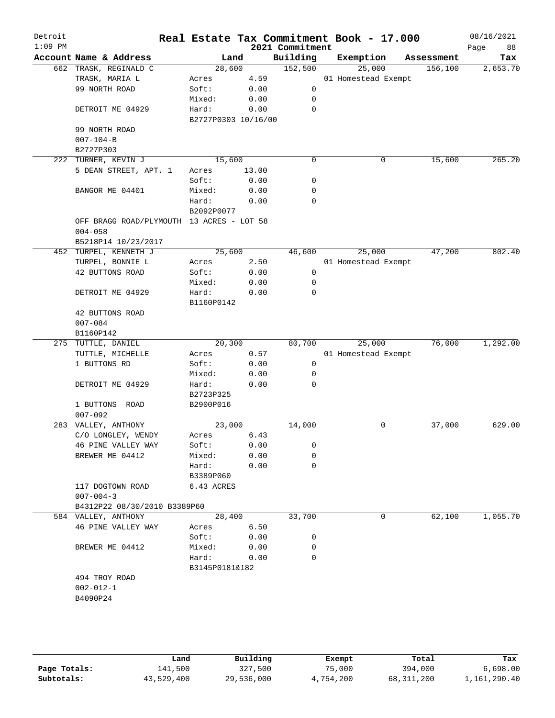| Detroit<br>$1:09$ PM |                                           |                     |              | 2021 Commitment | Real Estate Tax Commitment Book - 17.000 |            | 08/16/2021<br>88<br>Page |
|----------------------|-------------------------------------------|---------------------|--------------|-----------------|------------------------------------------|------------|--------------------------|
|                      | Account Name & Address                    | Land                |              | Building        | Exemption                                | Assessment | Tax                      |
|                      | 662 TRASK, REGINALD C                     | 28,600              |              | 152,500         | 25,000                                   | 156, 100   | 2,653.70                 |
|                      | TRASK, MARIA L                            | Acres               | 4.59         |                 | 01 Homestead Exempt                      |            |                          |
|                      | 99 NORTH ROAD                             | Soft:               | 0.00         | 0               |                                          |            |                          |
|                      |                                           | Mixed:              | 0.00         | 0               |                                          |            |                          |
|                      | DETROIT ME 04929                          | Hard:               | 0.00         | 0               |                                          |            |                          |
|                      |                                           | B2727P0303 10/16/00 |              |                 |                                          |            |                          |
|                      | 99 NORTH ROAD                             |                     |              |                 |                                          |            |                          |
|                      | $007 - 104 - B$                           |                     |              |                 |                                          |            |                          |
|                      | B2727P303                                 |                     |              |                 |                                          |            |                          |
|                      | 222 TURNER, KEVIN J                       | 15,600              |              | $\mathbf 0$     | 0                                        | 15,600     | 265.20                   |
|                      | 5 DEAN STREET, APT. 1                     | Acres<br>Soft:      | 13.00        | 0               |                                          |            |                          |
|                      |                                           |                     | 0.00         | 0               |                                          |            |                          |
|                      | BANGOR ME 04401                           | Mixed:<br>Hard:     | 0.00<br>0.00 | 0               |                                          |            |                          |
|                      |                                           | B2092P0077          |              |                 |                                          |            |                          |
|                      | OFF BRAGG ROAD/PLYMOUTH 13 ACRES - LOT 58 |                     |              |                 |                                          |            |                          |
|                      | $004 - 058$                               |                     |              |                 |                                          |            |                          |
|                      | B5218P14 10/23/2017                       |                     |              |                 |                                          |            |                          |
|                      | 452 TURPEL, KENNETH J                     | 25,600              |              | 46,600          | 25,000                                   | 47,200     | 802.40                   |
|                      | TURPEL, BONNIE L                          | Acres               | 2.50         |                 | 01 Homestead Exempt                      |            |                          |
|                      | 42 BUTTONS ROAD                           | Soft:               | 0.00         | 0               |                                          |            |                          |
|                      |                                           | Mixed:              | 0.00         | 0               |                                          |            |                          |
|                      | DETROIT ME 04929                          | Hard:               | 0.00         | $\mathbf 0$     |                                          |            |                          |
|                      |                                           | B1160P0142          |              |                 |                                          |            |                          |
|                      | 42 BUTTONS ROAD                           |                     |              |                 |                                          |            |                          |
|                      | $007 - 084$                               |                     |              |                 |                                          |            |                          |
|                      | B1160P142                                 |                     |              |                 |                                          |            |                          |
|                      | 275 TUTTLE, DANIEL                        | 20,300              |              | 80,700          | 25,000                                   | 76,000     | 1,292.00                 |
|                      | TUTTLE, MICHELLE                          | Acres               | 0.57         |                 | 01 Homestead Exempt                      |            |                          |
|                      | 1 BUTTONS RD                              | Soft:               | 0.00         | 0               |                                          |            |                          |
|                      |                                           | Mixed:              | 0.00         | 0               |                                          |            |                          |
|                      | DETROIT ME 04929                          | Hard:               | 0.00         | 0               |                                          |            |                          |
|                      |                                           | B2723P325           |              |                 |                                          |            |                          |
|                      | 1 BUTTONS ROAD                            | B2900P016           |              |                 |                                          |            |                          |
|                      | $007 - 092$                               |                     |              |                 |                                          |            |                          |
|                      | 283 VALLEY, ANTHONY                       | 23,000              |              | 14,000          | 0                                        | 37,000     | 629.00                   |
|                      | C/O LONGLEY, WENDY                        | Acres               | 6.43         |                 |                                          |            |                          |
|                      | 46 PINE VALLEY WAY<br>BREWER ME 04412     | Soft:<br>Mixed:     | 0.00         | 0<br>0          |                                          |            |                          |
|                      |                                           | Hard:               | 0.00<br>0.00 | $\mathbf 0$     |                                          |            |                          |
|                      |                                           | B3389P060           |              |                 |                                          |            |                          |
|                      | 117 DOGTOWN ROAD                          | 6.43 ACRES          |              |                 |                                          |            |                          |
|                      | $007 - 004 - 3$                           |                     |              |                 |                                          |            |                          |
|                      | B4312P22 08/30/2010 B3389P60              |                     |              |                 |                                          |            |                          |
|                      | 584 VALLEY, ANTHONY                       | 28,400              |              | 33,700          | 0                                        | 62,100     | 1,055.70                 |
|                      | 46 PINE VALLEY WAY                        | Acres               | 6.50         |                 |                                          |            |                          |
|                      |                                           | Soft:               | 0.00         | 0               |                                          |            |                          |
|                      | BREWER ME 04412                           | Mixed:              | 0.00         | 0               |                                          |            |                          |
|                      |                                           | Hard:               | 0.00         | 0               |                                          |            |                          |
|                      |                                           | B3145P0181&182      |              |                 |                                          |            |                          |
|                      | 494 TROY ROAD                             |                     |              |                 |                                          |            |                          |
|                      | $002 - 012 - 1$                           |                     |              |                 |                                          |            |                          |
|                      | B4090P24                                  |                     |              |                 |                                          |            |                          |
|                      |                                           |                     |              |                 |                                          |            |                          |
|                      |                                           |                     |              |                 |                                          |            |                          |
|                      |                                           |                     |              |                 |                                          |            |                          |
|                      |                                           |                     |              |                 |                                          |            |                          |

|              | Land       | Building   | Exempt    | Total      | Tax          |
|--------------|------------|------------|-----------|------------|--------------|
| Page Totals: | 141,500    | 327,500    | 75,000    | 394,000    | 6.698.00     |
| Subtotals:   | 43,529,400 | 29,536,000 | 4,754,200 | 68,311,200 | 1,161,290.40 |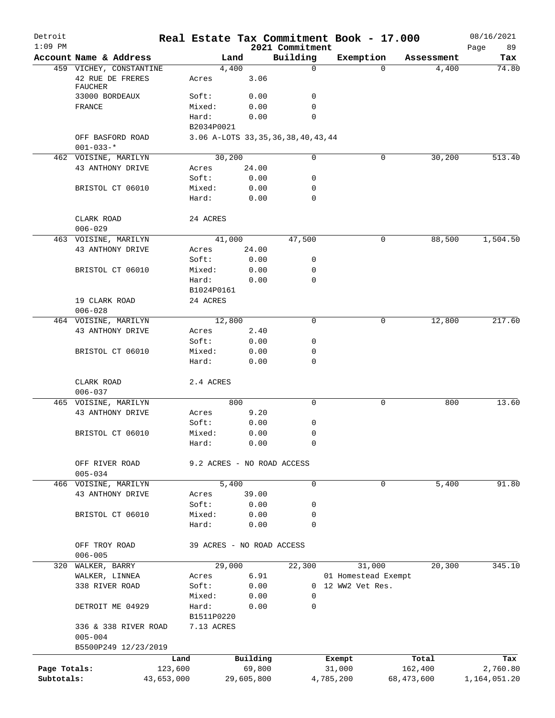| Detroit<br>$1:09$ PM |                                     |            |                                        |            | 2021 Commitment | Real Estate Tax Commitment Book - 17.000 |            |            | 08/16/2021<br>89<br>Page |
|----------------------|-------------------------------------|------------|----------------------------------------|------------|-----------------|------------------------------------------|------------|------------|--------------------------|
|                      | Account Name & Address              |            | Land                                   |            | Building        | Exemption                                |            | Assessment | Tax                      |
|                      | 459 VICHEY, CONSTANTINE             |            | 4,400                                  |            | $\mathbf 0$     |                                          | $\Omega$   | 4,400      | 74.80                    |
|                      | 42 RUE DE FRERES<br><b>FAUCHER</b>  |            | Acres                                  | 3.06       |                 |                                          |            |            |                          |
|                      | 33000 BORDEAUX                      |            | Soft:                                  | 0.00       | 0               |                                          |            |            |                          |
|                      | FRANCE                              |            | Mixed:                                 | 0.00       | 0               |                                          |            |            |                          |
|                      |                                     |            | Hard:                                  | 0.00       | 0               |                                          |            |            |                          |
|                      |                                     |            | B2034P0021                             |            |                 |                                          |            |            |                          |
|                      | OFF BASFORD ROAD<br>$001 - 033 -$ * |            | 3.06 A-LOTS 33, 35, 36, 38, 40, 43, 44 |            |                 |                                          |            |            |                          |
|                      | 462 VOISINE, MARILYN                |            | 30,200                                 |            | 0               |                                          | 0          | 30,200     | 513.40                   |
|                      | 43 ANTHONY DRIVE                    |            | Acres                                  | 24.00      |                 |                                          |            |            |                          |
|                      |                                     |            | Soft:                                  | 0.00       | 0               |                                          |            |            |                          |
|                      | BRISTOL CT 06010                    |            | Mixed:                                 | 0.00       | 0               |                                          |            |            |                          |
|                      |                                     |            | Hard:                                  | 0.00       | 0               |                                          |            |            |                          |
|                      | CLARK ROAD<br>$006 - 029$           |            | 24 ACRES                               |            |                 |                                          |            |            |                          |
|                      | 463 VOISINE, MARILYN                |            | 41,000                                 |            | 47,500          |                                          | 0          | 88,500     | 1,504.50                 |
|                      | 43 ANTHONY DRIVE                    |            | Acres                                  | 24.00      |                 |                                          |            |            |                          |
|                      |                                     |            | Soft:                                  | 0.00       | 0               |                                          |            |            |                          |
|                      | BRISTOL CT 06010                    |            | Mixed:                                 | 0.00       | 0               |                                          |            |            |                          |
|                      |                                     |            | Hard:                                  | 0.00       | 0               |                                          |            |            |                          |
|                      |                                     |            | B1024P0161                             |            |                 |                                          |            |            |                          |
|                      | 19 CLARK ROAD                       |            | 24 ACRES                               |            |                 |                                          |            |            |                          |
|                      | $006 - 028$                         |            |                                        |            |                 |                                          |            |            |                          |
|                      | 464 VOISINE, MARILYN                |            | 12,800                                 |            | $\mathbf 0$     |                                          | 0          | 12,800     | 217.60                   |
|                      | 43 ANTHONY DRIVE                    |            | Acres                                  | 2.40       |                 |                                          |            |            |                          |
|                      |                                     |            | Soft:                                  | 0.00       | 0               |                                          |            |            |                          |
|                      | BRISTOL CT 06010                    |            | Mixed:                                 | 0.00       | 0               |                                          |            |            |                          |
|                      |                                     |            | Hard:                                  | 0.00       | 0               |                                          |            |            |                          |
|                      | CLARK ROAD                          |            | 2.4 ACRES                              |            |                 |                                          |            |            |                          |
|                      | $006 - 037$                         |            |                                        |            |                 |                                          |            |            |                          |
|                      | 465 VOISINE, MARILYN                |            |                                        | 800        | $\mathbf 0$     |                                          | 0          | 800        | 13.60                    |
|                      | 43 ANTHONY DRIVE                    |            | Acres                                  | 9.20       |                 |                                          |            |            |                          |
|                      |                                     |            | Soft:                                  | 0.00       | 0               |                                          |            |            |                          |
|                      | BRISTOL CT 06010                    |            | Mixed:                                 | 0.00       | 0               |                                          |            |            |                          |
|                      |                                     |            | Hard:                                  | 0.00       | 0               |                                          |            |            |                          |
|                      | OFF RIVER ROAD                      |            | 9.2 ACRES - NO ROAD ACCESS             |            |                 |                                          |            |            |                          |
|                      | $005 - 034$                         |            |                                        |            |                 |                                          |            |            |                          |
|                      | 466 VOISINE, MARILYN                |            | 5,400                                  |            | 0               |                                          | 0          | 5,400      | 91.80                    |
|                      | 43 ANTHONY DRIVE                    |            | Acres                                  | 39.00      |                 |                                          |            |            |                          |
|                      |                                     |            | Soft:                                  | 0.00       | 0               |                                          |            |            |                          |
|                      | BRISTOL CT 06010                    |            | Mixed:                                 | 0.00       | 0               |                                          |            |            |                          |
|                      |                                     |            | Hard:                                  | 0.00       | 0               |                                          |            |            |                          |
|                      | OFF TROY ROAD                       |            | 39 ACRES - NO ROAD ACCESS              |            |                 |                                          |            |            |                          |
|                      | $006 - 005$                         |            |                                        |            |                 |                                          |            |            |                          |
|                      | 320 WALKER, BARRY                   |            | 29,000                                 |            | 22,300          | 31,000                                   |            | 20,300     | 345.10                   |
|                      | WALKER, LINNEA                      |            | Acres                                  | 6.91       |                 | 01 Homestead Exempt                      |            |            |                          |
|                      | 338 RIVER ROAD                      |            | Soft:                                  | 0.00       |                 | 0 12 WW2 Vet Res.                        |            |            |                          |
|                      |                                     |            | Mixed:                                 | 0.00       | 0               |                                          |            |            |                          |
|                      | DETROIT ME 04929                    |            | Hard:                                  | 0.00       | 0               |                                          |            |            |                          |
|                      |                                     |            | B1511P0220                             |            |                 |                                          |            |            |                          |
|                      | 336 & 338 RIVER ROAD                |            | 7.13 ACRES                             |            |                 |                                          |            |            |                          |
|                      | $005 - 004$                         |            |                                        |            |                 |                                          |            |            |                          |
|                      | B5500P249 12/23/2019                |            |                                        |            |                 |                                          |            |            |                          |
|                      |                                     | Land       |                                        | Building   |                 | Exempt                                   |            | Total      | Tax                      |
| Page Totals:         |                                     | 123,600    |                                        | 69,800     |                 | 31,000                                   |            | 162,400    | 2,760.80                 |
| Subtotals:           |                                     | 43,653,000 |                                        | 29,605,800 |                 | 4,785,200                                | 68,473,600 |            | 1,164,051.20             |
|                      |                                     |            |                                        |            |                 |                                          |            |            |                          |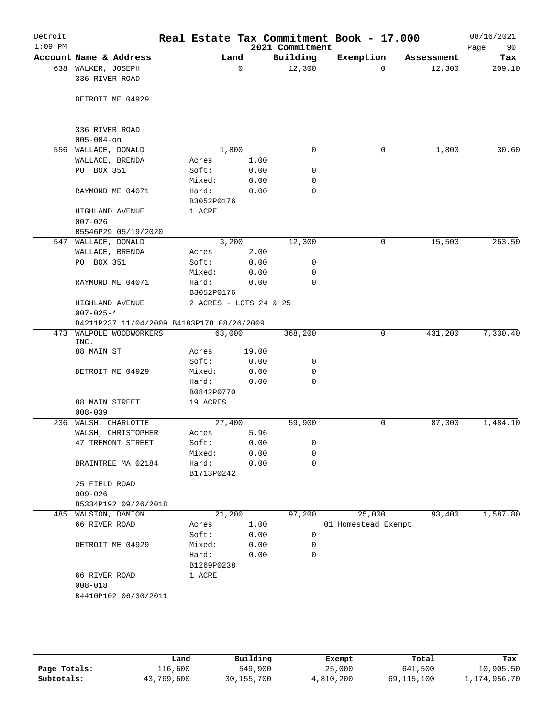| Detroit<br>$1:09$ PM |                                           |            |            |       | 2021 Commitment | Real Estate Tax Commitment Book - 17.000 |            | 08/16/2021<br>90<br>Page |  |
|----------------------|-------------------------------------------|------------|------------|-------|-----------------|------------------------------------------|------------|--------------------------|--|
|                      | Account Name & Address                    |            |            | Land  | Building        | Exemption                                | Assessment | Tax                      |  |
|                      | 638 WALKER, JOSEPH<br>336 RIVER ROAD      |            |            | 0     | 12,300          | $\Omega$                                 | 12,300     | 209.10                   |  |
|                      | DETROIT ME 04929                          |            |            |       |                 |                                          |            |                          |  |
|                      | 336 RIVER ROAD                            |            |            |       |                 |                                          |            |                          |  |
|                      | $005 - 004 - on$                          |            |            |       |                 |                                          |            |                          |  |
|                      | 556 WALLACE, DONALD                       |            | 1,800      |       | $\mathbf 0$     | 0                                        | 1,800      | 30.60                    |  |
|                      | WALLACE, BRENDA                           |            | Acres      | 1.00  |                 |                                          |            |                          |  |
|                      | PO BOX 351                                |            | Soft:      | 0.00  | 0               |                                          |            |                          |  |
|                      |                                           |            | Mixed:     | 0.00  | 0               |                                          |            |                          |  |
|                      | RAYMOND ME 04071                          |            | Hard:      | 0.00  | 0               |                                          |            |                          |  |
|                      |                                           |            | B3052P0176 |       |                 |                                          |            |                          |  |
|                      | HIGHLAND AVENUE<br>$007 - 026$            |            | 1 ACRE     |       |                 |                                          |            |                          |  |
|                      | B5546P29 05/19/2020                       |            |            |       |                 |                                          |            |                          |  |
|                      | 547 WALLACE, DONALD                       |            |            | 3,200 | 12,300          | 0                                        | 15,500     | 263.50                   |  |
|                      | WALLACE, BRENDA                           |            | Acres      | 2.00  |                 |                                          |            |                          |  |
|                      | PO BOX 351                                |            | Soft:      | 0.00  | 0               |                                          |            |                          |  |
|                      |                                           |            | Mixed:     | 0.00  | 0               |                                          |            |                          |  |
|                      | RAYMOND ME 04071                          |            | Hard:      | 0.00  | $\mathbf 0$     |                                          |            |                          |  |
|                      |                                           | B3052P0176 |            |       |                 |                                          |            |                          |  |
|                      | 2 ACRES - LOTS 24 & 25<br>HIGHLAND AVENUE |            |            |       |                 |                                          |            |                          |  |
|                      | $007 - 025 -$ *                           |            |            |       |                 |                                          |            |                          |  |
|                      | B4211P237 11/04/2009 B4183P178 08/26/2009 |            |            |       |                 |                                          |            |                          |  |
|                      | 473 WALPOLE WOODWORKERS<br>INC.           |            | 63,000     |       | 368,200         | 0                                        | 431,200    | 7,330.40                 |  |
|                      | 88 MAIN ST                                |            | Acres      | 19.00 |                 |                                          |            |                          |  |
|                      |                                           |            | Soft:      | 0.00  | 0               |                                          |            |                          |  |
|                      | DETROIT ME 04929                          |            | Mixed:     | 0.00  | 0               |                                          |            |                          |  |
|                      |                                           |            | Hard:      | 0.00  | 0               |                                          |            |                          |  |
|                      |                                           |            | B0842P0770 |       |                 |                                          |            |                          |  |
|                      | 88 MAIN STREET<br>$008 - 039$             |            | 19 ACRES   |       |                 |                                          |            |                          |  |
|                      | 236 WALSH, CHARLOTTE                      |            | 27,400     |       | 59,900          | 0                                        | 87,300     | 1,484.10                 |  |
|                      | WALSH, CHRISTOPHER                        |            | Acres      | 5.96  |                 |                                          |            |                          |  |
|                      | 47 TREMONT STREET                         |            | Soft:      | 0.00  | 0               |                                          |            |                          |  |
|                      |                                           |            | Mixed:     | 0.00  | 0               |                                          |            |                          |  |
|                      | BRAINTREE MA 02184                        |            | Hard:      | 0.00  | $\mathbf 0$     |                                          |            |                          |  |
|                      |                                           |            | B1713P0242 |       |                 |                                          |            |                          |  |
|                      | 25 FIELD ROAD                             |            |            |       |                 |                                          |            |                          |  |
|                      | $009 - 026$                               |            |            |       |                 |                                          |            |                          |  |
|                      | B5334P192 09/26/2018                      |            |            |       |                 |                                          |            |                          |  |
| 485                  | WALSTON, DAMION                           |            | 21,200     |       | 97,200          | 25,000                                   | 93,400     | 1,587.80                 |  |
|                      | 66 RIVER ROAD                             |            | Acres      | 1.00  |                 | 01 Homestead Exempt                      |            |                          |  |
|                      |                                           |            | Soft:      | 0.00  | 0               |                                          |            |                          |  |
|                      | DETROIT ME 04929                          |            | Mixed:     | 0.00  | 0               |                                          |            |                          |  |
|                      |                                           |            | Hard:      | 0.00  | 0               |                                          |            |                          |  |
|                      |                                           |            | B1269P0238 |       |                 |                                          |            |                          |  |
|                      | 66 RIVER ROAD                             |            | 1 ACRE     |       |                 |                                          |            |                          |  |
|                      | $008 - 018$                               |            |            |       |                 |                                          |            |                          |  |
|                      | B4410P102 06/30/2011                      |            |            |       |                 |                                          |            |                          |  |
|                      |                                           |            |            |       |                 |                                          |            |                          |  |
|                      |                                           |            |            |       |                 |                                          |            |                          |  |
|                      |                                           |            |            |       |                 |                                          |            |                          |  |

|              | Land       | Building     | Exempt    | Total      | Tax          |
|--------------|------------|--------------|-----------|------------|--------------|
| Page Totals: | 116,600    | 549,900      | 25,000    | 641,500    | 10,905.50    |
| Subtotals:   | 43,769,600 | 30, 155, 700 | 4,810,200 | 69,115,100 | 1,174,956.70 |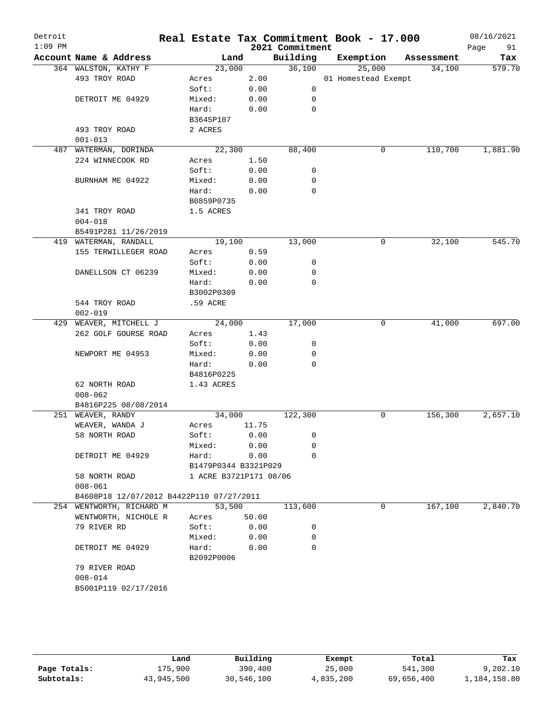| $1:09$ PM |                                          |                        |       | 2021 Commitment | Real Estate Tax Commitment Book - 17.000 |            | 08/16/2021<br>91<br>Page |
|-----------|------------------------------------------|------------------------|-------|-----------------|------------------------------------------|------------|--------------------------|
|           | Account Name & Address                   | Land                   |       | Building        | Exemption                                | Assessment | Tax                      |
|           | 364 WALSTON, KATHY F                     | 23,000                 |       | 36,100          | 25,000                                   | 34,100     | 579.70                   |
|           | 493 TROY ROAD                            | Acres                  | 2.00  |                 | 01 Homestead Exempt                      |            |                          |
|           |                                          | Soft:                  | 0.00  | 0               |                                          |            |                          |
|           | DETROIT ME 04929                         | Mixed:                 | 0.00  | 0               |                                          |            |                          |
|           |                                          | Hard:                  | 0.00  | $\mathbf 0$     |                                          |            |                          |
|           |                                          | B3645P107              |       |                 |                                          |            |                          |
|           | 493 TROY ROAD                            | 2 ACRES                |       |                 |                                          |            |                          |
|           | $001 - 013$                              |                        |       |                 |                                          |            |                          |
| 487       | WATERMAN, DORINDA                        | 22,300                 |       | 88,400          | 0                                        | 110,700    | 1,881.90                 |
|           | 224 WINNECOOK RD                         | Acres                  | 1.50  |                 |                                          |            |                          |
|           |                                          | Soft:                  | 0.00  | 0               |                                          |            |                          |
|           | BURNHAM ME 04922                         | Mixed:                 | 0.00  | 0               |                                          |            |                          |
|           |                                          | Hard:                  | 0.00  | 0               |                                          |            |                          |
|           |                                          | B0859P0735             |       |                 |                                          |            |                          |
|           | 341 TROY ROAD                            | 1.5 ACRES              |       |                 |                                          |            |                          |
|           | $004 - 018$                              |                        |       |                 |                                          |            |                          |
|           | B5491P281 11/26/2019                     |                        |       |                 |                                          |            |                          |
|           | 419 WATERMAN, RANDALL                    | 19,100                 |       | 13,000          | 0                                        | 32,100     | 545.70                   |
|           | 155 TERWILLEGER ROAD                     | Acres                  | 0.59  |                 |                                          |            |                          |
|           |                                          | Soft:                  | 0.00  | 0               |                                          |            |                          |
|           | DANELLSON CT 06239                       | Mixed:                 | 0.00  | 0               |                                          |            |                          |
|           |                                          | Hard:                  | 0.00  | $\mathbf 0$     |                                          |            |                          |
|           |                                          | B3002P0309             |       |                 |                                          |            |                          |
|           | 544 TROY ROAD                            | .59 ACRE               |       |                 |                                          |            |                          |
|           | $002 - 019$                              |                        |       |                 |                                          |            |                          |
| 429       | WEAVER, MITCHELL J                       | 24,000                 |       | 17,000          | 0                                        | 41,000     | 697.00                   |
|           | 262 GOLF GOURSE ROAD                     | Acres                  | 1.43  |                 |                                          |            |                          |
|           |                                          | Soft:                  | 0.00  | 0               |                                          |            |                          |
|           | NEWPORT ME 04953                         | Mixed:                 | 0.00  | 0               |                                          |            |                          |
|           |                                          | Hard:                  | 0.00  | $\mathbf 0$     |                                          |            |                          |
|           |                                          | B4816P0225             |       |                 |                                          |            |                          |
|           | 62 NORTH ROAD                            | 1.43 ACRES             |       |                 |                                          |            |                          |
|           | $008 - 062$                              |                        |       |                 |                                          |            |                          |
|           | B4816P225 08/08/2014                     |                        |       |                 |                                          |            |                          |
|           | 251 WEAVER, RANDY                        | 34,000                 |       | 122,300         | 0                                        | 156,300    | 2,657.10                 |
|           | WEAVER, WANDA J                          | Acres                  | 11.75 |                 |                                          |            |                          |
|           | 58 NORTH ROAD                            | Soft:                  | 0.00  | 0               |                                          |            |                          |
|           |                                          | Mixed:                 | 0.00  | 0               |                                          |            |                          |
|           | DETROIT ME 04929                         | Hard:                  | 0.00  | 0               |                                          |            |                          |
|           |                                          | B1479P0344 B3321P029   |       |                 |                                          |            |                          |
|           | 58 NORTH ROAD                            | 1 ACRE B3721P171 08/06 |       |                 |                                          |            |                          |
|           | $008 - 061$                              |                        |       |                 |                                          |            |                          |
|           | B4608P18 12/07/2012 B4422P110 07/27/2011 |                        |       |                 |                                          |            |                          |
|           | 254 WENTWORTH, RICHARD M                 | 53,500                 |       | 113,600         | 0                                        | 167,100    | 2,840.70                 |
|           | WENTWORTH, NICHOLE R                     | Acres                  | 50.00 |                 |                                          |            |                          |
|           | 79 RIVER RD                              | Soft:                  | 0.00  | 0               |                                          |            |                          |
|           |                                          | Mixed:                 | 0.00  | 0               |                                          |            |                          |
|           | DETROIT ME 04929                         | Hard:                  | 0.00  | 0               |                                          |            |                          |
|           |                                          | B2092P0006             |       |                 |                                          |            |                          |
|           | 79 RIVER ROAD                            |                        |       |                 |                                          |            |                          |
|           | $008 - 014$                              |                        |       |                 |                                          |            |                          |
|           | B5001P119 02/17/2016                     |                        |       |                 |                                          |            |                          |
|           |                                          |                        |       |                 |                                          |            |                          |

|              | Land       | Building   | Exempt    | Total      | Tax          |
|--------------|------------|------------|-----------|------------|--------------|
| Page Totals: | 175,900    | 390,400    | 25,000    | 541,300    | 9,202,10     |
| Subtotals:   | 43,945,500 | 30,546,100 | 4,835,200 | 69,656,400 | 1,184,158.80 |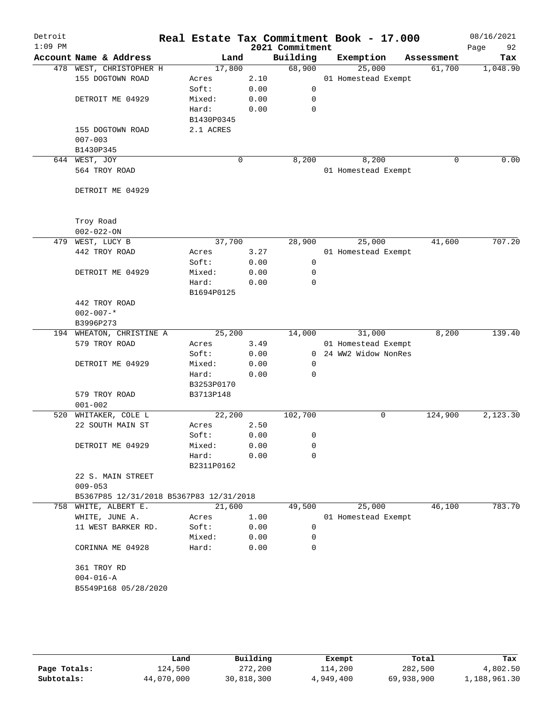| Detroit<br>$1:09$ PM |                                         |            |             |      | 2021 Commitment | Real Estate Tax Commitment Book - 17.000 |             | 08/16/2021<br>92 |
|----------------------|-----------------------------------------|------------|-------------|------|-----------------|------------------------------------------|-------------|------------------|
|                      | Account Name & Address                  | Land       |             |      | Building        | Exemption                                | Assessment  | Page<br>Tax      |
|                      | 478 WEST, CHRISTOPHER H                 | 17,800     |             |      | 68,900          | 25,000                                   | 61,700      | 1,048.90         |
|                      | 155 DOGTOWN ROAD                        | Acres      |             | 2.10 |                 | 01 Homestead Exempt                      |             |                  |
|                      |                                         | Soft:      |             | 0.00 | $\mathbf 0$     |                                          |             |                  |
|                      | DETROIT ME 04929                        | Mixed:     |             | 0.00 | 0               |                                          |             |                  |
|                      |                                         | Hard:      |             | 0.00 | 0               |                                          |             |                  |
|                      |                                         |            |             |      |                 |                                          |             |                  |
|                      |                                         | B1430P0345 |             |      |                 |                                          |             |                  |
|                      | 155 DOGTOWN ROAD                        | 2.1 ACRES  |             |      |                 |                                          |             |                  |
|                      | $007 - 003$                             |            |             |      |                 |                                          |             |                  |
|                      | B1430P345                               |            |             |      |                 |                                          |             |                  |
|                      | 644 WEST, JOY                           |            | $\mathbf 0$ |      | 8,200           | 8,200                                    | $\mathbf 0$ | 0.00             |
|                      | 564 TROY ROAD                           |            |             |      |                 | 01 Homestead Exempt                      |             |                  |
|                      |                                         |            |             |      |                 |                                          |             |                  |
|                      | DETROIT ME 04929                        |            |             |      |                 |                                          |             |                  |
|                      |                                         |            |             |      |                 |                                          |             |                  |
|                      |                                         |            |             |      |                 |                                          |             |                  |
|                      | Troy Road                               |            |             |      |                 |                                          |             |                  |
|                      | $002 - 022 - ON$                        |            |             |      |                 |                                          |             |                  |
| 479                  | WEST, LUCY B                            | 37,700     |             |      | 28,900          | 25,000                                   | 41,600      | 707.20           |
|                      | 442 TROY ROAD                           | Acres      |             | 3.27 |                 | 01 Homestead Exempt                      |             |                  |
|                      |                                         | Soft:      |             | 0.00 | $\mathbf 0$     |                                          |             |                  |
|                      | DETROIT ME 04929                        | Mixed:     |             | 0.00 | 0               |                                          |             |                  |
|                      |                                         | Hard:      |             | 0.00 | $\mathbf 0$     |                                          |             |                  |
|                      |                                         | B1694P0125 |             |      |                 |                                          |             |                  |
|                      | 442 TROY ROAD                           |            |             |      |                 |                                          |             |                  |
|                      | $002 - 007 -$ *                         |            |             |      |                 |                                          |             |                  |
|                      | B3996P273                               |            |             |      |                 |                                          |             |                  |
|                      | 194 WHEATON, CHRISTINE A                | 25,200     |             |      | 14,000          | 31,000                                   | 8,200       | 139.40           |
|                      | 579 TROY ROAD                           | Acres      |             | 3.49 |                 | 01 Homestead Exempt                      |             |                  |
|                      |                                         | Soft:      |             | 0.00 |                 | 0 24 WW2 Widow NonRes                    |             |                  |
|                      | DETROIT ME 04929                        | Mixed:     |             | 0.00 | 0               |                                          |             |                  |
|                      |                                         | Hard:      |             | 0.00 | 0               |                                          |             |                  |
|                      |                                         | B3253P0170 |             |      |                 |                                          |             |                  |
|                      | 579 TROY ROAD                           | B3713P148  |             |      |                 |                                          |             |                  |
|                      | $001 - 002$                             |            |             |      |                 |                                          |             |                  |
| 520                  | WHITAKER, COLE L                        | 22,200     |             |      | 102,700         | 0                                        | 124,900     | 2,123.30         |
|                      | 22 SOUTH MAIN ST                        | Acres      |             | 2.50 |                 |                                          |             |                  |
|                      |                                         | Soft:      |             | 0.00 | 0               |                                          |             |                  |
|                      | DETROIT ME 04929                        | Mixed:     |             | 0.00 | 0               |                                          |             |                  |
|                      |                                         | Hard:      |             | 0.00 | 0               |                                          |             |                  |
|                      |                                         | B2311P0162 |             |      |                 |                                          |             |                  |
|                      |                                         |            |             |      |                 |                                          |             |                  |
|                      | 22 S. MAIN STREET                       |            |             |      |                 |                                          |             |                  |
|                      | $009 - 053$                             |            |             |      |                 |                                          |             |                  |
|                      | B5367P85 12/31/2018 B5367P83 12/31/2018 |            |             |      |                 |                                          |             |                  |
|                      | 758 WHITE, ALBERT E.                    | 21,600     |             |      | 49,500          | 25,000                                   | 46,100      | 783.70           |
|                      | WHITE, JUNE A.                          | Acres      |             | 1.00 |                 | 01 Homestead Exempt                      |             |                  |
|                      | 11 WEST BARKER RD.                      | Soft:      |             | 0.00 | 0               |                                          |             |                  |
|                      |                                         | Mixed:     |             | 0.00 | 0               |                                          |             |                  |
|                      | CORINNA ME 04928                        | Hard:      |             | 0.00 | 0               |                                          |             |                  |
|                      |                                         |            |             |      |                 |                                          |             |                  |
|                      | 361 TROY RD                             |            |             |      |                 |                                          |             |                  |
|                      | $004 - 016 - A$                         |            |             |      |                 |                                          |             |                  |
|                      | B5549P168 05/28/2020                    |            |             |      |                 |                                          |             |                  |
|                      |                                         |            |             |      |                 |                                          |             |                  |
|                      |                                         |            |             |      |                 |                                          |             |                  |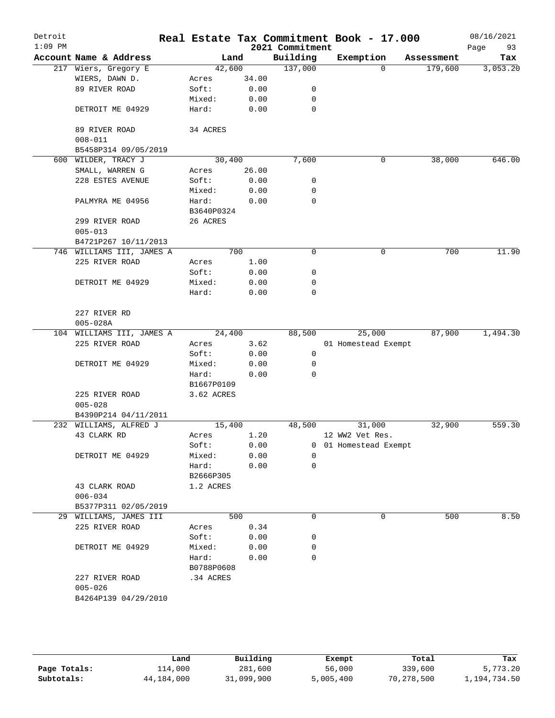| Detroit<br>$1:09$ PM |                               |                 |              | 2021 Commitment | Real Estate Tax Commitment Book - 17.000 |            | 08/16/2021<br>93<br>Page |
|----------------------|-------------------------------|-----------------|--------------|-----------------|------------------------------------------|------------|--------------------------|
|                      | Account Name & Address        | Land            |              | Building        | Exemption                                | Assessment | Tax                      |
|                      | 217 Wiers, Gregory E          | 42,600          |              | 137,000         | $\Omega$                                 | 179,600    | 3,053.20                 |
|                      | WIERS, DAWN D.                | Acres           | 34.00        |                 |                                          |            |                          |
|                      | 89 RIVER ROAD                 | Soft:           | 0.00         | 0               |                                          |            |                          |
|                      |                               | Mixed:          | 0.00         | 0               |                                          |            |                          |
|                      | DETROIT ME 04929              | Hard:           | 0.00         | 0               |                                          |            |                          |
|                      | 89 RIVER ROAD                 | 34 ACRES        |              |                 |                                          |            |                          |
|                      | $008 - 011$                   |                 |              |                 |                                          |            |                          |
|                      | B5458P314 09/05/2019          |                 |              |                 |                                          |            |                          |
|                      | 600 WILDER, TRACY J           | 30,400          |              | 7,600           | 0                                        | 38,000     | 646.00                   |
|                      | SMALL, WARREN G               | Acres           | 26.00        |                 |                                          |            |                          |
|                      | 228 ESTES AVENUE              | Soft:           | 0.00         | 0               |                                          |            |                          |
|                      |                               | Mixed:          | 0.00         | 0               |                                          |            |                          |
|                      | PALMYRA ME 04956              | Hard:           | 0.00         | $\mathbf 0$     |                                          |            |                          |
|                      |                               | B3640P0324      |              |                 |                                          |            |                          |
|                      | 299 RIVER ROAD<br>$005 - 013$ | 26 ACRES        |              |                 |                                          |            |                          |
|                      | B4721P267 10/11/2013          |                 |              |                 |                                          |            |                          |
|                      | 746 WILLIAMS III, JAMES A     |                 | 700          | 0               | 0                                        | 700        | 11.90                    |
|                      | 225 RIVER ROAD                | Acres           | 1.00         |                 |                                          |            |                          |
|                      |                               | Soft:           | 0.00         | 0               |                                          |            |                          |
|                      | DETROIT ME 04929              | Mixed:          | 0.00         | 0               |                                          |            |                          |
|                      |                               | Hard:           | 0.00         | $\mathbf 0$     |                                          |            |                          |
|                      | 227 RIVER RD                  |                 |              |                 |                                          |            |                          |
|                      | $005 - 028A$                  |                 |              |                 |                                          |            |                          |
|                      | 104 WILLIAMS III, JAMES A     | 24,400          |              | 88,500          | 25,000                                   | 87,900     | 1,494.30                 |
|                      | 225 RIVER ROAD                | Acres           | 3.62         |                 | 01 Homestead Exempt                      |            |                          |
|                      |                               | Soft:           | 0.00         | 0               |                                          |            |                          |
|                      | DETROIT ME 04929              | Mixed:          | 0.00         | 0               |                                          |            |                          |
|                      |                               | Hard:           | 0.00         | $\mathbf 0$     |                                          |            |                          |
|                      |                               | B1667P0109      |              |                 |                                          |            |                          |
|                      | 225 RIVER ROAD                | 3.62 ACRES      |              |                 |                                          |            |                          |
|                      | $005 - 028$                   |                 |              |                 |                                          |            |                          |
|                      | B4390P214 04/11/2011          |                 |              |                 |                                          |            |                          |
|                      | 232 WILLIAMS, ALFRED J        | 15,400          |              | 48,500          | 31,000                                   | 32,900     | 559.30                   |
|                      | 43 CLARK RD                   | Acres           | 1.20         |                 | 12 WW2 Vet Res.<br>0 01 Homestead Exempt |            |                          |
|                      | DETROIT ME 04929              | Soft:<br>Mixed: | 0.00<br>0.00 | $\Omega$        |                                          |            |                          |
|                      |                               | Hard:           | 0.00         | $\mathbf 0$     |                                          |            |                          |
|                      |                               | B2666P305       |              |                 |                                          |            |                          |
|                      | 43 CLARK ROAD                 | 1.2 ACRES       |              |                 |                                          |            |                          |
|                      | $006 - 034$                   |                 |              |                 |                                          |            |                          |
|                      | B5377P311 02/05/2019          |                 |              |                 |                                          |            |                          |
|                      | 29 WILLIAMS, JAMES III        |                 | 500          | 0               | 0                                        | 500        | 8.50                     |
|                      | 225 RIVER ROAD                | Acres           | 0.34         |                 |                                          |            |                          |
|                      |                               | Soft:           | 0.00         | 0               |                                          |            |                          |
|                      | DETROIT ME 04929              | Mixed:          | 0.00         | 0               |                                          |            |                          |
|                      |                               | Hard:           | 0.00         | 0               |                                          |            |                          |
|                      |                               | B0788P0608      |              |                 |                                          |            |                          |
|                      | 227 RIVER ROAD                | .34 ACRES       |              |                 |                                          |            |                          |
|                      | $005 - 026$                   |                 |              |                 |                                          |            |                          |
|                      | B4264P139 04/29/2010          |                 |              |                 |                                          |            |                          |
|                      |                               |                 |              |                 |                                          |            |                          |
|                      |                               |                 |              |                 |                                          |            |                          |

|              | Land       | Building   | Exempt    | Total      | Tax          |
|--------------|------------|------------|-----------|------------|--------------|
| Page Totals: | 114,000    | 281,600    | 56,000    | 339,600    | 5,773.20     |
| Subtotals:   | 44,184,000 | 31,099,900 | 5,005,400 | 70,278,500 | 1,194,734.50 |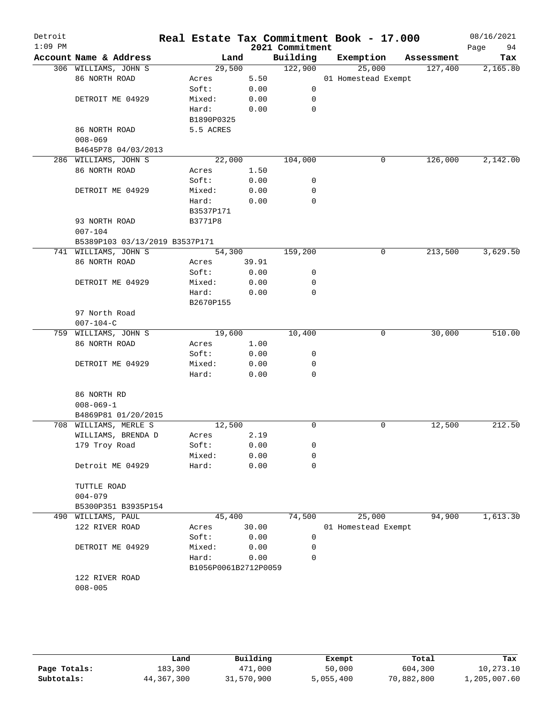| Detroit   |                                    |                      |              |                  | Real Estate Tax Commitment Book - 17.000 |            | 08/16/2021 |
|-----------|------------------------------------|----------------------|--------------|------------------|------------------------------------------|------------|------------|
| $1:09$ PM |                                    |                      |              | 2021 Commitment  |                                          |            | 94<br>Page |
|           | Account Name & Address             |                      | Land         | Building         | Exemption                                | Assessment | Tax        |
|           | 306 WILLIAMS, JOHN S               | 29,500               |              | 122,900          | 25,000                                   | 127,400    | 2,165.80   |
|           | 86 NORTH ROAD                      | Acres                | 5.50         |                  | 01 Homestead Exempt                      |            |            |
|           |                                    | Soft:                | 0.00         | 0                |                                          |            |            |
|           | DETROIT ME 04929                   | Mixed:               | 0.00         | 0                |                                          |            |            |
|           |                                    | Hard:                | 0.00         | $\mathbf 0$      |                                          |            |            |
|           |                                    | B1890P0325           |              |                  |                                          |            |            |
|           | 86 NORTH ROAD                      | 5.5 ACRES            |              |                  |                                          |            |            |
|           | $008 - 069$<br>B4645P78 04/03/2013 |                      |              |                  |                                          |            |            |
|           | 286 WILLIAMS, JOHN S               | 22,000               |              | 104,000          | 0                                        | 126,000    | 2,142.00   |
|           | 86 NORTH ROAD                      | Acres                | 1.50         |                  |                                          |            |            |
|           |                                    | Soft:                | 0.00         | 0                |                                          |            |            |
|           | DETROIT ME 04929                   | Mixed:               | 0.00         | 0                |                                          |            |            |
|           |                                    | Hard:                | 0.00         | 0                |                                          |            |            |
|           |                                    | B3537P171            |              |                  |                                          |            |            |
|           | 93 NORTH ROAD                      | B3771P8              |              |                  |                                          |            |            |
|           | $007 - 104$                        |                      |              |                  |                                          |            |            |
|           | B5389P103 03/13/2019 B3537P171     |                      |              |                  |                                          |            |            |
|           | 741 WILLIAMS, JOHN S               | 54,300               |              | 159,200          | 0                                        | 213,500    | 3,629.50   |
|           | 86 NORTH ROAD                      | Acres                | 39.91        |                  |                                          |            |            |
|           |                                    | Soft:                | 0.00         | 0                |                                          |            |            |
|           | DETROIT ME 04929                   | Mixed:               | 0.00         | 0                |                                          |            |            |
|           |                                    | Hard:                | 0.00         | $\mathbf 0$      |                                          |            |            |
|           |                                    | B2670P155            |              |                  |                                          |            |            |
|           | 97 North Road                      |                      |              |                  |                                          |            |            |
|           | $007 - 104 - C$                    |                      |              |                  |                                          |            |            |
| 759       | WILLIAMS, JOHN S                   | 19,600               |              | 10,400           | 0                                        | 30,000     | 510.00     |
|           | 86 NORTH ROAD                      | Acres                | 1.00         |                  |                                          |            |            |
|           |                                    | Soft:                | 0.00         | 0                |                                          |            |            |
|           | DETROIT ME 04929                   | Mixed:               | 0.00         | 0                |                                          |            |            |
|           |                                    | Hard:                | 0.00         | $\mathbf 0$      |                                          |            |            |
|           |                                    |                      |              |                  |                                          |            |            |
|           | 86 NORTH RD                        |                      |              |                  |                                          |            |            |
|           | $008 - 069 - 1$                    |                      |              |                  |                                          |            |            |
|           | B4869P81 01/20/2015                |                      |              |                  |                                          |            |            |
|           | 708 WILLIAMS, MERLE S              | 12,500               |              | 0                | 0                                        | 12,500     | 212.50     |
|           | WILLIAMS, BRENDA D                 | Acres                | 2.19         |                  |                                          |            |            |
|           | 179 Troy Road                      | Soft:<br>Mixed:      | 0.00<br>0.00 | 0                |                                          |            |            |
|           | Detroit ME 04929                   |                      |              | 0<br>$\mathbf 0$ |                                          |            |            |
|           |                                    | Hard:                | 0.00         |                  |                                          |            |            |
|           | TUTTLE ROAD                        |                      |              |                  |                                          |            |            |
|           | $004 - 079$                        |                      |              |                  |                                          |            |            |
|           | B5300P351 B3935P154                |                      |              |                  |                                          |            |            |
|           | 490 WILLIAMS, PAUL                 | 45,400               |              | 74,500           | 25,000                                   | 94,900     | 1,613.30   |
|           | 122 RIVER ROAD                     | Acres                | 30.00        |                  | 01 Homestead Exempt                      |            |            |
|           |                                    | Soft:                | 0.00         | 0                |                                          |            |            |
|           | DETROIT ME 04929                   | Mixed:               | 0.00         | 0                |                                          |            |            |
|           |                                    | Hard:                | 0.00         | 0                |                                          |            |            |
|           |                                    | B1056P0061B2712P0059 |              |                  |                                          |            |            |
|           | 122 RIVER ROAD                     |                      |              |                  |                                          |            |            |
|           | $008 - 005$                        |                      |              |                  |                                          |            |            |
|           |                                    |                      |              |                  |                                          |            |            |
|           |                                    |                      |              |                  |                                          |            |            |
|           |                                    |                      |              |                  |                                          |            |            |

|              | Land         | Building   | Exempt    | Total      | Tax          |
|--------------|--------------|------------|-----------|------------|--------------|
| Page Totals: | 183,300      | 471,000    | 50,000    | 604,300    | 10,273.10    |
| Subtotals:   | 44, 367, 300 | 31,570,900 | 5,055,400 | 70,882,800 | 1,205,007.60 |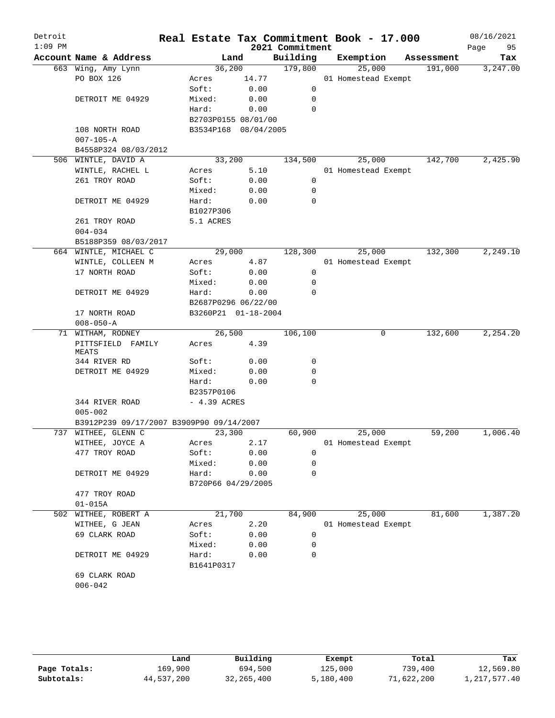| Detroit<br>$1:09$ PM |                                          |                      |       | 2021 Commitment | Real Estate Tax Commitment Book - 17.000 |            | 08/16/2021<br>Page<br>95 |
|----------------------|------------------------------------------|----------------------|-------|-----------------|------------------------------------------|------------|--------------------------|
|                      | Account Name & Address                   | Land                 |       | Building        | Exemption                                | Assessment | Tax                      |
|                      | 663 Wing, Amy Lynn                       | 36,200               |       | 179,800         | 25,000                                   | 191,000    | 3,247.00                 |
|                      | PO BOX 126                               | Acres                | 14.77 |                 | 01 Homestead Exempt                      |            |                          |
|                      |                                          | Soft:                | 0.00  | $\mathsf{O}$    |                                          |            |                          |
|                      | DETROIT ME 04929                         | Mixed:               | 0.00  | 0               |                                          |            |                          |
|                      |                                          | Hard:                | 0.00  | $\mathbf 0$     |                                          |            |                          |
|                      |                                          | B2703P0155 08/01/00  |       |                 |                                          |            |                          |
|                      | 108 NORTH ROAD                           | B3534P168 08/04/2005 |       |                 |                                          |            |                          |
|                      | $007 - 105 - A$                          |                      |       |                 |                                          |            |                          |
|                      | B4558P324 08/03/2012                     |                      |       |                 |                                          |            |                          |
| 506                  | WINTLE, DAVID A                          | 33,200               |       | 134,500         | 25,000                                   | 142,700    | 2,425.90                 |
|                      | WINTLE, RACHEL L                         | Acres                | 5.10  |                 | 01 Homestead Exempt                      |            |                          |
|                      | 261 TROY ROAD                            | Soft:                | 0.00  | 0               |                                          |            |                          |
|                      |                                          | Mixed:               | 0.00  | 0               |                                          |            |                          |
|                      | DETROIT ME 04929                         | Hard:                | 0.00  | 0               |                                          |            |                          |
|                      |                                          | B1027P306            |       |                 |                                          |            |                          |
|                      | 261 TROY ROAD                            | 5.1 ACRES            |       |                 |                                          |            |                          |
|                      | $004 - 034$                              |                      |       |                 |                                          |            |                          |
|                      | B5188P359 08/03/2017                     |                      |       |                 |                                          |            |                          |
|                      | 664 WINTLE, MICHAEL C                    | 29,000               |       | 128,300         | 25,000                                   | 132,300    | 2, 249.10                |
|                      | WINTLE, COLLEEN M                        | Acres                | 4.87  |                 | 01 Homestead Exempt                      |            |                          |
|                      | 17 NORTH ROAD                            | Soft:                | 0.00  | 0               |                                          |            |                          |
|                      |                                          | Mixed:               | 0.00  | 0               |                                          |            |                          |
|                      | DETROIT ME 04929                         | Hard:                | 0.00  | $\Omega$        |                                          |            |                          |
|                      |                                          | B2687P0296 06/22/00  |       |                 |                                          |            |                          |
|                      | 17 NORTH ROAD                            | B3260P21 01-18-2004  |       |                 |                                          |            |                          |
|                      | $008 - 050 - A$                          |                      |       |                 |                                          |            |                          |
|                      | 71 WITHAM, RODNEY                        | 26,500               |       | 106,100         | 0                                        | 132,600    | 2,254.20                 |
|                      | PITTSFIELD FAMILY<br>MEATS               | Acres                | 4.39  |                 |                                          |            |                          |
|                      | 344 RIVER RD                             | Soft:                | 0.00  | 0               |                                          |            |                          |
|                      | DETROIT ME 04929                         | Mixed:               | 0.00  | 0               |                                          |            |                          |
|                      |                                          | Hard:                | 0.00  | $\mathbf 0$     |                                          |            |                          |
|                      |                                          | B2357P0106           |       |                 |                                          |            |                          |
|                      | 344 RIVER ROAD                           | $-4.39$ ACRES        |       |                 |                                          |            |                          |
|                      | $005 - 002$                              |                      |       |                 |                                          |            |                          |
|                      | B3912P239 09/17/2007 B3909P90 09/14/2007 |                      |       |                 |                                          |            |                          |
|                      | 737 WITHEE, GLENN C                      | 23,300               |       | 60,900          | 25,000                                   | 59,200     | 1,006.40                 |
|                      | WITHEE, JOYCE A                          | Acres                | 2.17  |                 | 01 Homestead Exempt                      |            |                          |
|                      | 477 TROY ROAD                            | Soft:                | 0.00  | 0               |                                          |            |                          |
|                      |                                          | Mixed:               | 0.00  | 0               |                                          |            |                          |
|                      | DETROIT ME 04929                         | Hard:                | 0.00  | 0               |                                          |            |                          |
|                      |                                          | B720P66 04/29/2005   |       |                 |                                          |            |                          |
|                      | 477 TROY ROAD                            |                      |       |                 |                                          |            |                          |
|                      | $01 - 015A$                              |                      |       |                 |                                          |            |                          |
| 502                  | WITHEE, ROBERT A                         | 21,700               |       | 84,900          | 25,000                                   | 81,600     | 1,387.20                 |
|                      | WITHEE, G JEAN                           | Acres                | 2.20  |                 | 01 Homestead Exempt                      |            |                          |
|                      | 69 CLARK ROAD                            | Soft:                | 0.00  | 0               |                                          |            |                          |
|                      |                                          | Mixed:               | 0.00  | 0               |                                          |            |                          |
|                      | DETROIT ME 04929                         | Hard:                | 0.00  | 0               |                                          |            |                          |
|                      |                                          | B1641P0317           |       |                 |                                          |            |                          |
|                      | 69 CLARK ROAD                            |                      |       |                 |                                          |            |                          |
|                      | $006 - 042$                              |                      |       |                 |                                          |            |                          |
|                      |                                          |                      |       |                 |                                          |            |                          |

|              | Land       | Building   | Exempt    | Total      | Tax          |
|--------------|------------|------------|-----------|------------|--------------|
| Page Totals: | 169,900    | 694,500    | 125,000   | 739,400    | 12,569.80    |
| Subtotals:   | 44,537,200 | 32,265,400 | 5,180,400 | 71,622,200 | 1,217,577.40 |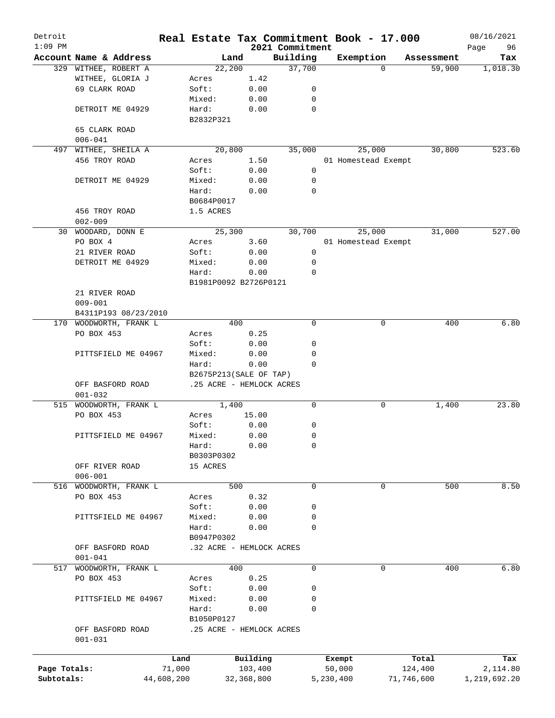| Detroit<br>$1:09$ PM |                        |            |                          |            | 2021 Commitment | Real Estate Tax Commitment Book - 17.000 |            | 08/16/2021<br>96<br>Page |
|----------------------|------------------------|------------|--------------------------|------------|-----------------|------------------------------------------|------------|--------------------------|
|                      | Account Name & Address |            | Land                     |            | Building        | Exemption                                | Assessment | Tax                      |
|                      | 329 WITHEE, ROBERT A   |            | 22,200                   |            | 37,700          | $\Omega$                                 | 59,900     | 1,018.30                 |
|                      | WITHEE, GLORIA J       |            | Acres                    | 1.42       |                 |                                          |            |                          |
|                      | 69 CLARK ROAD          |            | Soft:                    | 0.00       | 0               |                                          |            |                          |
|                      |                        |            | Mixed:                   | 0.00       | 0               |                                          |            |                          |
|                      | DETROIT ME 04929       |            | Hard:                    | 0.00       | 0               |                                          |            |                          |
|                      |                        |            | B2832P321                |            |                 |                                          |            |                          |
|                      | 65 CLARK ROAD          |            |                          |            |                 |                                          |            |                          |
|                      | $006 - 041$            |            |                          |            |                 |                                          |            |                          |
| 497                  | WITHEE, SHEILA A       |            | 20,800                   |            | 35,000          | 25,000                                   | 30,800     | 523.60                   |
|                      | 456 TROY ROAD          |            | Acres                    | 1.50       |                 | 01 Homestead Exempt                      |            |                          |
|                      |                        |            | Soft:                    | 0.00       | 0               |                                          |            |                          |
|                      | DETROIT ME 04929       |            | Mixed:                   | 0.00       | 0               |                                          |            |                          |
|                      |                        |            | Hard:                    |            | 0               |                                          |            |                          |
|                      |                        |            |                          | 0.00       |                 |                                          |            |                          |
|                      |                        |            | B0684P0017               |            |                 |                                          |            |                          |
|                      | 456 TROY ROAD          |            | 1.5 ACRES                |            |                 |                                          |            |                          |
|                      | $002 - 009$            |            |                          |            |                 |                                          |            |                          |
| 30                   | WOODARD, DONN E        |            | 25,300                   |            | 30,700          | 25,000                                   | 31,000     | 527.00                   |
|                      | PO BOX 4               |            | Acres                    | 3.60       |                 | 01 Homestead Exempt                      |            |                          |
|                      | 21 RIVER ROAD          |            | Soft:                    | 0.00       | 0               |                                          |            |                          |
|                      | DETROIT ME 04929       |            | Mixed:                   | 0.00       | 0               |                                          |            |                          |
|                      |                        |            | Hard:                    | 0.00       | 0               |                                          |            |                          |
|                      |                        |            | B1981P0092 B2726P0121    |            |                 |                                          |            |                          |
|                      | 21 RIVER ROAD          |            |                          |            |                 |                                          |            |                          |
|                      | $009 - 001$            |            |                          |            |                 |                                          |            |                          |
|                      | B4311P193 08/23/2010   |            |                          |            |                 |                                          |            |                          |
| 170                  | WOODWORTH, FRANK L     |            | 400                      |            | $\mathbf 0$     | 0                                        | 400        | 6.80                     |
|                      | PO BOX 453             |            | Acres                    | 0.25       |                 |                                          |            |                          |
|                      |                        |            | Soft:                    | 0.00       | 0               |                                          |            |                          |
|                      | PITTSFIELD ME 04967    |            | Mixed:                   | 0.00       | 0               |                                          |            |                          |
|                      |                        |            | Hard:                    | 0.00       | $\Omega$        |                                          |            |                          |
|                      |                        |            | B2675P213(SALE OF TAP)   |            |                 |                                          |            |                          |
|                      | OFF BASFORD ROAD       |            | .25 ACRE - HEMLOCK ACRES |            |                 |                                          |            |                          |
|                      | $001 - 032$            |            |                          |            |                 |                                          |            |                          |
| 515                  | WOODWORTH, FRANK L     |            | 1,400                    |            | $\mathbf 0$     | 0                                        | 1,400      | 23.80                    |
|                      | PO BOX 453             |            | Acres                    | 15.00      |                 |                                          |            |                          |
|                      |                        |            | Soft:                    | 0.00       | 0               |                                          |            |                          |
|                      | PITTSFIELD ME 04967    |            | Mixed:                   | 0.00       | 0               |                                          |            |                          |
|                      |                        |            | Hard:                    | 0.00       | 0               |                                          |            |                          |
|                      |                        |            | B0303P0302               |            |                 |                                          |            |                          |
|                      | OFF RIVER ROAD         |            | 15 ACRES                 |            |                 |                                          |            |                          |
|                      | $006 - 001$            |            |                          |            |                 |                                          |            |                          |
| 516                  | WOODWORTH, FRANK L     |            | 500                      |            | 0               | 0                                        | 500        | 8.50                     |
|                      | PO BOX 453             |            |                          | 0.32       |                 |                                          |            |                          |
|                      |                        |            | Acres                    |            |                 |                                          |            |                          |
|                      |                        |            | Soft:                    | 0.00       | 0               |                                          |            |                          |
|                      | PITTSFIELD ME 04967    |            | Mixed:                   | 0.00       | 0               |                                          |            |                          |
|                      |                        |            | Hard:                    | 0.00       | 0               |                                          |            |                          |
|                      |                        |            | B0947P0302               |            |                 |                                          |            |                          |
|                      | OFF BASFORD ROAD       |            | .32 ACRE - HEMLOCK ACRES |            |                 |                                          |            |                          |
|                      | $001 - 041$            |            |                          |            |                 |                                          |            |                          |
| 517                  | WOODWORTH, FRANK L     |            | 400                      |            | $\mathbf 0$     | $\mathbf 0$                              | 400        | 6.80                     |
|                      | PO BOX 453             |            | Acres                    | 0.25       |                 |                                          |            |                          |
|                      |                        |            | Soft:                    | 0.00       | 0               |                                          |            |                          |
|                      | PITTSFIELD ME 04967    |            | Mixed:                   | 0.00       | 0               |                                          |            |                          |
|                      |                        |            | Hard:                    | 0.00       | 0               |                                          |            |                          |
|                      |                        |            | B1050P0127               |            |                 |                                          |            |                          |
|                      | OFF BASFORD ROAD       |            | .25 ACRE - HEMLOCK ACRES |            |                 |                                          |            |                          |
|                      | $001 - 031$            |            |                          |            |                 |                                          |            |                          |
|                      |                        |            |                          |            |                 |                                          |            |                          |
|                      |                        | Land       |                          | Building   |                 | Exempt                                   | Total      | Tax                      |
| Page Totals:         |                        | 71,000     |                          | 103,400    |                 | 50,000                                   | 124,400    | 2,114.80                 |
| Subtotals:           |                        | 44,608,200 |                          | 32,368,800 |                 | 5,230,400                                | 71,746,600 | 1,219,692.20             |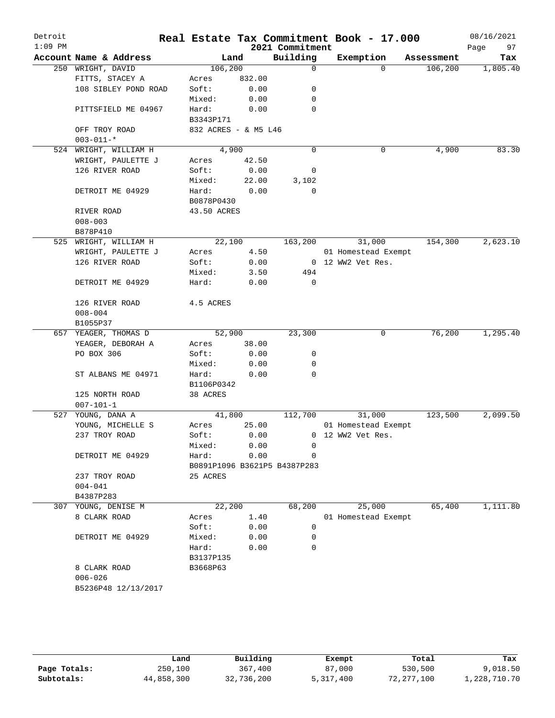| Detroit<br>$1:09$ PM |                        |                      |        | 2021 Commitment              | Real Estate Tax Commitment Book - 17.000 |            | 08/16/2021<br>97<br>Page |
|----------------------|------------------------|----------------------|--------|------------------------------|------------------------------------------|------------|--------------------------|
|                      | Account Name & Address | Land                 |        | Building                     | Exemption                                | Assessment | Tax                      |
|                      | 250 WRIGHT, DAVID      | 106, 200             |        | $\mathbf 0$                  | $\Omega$                                 | 106, 200   | 1,805.40                 |
|                      | FITTS, STACEY A        | Acres                | 832.00 |                              |                                          |            |                          |
|                      | 108 SIBLEY POND ROAD   | Soft:                | 0.00   | 0                            |                                          |            |                          |
|                      |                        | Mixed:               | 0.00   | 0                            |                                          |            |                          |
|                      | PITTSFIELD ME 04967    | Hard:                | 0.00   | $\mathbf 0$                  |                                          |            |                          |
|                      |                        | B3343P171            |        |                              |                                          |            |                          |
|                      | OFF TROY ROAD          | 832 ACRES - & M5 L46 |        |                              |                                          |            |                          |
|                      | $003 - 011 -$ *        |                      |        |                              |                                          |            |                          |
|                      | 524 WRIGHT, WILLIAM H  | 4,900                |        | $\mathbf 0$                  | 0                                        | 4,900      | 83.30                    |
|                      | WRIGHT, PAULETTE J     | Acres                | 42.50  |                              |                                          |            |                          |
|                      | 126 RIVER ROAD         | Soft:                | 0.00   | 0                            |                                          |            |                          |
|                      |                        | Mixed:               | 22.00  | 3,102                        |                                          |            |                          |
|                      | DETROIT ME 04929       | Hard:                | 0.00   | 0                            |                                          |            |                          |
|                      |                        | B0878P0430           |        |                              |                                          |            |                          |
|                      | RIVER ROAD             | 43.50 ACRES          |        |                              |                                          |            |                          |
|                      | $008 - 003$            |                      |        |                              |                                          |            |                          |
|                      | B878P410               |                      |        |                              |                                          |            |                          |
|                      | 525 WRIGHT, WILLIAM H  | 22,100               |        | 163,200                      | 31,000                                   | 154,300    | 2,623.10                 |
|                      | WRIGHT, PAULETTE J     | Acres                | 4.50   |                              | 01 Homestead Exempt<br>0 12 WW2 Vet Res. |            |                          |
|                      | 126 RIVER ROAD         | Soft:                | 0.00   | 494                          |                                          |            |                          |
|                      | DETROIT ME 04929       | Mixed:<br>Hard:      | 3.50   | $\mathbf 0$                  |                                          |            |                          |
|                      |                        |                      | 0.00   |                              |                                          |            |                          |
|                      | 126 RIVER ROAD         | 4.5 ACRES            |        |                              |                                          |            |                          |
|                      | $008 - 004$            |                      |        |                              |                                          |            |                          |
|                      | B1055P37               |                      |        |                              |                                          |            |                          |
|                      | 657 YEAGER, THOMAS D   | 52,900               |        | 23,300                       | 0                                        | 76,200     | 1,295.40                 |
|                      | YEAGER, DEBORAH A      | Acres                | 38.00  |                              |                                          |            |                          |
|                      | PO BOX 306             | Soft:                | 0.00   | 0                            |                                          |            |                          |
|                      |                        | Mixed:               | 0.00   | 0                            |                                          |            |                          |
|                      | ST ALBANS ME 04971     | Hard:                | 0.00   | $\mathbf 0$                  |                                          |            |                          |
|                      |                        | B1106P0342           |        |                              |                                          |            |                          |
|                      | 125 NORTH ROAD         | 38 ACRES             |        |                              |                                          |            |                          |
|                      | $007 - 101 - 1$        |                      |        |                              |                                          |            |                          |
| 527                  | YOUNG, DANA A          | 41,800               |        | 112,700                      | 31,000                                   | 123,500    | 2,099.50                 |
|                      | YOUNG, MICHELLE S      | Acres                | 25.00  |                              | 01 Homestead Exempt                      |            |                          |
|                      | 237 TROY ROAD          | Soft:                | 0.00   |                              | 0 12 WW2 Vet Res.                        |            |                          |
|                      |                        | Mixed:               | 0.00   | 0                            |                                          |            |                          |
|                      | DETROIT ME 04929       | Hard:                | 0.00   | $\mathbf 0$                  |                                          |            |                          |
|                      |                        |                      |        | B0891P1096 B3621P5 B4387P283 |                                          |            |                          |
|                      | 237 TROY ROAD          | 25 ACRES             |        |                              |                                          |            |                          |
|                      | $004 - 041$            |                      |        |                              |                                          |            |                          |
|                      | B4387P283              |                      |        |                              |                                          |            |                          |
|                      | 307 YOUNG, DENISE M    | 22,200               |        | 68,200                       | 25,000                                   | 65,400     | 1,111.80                 |
|                      | 8 CLARK ROAD           | Acres                | 1.40   |                              | 01 Homestead Exempt                      |            |                          |
|                      |                        | Soft:                | 0.00   | 0                            |                                          |            |                          |
|                      | DETROIT ME 04929       | Mixed:               | 0.00   | 0                            |                                          |            |                          |
|                      |                        | Hard:                | 0.00   | $\mathbf 0$                  |                                          |            |                          |
|                      |                        | B3137P135            |        |                              |                                          |            |                          |
|                      | 8 CLARK ROAD           | B3668P63             |        |                              |                                          |            |                          |
|                      | $006 - 026$            |                      |        |                              |                                          |            |                          |
|                      | B5236P48 12/13/2017    |                      |        |                              |                                          |            |                          |
|                      |                        |                      |        |                              |                                          |            |                          |
|                      |                        |                      |        |                              |                                          |            |                          |
|                      |                        |                      |        |                              |                                          |            |                          |

|              | Land       | Building   | Exempt    | Total      | Tax          |
|--------------|------------|------------|-----------|------------|--------------|
|              |            |            |           |            |              |
| Page Totals: | 250,100    | 367,400    | 87,000    | 530,500    | 9,018.50     |
| Subtotals:   | 44,858,300 | 32,736,200 | 5,317,400 | 72,277,100 | 1,228,710.70 |